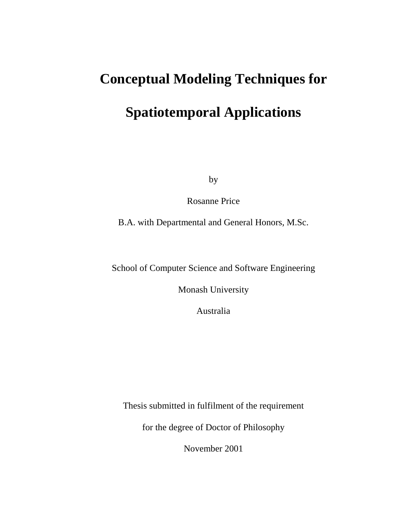# **Conceptual Modeling Techniques for Spatiotemporal Applications**

by

Rosanne Price

B.A. with Departmental and General Honors, M.Sc.

School of Computer Science and Software Engineering

Monash University

Australia

Thesis submitted in fulfilment of the requirement

for the degree of Doctor of Philosophy

November 2001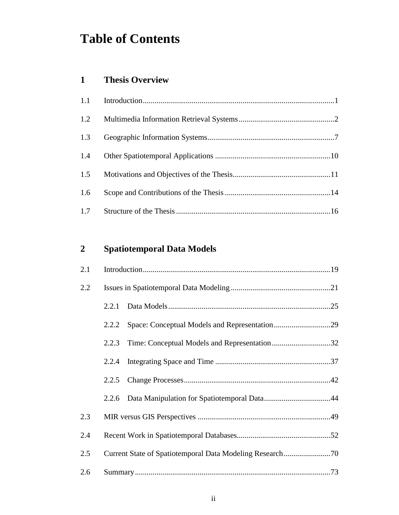# **Table of Contents**

## **1 Thesis Overview**

| 1.2 |  |
|-----|--|
| 1.3 |  |
| 1.4 |  |
| 1.5 |  |
| 1.6 |  |
| 1.7 |  |

## **2 Spatiotemporal Data Models**

| 2.1 |       |                                                     |  |
|-----|-------|-----------------------------------------------------|--|
| 2.2 |       |                                                     |  |
|     | 2.2.1 |                                                     |  |
|     |       | 2.2.2 Space: Conceptual Models and Representation29 |  |
|     | 2.2.3 | Time: Conceptual Models and Representation32        |  |
|     |       |                                                     |  |
|     |       |                                                     |  |
|     |       |                                                     |  |
| 2.3 |       |                                                     |  |
| 2.4 |       |                                                     |  |
| 2.5 |       |                                                     |  |
| 2.6 |       |                                                     |  |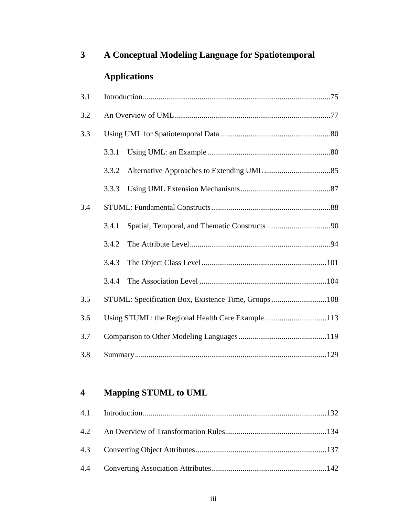| 3   | A Conceptual Modeling Language for Spatiotemporal    |  |  |  |
|-----|------------------------------------------------------|--|--|--|
|     | <b>Applications</b>                                  |  |  |  |
| 3.1 |                                                      |  |  |  |
| 3.2 |                                                      |  |  |  |
| 3.3 |                                                      |  |  |  |
|     | 3.3.1                                                |  |  |  |
|     | 3.3.2                                                |  |  |  |
|     | 3.3.3                                                |  |  |  |
| 3.4 |                                                      |  |  |  |
|     | 3.4.1                                                |  |  |  |
|     | 3.4.2                                                |  |  |  |
|     | 3.4.3                                                |  |  |  |
|     | 3.4.4                                                |  |  |  |
| 3.5 | STUML: Specification Box, Existence Time, Groups 108 |  |  |  |
| 3.6 |                                                      |  |  |  |
| 3.7 |                                                      |  |  |  |
| 3.8 |                                                      |  |  |  |

# **4 Mapping STUML to UML**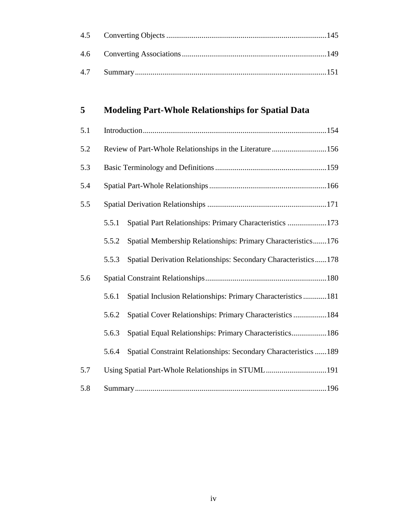# **5 Modeling Part-Whole Relationships for Spatial Data**

| 5.1 |       |                                                                  |
|-----|-------|------------------------------------------------------------------|
| 5.2 |       | Review of Part-Whole Relationships in the Literature156          |
| 5.3 |       |                                                                  |
| 5.4 |       |                                                                  |
| 5.5 |       |                                                                  |
|     | 5.5.1 | Spatial Part Relationships: Primary Characteristics 173          |
|     | 5.5.2 | Spatial Membership Relationships: Primary Characteristics176     |
|     | 5.5.3 | Spatial Derivation Relationships: Secondary Characteristics178   |
| 5.6 |       |                                                                  |
|     | 5.6.1 | Spatial Inclusion Relationships: Primary Characteristics  181    |
|     | 5.6.2 | Spatial Cover Relationships: Primary Characteristics 184         |
|     | 5.6.3 | Spatial Equal Relationships: Primary Characteristics186          |
|     | 5.6.4 | Spatial Constraint Relationships: Secondary Characteristics  189 |
| 5.7 |       | Using Spatial Part-Whole Relationships in STUML191               |
| 5.8 |       |                                                                  |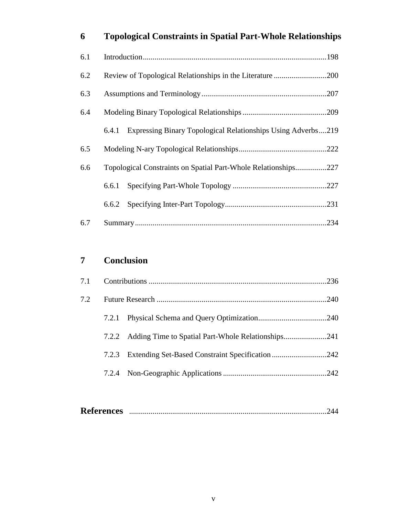| 6   | <b>Topological Constraints in Spatial Part-Whole Relationships</b>    |
|-----|-----------------------------------------------------------------------|
| 6.1 |                                                                       |
| 6.2 |                                                                       |
| 6.3 |                                                                       |
| 6.4 |                                                                       |
|     | Expressing Binary Topological Relationships Using Adverbs219<br>6.4.1 |
| 6.5 |                                                                       |
| 6.6 | Topological Constraints on Spatial Part-Whole Relationships227        |
|     | 6.6.1                                                                 |
|     | 6.6.2                                                                 |
| 6.7 | .234                                                                  |

## **7 Conclusion**

| 7.1 |                                                          |  |
|-----|----------------------------------------------------------|--|
| 7.2 |                                                          |  |
|     |                                                          |  |
|     | 7.2.2 Adding Time to Spatial Part-Whole Relationships241 |  |
|     | 7.2.3 Extending Set-Based Constraint Specification 242   |  |
|     |                                                          |  |
|     |                                                          |  |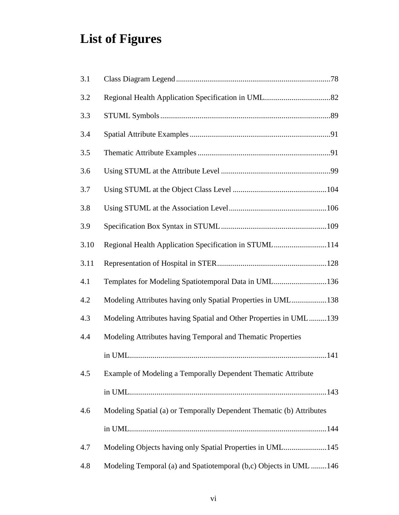# **List of Figures**

| 3.1  |                                                                      |  |
|------|----------------------------------------------------------------------|--|
| 3.2  |                                                                      |  |
| 3.3  |                                                                      |  |
| 3.4  |                                                                      |  |
| 3.5  |                                                                      |  |
| 3.6  |                                                                      |  |
| 3.7  |                                                                      |  |
| 3.8  |                                                                      |  |
| 3.9  |                                                                      |  |
| 3.10 | Regional Health Application Specification in STUML114                |  |
| 3.11 |                                                                      |  |
| 4.1  | Templates for Modeling Spatiotemporal Data in UML136                 |  |
| 4.2  | Modeling Attributes having only Spatial Properties in UML138         |  |
| 4.3  | Modeling Attributes having Spatial and Other Properties in UML139    |  |
| 4.4  | Modeling Attributes having Temporal and Thematic Properties          |  |
|      |                                                                      |  |
| 4.5  | Example of Modeling a Temporally Dependent Thematic Attribute        |  |
|      |                                                                      |  |
| 4.6  | Modeling Spatial (a) or Temporally Dependent Thematic (b) Attributes |  |
|      |                                                                      |  |
| 4.7  | Modeling Objects having only Spatial Properties in UML145            |  |
| 4.8  | Modeling Temporal (a) and Spatiotemporal (b,c) Objects in UML 146    |  |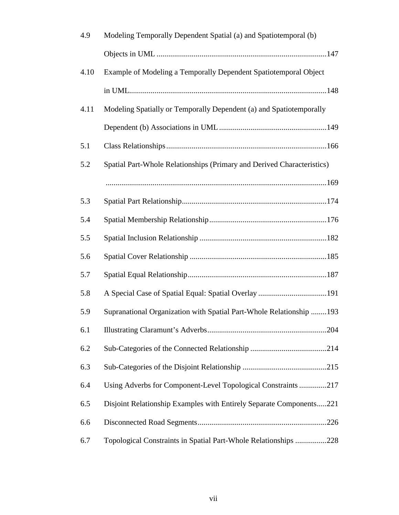| 4.9  | Modeling Temporally Dependent Spatial (a) and Spatiotemporal (b)       |
|------|------------------------------------------------------------------------|
|      |                                                                        |
| 4.10 | Example of Modeling a Temporally Dependent Spatiotemporal Object       |
|      |                                                                        |
| 4.11 | Modeling Spatially or Temporally Dependent (a) and Spatiotemporally    |
|      |                                                                        |
| 5.1  |                                                                        |
| 5.2  | Spatial Part-Whole Relationships (Primary and Derived Characteristics) |
|      |                                                                        |
| 5.3  |                                                                        |
| 5.4  |                                                                        |
| 5.5  |                                                                        |
| 5.6  |                                                                        |
| 5.7  |                                                                        |
| 5.8  |                                                                        |
| 5.9  | Supranational Organization with Spatial Part-Whole Relationship 193    |
| 6.1  |                                                                        |
| 6.2  |                                                                        |
| 6.3  |                                                                        |
| 6.4  | Using Adverbs for Component-Level Topological Constraints 217          |
| 6.5  | Disjoint Relationship Examples with Entirely Separate Components221    |
| 6.6  |                                                                        |
| 6.7  | Topological Constraints in Spatial Part-Whole Relationships 228        |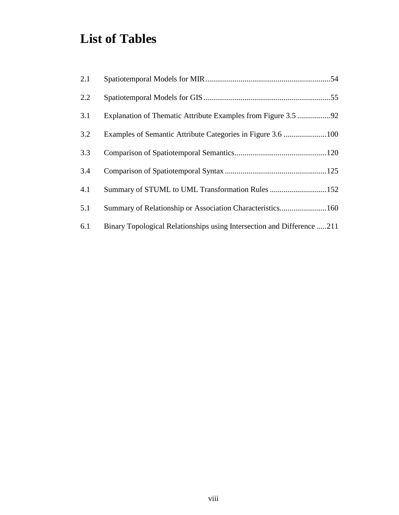# **List of Tables**

| 2.1 |                                                                        |  |
|-----|------------------------------------------------------------------------|--|
| 2.2 |                                                                        |  |
| 3.1 | Explanation of Thematic Attribute Examples from Figure 3.5 92          |  |
| 3.2 | Examples of Semantic Attribute Categories in Figure 3.6 100            |  |
| 3.3 |                                                                        |  |
| 3.4 |                                                                        |  |
| 4.1 | Summary of STUML to UML Transformation Rules 152                       |  |
| 5.1 | Summary of Relationship or Association Characteristics160              |  |
| 6.1 | Binary Topological Relationships using Intersection and Difference 211 |  |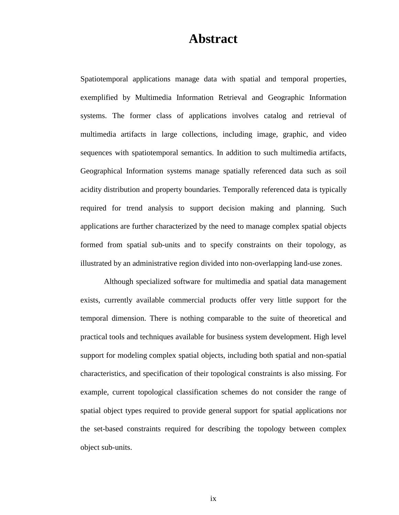## **Abstract**

Spatiotemporal applications manage data with spatial and temporal properties, exemplified by Multimedia Information Retrieval and Geographic Information systems. The former class of applications involves catalog and retrieval of multimedia artifacts in large collections, including image, graphic, and video sequences with spatiotemporal semantics. In addition to such multimedia artifacts, Geographical Information systems manage spatially referenced data such as soil acidity distribution and property boundaries. Temporally referenced data is typically required for trend analysis to support decision making and planning. Such applications are further characterized by the need to manage complex spatial objects formed from spatial sub-units and to specify constraints on their topology, as illustrated by an administrative region divided into non-overlapping land-use zones.

Although specialized software for multimedia and spatial data management exists, currently available commercial products offer very little support for the temporal dimension. There is nothing comparable to the suite of theoretical and practical tools and techniques available for business system development. High level support for modeling complex spatial objects, including both spatial and non-spatial characteristics, and specification of their topological constraints is also missing. For example, current topological classification schemes do not consider the range of spatial object types required to provide general support for spatial applications nor the set-based constraints required for describing the topology between complex object sub-units.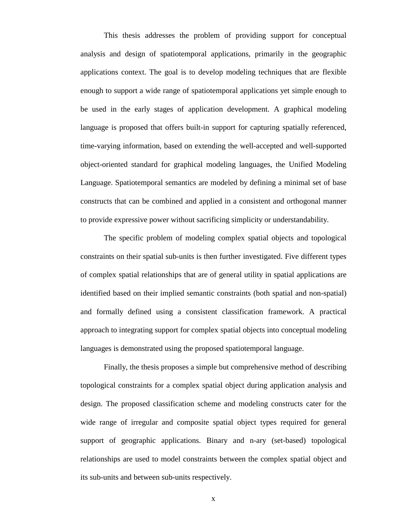This thesis addresses the problem of providing support for conceptual analysis and design of spatiotemporal applications, primarily in the geographic applications context. The goal is to develop modeling techniques that are flexible enough to support a wide range of spatiotemporal applications yet simple enough to be used in the early stages of application development. A graphical modeling language is proposed that offers built-in support for capturing spatially referenced, time-varying information, based on extending the well-accepted and well-supported object-oriented standard for graphical modeling languages, the Unified Modeling Language. Spatiotemporal semantics are modeled by defining a minimal set of base constructs that can be combined and applied in a consistent and orthogonal manner to provide expressive power without sacrificing simplicity or understandability.

The specific problem of modeling complex spatial objects and topological constraints on their spatial sub-units is then further investigated. Five different types of complex spatial relationships that are of general utility in spatial applications are identified based on their implied semantic constraints (both spatial and non-spatial) and formally defined using a consistent classification framework. A practical approach to integrating support for complex spatial objects into conceptual modeling languages is demonstrated using the proposed spatiotemporal language.

Finally, the thesis proposes a simple but comprehensive method of describing topological constraints for a complex spatial object during application analysis and design. The proposed classification scheme and modeling constructs cater for the wide range of irregular and composite spatial object types required for general support of geographic applications. Binary and n-ary (set-based) topological relationships are used to model constraints between the complex spatial object and its sub-units and between sub-units respectively.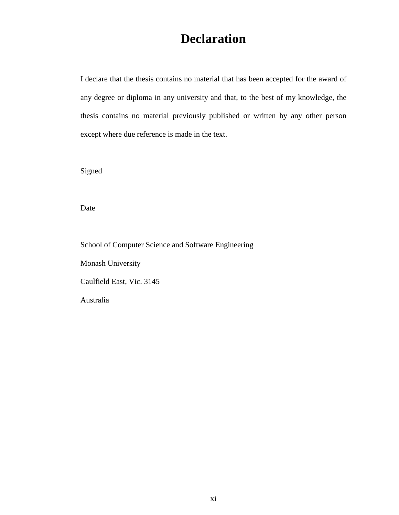# **Declaration**

I declare that the thesis contains no material that has been accepted for the award of any degree or diploma in any university and that, to the best of my knowledge, the thesis contains no material previously published or written by any other person except where due reference is made in the text.

Signed

Date

School of Computer Science and Software Engineering Monash University Caulfield East, Vic. 3145 Australia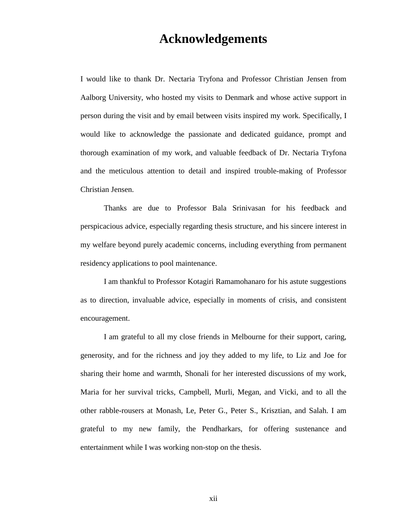# **Acknowledgements**

I would like to thank Dr. Nectaria Tryfona and Professor Christian Jensen from Aalborg University, who hosted my visits to Denmark and whose active support in person during the visit and by email between visits inspired my work. Specifically, I would like to acknowledge the passionate and dedicated guidance, prompt and thorough examination of my work, and valuable feedback of Dr. Nectaria Tryfona and the meticulous attention to detail and inspired trouble-making of Professor Christian Jensen.

Thanks are due to Professor Bala Srinivasan for his feedback and perspicacious advice, especially regarding thesis structure, and his sincere interest in my welfare beyond purely academic concerns, including everything from permanent residency applications to pool maintenance.

I am thankful to Professor Kotagiri Ramamohanaro for his astute suggestions as to direction, invaluable advice, especially in moments of crisis, and consistent encouragement.

I am grateful to all my close friends in Melbourne for their support, caring, generosity, and for the richness and joy they added to my life, to Liz and Joe for sharing their home and warmth, Shonali for her interested discussions of my work, Maria for her survival tricks, Campbell, Murli, Megan, and Vicki, and to all the other rabble-rousers at Monash, Le, Peter G., Peter S., Krisztian, and Salah. I am grateful to my new family, the Pendharkars, for offering sustenance and entertainment while I was working non-stop on the thesis.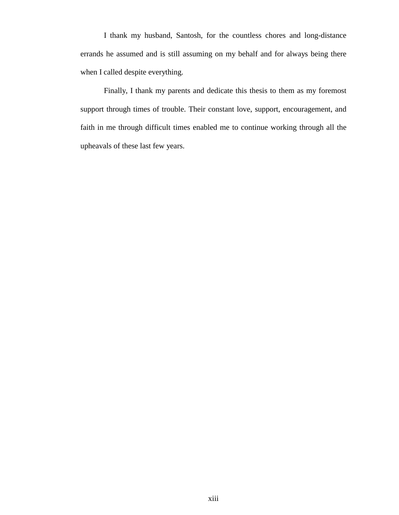I thank my husband, Santosh, for the countless chores and long-distance errands he assumed and is still assuming on my behalf and for always being there when I called despite everything.

Finally, I thank my parents and dedicate this thesis to them as my foremost support through times of trouble. Their constant love, support, encouragement, and faith in me through difficult times enabled me to continue working through all the upheavals of these last few years.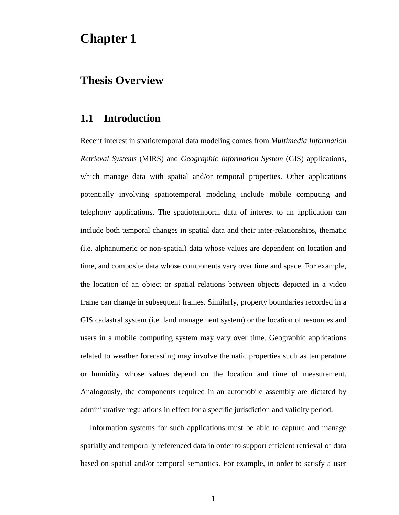# **Chapter 1**

## **Thesis Overview**

## **1.1 Introduction**

Recent interest in spatiotemporal data modeling comes from *Multimedia Information Retrieval Systems* (MIRS) and *Geographic Information System* (GIS) applications, which manage data with spatial and/or temporal properties. Other applications potentially involving spatiotemporal modeling include mobile computing and telephony applications. The spatiotemporal data of interest to an application can include both temporal changes in spatial data and their inter-relationships, thematic (i.e. alphanumeric or non-spatial) data whose values are dependent on location and time, and composite data whose components vary over time and space. For example, the location of an object or spatial relations between objects depicted in a video frame can change in subsequent frames. Similarly, property boundaries recorded in a GIS cadastral system (i.e. land management system) or the location of resources and users in a mobile computing system may vary over time. Geographic applications related to weather forecasting may involve thematic properties such as temperature or humidity whose values depend on the location and time of measurement. Analogously, the components required in an automobile assembly are dictated by administrative regulations in effect for a specific jurisdiction and validity period.

Information systems for such applications must be able to capture and manage spatially and temporally referenced data in order to support efficient retrieval of data based on spatial and/or temporal semantics. For example, in order to satisfy a user

1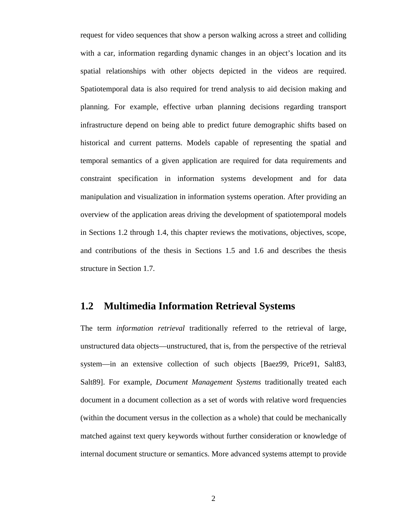request for video sequences that show a person walking across a street and colliding with a car, information regarding dynamic changes in an object's location and its spatial relationships with other objects depicted in the videos are required. Spatiotemporal data is also required for trend analysis to aid decision making and planning. For example, effective urban planning decisions regarding transport infrastructure depend on being able to predict future demographic shifts based on historical and current patterns. Models capable of representing the spatial and temporal semantics of a given application are required for data requirements and constraint specification in information systems development and for data manipulation and visualization in information systems operation. After providing an overview of the application areas driving the development of spatiotemporal models in Sections 1.2 through 1.4, this chapter reviews the motivations, objectives, scope, and contributions of the thesis in Sections 1.5 and 1.6 and describes the thesis structure in Section 1.7.

#### **1.2 Multimedia Information Retrieval Systems**

The term *information retrieval* traditionally referred to the retrieval of large, unstructured data objects—unstructured, that is, from the perspective of the retrieval system—in an extensive collection of such objects [Baez99, Price91, Salt83, Salt89]. For example, *Document Management Systems* traditionally treated each document in a document collection as a set of words with relative word frequencies (within the document versus in the collection as a whole) that could be mechanically matched against text query keywords without further consideration or knowledge of internal document structure or semantics. More advanced systems attempt to provide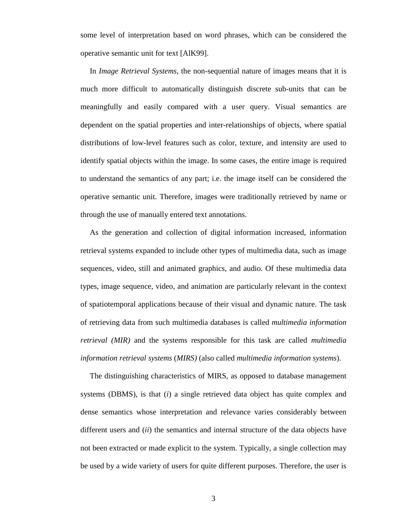some level of interpretation based on word phrases, which can be considered the operative semantic unit for text [AlK99].

In *Image Retrieval Systems*, the non-sequential nature of images means that it is much more difficult to automatically distinguish discrete sub-units that can be meaningfully and easily compared with a user query. Visual semantics are dependent on the spatial properties and inter-relationships of objects, where spatial distributions of low-level features such as color, texture, and intensity are used to identify spatial objects within the image. In some cases, the entire image is required to understand the semantics of any part; i.e. the image itself can be considered the operative semantic unit. Therefore, images were traditionally retrieved by name or through the use of manually entered text annotations.

As the generation and collection of digital information increased, information retrieval systems expanded to include other types of multimedia data, such as image sequences, video, still and animated graphics, and audio. Of these multimedia data types, image sequence, video, and animation are particularly relevant in the context of spatiotemporal applications because of their visual and dynamic nature. The task of retrieving data from such multimedia databases is called *multimedia information retrieval (MIR)* and the systems responsible for this task are called *multimedia information retrieval systems* (*MIRS)* (also called *multimedia information systems*).

The distinguishing characteristics of MIRS, as opposed to database management systems (DBMS), is that (*i*) a single retrieved data object has quite complex and dense semantics whose interpretation and relevance varies considerably between different users and (*ii*) the semantics and internal structure of the data objects have not been extracted or made explicit to the system. Typically, a single collection may be used by a wide variety of users for quite different purposes. Therefore, the user is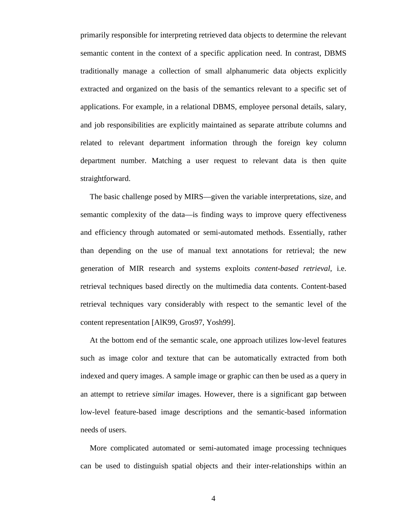primarily responsible for interpreting retrieved data objects to determine the relevant semantic content in the context of a specific application need. In contrast, DBMS traditionally manage a collection of small alphanumeric data objects explicitly extracted and organized on the basis of the semantics relevant to a specific set of applications. For example, in a relational DBMS, employee personal details, salary, and job responsibilities are explicitly maintained as separate attribute columns and related to relevant department information through the foreign key column department number. Matching a user request to relevant data is then quite straightforward.

The basic challenge posed by MIRS—given the variable interpretations, size, and semantic complexity of the data—is finding ways to improve query effectiveness and efficiency through automated or semi-automated methods. Essentially, rather than depending on the use of manual text annotations for retrieval; the new generation of MIR research and systems exploits *content-based retrieval*, i.e. retrieval techniques based directly on the multimedia data contents. Content-based retrieval techniques vary considerably with respect to the semantic level of the content representation [AlK99, Gros97, Yosh99].

At the bottom end of the semantic scale, one approach utilizes low-level features such as image color and texture that can be automatically extracted from both indexed and query images. A sample image or graphic can then be used as a query in an attempt to retrieve *similar* images. However, there is a significant gap between low-level feature-based image descriptions and the semantic-based information needs of users.

More complicated automated or semi-automated image processing techniques can be used to distinguish spatial objects and their inter-relationships within an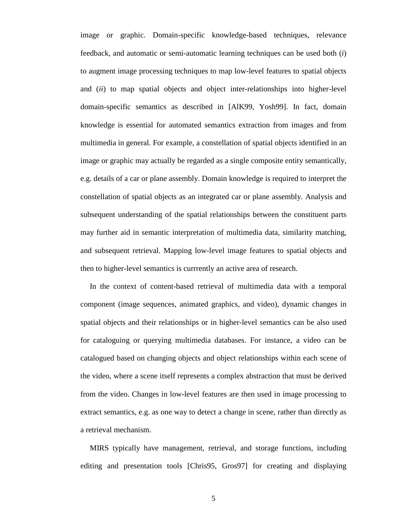image or graphic. Domain-specific knowledge-based techniques, relevance feedback, and automatic or semi-automatic learning techniques can be used both (*i*) to augment image processing techniques to map low-level features to spatial objects and (*ii*) to map spatial objects and object inter-relationships into higher-level domain-specific semantics as described in [AlK99, Yosh99]. In fact, domain knowledge is essential for automated semantics extraction from images and from multimedia in general. For example, a constellation of spatial objects identified in an image or graphic may actually be regarded as a single composite entity semantically, e.g. details of a car or plane assembly. Domain knowledge is required to interpret the constellation of spatial objects as an integrated car or plane assembly. Analysis and subsequent understanding of the spatial relationships between the constituent parts may further aid in semantic interpretation of multimedia data, similarity matching, and subsequent retrieval. Mapping low-level image features to spatial objects and then to higher-level semantics is currrently an active area of research.

In the context of content-based retrieval of multimedia data with a temporal component (image sequences, animated graphics, and video), dynamic changes in spatial objects and their relationships or in higher-level semantics can be also used for cataloguing or querying multimedia databases. For instance, a video can be catalogued based on changing objects and object relationships within each scene of the video, where a scene itself represents a complex abstraction that must be derived from the video. Changes in low-level features are then used in image processing to extract semantics, e.g. as one way to detect a change in scene, rather than directly as a retrieval mechanism.

MIRS typically have management, retrieval, and storage functions, including editing and presentation tools [Chris95, Gros97] for creating and displaying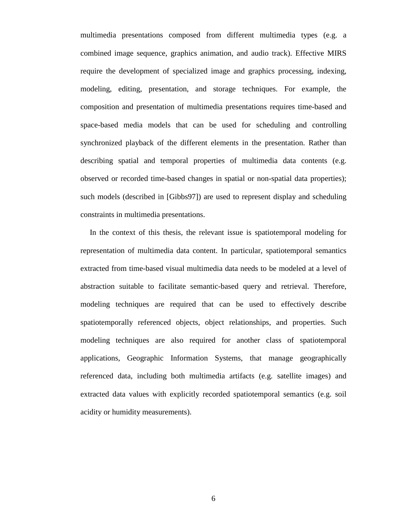multimedia presentations composed from different multimedia types (e.g. a combined image sequence, graphics animation, and audio track). Effective MIRS require the development of specialized image and graphics processing, indexing, modeling, editing, presentation, and storage techniques. For example, the composition and presentation of multimedia presentations requires time-based and space-based media models that can be used for scheduling and controlling synchronized playback of the different elements in the presentation. Rather than describing spatial and temporal properties of multimedia data contents (e.g. observed or recorded time-based changes in spatial or non-spatial data properties); such models (described in [Gibbs97]) are used to represent display and scheduling constraints in multimedia presentations.

In the context of this thesis, the relevant issue is spatiotemporal modeling for representation of multimedia data content. In particular, spatiotemporal semantics extracted from time-based visual multimedia data needs to be modeled at a level of abstraction suitable to facilitate semantic-based query and retrieval. Therefore, modeling techniques are required that can be used to effectively describe spatiotemporally referenced objects, object relationships, and properties. Such modeling techniques are also required for another class of spatiotemporal applications, Geographic Information Systems, that manage geographically referenced data, including both multimedia artifacts (e.g. satellite images) and extracted data values with explicitly recorded spatiotemporal semantics (e.g. soil acidity or humidity measurements).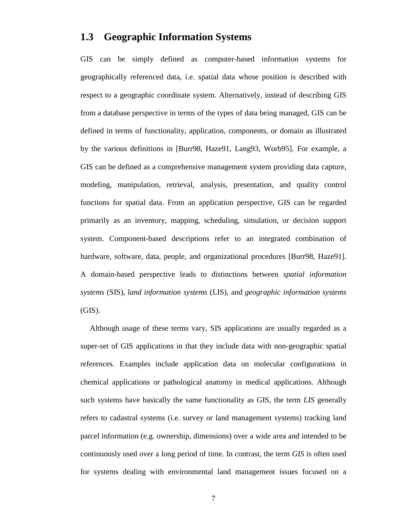#### **1.3 Geographic Information Systems**

GIS can be simply defined as computer-based information systems for geographically referenced data, i.e. spatial data whose position is described with respect to a geographic coordinate system. Alternatively, instead of describing GIS from a database perspective in terms of the types of data being managed, GIS can be defined in terms of functionality, application, components, or domain as illustrated by the various definitions in [Burr98, Haze91, Lang93, Worb95]. For example, a GIS can be defined as a comprehensive management system providing data capture, modeling, manipulation, retrieval, analysis, presentation, and quality control functions for spatial data. From an application perspective, GIS can be regarded primarily as an inventory, mapping, scheduling, simulation, or decision support system. Component-based descriptions refer to an integrated combination of hardware, software, data, people, and organizational procedures [Burr98, Haze91]. A domain-based perspective leads to distinctions between *spatial information systems* (SIS), *land information systems* (LIS), and *geographic information systems* (GIS).

Although usage of these terms vary, SIS applications are usually regarded as a super-set of GIS applications in that they include data with non-geographic spatial references. Examples include application data on molecular configurations in chemical applications or pathological anatomy in medical applications. Although such systems have basically the same functionality as GIS, the term *LIS* generally refers to cadastral systems (i.e. survey or land management systems) tracking land parcel information (e.g. ownership, dimensions) over a wide area and intended to be continuously used over a long period of time. In contrast, the term *GIS* is often used for systems dealing with environmental land management issues focused on a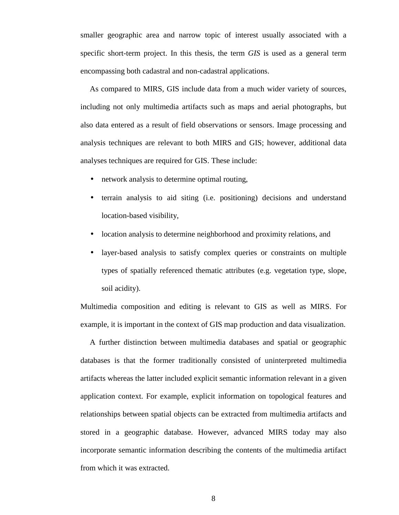smaller geographic area and narrow topic of interest usually associated with a specific short-term project. In this thesis, the term *GIS* is used as a general term encompassing both cadastral and non-cadastral applications.

As compared to MIRS, GIS include data from a much wider variety of sources, including not only multimedia artifacts such as maps and aerial photographs, but also data entered as a result of field observations or sensors. Image processing and analysis techniques are relevant to both MIRS and GIS; however, additional data analyses techniques are required for GIS. These include:

- network analysis to determine optimal routing,
- terrain analysis to aid siting (i.e. positioning) decisions and understand location-based visibility,
- location analysis to determine neighborhood and proximity relations, and
- layer-based analysis to satisfy complex queries or constraints on multiple types of spatially referenced thematic attributes (e.g. vegetation type, slope, soil acidity).

Multimedia composition and editing is relevant to GIS as well as MIRS. For example, it is important in the context of GIS map production and data visualization.

A further distinction between multimedia databases and spatial or geographic databases is that the former traditionally consisted of uninterpreted multimedia artifacts whereas the latter included explicit semantic information relevant in a given application context. For example, explicit information on topological features and relationships between spatial objects can be extracted from multimedia artifacts and stored in a geographic database. However, advanced MIRS today may also incorporate semantic information describing the contents of the multimedia artifact from which it was extracted.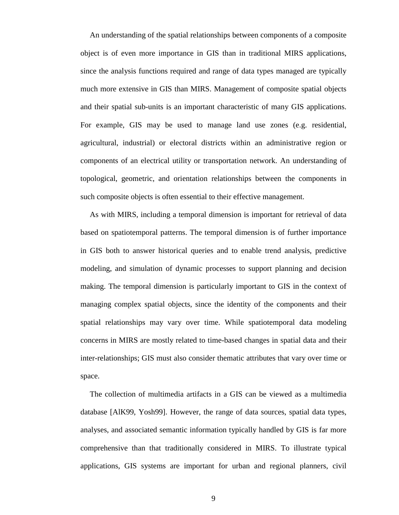An understanding of the spatial relationships between components of a composite object is of even more importance in GIS than in traditional MIRS applications, since the analysis functions required and range of data types managed are typically much more extensive in GIS than MIRS. Management of composite spatial objects and their spatial sub-units is an important characteristic of many GIS applications. For example, GIS may be used to manage land use zones (e.g. residential, agricultural, industrial) or electoral districts within an administrative region or components of an electrical utility or transportation network. An understanding of topological, geometric, and orientation relationships between the components in such composite objects is often essential to their effective management.

As with MIRS, including a temporal dimension is important for retrieval of data based on spatiotemporal patterns. The temporal dimension is of further importance in GIS both to answer historical queries and to enable trend analysis, predictive modeling, and simulation of dynamic processes to support planning and decision making. The temporal dimension is particularly important to GIS in the context of managing complex spatial objects, since the identity of the components and their spatial relationships may vary over time. While spatiotemporal data modeling concerns in MIRS are mostly related to time-based changes in spatial data and their inter-relationships; GIS must also consider thematic attributes that vary over time or space.

The collection of multimedia artifacts in a GIS can be viewed as a multimedia database [AlK99, Yosh99]. However, the range of data sources, spatial data types, analyses, and associated semantic information typically handled by GIS is far more comprehensive than that traditionally considered in MIRS. To illustrate typical applications, GIS systems are important for urban and regional planners, civil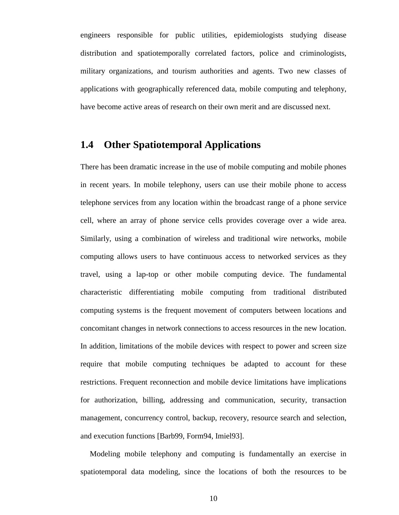engineers responsible for public utilities, epidemiologists studying disease distribution and spatiotemporally correlated factors, police and criminologists, military organizations, and tourism authorities and agents. Two new classes of applications with geographically referenced data, mobile computing and telephony, have become active areas of research on their own merit and are discussed next.

#### **1.4 Other Spatiotemporal Applications**

There has been dramatic increase in the use of mobile computing and mobile phones in recent years. In mobile telephony, users can use their mobile phone to access telephone services from any location within the broadcast range of a phone service cell, where an array of phone service cells provides coverage over a wide area. Similarly, using a combination of wireless and traditional wire networks, mobile computing allows users to have continuous access to networked services as they travel, using a lap-top or other mobile computing device. The fundamental characteristic differentiating mobile computing from traditional distributed computing systems is the frequent movement of computers between locations and concomitant changes in network connections to access resources in the new location. In addition, limitations of the mobile devices with respect to power and screen size require that mobile computing techniques be adapted to account for these restrictions. Frequent reconnection and mobile device limitations have implications for authorization, billing, addressing and communication, security, transaction management, concurrency control, backup, recovery, resource search and selection, and execution functions [Barb99, Form94, Imiel93].

Modeling mobile telephony and computing is fundamentally an exercise in spatiotemporal data modeling, since the locations of both the resources to be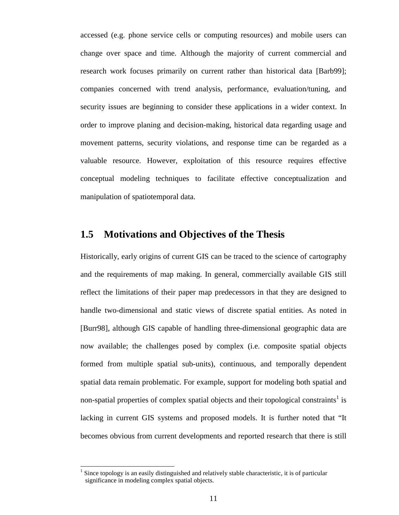accessed (e.g. phone service cells or computing resources) and mobile users can change over space and time. Although the majority of current commercial and research work focuses primarily on current rather than historical data [Barb99]; companies concerned with trend analysis, performance, evaluation/tuning, and security issues are beginning to consider these applications in a wider context. In order to improve planing and decision-making, historical data regarding usage and movement patterns, security violations, and response time can be regarded as a valuable resource. However, exploitation of this resource requires effective conceptual modeling techniques to facilitate effective conceptualization and manipulation of spatiotemporal data.

#### **1.5 Motivations and Objectives of the Thesis**

Historically, early origins of current GIS can be traced to the science of cartography and the requirements of map making. In general, commercially available GIS still reflect the limitations of their paper map predecessors in that they are designed to handle two-dimensional and static views of discrete spatial entities. As noted in [Burr98], although GIS capable of handling three-dimensional geographic data are now available; the challenges posed by complex (i.e. composite spatial objects formed from multiple spatial sub-units), continuous, and temporally dependent spatial data remain problematic. For example, support for modeling both spatial and non-spatial properties of complex spatial objects and their topological constraints<sup>1</sup> is lacking in current GIS systems and proposed models. It is further noted that "It becomes obvious from current developments and reported research that there is still

l

<sup>1</sup> Since topology is an easily distinguished and relatively stable characteristic, it is of particular significance in modeling complex spatial objects.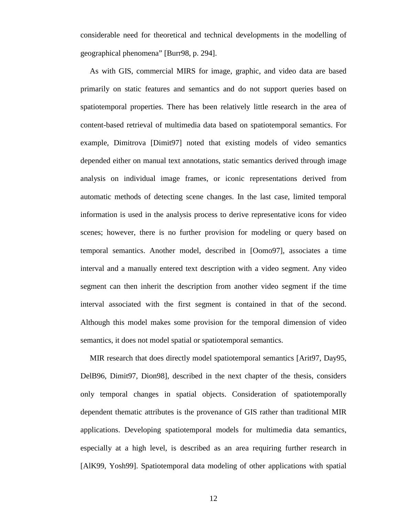considerable need for theoretical and technical developments in the modelling of geographical phenomena" [Burr98, p. 294].

As with GIS, commercial MIRS for image, graphic, and video data are based primarily on static features and semantics and do not support queries based on spatiotemporal properties. There has been relatively little research in the area of content-based retrieval of multimedia data based on spatiotemporal semantics. For example, Dimitrova [Dimit97] noted that existing models of video semantics depended either on manual text annotations, static semantics derived through image analysis on individual image frames, or iconic representations derived from automatic methods of detecting scene changes. In the last case, limited temporal information is used in the analysis process to derive representative icons for video scenes; however, there is no further provision for modeling or query based on temporal semantics. Another model, described in [Oomo97], associates a time interval and a manually entered text description with a video segment. Any video segment can then inherit the description from another video segment if the time interval associated with the first segment is contained in that of the second. Although this model makes some provision for the temporal dimension of video semantics, it does not model spatial or spatiotemporal semantics.

MIR research that does directly model spatiotemporal semantics [Arit97, Day95, DelB96, Dimit97, Dion98], described in the next chapter of the thesis, considers only temporal changes in spatial objects. Consideration of spatiotemporally dependent thematic attributes is the provenance of GIS rather than traditional MIR applications. Developing spatiotemporal models for multimedia data semantics, especially at a high level, is described as an area requiring further research in [AlK99, Yosh99]. Spatiotemporal data modeling of other applications with spatial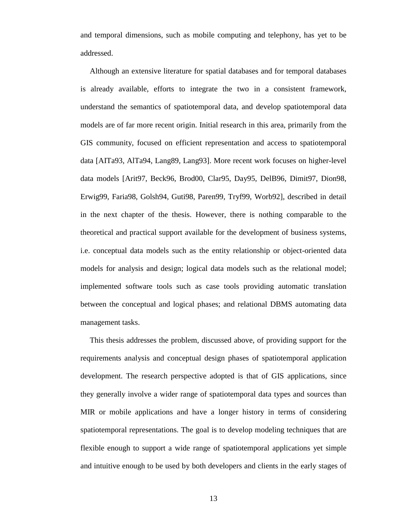and temporal dimensions, such as mobile computing and telephony, has yet to be addressed.

Although an extensive literature for spatial databases and for temporal databases is already available, efforts to integrate the two in a consistent framework, understand the semantics of spatiotemporal data, and develop spatiotemporal data models are of far more recent origin. Initial research in this area, primarily from the GIS community, focused on efficient representation and access to spatiotemporal data [AITa93, AlTa94, Lang89, Lang93]. More recent work focuses on higher-level data models [Arit97, Beck96, Brod00, Clar95, Day95, DelB96, Dimit97, Dion98, Erwig99, Faria98, Golsh94, Guti98, Paren99, Tryf99, Worb92], described in detail in the next chapter of the thesis. However, there is nothing comparable to the theoretical and practical support available for the development of business systems, i.e. conceptual data models such as the entity relationship or object-oriented data models for analysis and design; logical data models such as the relational model; implemented software tools such as case tools providing automatic translation between the conceptual and logical phases; and relational DBMS automating data management tasks.

This thesis addresses the problem, discussed above, of providing support for the requirements analysis and conceptual design phases of spatiotemporal application development. The research perspective adopted is that of GIS applications, since they generally involve a wider range of spatiotemporal data types and sources than MIR or mobile applications and have a longer history in terms of considering spatiotemporal representations. The goal is to develop modeling techniques that are flexible enough to support a wide range of spatiotemporal applications yet simple and intuitive enough to be used by both developers and clients in the early stages of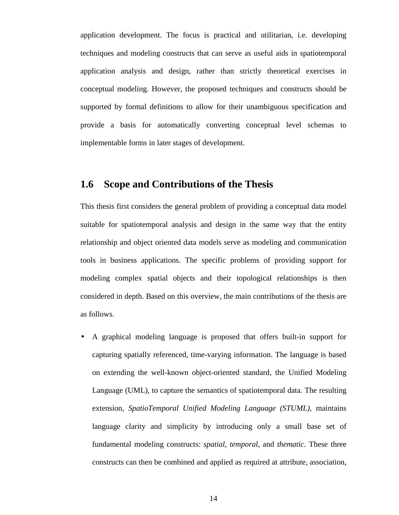application development. The focus is practical and utilitarian, i.e. developing techniques and modeling constructs that can serve as useful aids in spatiotemporal application analysis and design, rather than strictly theoretical exercises in conceptual modeling. However, the proposed techniques and constructs should be supported by formal definitions to allow for their unambiguous specification and provide a basis for automatically converting conceptual level schemas to implementable forms in later stages of development.

#### **1.6 Scope and Contributions of the Thesis**

This thesis first considers the general problem of providing a conceptual data model suitable for spatiotemporal analysis and design in the same way that the entity relationship and object oriented data models serve as modeling and communication tools in business applications. The specific problems of providing support for modeling complex spatial objects and their topological relationships is then considered in depth. Based on this overview, the main contributions of the thesis are as follows.

• A graphical modeling language is proposed that offers built-in support for capturing spatially referenced, time-varying information. The language is based on extending the well-known object-oriented standard, the Unified Modeling Language (UML), to capture the semantics of spatiotemporal data. The resulting extension, *SpatioTemporal Unified Modeling Language (STUML)*, maintains language clarity and simplicity by introducing only a small base set of fundamental modeling constructs: *spatial*, *temporal*, and *thematic*. These three constructs can then be combined and applied as required at attribute, association,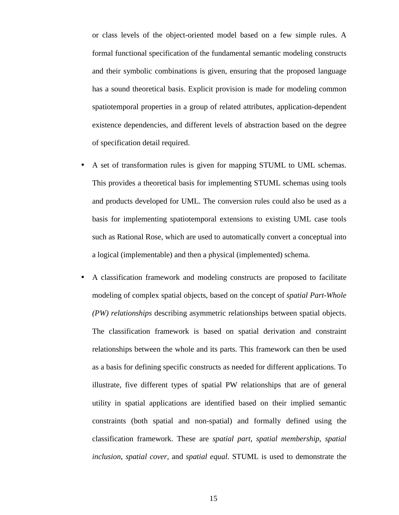or class levels of the object-oriented model based on a few simple rules. A formal functional specification of the fundamental semantic modeling constructs and their symbolic combinations is given, ensuring that the proposed language has a sound theoretical basis. Explicit provision is made for modeling common spatiotemporal properties in a group of related attributes, application-dependent existence dependencies, and different levels of abstraction based on the degree of specification detail required.

- A set of transformation rules is given for mapping STUML to UML schemas. This provides a theoretical basis for implementing STUML schemas using tools and products developed for UML. The conversion rules could also be used as a basis for implementing spatiotemporal extensions to existing UML case tools such as Rational Rose, which are used to automatically convert a conceptual into a logical (implementable) and then a physical (implemented) schema.
- A classification framework and modeling constructs are proposed to facilitate modeling of complex spatial objects, based on the concept of *spatial Part-Whole (PW) relationships* describing asymmetric relationships between spatial objects. The classification framework is based on spatial derivation and constraint relationships between the whole and its parts. This framework can then be used as a basis for defining specific constructs as needed for different applications. To illustrate, five different types of spatial PW relationships that are of general utility in spatial applications are identified based on their implied semantic constraints (both spatial and non-spatial) and formally defined using the classification framework. These are *spatial part, spatial membership*, *spatial inclusion*, *spatial cover*, and *spatial equal*. STUML is used to demonstrate the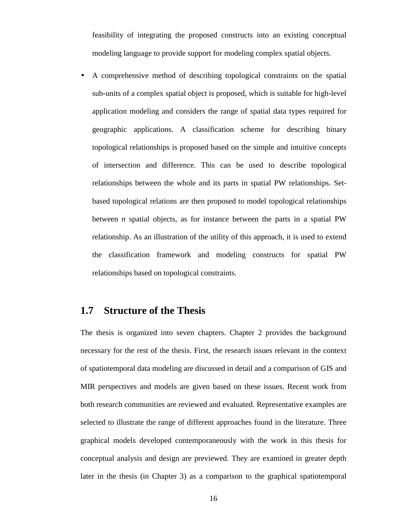feasibility of integrating the proposed constructs into an existing conceptual modeling language to provide support for modeling complex spatial objects.

• A comprehensive method of describing topological constraints on the spatial sub-units of a complex spatial object is proposed, which is suitable for high-level application modeling and considers the range of spatial data types required for geographic applications. A classification scheme for describing binary topological relationships is proposed based on the simple and intuitive concepts of intersection and difference. This can be used to describe topological relationships between the whole and its parts in spatial PW relationships. Setbased topological relations are then proposed to model topological relationships between *n* spatial objects, as for instance between the parts in a spatial PW relationship. As an illustration of the utility of this approach, it is used to extend the classification framework and modeling constructs for spatial PW relationships based on topological constraints.

#### **1.7 Structure of the Thesis**

The thesis is organized into seven chapters. Chapter 2 provides the background necessary for the rest of the thesis. First, the research issues relevant in the context of spatiotemporal data modeling are discussed in detail and a comparison of GIS and MIR perspectives and models are given based on these issues. Recent work from both research communities are reviewed and evaluated. Representative examples are selected to illustrate the range of different approaches found in the literature. Three graphical models developed contemporaneously with the work in this thesis for conceptual analysis and design are previewed. They are examined in greater depth later in the thesis (in Chapter 3) as a comparison to the graphical spatiotemporal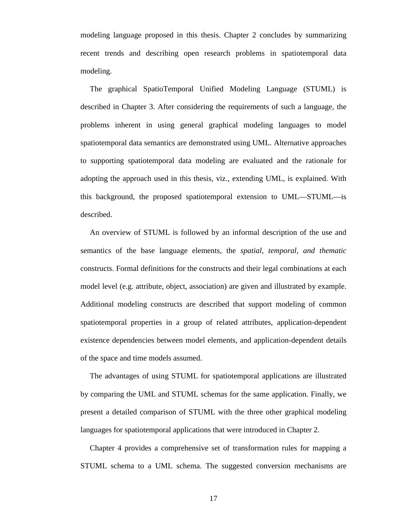modeling language proposed in this thesis. Chapter 2 concludes by summarizing recent trends and describing open research problems in spatiotemporal data modeling.

The graphical SpatioTemporal Unified Modeling Language (STUML) is described in Chapter 3. After considering the requirements of such a language, the problems inherent in using general graphical modeling languages to model spatiotemporal data semantics are demonstrated using UML. Alternative approaches to supporting spatiotemporal data modeling are evaluated and the rationale for adopting the approach used in this thesis, viz., extending UML, is explained. With this background, the proposed spatiotemporal extension to UML—STUML—is described.

An overview of STUML is followed by an informal description of the use and semantics of the base language elements, the *spatial, temporal, and thematic* constructs. Formal definitions for the constructs and their legal combinations at each model level (e.g. attribute, object, association) are given and illustrated by example. Additional modeling constructs are described that support modeling of common spatiotemporal properties in a group of related attributes, application-dependent existence dependencies between model elements, and application-dependent details of the space and time models assumed.

The advantages of using STUML for spatiotemporal applications are illustrated by comparing the UML and STUML schemas for the same application. Finally, we present a detailed comparison of STUML with the three other graphical modeling languages for spatiotemporal applications that were introduced in Chapter 2.

Chapter 4 provides a comprehensive set of transformation rules for mapping a STUML schema to a UML schema. The suggested conversion mechanisms are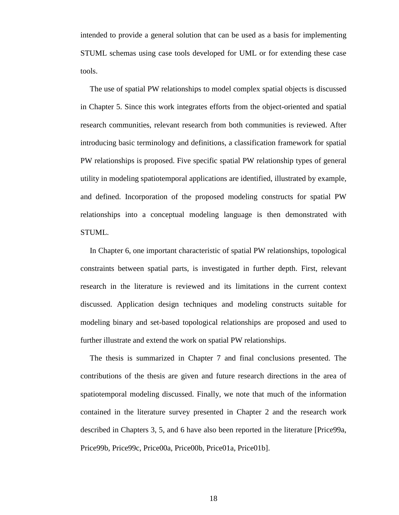intended to provide a general solution that can be used as a basis for implementing STUML schemas using case tools developed for UML or for extending these case tools.

The use of spatial PW relationships to model complex spatial objects is discussed in Chapter 5. Since this work integrates efforts from the object-oriented and spatial research communities, relevant research from both communities is reviewed. After introducing basic terminology and definitions, a classification framework for spatial PW relationships is proposed. Five specific spatial PW relationship types of general utility in modeling spatiotemporal applications are identified, illustrated by example, and defined. Incorporation of the proposed modeling constructs for spatial PW relationships into a conceptual modeling language is then demonstrated with STUML.

In Chapter 6, one important characteristic of spatial PW relationships, topological constraints between spatial parts, is investigated in further depth. First, relevant research in the literature is reviewed and its limitations in the current context discussed. Application design techniques and modeling constructs suitable for modeling binary and set-based topological relationships are proposed and used to further illustrate and extend the work on spatial PW relationships.

The thesis is summarized in Chapter 7 and final conclusions presented. The contributions of the thesis are given and future research directions in the area of spatiotemporal modeling discussed. Finally, we note that much of the information contained in the literature survey presented in Chapter 2 and the research work described in Chapters 3, 5, and 6 have also been reported in the literature [Price99a, Price99b, Price99c, Price00a, Price00b, Price01a, Price01b].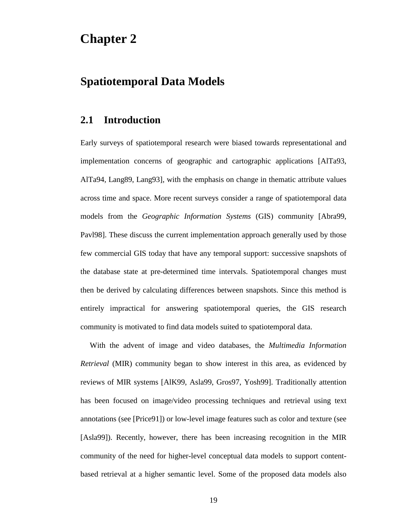## **Chapter 2**

#### **Spatiotemporal Data Models**

#### **2.1 Introduction**

Early surveys of spatiotemporal research were biased towards representational and implementation concerns of geographic and cartographic applications [AlTa93, AlTa94, Lang89, Lang93], with the emphasis on change in thematic attribute values across time and space. More recent surveys consider a range of spatiotemporal data models from the *Geographic Information Systems* (GIS) community [Abra99, Pavl98]. These discuss the current implementation approach generally used by those few commercial GIS today that have any temporal support: successive snapshots of the database state at pre-determined time intervals. Spatiotemporal changes must then be derived by calculating differences between snapshots. Since this method is entirely impractical for answering spatiotemporal queries, the GIS research community is motivated to find data models suited to spatiotemporal data.

With the advent of image and video databases, the *Multimedia Information Retrieval* (MIR) community began to show interest in this area, as evidenced by reviews of MIR systems [AlK99, Asla99, Gros97, Yosh99]. Traditionally attention has been focused on image/video processing techniques and retrieval using text annotations (see [Price91]) or low-level image features such as color and texture (see [Asla99]). Recently, however, there has been increasing recognition in the MIR community of the need for higher-level conceptual data models to support contentbased retrieval at a higher semantic level. Some of the proposed data models also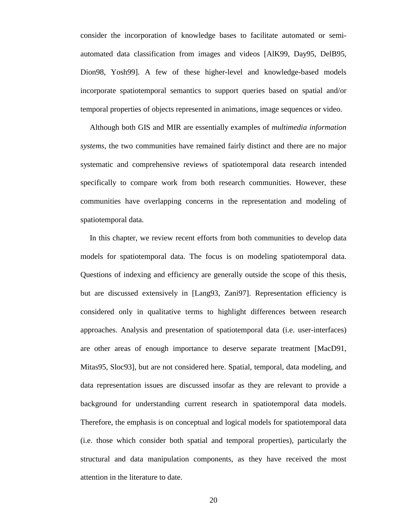consider the incorporation of knowledge bases to facilitate automated or semiautomated data classification from images and videos [AlK99, Day95, DelB95, Dion98, Yosh99]. A few of these higher-level and knowledge-based models incorporate spatiotemporal semantics to support queries based on spatial and/or temporal properties of objects represented in animations, image sequences or video.

Although both GIS and MIR are essentially examples of *multimedia information systems*, the two communities have remained fairly distinct and there are no major systematic and comprehensive reviews of spatiotemporal data research intended specifically to compare work from both research communities. However, these communities have overlapping concerns in the representation and modeling of spatiotemporal data.

In this chapter, we review recent efforts from both communities to develop data models for spatiotemporal data. The focus is on modeling spatiotemporal data. Questions of indexing and efficiency are generally outside the scope of this thesis, but are discussed extensively in [Lang93, Zani97]. Representation efficiency is considered only in qualitative terms to highlight differences between research approaches. Analysis and presentation of spatiotemporal data (i.e. user-interfaces) are other areas of enough importance to deserve separate treatment [MacD91, Mitas95, Sloc93], but are not considered here. Spatial, temporal, data modeling, and data representation issues are discussed insofar as they are relevant to provide a background for understanding current research in spatiotemporal data models. Therefore, the emphasis is on conceptual and logical models for spatiotemporal data (i.e. those which consider both spatial and temporal properties), particularly the structural and data manipulation components, as they have received the most attention in the literature to date.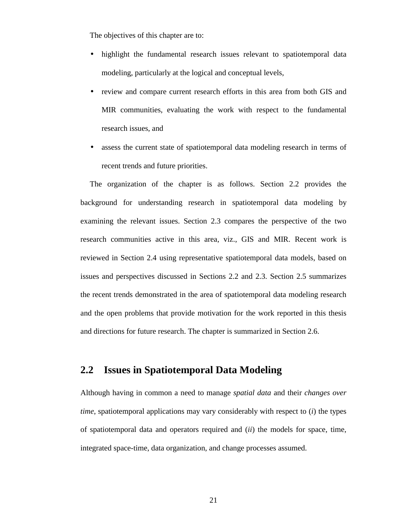The objectives of this chapter are to:

- highlight the fundamental research issues relevant to spatiotemporal data modeling, particularly at the logical and conceptual levels,
- review and compare current research efforts in this area from both GIS and MIR communities, evaluating the work with respect to the fundamental research issues, and
- assess the current state of spatiotemporal data modeling research in terms of recent trends and future priorities.

The organization of the chapter is as follows. Section 2.2 provides the background for understanding research in spatiotemporal data modeling by examining the relevant issues. Section 2.3 compares the perspective of the two research communities active in this area, viz., GIS and MIR. Recent work is reviewed in Section 2.4 using representative spatiotemporal data models, based on issues and perspectives discussed in Sections 2.2 and 2.3. Section 2.5 summarizes the recent trends demonstrated in the area of spatiotemporal data modeling research and the open problems that provide motivation for the work reported in this thesis and directions for future research. The chapter is summarized in Section 2.6.

#### **2.2 Issues in Spatiotemporal Data Modeling**

Although having in common a need to manage *spatial data* and their *changes over time*, spatiotemporal applications may vary considerably with respect to (*i*) the types of spatiotemporal data and operators required and (*ii*) the models for space, time, integrated space-time, data organization, and change processes assumed.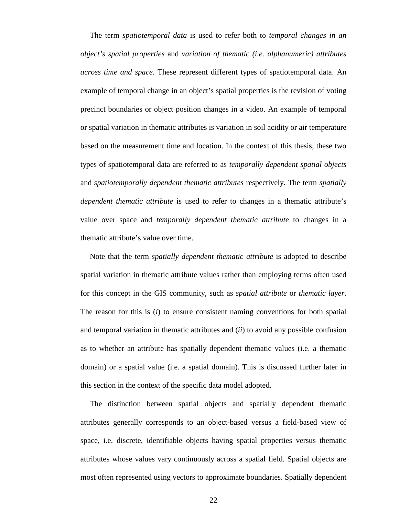The term *spatiotemporal data* is used to refer both to *temporal changes in an object's spatial properties* and *variation of thematic (i.e. alphanumeric) attributes across time and space*. These represent different types of spatiotemporal data. An example of temporal change in an object's spatial properties is the revision of voting precinct boundaries or object position changes in a video. An example of temporal or spatial variation in thematic attributes is variation in soil acidity or air temperature based on the measurement time and location. In the context of this thesis, these two types of spatiotemporal data are referred to as *temporally dependent spatial objects* and *spatiotemporally dependent thematic attributes* respectively. The term *spatially dependent thematic attribute* is used to refer to changes in a thematic attribute's value over space and *temporally dependent thematic attribute* to changes in a thematic attribute's value over time.

Note that the term *spatially dependent thematic attribute* is adopted to describe spatial variation in thematic attribute values rather than employing terms often used for this concept in the GIS community, such as *spatial attribute* or *thematic layer*. The reason for this is (*i*) to ensure consistent naming conventions for both spatial and temporal variation in thematic attributes and (*ii*) to avoid any possible confusion as to whether an attribute has spatially dependent thematic values (i.e. a thematic domain) or a spatial value (i.e. a spatial domain). This is discussed further later in this section in the context of the specific data model adopted.

The distinction between spatial objects and spatially dependent thematic attributes generally corresponds to an object-based versus a field-based view of space, i.e. discrete, identifiable objects having spatial properties versus thematic attributes whose values vary continuously across a spatial field. Spatial objects are most often represented using vectors to approximate boundaries. Spatially dependent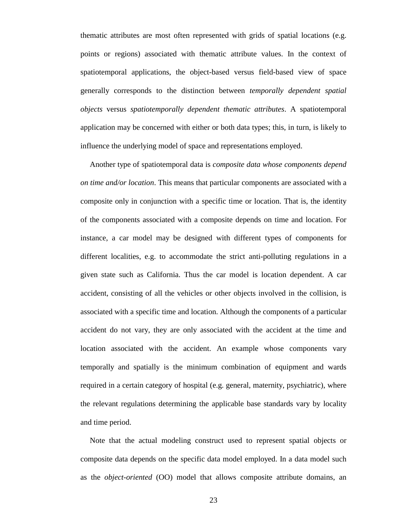thematic attributes are most often represented with grids of spatial locations (e.g. points or regions) associated with thematic attribute values. In the context of spatiotemporal applications, the object-based versus field-based view of space generally corresponds to the distinction between *temporally dependent spatial objects* versus *spatiotemporally dependent thematic attributes*. A spatiotemporal application may be concerned with either or both data types; this, in turn, is likely to influence the underlying model of space and representations employed.

Another type of spatiotemporal data is *composite data whose components depend on time and/or location*. This means that particular components are associated with a composite only in conjunction with a specific time or location. That is, the identity of the components associated with a composite depends on time and location. For instance, a car model may be designed with different types of components for different localities, e.g. to accommodate the strict anti-polluting regulations in a given state such as California. Thus the car model is location dependent. A car accident, consisting of all the vehicles or other objects involved in the collision, is associated with a specific time and location. Although the components of a particular accident do not vary, they are only associated with the accident at the time and location associated with the accident. An example whose components vary temporally and spatially is the minimum combination of equipment and wards required in a certain category of hospital (e.g. general, maternity, psychiatric), where the relevant regulations determining the applicable base standards vary by locality and time period.

Note that the actual modeling construct used to represent spatial objects or composite data depends on the specific data model employed. In a data model such as the *object-oriented* (OO) model that allows composite attribute domains, an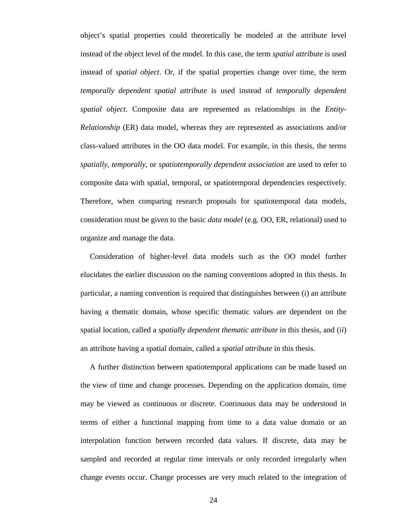object's spatial properties could theoretically be modeled at the attribute level instead of the object level of the model. In this case, the term *spatial attribute* is used instead of *spatial object*. Or, if the spatial properties change over time, the term *temporally dependent spatial attribute* is used instead of *temporally dependent spatial object*. Composite data are represented as relationships in the *Entity-Relationship* (ER) data model, whereas they are represented as associations and/or class-valued attributes in the OO data model. For example, in this thesis, the terms *spatially*, *temporally*, or *spatiotemporally dependent association* are used to refer to composite data with spatial, temporal, or spatiotemporal dependencies respectively. Therefore, when comparing research proposals for spatiotemporal data models, consideration must be given to the basic *data model* (e.g. OO, ER, relational) used to organize and manage the data.

Consideration of higher-level data models such as the OO model further elucidates the earlier discussion on the naming conventions adopted in this thesis. In particular, a naming convention is required that distinguishes between (*i*) an attribute having a thematic domain, whose specific thematic values are dependent on the spatial location, called a *spatially dependent thematic attribute* in this thesis, and (*ii*) an attribute having a spatial domain, called a *spatial attribute* in this thesis.

A further distinction between spatiotemporal applications can be made based on the view of time and change processes. Depending on the application domain, time may be viewed as continuous or discrete. Continuous data may be understood in terms of either a functional mapping from time to a data value domain or an interpolation function between recorded data values. If discrete, data may be sampled and recorded at regular time intervals or only recorded irregularly when change events occur. Change processes are very much related to the integration of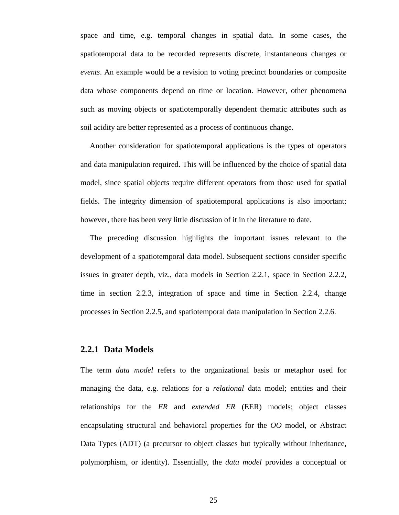space and time, e.g. temporal changes in spatial data. In some cases, the spatiotemporal data to be recorded represents discrete, instantaneous changes or *events*. An example would be a revision to voting precinct boundaries or composite data whose components depend on time or location. However, other phenomena such as moving objects or spatiotemporally dependent thematic attributes such as soil acidity are better represented as a process of continuous change.

Another consideration for spatiotemporal applications is the types of operators and data manipulation required. This will be influenced by the choice of spatial data model, since spatial objects require different operators from those used for spatial fields. The integrity dimension of spatiotemporal applications is also important; however, there has been very little discussion of it in the literature to date.

The preceding discussion highlights the important issues relevant to the development of a spatiotemporal data model. Subsequent sections consider specific issues in greater depth, viz., data models in Section 2.2.1, space in Section 2.2.2, time in section 2.2.3, integration of space and time in Section 2.2.4, change processes in Section 2.2.5, and spatiotemporal data manipulation in Section 2.2.6.

### **2.2.1 Data Models**

The term *data model* refers to the organizational basis or metaphor used for managing the data, e.g. relations for a *relational* data model; entities and their relationships for the *ER* and *extended ER* (EER) models; object classes encapsulating structural and behavioral properties for the *OO* model, or Abstract Data Types (ADT) (a precursor to object classes but typically without inheritance, polymorphism, or identity). Essentially, the *data model* provides a conceptual or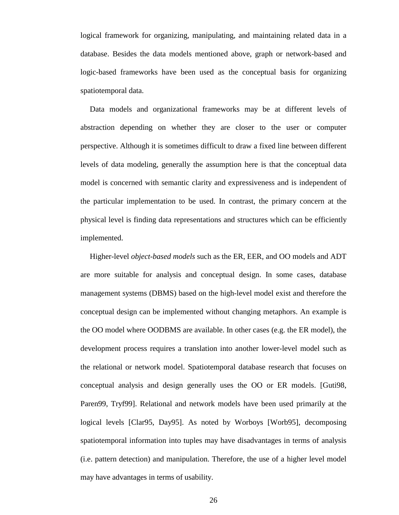logical framework for organizing, manipulating, and maintaining related data in a database. Besides the data models mentioned above, graph or network-based and logic-based frameworks have been used as the conceptual basis for organizing spatiotemporal data.

Data models and organizational frameworks may be at different levels of abstraction depending on whether they are closer to the user or computer perspective. Although it is sometimes difficult to draw a fixed line between different levels of data modeling, generally the assumption here is that the conceptual data model is concerned with semantic clarity and expressiveness and is independent of the particular implementation to be used. In contrast, the primary concern at the physical level is finding data representations and structures which can be efficiently implemented.

Higher-level *object-based models* such as the ER, EER, and OO models and ADT are more suitable for analysis and conceptual design. In some cases, database management systems (DBMS) based on the high-level model exist and therefore the conceptual design can be implemented without changing metaphors. An example is the OO model where OODBMS are available. In other cases (e.g. the ER model), the development process requires a translation into another lower-level model such as the relational or network model. Spatiotemporal database research that focuses on conceptual analysis and design generally uses the OO or ER models. [Guti98, Paren99, Tryf99]. Relational and network models have been used primarily at the logical levels [Clar95, Day95]. As noted by Worboys [Worb95], decomposing spatiotemporal information into tuples may have disadvantages in terms of analysis (i.e. pattern detection) and manipulation. Therefore, the use of a higher level model may have advantages in terms of usability.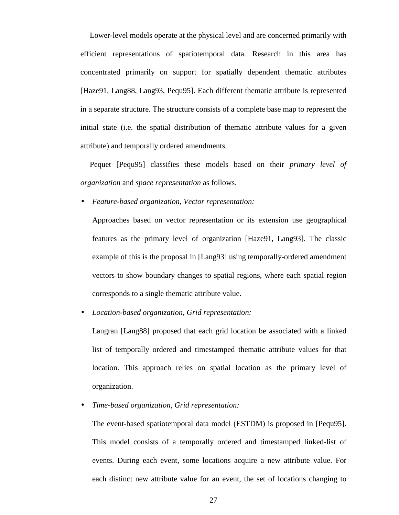Lower-level models operate at the physical level and are concerned primarily with efficient representations of spatiotemporal data. Research in this area has concentrated primarily on support for spatially dependent thematic attributes [Haze91, Lang88, Lang93, Pequ95]. Each different thematic attribute is represented in a separate structure. The structure consists of a complete base map to represent the initial state (i.e. the spatial distribution of thematic attribute values for a given attribute) and temporally ordered amendments.

Pequet [Pequ95] classifies these models based on their *primary level of organization* and *space representation* as follows.

• *Feature-based organization, Vector representation:*

Approaches based on vector representation or its extension use geographical features as the primary level of organization [Haze91, Lang93]. The classic example of this is the proposal in [Lang93] using temporally-ordered amendment vectors to show boundary changes to spatial regions, where each spatial region corresponds to a single thematic attribute value.

• *Location-based organization, Grid representation:*

Langran [Lang88] proposed that each grid location be associated with a linked list of temporally ordered and timestamped thematic attribute values for that location. This approach relies on spatial location as the primary level of organization.

• *Time-based organization, Grid representation:*

The event-based spatiotemporal data model (ESTDM) is proposed in [Pequ95]. This model consists of a temporally ordered and timestamped linked-list of events. During each event, some locations acquire a new attribute value. For each distinct new attribute value for an event, the set of locations changing to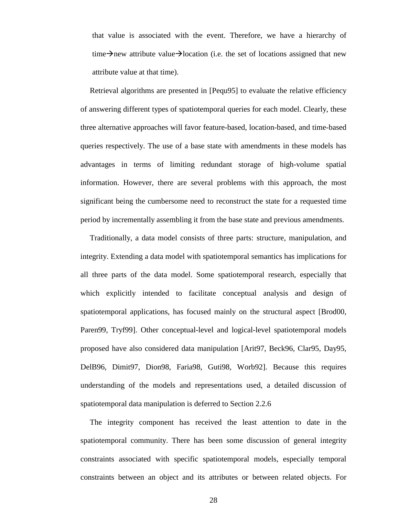that value is associated with the event. Therefore, we have a hierarchy of time $\rightarrow$ new attribute value $\rightarrow$ location (i.e. the set of locations assigned that new attribute value at that time).

Retrieval algorithms are presented in [Pequ95] to evaluate the relative efficiency of answering different types of spatiotemporal queries for each model. Clearly, these three alternative approaches will favor feature-based, location-based, and time-based queries respectively. The use of a base state with amendments in these models has advantages in terms of limiting redundant storage of high-volume spatial information. However, there are several problems with this approach, the most significant being the cumbersome need to reconstruct the state for a requested time period by incrementally assembling it from the base state and previous amendments.

Traditionally, a data model consists of three parts: structure, manipulation, and integrity. Extending a data model with spatiotemporal semantics has implications for all three parts of the data model. Some spatiotemporal research, especially that which explicitly intended to facilitate conceptual analysis and design of spatiotemporal applications, has focused mainly on the structural aspect [Brod00, Paren99, Tryf99]. Other conceptual-level and logical-level spatiotemporal models proposed have also considered data manipulation [Arit97, Beck96, Clar95, Day95, DelB96, Dimit97, Dion98, Faria98, Guti98, Worb92]. Because this requires understanding of the models and representations used, a detailed discussion of spatiotemporal data manipulation is deferred to Section 2.2.6

The integrity component has received the least attention to date in the spatiotemporal community. There has been some discussion of general integrity constraints associated with specific spatiotemporal models, especially temporal constraints between an object and its attributes or between related objects. For

28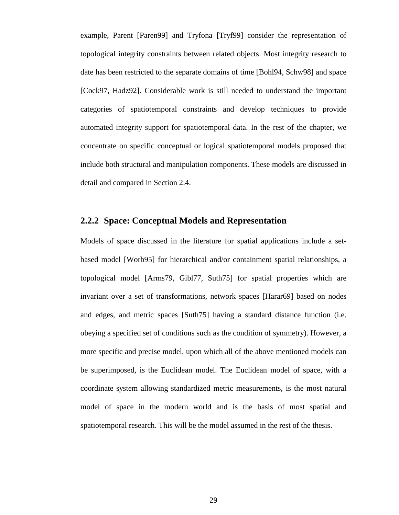example, Parent [Paren99] and Tryfona [Tryf99] consider the representation of topological integrity constraints between related objects. Most integrity research to date has been restricted to the separate domains of time [Bohl94, Schw98] and space [Cock97, Hadz92]. Considerable work is still needed to understand the important categories of spatiotemporal constraints and develop techniques to provide automated integrity support for spatiotemporal data. In the rest of the chapter, we concentrate on specific conceptual or logical spatiotemporal models proposed that include both structural and manipulation components. These models are discussed in detail and compared in Section 2.4.

### **2.2.2 Space: Conceptual Models and Representation**

Models of space discussed in the literature for spatial applications include a setbased model [Worb95] for hierarchical and/or containment spatial relationships, a topological model [Arms79, Gibl77, Suth75] for spatial properties which are invariant over a set of transformations, network spaces [Harar69] based on nodes and edges, and metric spaces [Suth75] having a standard distance function (i.e. obeying a specified set of conditions such as the condition of symmetry). However, a more specific and precise model, upon which all of the above mentioned models can be superimposed, is the Euclidean model. The Euclidean model of space, with a coordinate system allowing standardized metric measurements, is the most natural model of space in the modern world and is the basis of most spatial and spatiotemporal research. This will be the model assumed in the rest of the thesis.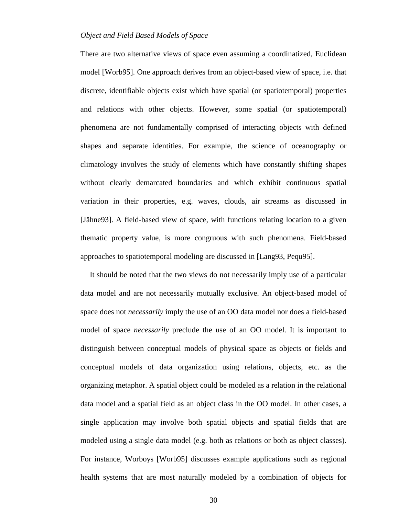### *Object and Field Based Models of Space*

There are two alternative views of space even assuming a coordinatized, Euclidean model [Worb95]. One approach derives from an object-based view of space, i.e. that discrete, identifiable objects exist which have spatial (or spatiotemporal) properties and relations with other objects. However, some spatial (or spatiotemporal) phenomena are not fundamentally comprised of interacting objects with defined shapes and separate identities. For example, the science of oceanography or climatology involves the study of elements which have constantly shifting shapes without clearly demarcated boundaries and which exhibit continuous spatial variation in their properties, e.g. waves, clouds, air streams as discussed in [Jähne93]. A field-based view of space, with functions relating location to a given thematic property value, is more congruous with such phenomena. Field-based approaches to spatiotemporal modeling are discussed in [Lang93, Pequ95].

It should be noted that the two views do not necessarily imply use of a particular data model and are not necessarily mutually exclusive. An object-based model of space does not *necessarily* imply the use of an OO data model nor does a field-based model of space *necessarily* preclude the use of an OO model. It is important to distinguish between conceptual models of physical space as objects or fields and conceptual models of data organization using relations, objects, etc. as the organizing metaphor. A spatial object could be modeled as a relation in the relational data model and a spatial field as an object class in the OO model. In other cases, a single application may involve both spatial objects and spatial fields that are modeled using a single data model (e.g. both as relations or both as object classes). For instance, Worboys [Worb95] discusses example applications such as regional health systems that are most naturally modeled by a combination of objects for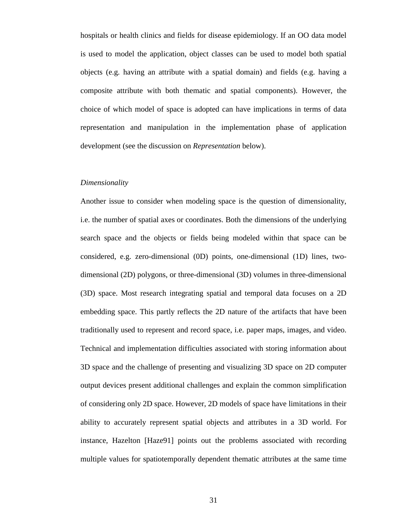hospitals or health clinics and fields for disease epidemiology. If an OO data model is used to model the application, object classes can be used to model both spatial objects (e.g. having an attribute with a spatial domain) and fields (e.g. having a composite attribute with both thematic and spatial components). However, the choice of which model of space is adopted can have implications in terms of data representation and manipulation in the implementation phase of application development (see the discussion on *Representation* below).

### *Dimensionality*

Another issue to consider when modeling space is the question of dimensionality, i.e. the number of spatial axes or coordinates. Both the dimensions of the underlying search space and the objects or fields being modeled within that space can be considered, e.g. zero-dimensional (0D) points, one-dimensional (1D) lines, twodimensional (2D) polygons, or three-dimensional (3D) volumes in three-dimensional (3D) space. Most research integrating spatial and temporal data focuses on a 2D embedding space. This partly reflects the 2D nature of the artifacts that have been traditionally used to represent and record space, i.e. paper maps, images, and video. Technical and implementation difficulties associated with storing information about 3D space and the challenge of presenting and visualizing 3D space on 2D computer output devices present additional challenges and explain the common simplification of considering only 2D space. However, 2D models of space have limitations in their ability to accurately represent spatial objects and attributes in a 3D world. For instance, Hazelton [Haze91] points out the problems associated with recording multiple values for spatiotemporally dependent thematic attributes at the same time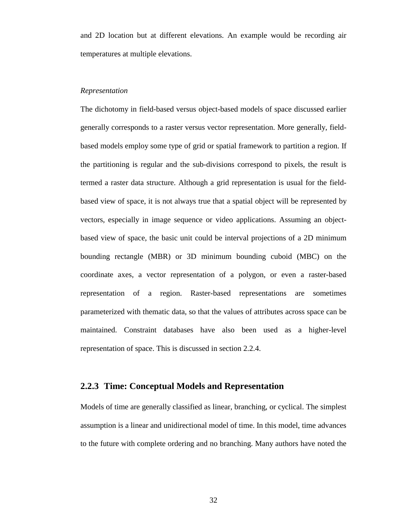and 2D location but at different elevations. An example would be recording air temperatures at multiple elevations.

#### *Representation*

The dichotomy in field-based versus object-based models of space discussed earlier generally corresponds to a raster versus vector representation. More generally, fieldbased models employ some type of grid or spatial framework to partition a region. If the partitioning is regular and the sub-divisions correspond to pixels, the result is termed a raster data structure. Although a grid representation is usual for the fieldbased view of space, it is not always true that a spatial object will be represented by vectors, especially in image sequence or video applications. Assuming an objectbased view of space, the basic unit could be interval projections of a 2D minimum bounding rectangle (MBR) or 3D minimum bounding cuboid (MBC) on the coordinate axes, a vector representation of a polygon, or even a raster-based representation of a region. Raster-based representations are sometimes parameterized with thematic data, so that the values of attributes across space can be maintained. Constraint databases have also been used as a higher-level representation of space. This is discussed in section 2.2.4.

### **2.2.3 Time: Conceptual Models and Representation**

Models of time are generally classified as linear, branching, or cyclical. The simplest assumption is a linear and unidirectional model of time. In this model, time advances to the future with complete ordering and no branching. Many authors have noted the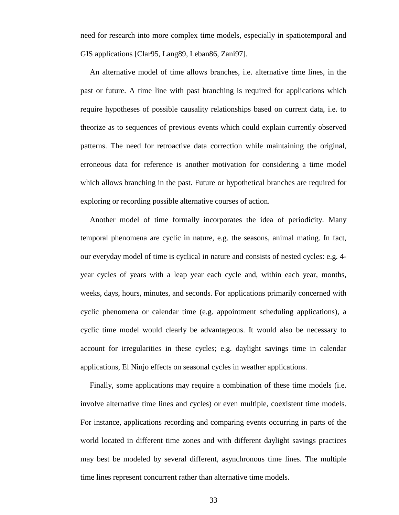need for research into more complex time models, especially in spatiotemporal and GIS applications [Clar95, Lang89, Leban86, Zani97].

An alternative model of time allows branches, i.e. alternative time lines, in the past or future. A time line with past branching is required for applications which require hypotheses of possible causality relationships based on current data, i.e. to theorize as to sequences of previous events which could explain currently observed patterns. The need for retroactive data correction while maintaining the original, erroneous data for reference is another motivation for considering a time model which allows branching in the past. Future or hypothetical branches are required for exploring or recording possible alternative courses of action.

Another model of time formally incorporates the idea of periodicity. Many temporal phenomena are cyclic in nature, e.g. the seasons, animal mating. In fact, our everyday model of time is cyclical in nature and consists of nested cycles: e.g. 4 year cycles of years with a leap year each cycle and, within each year, months, weeks, days, hours, minutes, and seconds. For applications primarily concerned with cyclic phenomena or calendar time (e.g. appointment scheduling applications), a cyclic time model would clearly be advantageous. It would also be necessary to account for irregularities in these cycles; e.g. daylight savings time in calendar applications, El Ninjo effects on seasonal cycles in weather applications.

Finally, some applications may require a combination of these time models (i.e. involve alternative time lines and cycles) or even multiple, coexistent time models. For instance, applications recording and comparing events occurring in parts of the world located in different time zones and with different daylight savings practices may best be modeled by several different, asynchronous time lines. The multiple time lines represent concurrent rather than alternative time models.

33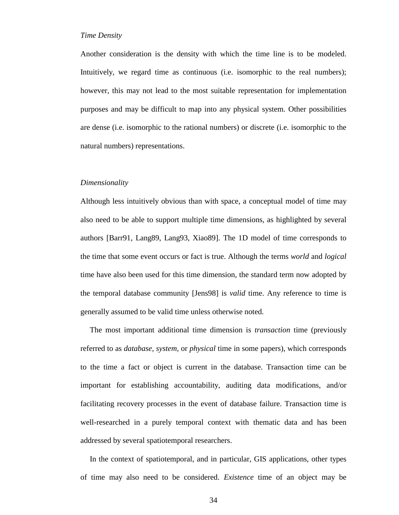### *Time Density*

Another consideration is the density with which the time line is to be modeled. Intuitively, we regard time as continuous (i.e. isomorphic to the real numbers); however, this may not lead to the most suitable representation for implementation purposes and may be difficult to map into any physical system. Other possibilities are dense (i.e. isomorphic to the rational numbers) or discrete (i.e. isomorphic to the natural numbers) representations.

#### *Dimensionality*

Although less intuitively obvious than with space, a conceptual model of time may also need to be able to support multiple time dimensions, as highlighted by several authors [Barr91, Lang89, Lang93, Xiao89]. The 1D model of time corresponds to the time that some event occurs or fact is true. Although the terms *world* and *logical* time have also been used for this time dimension, the standard term now adopted by the temporal database community [Jens98] is *valid* time. Any reference to time is generally assumed to be valid time unless otherwise noted.

The most important additional time dimension is *transaction* time (previously referred to as *database, system,* or *physical* time in some papers), which corresponds to the time a fact or object is current in the database. Transaction time can be important for establishing accountability, auditing data modifications, and/or facilitating recovery processes in the event of database failure. Transaction time is well-researched in a purely temporal context with thematic data and has been addressed by several spatiotemporal researchers.

In the context of spatiotemporal, and in particular, GIS applications, other types of time may also need to be considered. *Existence* time of an object may be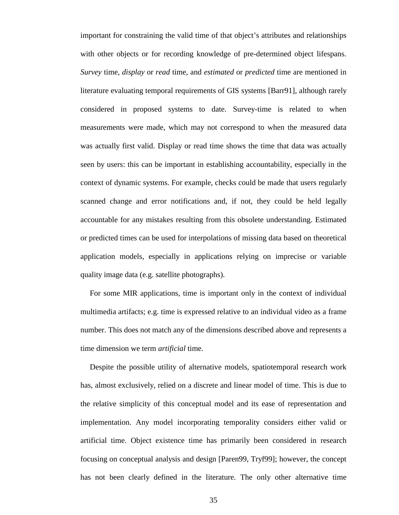important for constraining the valid time of that object's attributes and relationships with other objects or for recording knowledge of pre-determined object lifespans. *Survey* time, *display* or *read* time*,* and *estimated* or *predicted* time are mentioned in literature evaluating temporal requirements of GIS systems [Barr91], although rarely considered in proposed systems to date. Survey-time is related to when measurements were made, which may not correspond to when the measured data was actually first valid. Display or read time shows the time that data was actually seen by users: this can be important in establishing accountability, especially in the context of dynamic systems. For example, checks could be made that users regularly scanned change and error notifications and, if not, they could be held legally accountable for any mistakes resulting from this obsolete understanding. Estimated or predicted times can be used for interpolations of missing data based on theoretical application models, especially in applications relying on imprecise or variable quality image data (e.g. satellite photographs).

For some MIR applications, time is important only in the context of individual multimedia artifacts; e.g. time is expressed relative to an individual video as a frame number. This does not match any of the dimensions described above and represents a time dimension we term *artificial* time.

Despite the possible utility of alternative models, spatiotemporal research work has, almost exclusively, relied on a discrete and linear model of time. This is due to the relative simplicity of this conceptual model and its ease of representation and implementation. Any model incorporating temporality considers either valid or artificial time. Object existence time has primarily been considered in research focusing on conceptual analysis and design [Paren99, Tryf99]; however, the concept has not been clearly defined in the literature. The only other alternative time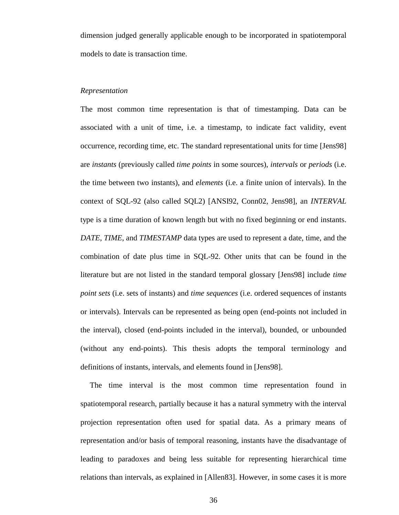dimension judged generally applicable enough to be incorporated in spatiotemporal models to date is transaction time.

#### *Representation*

The most common time representation is that of timestamping. Data can be associated with a unit of time, i.e. a timestamp, to indicate fact validity, event occurrence, recording time, etc. The standard representational units for time [Jens98] are *instants* (previously called *time points* in some sources), *intervals* or *periods* (i.e. the time between two instants), and *elements* (i.e. a finite union of intervals). In the context of SQL-92 (also called SQL2) [ANSI92, Conn02, Jens98], an *INTERVAL* type is a time duration of known length but with no fixed beginning or end instants. *DATE*, *TIME*, and *TIMESTAMP* data types are used to represent a date, time, and the combination of date plus time in SQL-92. Other units that can be found in the literature but are not listed in the standard temporal glossary [Jens98] include *time point sets* (i.e. sets of instants) and *time sequences* (i.e. ordered sequences of instants or intervals). Intervals can be represented as being open (end-points not included in the interval), closed (end-points included in the interval), bounded, or unbounded (without any end-points). This thesis adopts the temporal terminology and definitions of instants, intervals, and elements found in [Jens98].

The time interval is the most common time representation found in spatiotemporal research, partially because it has a natural symmetry with the interval projection representation often used for spatial data. As a primary means of representation and/or basis of temporal reasoning, instants have the disadvantage of leading to paradoxes and being less suitable for representing hierarchical time relations than intervals, as explained in [Allen83]. However, in some cases it is more

36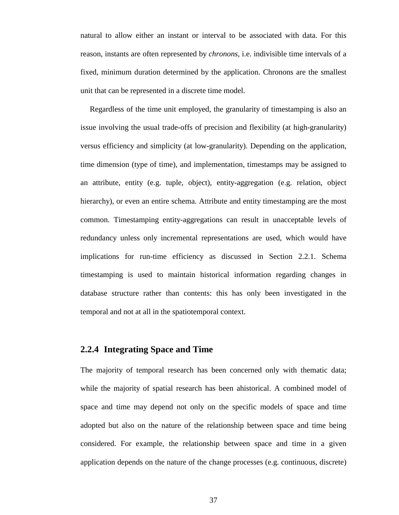natural to allow either an instant or interval to be associated with data. For this reason, instants are often represented by *chronons,* i.e. indivisible time intervals of a fixed, minimum duration determined by the application. Chronons are the smallest unit that can be represented in a discrete time model.

Regardless of the time unit employed, the granularity of timestamping is also an issue involving the usual trade-offs of precision and flexibility (at high-granularity) versus efficiency and simplicity (at low-granularity). Depending on the application, time dimension (type of time), and implementation, timestamps may be assigned to an attribute, entity (e.g. tuple, object), entity-aggregation (e.g. relation, object hierarchy), or even an entire schema. Attribute and entity timestamping are the most common. Timestamping entity-aggregations can result in unacceptable levels of redundancy unless only incremental representations are used, which would have implications for run-time efficiency as discussed in Section 2.2.1. Schema timestamping is used to maintain historical information regarding changes in database structure rather than contents: this has only been investigated in the temporal and not at all in the spatiotemporal context.

### **2.2.4 Integrating Space and Time**

The majority of temporal research has been concerned only with thematic data; while the majority of spatial research has been ahistorical. A combined model of space and time may depend not only on the specific models of space and time adopted but also on the nature of the relationship between space and time being considered. For example, the relationship between space and time in a given application depends on the nature of the change processes (e.g. continuous, discrete)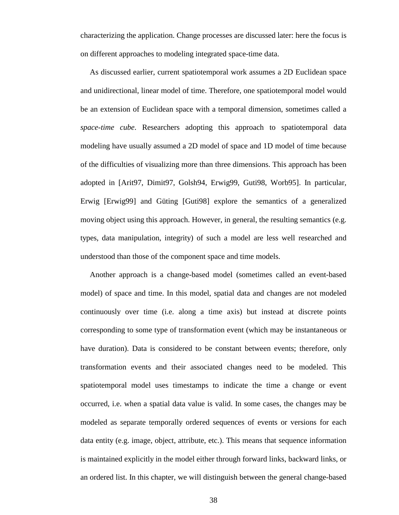characterizing the application. Change processes are discussed later: here the focus is on different approaches to modeling integrated space-time data.

As discussed earlier, current spatiotemporal work assumes a 2D Euclidean space and unidirectional, linear model of time. Therefore, one spatiotemporal model would be an extension of Euclidean space with a temporal dimension, sometimes called a *space-time cube*. Researchers adopting this approach to spatiotemporal data modeling have usually assumed a 2D model of space and 1D model of time because of the difficulties of visualizing more than three dimensions. This approach has been adopted in [Arit97, Dimit97, Golsh94, Erwig99, Guti98, Worb95]. In particular, Erwig [Erwig99] and Güting [Guti98] explore the semantics of a generalized moving object using this approach. However, in general, the resulting semantics (e.g. types, data manipulation, integrity) of such a model are less well researched and understood than those of the component space and time models.

Another approach is a change-based model (sometimes called an event-based model) of space and time. In this model, spatial data and changes are not modeled continuously over time (i.e. along a time axis) but instead at discrete points corresponding to some type of transformation event (which may be instantaneous or have duration). Data is considered to be constant between events; therefore, only transformation events and their associated changes need to be modeled. This spatiotemporal model uses timestamps to indicate the time a change or event occurred, i.e. when a spatial data value is valid. In some cases, the changes may be modeled as separate temporally ordered sequences of events or versions for each data entity (e.g. image, object, attribute, etc.). This means that sequence information is maintained explicitly in the model either through forward links, backward links, or an ordered list. In this chapter, we will distinguish between the general change-based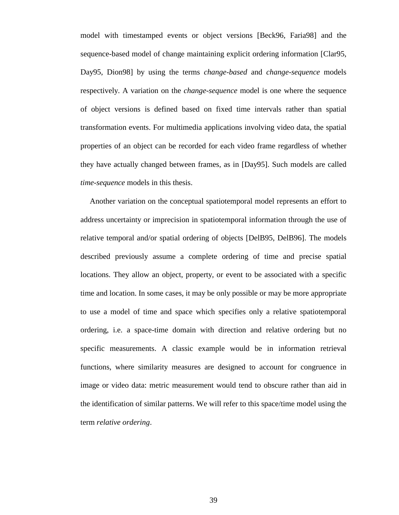model with timestamped events or object versions [Beck96, Faria98] and the sequence-based model of change maintaining explicit ordering information [Clar95, Day95, Dion98] by using the terms *change-based* and *change-sequence* models respectively. A variation on the *change-sequence* model is one where the sequence of object versions is defined based on fixed time intervals rather than spatial transformation events. For multimedia applications involving video data, the spatial properties of an object can be recorded for each video frame regardless of whether they have actually changed between frames, as in [Day95]. Such models are called *time-sequence* models in this thesis.

Another variation on the conceptual spatiotemporal model represents an effort to address uncertainty or imprecision in spatiotemporal information through the use of relative temporal and/or spatial ordering of objects [DelB95, DelB96]. The models described previously assume a complete ordering of time and precise spatial locations. They allow an object, property, or event to be associated with a specific time and location. In some cases, it may be only possible or may be more appropriate to use a model of time and space which specifies only a relative spatiotemporal ordering, i.e. a space-time domain with direction and relative ordering but no specific measurements. A classic example would be in information retrieval functions, where similarity measures are designed to account for congruence in image or video data: metric measurement would tend to obscure rather than aid in the identification of similar patterns. We will refer to this space/time model using the term *relative ordering*.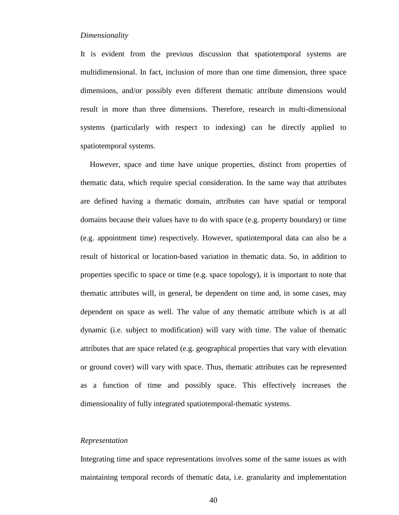### *Dimensionality*

It is evident from the previous discussion that spatiotemporal systems are multidimensional. In fact, inclusion of more than one time dimension, three space dimensions, and/or possibly even different thematic attribute dimensions would result in more than three dimensions. Therefore, research in multi-dimensional systems (particularly with respect to indexing) can be directly applied to spatiotemporal systems.

However, space and time have unique properties, distinct from properties of thematic data, which require special consideration. In the same way that attributes are defined having a thematic domain, attributes can have spatial or temporal domains because their values have to do with space (e.g. property boundary) or time (e.g. appointment time) respectively. However, spatiotemporal data can also be a result of historical or location-based variation in thematic data. So, in addition to properties specific to space or time (e.g. space topology), it is important to note that thematic attributes will, in general, be dependent on time and, in some cases, may dependent on space as well. The value of any thematic attribute which is at all dynamic (i.e. subject to modification) will vary with time. The value of thematic attributes that are space related (e.g. geographical properties that vary with elevation or ground cover) will vary with space. Thus, thematic attributes can be represented as a function of time and possibly space. This effectively increases the dimensionality of fully integrated spatiotemporal-thematic systems.

### *Representation*

Integrating time and space representations involves some of the same issues as with maintaining temporal records of thematic data, i.e. granularity and implementation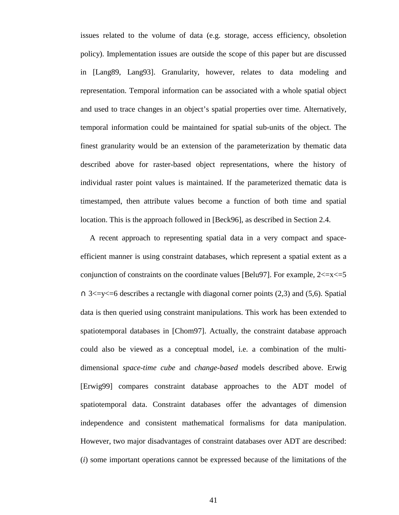issues related to the volume of data (e.g. storage, access efficiency, obsoletion policy). Implementation issues are outside the scope of this paper but are discussed in [Lang89, Lang93]. Granularity, however, relates to data modeling and representation. Temporal information can be associated with a whole spatial object and used to trace changes in an object's spatial properties over time. Alternatively, temporal information could be maintained for spatial sub-units of the object. The finest granularity would be an extension of the parameterization by thematic data described above for raster-based object representations, where the history of individual raster point values is maintained. If the parameterized thematic data is timestamped, then attribute values become a function of both time and spatial location. This is the approach followed in [Beck96], as described in Section 2.4.

A recent approach to representing spatial data in a very compact and spaceefficient manner is using constraint databases, which represent a spatial extent as a conjunction of constraints on the coordinate values [Belu97]. For example,  $2 \le x \le 5$  $\cap$  3<=y<=6 describes a rectangle with diagonal corner points (2,3) and (5,6). Spatial data is then queried using constraint manipulations. This work has been extended to spatiotemporal databases in [Chom97]. Actually, the constraint database approach could also be viewed as a conceptual model, i.e. a combination of the multidimensional *space-time cube* and *change-based* models described above. Erwig [Erwig99] compares constraint database approaches to the ADT model of spatiotemporal data. Constraint databases offer the advantages of dimension independence and consistent mathematical formalisms for data manipulation. However, two major disadvantages of constraint databases over ADT are described: (*i*) some important operations cannot be expressed because of the limitations of the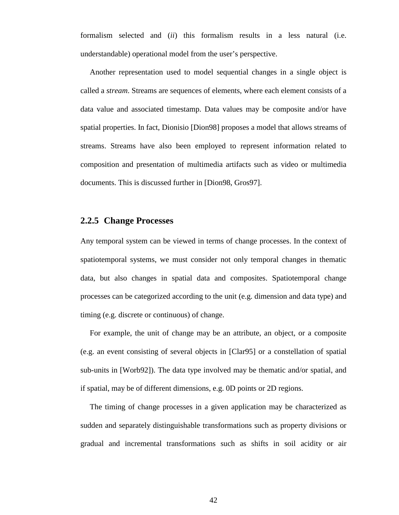formalism selected and (*ii*) this formalism results in a less natural (i.e. understandable) operational model from the user's perspective.

Another representation used to model sequential changes in a single object is called a *stream*. Streams are sequences of elements, where each element consists of a data value and associated timestamp. Data values may be composite and/or have spatial properties. In fact, Dionisio [Dion98] proposes a model that allows streams of streams. Streams have also been employed to represent information related to composition and presentation of multimedia artifacts such as video or multimedia documents. This is discussed further in [Dion98, Gros97].

### **2.2.5 Change Processes**

Any temporal system can be viewed in terms of change processes. In the context of spatiotemporal systems, we must consider not only temporal changes in thematic data, but also changes in spatial data and composites. Spatiotemporal change processes can be categorized according to the unit (e.g. dimension and data type) and timing (e.g. discrete or continuous) of change.

For example, the unit of change may be an attribute, an object, or a composite (e.g. an event consisting of several objects in [Clar95] or a constellation of spatial sub-units in [Worb92]). The data type involved may be thematic and/or spatial, and if spatial, may be of different dimensions, e.g. 0D points or 2D regions.

The timing of change processes in a given application may be characterized as sudden and separately distinguishable transformations such as property divisions or gradual and incremental transformations such as shifts in soil acidity or air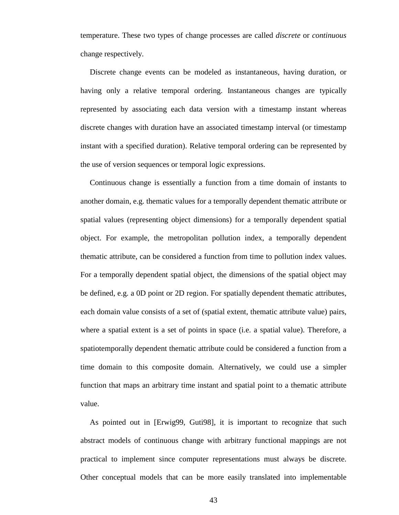temperature. These two types of change processes are called *discrete* or *continuous* change respectively.

Discrete change events can be modeled as instantaneous, having duration, or having only a relative temporal ordering. Instantaneous changes are typically represented by associating each data version with a timestamp instant whereas discrete changes with duration have an associated timestamp interval (or timestamp instant with a specified duration). Relative temporal ordering can be represented by the use of version sequences or temporal logic expressions.

Continuous change is essentially a function from a time domain of instants to another domain, e.g. thematic values for a temporally dependent thematic attribute or spatial values (representing object dimensions) for a temporally dependent spatial object. For example, the metropolitan pollution index, a temporally dependent thematic attribute, can be considered a function from time to pollution index values. For a temporally dependent spatial object, the dimensions of the spatial object may be defined, e.g. a 0D point or 2D region. For spatially dependent thematic attributes, each domain value consists of a set of (spatial extent, thematic attribute value) pairs, where a spatial extent is a set of points in space (i.e. a spatial value). Therefore, a spatiotemporally dependent thematic attribute could be considered a function from a time domain to this composite domain. Alternatively, we could use a simpler function that maps an arbitrary time instant and spatial point to a thematic attribute value.

As pointed out in [Erwig99, Guti98], it is important to recognize that such abstract models of continuous change with arbitrary functional mappings are not practical to implement since computer representations must always be discrete. Other conceptual models that can be more easily translated into implementable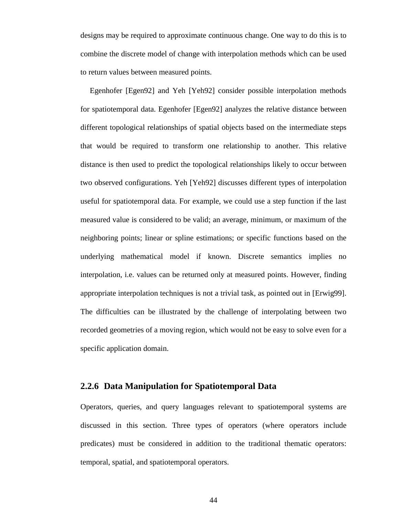designs may be required to approximate continuous change. One way to do this is to combine the discrete model of change with interpolation methods which can be used to return values between measured points.

Egenhofer [Egen92] and Yeh [Yeh92] consider possible interpolation methods for spatiotemporal data. Egenhofer [Egen92] analyzes the relative distance between different topological relationships of spatial objects based on the intermediate steps that would be required to transform one relationship to another. This relative distance is then used to predict the topological relationships likely to occur between two observed configurations. Yeh [Yeh92] discusses different types of interpolation useful for spatiotemporal data. For example, we could use a step function if the last measured value is considered to be valid; an average, minimum, or maximum of the neighboring points; linear or spline estimations; or specific functions based on the underlying mathematical model if known. Discrete semantics implies no interpolation, i.e. values can be returned only at measured points. However, finding appropriate interpolation techniques is not a trivial task, as pointed out in [Erwig99]. The difficulties can be illustrated by the challenge of interpolating between two recorded geometries of a moving region, which would not be easy to solve even for a specific application domain.

### **2.2.6 Data Manipulation for Spatiotemporal Data**

Operators, queries, and query languages relevant to spatiotemporal systems are discussed in this section. Three types of operators (where operators include predicates) must be considered in addition to the traditional thematic operators: temporal, spatial, and spatiotemporal operators.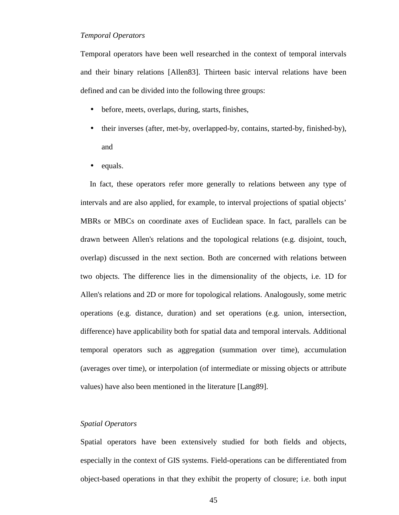### *Temporal Operators*

Temporal operators have been well researched in the context of temporal intervals and their binary relations [Allen83]. Thirteen basic interval relations have been defined and can be divided into the following three groups:

- before, meets, overlaps, during, starts, finishes,
- their inverses (after, met-by, overlapped-by, contains, started-by, finished-by), and
- equals.

In fact, these operators refer more generally to relations between any type of intervals and are also applied, for example, to interval projections of spatial objects' MBRs or MBCs on coordinate axes of Euclidean space. In fact, parallels can be drawn between Allen's relations and the topological relations (e.g. disjoint, touch, overlap) discussed in the next section. Both are concerned with relations between two objects. The difference lies in the dimensionality of the objects, i.e. 1D for Allen's relations and 2D or more for topological relations. Analogously, some metric operations (e.g. distance, duration) and set operations (e.g. union, intersection, difference) have applicability both for spatial data and temporal intervals. Additional temporal operators such as aggregation (summation over time), accumulation (averages over time), or interpolation (of intermediate or missing objects or attribute values) have also been mentioned in the literature [Lang89].

### *Spatial Operators*

Spatial operators have been extensively studied for both fields and objects, especially in the context of GIS systems. Field-operations can be differentiated from object-based operations in that they exhibit the property of closure; i.e. both input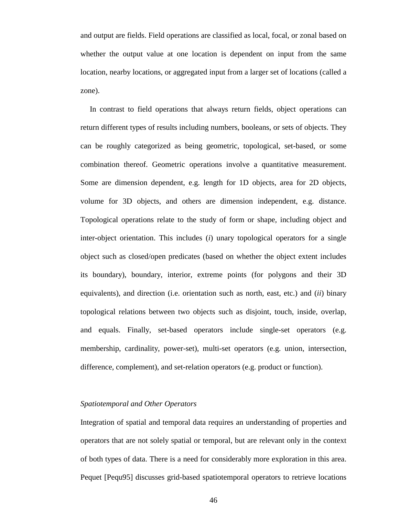and output are fields. Field operations are classified as local, focal, or zonal based on whether the output value at one location is dependent on input from the same location, nearby locations, or aggregated input from a larger set of locations (called a zone).

In contrast to field operations that always return fields, object operations can return different types of results including numbers, booleans, or sets of objects. They can be roughly categorized as being geometric, topological, set-based, or some combination thereof. Geometric operations involve a quantitative measurement. Some are dimension dependent, e.g. length for 1D objects, area for 2D objects, volume for 3D objects, and others are dimension independent, e.g. distance. Topological operations relate to the study of form or shape, including object and inter-object orientation. This includes (*i*) unary topological operators for a single object such as closed/open predicates (based on whether the object extent includes its boundary), boundary, interior, extreme points (for polygons and their 3D equivalents), and direction (i.e. orientation such as north, east, etc.) and (*ii*) binary topological relations between two objects such as disjoint, touch, inside, overlap, and equals. Finally, set-based operators include single-set operators (e.g. membership, cardinality, power-set), multi-set operators (e.g. union, intersection, difference, complement), and set-relation operators (e.g. product or function).

### *Spatiotemporal and Other Operators*

Integration of spatial and temporal data requires an understanding of properties and operators that are not solely spatial or temporal, but are relevant only in the context of both types of data. There is a need for considerably more exploration in this area. Pequet [Pequ95] discusses grid-based spatiotemporal operators to retrieve locations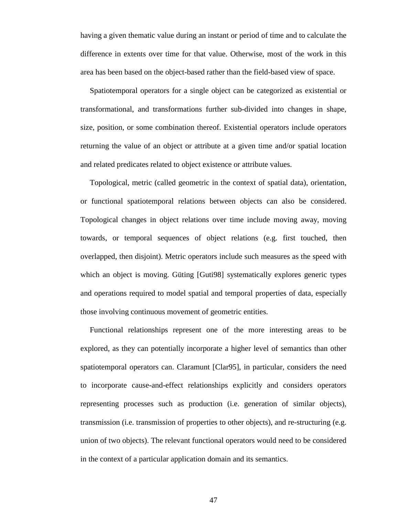having a given thematic value during an instant or period of time and to calculate the difference in extents over time for that value. Otherwise, most of the work in this area has been based on the object-based rather than the field-based view of space.

Spatiotemporal operators for a single object can be categorized as existential or transformational, and transformations further sub-divided into changes in shape, size, position, or some combination thereof. Existential operators include operators returning the value of an object or attribute at a given time and/or spatial location and related predicates related to object existence or attribute values.

Topological, metric (called geometric in the context of spatial data), orientation, or functional spatiotemporal relations between objects can also be considered. Topological changes in object relations over time include moving away, moving towards, or temporal sequences of object relations (e.g. first touched, then overlapped, then disjoint). Metric operators include such measures as the speed with which an object is moving. Güting [Guti98] systematically explores generic types and operations required to model spatial and temporal properties of data, especially those involving continuous movement of geometric entities.

Functional relationships represent one of the more interesting areas to be explored, as they can potentially incorporate a higher level of semantics than other spatiotemporal operators can. Claramunt [Clar95], in particular, considers the need to incorporate cause-and-effect relationships explicitly and considers operators representing processes such as production (i.e. generation of similar objects), transmission (i.e. transmission of properties to other objects), and re-structuring (e.g. union of two objects). The relevant functional operators would need to be considered in the context of a particular application domain and its semantics.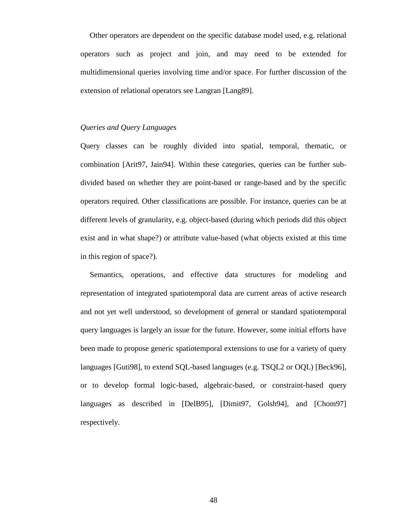Other operators are dependent on the specific database model used, e.g. relational operators such as project and join, and may need to be extended for multidimensional queries involving time and/or space. For further discussion of the extension of relational operators see Langran [Lang89].

### *Queries and Query Languages*

Query classes can be roughly divided into spatial, temporal, thematic, or combination [Arit97, Jain94]. Within these categories, queries can be further subdivided based on whether they are point-based or range-based and by the specific operators required. Other classifications are possible. For instance, queries can be at different levels of granularity, e.g. object-based (during which periods did this object exist and in what shape?) or attribute value-based (what objects existed at this time in this region of space?).

Semantics, operations, and effective data structures for modeling and representation of integrated spatiotemporal data are current areas of active research and not yet well understood, so development of general or standard spatiotemporal query languages is largely an issue for the future. However, some initial efforts have been made to propose generic spatiotemporal extensions to use for a variety of query languages [Guti98], to extend SQL-based languages (e.g. TSQL2 or OQL) [Beck96], or to develop formal logic-based, algebraic-based, or constraint-based query languages as described in [DelB95], [Dimit97, Golsh94], and [Chom97] respectively.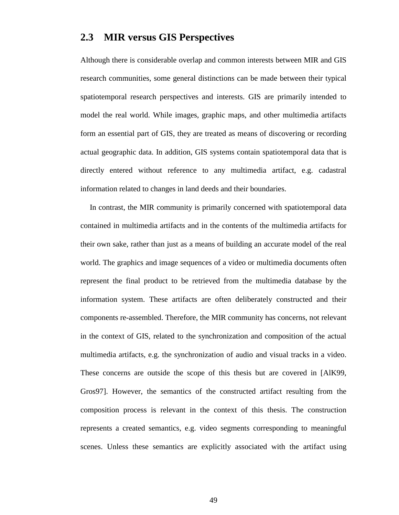## **2.3 MIR versus GIS Perspectives**

Although there is considerable overlap and common interests between MIR and GIS research communities, some general distinctions can be made between their typical spatiotemporal research perspectives and interests. GIS are primarily intended to model the real world. While images, graphic maps, and other multimedia artifacts form an essential part of GIS, they are treated as means of discovering or recording actual geographic data. In addition, GIS systems contain spatiotemporal data that is directly entered without reference to any multimedia artifact, e.g. cadastral information related to changes in land deeds and their boundaries.

In contrast, the MIR community is primarily concerned with spatiotemporal data contained in multimedia artifacts and in the contents of the multimedia artifacts for their own sake, rather than just as a means of building an accurate model of the real world. The graphics and image sequences of a video or multimedia documents often represent the final product to be retrieved from the multimedia database by the information system. These artifacts are often deliberately constructed and their components re-assembled. Therefore, the MIR community has concerns, not relevant in the context of GIS, related to the synchronization and composition of the actual multimedia artifacts, e.g. the synchronization of audio and visual tracks in a video. These concerns are outside the scope of this thesis but are covered in [AlK99, Gros97]. However, the semantics of the constructed artifact resulting from the composition process is relevant in the context of this thesis. The construction represents a created semantics, e.g. video segments corresponding to meaningful scenes. Unless these semantics are explicitly associated with the artifact using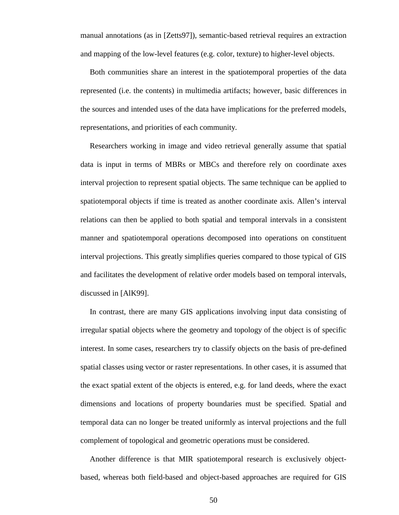manual annotations (as in [Zetts97]), semantic-based retrieval requires an extraction and mapping of the low-level features (e.g. color, texture) to higher-level objects.

Both communities share an interest in the spatiotemporal properties of the data represented (i.e. the contents) in multimedia artifacts; however, basic differences in the sources and intended uses of the data have implications for the preferred models, representations, and priorities of each community.

Researchers working in image and video retrieval generally assume that spatial data is input in terms of MBRs or MBCs and therefore rely on coordinate axes interval projection to represent spatial objects. The same technique can be applied to spatiotemporal objects if time is treated as another coordinate axis. Allen's interval relations can then be applied to both spatial and temporal intervals in a consistent manner and spatiotemporal operations decomposed into operations on constituent interval projections. This greatly simplifies queries compared to those typical of GIS and facilitates the development of relative order models based on temporal intervals, discussed in [AlK99].

In contrast, there are many GIS applications involving input data consisting of irregular spatial objects where the geometry and topology of the object is of specific interest. In some cases, researchers try to classify objects on the basis of pre-defined spatial classes using vector or raster representations. In other cases, it is assumed that the exact spatial extent of the objects is entered, e.g. for land deeds, where the exact dimensions and locations of property boundaries must be specified. Spatial and temporal data can no longer be treated uniformly as interval projections and the full complement of topological and geometric operations must be considered.

Another difference is that MIR spatiotemporal research is exclusively objectbased, whereas both field-based and object-based approaches are required for GIS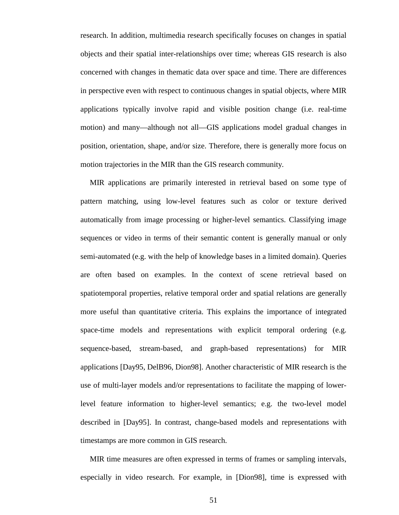research. In addition, multimedia research specifically focuses on changes in spatial objects and their spatial inter-relationships over time; whereas GIS research is also concerned with changes in thematic data over space and time. There are differences in perspective even with respect to continuous changes in spatial objects, where MIR applications typically involve rapid and visible position change (i.e. real-time motion) and many—although not all—GIS applications model gradual changes in position, orientation, shape, and/or size. Therefore, there is generally more focus on motion trajectories in the MIR than the GIS research community.

MIR applications are primarily interested in retrieval based on some type of pattern matching, using low-level features such as color or texture derived automatically from image processing or higher-level semantics. Classifying image sequences or video in terms of their semantic content is generally manual or only semi-automated (e.g. with the help of knowledge bases in a limited domain). Queries are often based on examples. In the context of scene retrieval based on spatiotemporal properties, relative temporal order and spatial relations are generally more useful than quantitative criteria. This explains the importance of integrated space-time models and representations with explicit temporal ordering (e.g. sequence-based, stream-based, and graph-based representations) for MIR applications [Day95, DelB96, Dion98]. Another characteristic of MIR research is the use of multi-layer models and/or representations to facilitate the mapping of lowerlevel feature information to higher-level semantics; e.g. the two-level model described in [Day95]. In contrast, change-based models and representations with timestamps are more common in GIS research.

MIR time measures are often expressed in terms of frames or sampling intervals, especially in video research. For example, in [Dion98], time is expressed with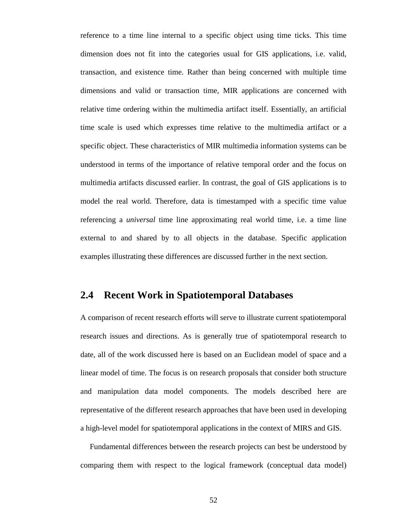reference to a time line internal to a specific object using time ticks. This time dimension does not fit into the categories usual for GIS applications, i.e. valid, transaction, and existence time. Rather than being concerned with multiple time dimensions and valid or transaction time, MIR applications are concerned with relative time ordering within the multimedia artifact itself. Essentially, an artificial time scale is used which expresses time relative to the multimedia artifact or a specific object. These characteristics of MIR multimedia information systems can be understood in terms of the importance of relative temporal order and the focus on multimedia artifacts discussed earlier. In contrast, the goal of GIS applications is to model the real world. Therefore, data is timestamped with a specific time value referencing a *universal* time line approximating real world time, i.e. a time line external to and shared by to all objects in the database. Specific application examples illustrating these differences are discussed further in the next section.

## **2.4 Recent Work in Spatiotemporal Databases**

A comparison of recent research efforts will serve to illustrate current spatiotemporal research issues and directions. As is generally true of spatiotemporal research to date, all of the work discussed here is based on an Euclidean model of space and a linear model of time. The focus is on research proposals that consider both structure and manipulation data model components. The models described here are representative of the different research approaches that have been used in developing a high-level model for spatiotemporal applications in the context of MIRS and GIS.

Fundamental differences between the research projects can best be understood by comparing them with respect to the logical framework (conceptual data model)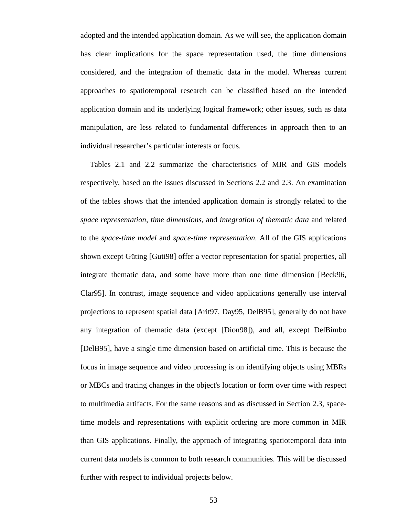adopted and the intended application domain. As we will see, the application domain has clear implications for the space representation used, the time dimensions considered, and the integration of thematic data in the model. Whereas current approaches to spatiotemporal research can be classified based on the intended application domain and its underlying logical framework; other issues, such as data manipulation, are less related to fundamental differences in approach then to an individual researcher's particular interests or focus.

Tables 2.1 and 2.2 summarize the characteristics of MIR and GIS models respectively, based on the issues discussed in Sections 2.2 and 2.3. An examination of the tables shows that the intended application domain is strongly related to the *space representation*, *time dimensions*, and *integration of thematic data* and related to the *space-time model* and *space-time representation*. All of the GIS applications shown except Güting [Guti98] offer a vector representation for spatial properties, all integrate thematic data, and some have more than one time dimension [Beck96, Clar95]. In contrast, image sequence and video applications generally use interval projections to represent spatial data [Arit97, Day95, DelB95], generally do not have any integration of thematic data (except [Dion98]), and all, except DelBimbo [DelB95], have a single time dimension based on artificial time. This is because the focus in image sequence and video processing is on identifying objects using MBRs or MBCs and tracing changes in the object's location or form over time with respect to multimedia artifacts. For the same reasons and as discussed in Section 2.3, spacetime models and representations with explicit ordering are more common in MIR than GIS applications. Finally, the approach of integrating spatiotemporal data into current data models is common to both research communities. This will be discussed further with respect to individual projects below.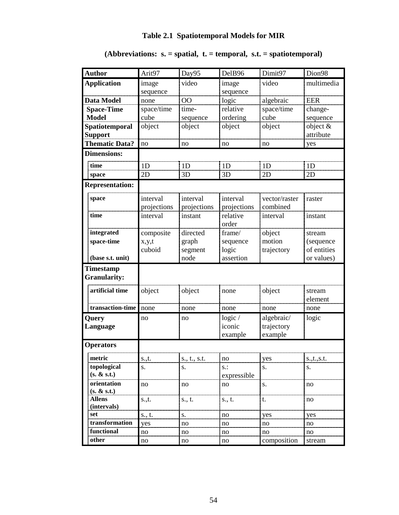# **Table 2.1 Spatiotemporal Models for MIR**

# **(Abbreviations: s. = spatial, t. = temporal, s.t. = spatiotemporal)**

| <b>Author</b>          |                              | Arit97      | Day95           | DelB96      | Dimit97       | Dion98      |  |  |
|------------------------|------------------------------|-------------|-----------------|-------------|---------------|-------------|--|--|
| <b>Application</b>     |                              | image       | video           | image       | video         | multimedia  |  |  |
|                        |                              | sequence    |                 | sequence    |               |             |  |  |
| Data Model             |                              | none        | $\overline{O}O$ | logic       | algebraic     | <b>EER</b>  |  |  |
|                        | <b>Space-Time</b>            | space/time  | time-           | relative    | space/time    | change-     |  |  |
|                        | <b>Model</b>                 | cube        | sequence        | ordering    | cube          | sequence    |  |  |
|                        | Spatiotemporal               | object      | object          | object      | object        | object &    |  |  |
| <b>Support</b>         |                              |             |                 |             |               | attribute   |  |  |
|                        | <b>Thematic Data?</b>        | no          | no              | no          | no            | yes         |  |  |
| <b>Dimensions:</b>     |                              |             |                 |             |               |             |  |  |
|                        | time                         | 1D          | 1D              | 1D          | 1D            | 1D          |  |  |
|                        | space                        | 2D          | 3D              | 3D          | 2D            | 2D          |  |  |
| <b>Representation:</b> |                              |             |                 |             |               |             |  |  |
|                        | space                        | interval    | interval        | interval    | vector/raster | raster      |  |  |
|                        |                              | projections | projections     | projections | combined      |             |  |  |
|                        | time                         | interval    | instant         | relative    | interval      | instant     |  |  |
|                        |                              |             |                 | order       |               |             |  |  |
|                        | integrated                   | composite   | directed        | frame/      | object        | stream      |  |  |
|                        | space-time                   | x, y, t     | graph           | sequence    | motion        | (sequence   |  |  |
|                        |                              | cuboid      | segment         | logic       | trajectory    | of entities |  |  |
|                        | (base s.t. unit)             |             | node            | assertion   |               | or values)  |  |  |
| <b>Timestamp</b>       |                              |             |                 |             |               |             |  |  |
| <b>Granularity:</b>    |                              |             |                 |             |               |             |  |  |
|                        | artificial time              | object      | object          | none        | object        | stream      |  |  |
|                        |                              |             |                 |             |               | element     |  |  |
|                        | transaction-time             | none        | none            | none        | none          | none        |  |  |
|                        | Query                        | no          | no              | logic/      | algebraic/    | logic       |  |  |
| Language               |                              |             |                 | iconic      | trajectory    |             |  |  |
|                        |                              |             |                 | example     | example       |             |  |  |
| <b>Operators</b>       |                              |             |                 |             |               |             |  |  |
|                        |                              |             |                 |             |               |             |  |  |
|                        | metric                       | s.,t.       | s., t., s.t.    | no          | yes           | s.,t.,s.t.  |  |  |
|                        | topological                  | S.          | s.              | $s$ .:      | S.            | S.          |  |  |
|                        | (s. & s.t.)                  |             |                 | expressible |               |             |  |  |
|                        | orientation                  | no          | no              | no          | S.            | no          |  |  |
|                        | (s. & s.t.)                  |             |                 |             |               |             |  |  |
|                        | <b>Allens</b><br>(intervals) | s.,t.       | s., t.          | s., t.      | t.            | no          |  |  |
|                        | set                          | s., t.      | S.              | no          | yes           | yes         |  |  |
|                        | transformation               | yes         | no              | no          | no            | no          |  |  |
|                        | functional                   | no          | no              | no          | no            | no          |  |  |
|                        | other                        | no          | no              | no          | composition   | stream      |  |  |
|                        |                              |             |                 |             |               |             |  |  |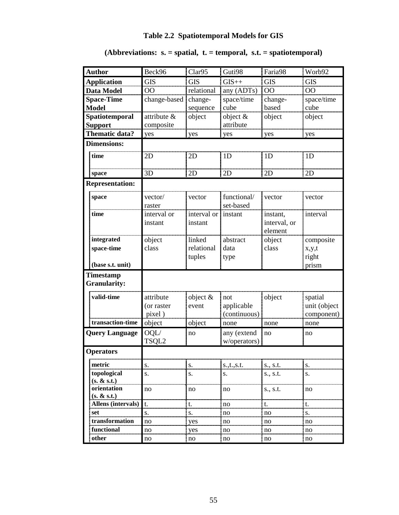## **Table 2.2 Spatiotemporal Models for GIS**

# **(Abbreviations: s. = spatial, t. = temporal, s.t. = spatiotemporal)**

| <b>Author</b>                           |                            | Beck96                  | Clar <sub>95</sub>     | Guti98                   | Faria98                             | Worb92                  |  |
|-----------------------------------------|----------------------------|-------------------------|------------------------|--------------------------|-------------------------------------|-------------------------|--|
| <b>Application</b>                      |                            | <b>GIS</b>              | <b>GIS</b>             | $GIS++$                  | <b>GIS</b>                          | <b>GIS</b>              |  |
| Data Model                              |                            | O <sub>O</sub>          | relational             | any (ADTs)               | 0 <sup>0</sup>                      | OO                      |  |
| <b>Space-Time</b>                       |                            | change-based            | change-                | space/time               | change-                             | space/time              |  |
| <b>Model</b>                            |                            |                         | sequence               | cube                     | based                               | cube                    |  |
| Spatiotemporal                          |                            | attribute &             | object                 | object $&$               | object                              | object                  |  |
| <b>Support</b>                          |                            | composite               |                        | attribute                |                                     |                         |  |
| Thematic data?                          |                            | yes                     | yes                    | yes                      | yes                                 | yes                     |  |
| <b>Dimensions:</b>                      |                            |                         |                        |                          |                                     |                         |  |
|                                         | time                       | 2D                      | 2D                     | 1D                       | 1D                                  | 1D                      |  |
|                                         | space                      | 3D                      | 2D                     | 2D                       | 2D                                  | 2D                      |  |
| <b>Representation:</b>                  |                            |                         |                        |                          |                                     |                         |  |
|                                         | space                      | vector/<br>raster       | vector                 | functional/<br>set-based | vector                              | vector                  |  |
|                                         | time                       | interval or<br>instant  | interval or<br>instant | instant                  | instant,<br>interval, or<br>element | interval                |  |
|                                         | integrated                 | object                  | linked                 | abstract                 | object                              | composite               |  |
|                                         | space-time                 | class                   | relational             | data                     | class                               | x, y, t                 |  |
|                                         | (base s.t. unit)           |                         | tuples                 | type                     |                                     | right                   |  |
|                                         |                            |                         |                        |                          |                                     | prism                   |  |
| <b>Timestamp</b><br><b>Granularity:</b> |                            |                         |                        |                          |                                     |                         |  |
|                                         | valid-time                 | attribute<br>(or raster | object &<br>event      | not<br>applicable        | object                              | spatial<br>unit (object |  |
|                                         |                            | pixel)                  |                        | (continuous)             |                                     | component)              |  |
|                                         | transaction-time           | object                  | object                 | none                     | none                                | none                    |  |
|                                         | <b>Query Language</b>      | OQL/                    | no                     | any (extend              | no                                  | no                      |  |
|                                         |                            | TSQL2                   |                        | w/operators)             |                                     |                         |  |
| <b>Operators</b>                        |                            |                         |                        |                          |                                     |                         |  |
|                                         | metric                     | s.                      | ${\bf S}$ .            | s.,t.,s.t.               | s., s.t.                            | S.                      |  |
|                                         | topological                | S.                      | S.                     | S.                       | s., s.t.                            | S.                      |  |
|                                         | (s. & s.t.)<br>orientation |                         |                        |                          |                                     |                         |  |
|                                         | (s. & s.t.)                | no                      | no                     | no                       | s., s.t.                            | no                      |  |
|                                         | Allens (intervals)         | t.                      | t.                     | no                       | t.                                  | $\mathbf{t}$ .          |  |
|                                         | set                        | S.                      | ${\bf S}$ .            | no                       | $\rm no$                            | S.                      |  |
|                                         | transformation             | no                      | yes                    | no                       | no                                  | no                      |  |
|                                         | functional                 | no                      | yes                    | no                       | no                                  | no                      |  |
|                                         | other                      | no                      | no                     | no                       | no                                  | $\overline{p}$          |  |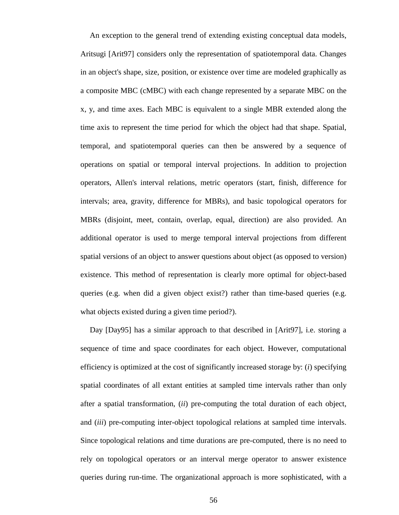An exception to the general trend of extending existing conceptual data models, Aritsugi [Arit97] considers only the representation of spatiotemporal data. Changes in an object's shape, size, position, or existence over time are modeled graphically as a composite MBC (cMBC) with each change represented by a separate MBC on the x, y, and time axes. Each MBC is equivalent to a single MBR extended along the time axis to represent the time period for which the object had that shape. Spatial, temporal, and spatiotemporal queries can then be answered by a sequence of operations on spatial or temporal interval projections. In addition to projection operators, Allen's interval relations, metric operators (start, finish, difference for intervals; area, gravity, difference for MBRs), and basic topological operators for MBRs (disjoint, meet, contain, overlap, equal, direction) are also provided. An additional operator is used to merge temporal interval projections from different spatial versions of an object to answer questions about object (as opposed to version) existence. This method of representation is clearly more optimal for object-based queries (e.g. when did a given object exist?) rather than time-based queries (e.g. what objects existed during a given time period?).

Day [Day95] has a similar approach to that described in [Arit97], i.e. storing a sequence of time and space coordinates for each object. However, computational efficiency is optimized at the cost of significantly increased storage by: (*i*) specifying spatial coordinates of all extant entities at sampled time intervals rather than only after a spatial transformation, (*ii*) pre-computing the total duration of each object, and (*iii*) pre-computing inter-object topological relations at sampled time intervals. Since topological relations and time durations are pre-computed, there is no need to rely on topological operators or an interval merge operator to answer existence queries during run-time. The organizational approach is more sophisticated, with a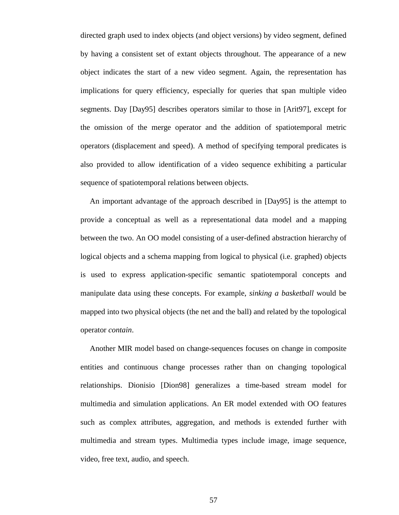directed graph used to index objects (and object versions) by video segment, defined by having a consistent set of extant objects throughout. The appearance of a new object indicates the start of a new video segment. Again, the representation has implications for query efficiency, especially for queries that span multiple video segments. Day [Day95] describes operators similar to those in [Arit97], except for the omission of the merge operator and the addition of spatiotemporal metric operators (displacement and speed). A method of specifying temporal predicates is also provided to allow identification of a video sequence exhibiting a particular sequence of spatiotemporal relations between objects.

An important advantage of the approach described in [Day95] is the attempt to provide a conceptual as well as a representational data model and a mapping between the two. An OO model consisting of a user-defined abstraction hierarchy of logical objects and a schema mapping from logical to physical (i.e. graphed) objects is used to express application-specific semantic spatiotemporal concepts and manipulate data using these concepts. For example, *sinking a basketball* would be mapped into two physical objects (the net and the ball) and related by the topological operator *contain*.

Another MIR model based on change-sequences focuses on change in composite entities and continuous change processes rather than on changing topological relationships. Dionisio [Dion98] generalizes a time-based stream model for multimedia and simulation applications. An ER model extended with OO features such as complex attributes, aggregation, and methods is extended further with multimedia and stream types. Multimedia types include image, image sequence, video, free text, audio, and speech.

57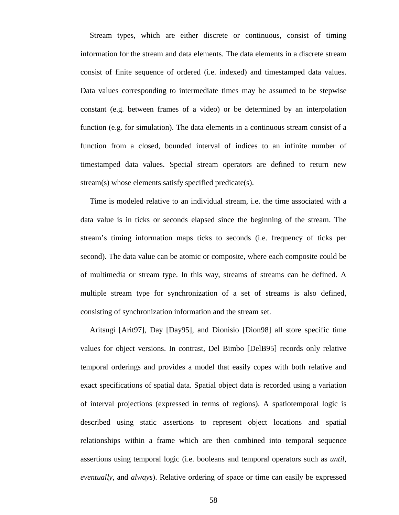Stream types, which are either discrete or continuous, consist of timing information for the stream and data elements. The data elements in a discrete stream consist of finite sequence of ordered (i.e. indexed) and timestamped data values. Data values corresponding to intermediate times may be assumed to be stepwise constant (e.g. between frames of a video) or be determined by an interpolation function (e.g. for simulation). The data elements in a continuous stream consist of a function from a closed, bounded interval of indices to an infinite number of timestamped data values. Special stream operators are defined to return new stream(s) whose elements satisfy specified predicate(s).

Time is modeled relative to an individual stream, i.e. the time associated with a data value is in ticks or seconds elapsed since the beginning of the stream. The stream's timing information maps ticks to seconds (i.e. frequency of ticks per second). The data value can be atomic or composite, where each composite could be of multimedia or stream type. In this way, streams of streams can be defined. A multiple stream type for synchronization of a set of streams is also defined, consisting of synchronization information and the stream set.

Aritsugi [Arit97], Day [Day95], and Dionisio [Dion98] all store specific time values for object versions. In contrast, Del Bimbo [DelB95] records only relative temporal orderings and provides a model that easily copes with both relative and exact specifications of spatial data. Spatial object data is recorded using a variation of interval projections (expressed in terms of regions). A spatiotemporal logic is described using static assertions to represent object locations and spatial relationships within a frame which are then combined into temporal sequence assertions using temporal logic (i.e. booleans and temporal operators such as *until*, *eventually*, and *always*). Relative ordering of space or time can easily be expressed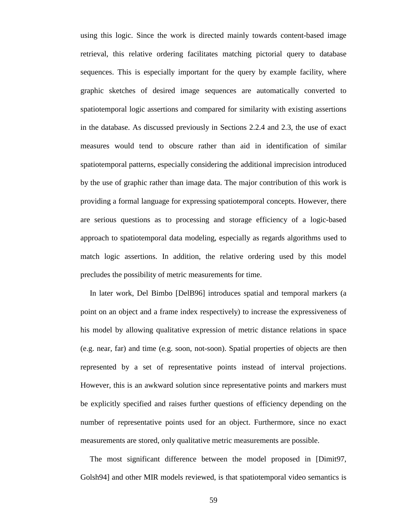using this logic. Since the work is directed mainly towards content-based image retrieval, this relative ordering facilitates matching pictorial query to database sequences. This is especially important for the query by example facility, where graphic sketches of desired image sequences are automatically converted to spatiotemporal logic assertions and compared for similarity with existing assertions in the database. As discussed previously in Sections 2.2.4 and 2.3, the use of exact measures would tend to obscure rather than aid in identification of similar spatiotemporal patterns, especially considering the additional imprecision introduced by the use of graphic rather than image data. The major contribution of this work is providing a formal language for expressing spatiotemporal concepts. However, there are serious questions as to processing and storage efficiency of a logic-based approach to spatiotemporal data modeling, especially as regards algorithms used to match logic assertions. In addition, the relative ordering used by this model precludes the possibility of metric measurements for time.

In later work, Del Bimbo [DelB96] introduces spatial and temporal markers (a point on an object and a frame index respectively) to increase the expressiveness of his model by allowing qualitative expression of metric distance relations in space (e.g. near, far) and time (e.g. soon, not-soon). Spatial properties of objects are then represented by a set of representative points instead of interval projections. However, this is an awkward solution since representative points and markers must be explicitly specified and raises further questions of efficiency depending on the number of representative points used for an object. Furthermore, since no exact measurements are stored, only qualitative metric measurements are possible.

The most significant difference between the model proposed in [Dimit97, Golsh94] and other MIR models reviewed, is that spatiotemporal video semantics is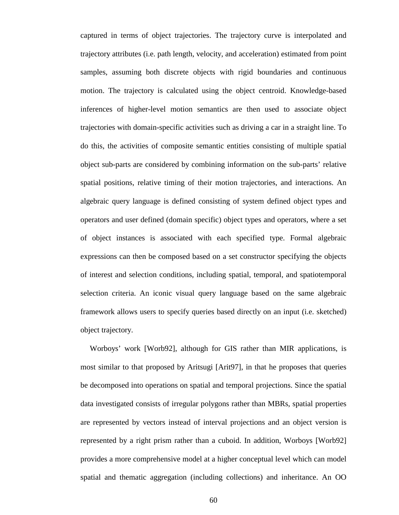captured in terms of object trajectories. The trajectory curve is interpolated and trajectory attributes (i.e. path length, velocity, and acceleration) estimated from point samples, assuming both discrete objects with rigid boundaries and continuous motion. The trajectory is calculated using the object centroid. Knowledge-based inferences of higher-level motion semantics are then used to associate object trajectories with domain-specific activities such as driving a car in a straight line. To do this, the activities of composite semantic entities consisting of multiple spatial object sub-parts are considered by combining information on the sub-parts' relative spatial positions, relative timing of their motion trajectories, and interactions. An algebraic query language is defined consisting of system defined object types and operators and user defined (domain specific) object types and operators, where a set of object instances is associated with each specified type. Formal algebraic expressions can then be composed based on a set constructor specifying the objects of interest and selection conditions, including spatial, temporal, and spatiotemporal selection criteria. An iconic visual query language based on the same algebraic framework allows users to specify queries based directly on an input (i.e. sketched) object trajectory.

Worboys' work [Worb92], although for GIS rather than MIR applications, is most similar to that proposed by Aritsugi [Arit97], in that he proposes that queries be decomposed into operations on spatial and temporal projections. Since the spatial data investigated consists of irregular polygons rather than MBRs, spatial properties are represented by vectors instead of interval projections and an object version is represented by a right prism rather than a cuboid. In addition, Worboys [Worb92] provides a more comprehensive model at a higher conceptual level which can model spatial and thematic aggregation (including collections) and inheritance. An OO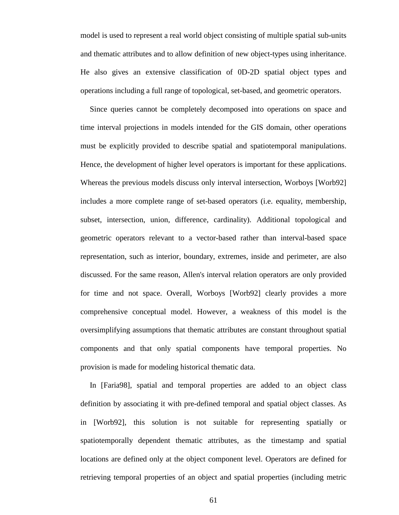model is used to represent a real world object consisting of multiple spatial sub-units and thematic attributes and to allow definition of new object-types using inheritance. He also gives an extensive classification of 0D-2D spatial object types and operations including a full range of topological, set-based, and geometric operators.

Since queries cannot be completely decomposed into operations on space and time interval projections in models intended for the GIS domain, other operations must be explicitly provided to describe spatial and spatiotemporal manipulations. Hence, the development of higher level operators is important for these applications. Whereas the previous models discuss only interval intersection, Worboys [Worb92] includes a more complete range of set-based operators (i.e. equality, membership, subset, intersection, union, difference, cardinality). Additional topological and geometric operators relevant to a vector-based rather than interval-based space representation, such as interior, boundary, extremes, inside and perimeter, are also discussed. For the same reason, Allen's interval relation operators are only provided for time and not space. Overall, Worboys [Worb92] clearly provides a more comprehensive conceptual model. However, a weakness of this model is the oversimplifying assumptions that thematic attributes are constant throughout spatial components and that only spatial components have temporal properties. No provision is made for modeling historical thematic data.

In [Faria98], spatial and temporal properties are added to an object class definition by associating it with pre-defined temporal and spatial object classes. As in [Worb92], this solution is not suitable for representing spatially or spatiotemporally dependent thematic attributes, as the timestamp and spatial locations are defined only at the object component level. Operators are defined for retrieving temporal properties of an object and spatial properties (including metric

61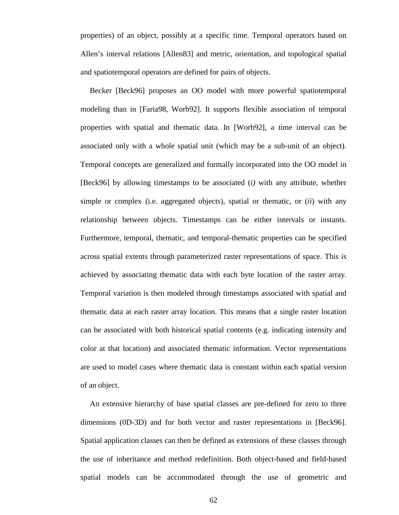properties) of an object, possibly at a specific time. Temporal operators based on Allen's interval relations [Allen83] and metric, orientation, and topological spatial and spatiotemporal operators are defined for pairs of objects.

Becker [Beck96] proposes an OO model with more powerful spatiotemporal modeling than in [Faria98, Worb92]. It supports flexible association of temporal properties with spatial and thematic data. In [Worb92], a time interval can be associated only with a whole spatial unit (which may be a sub-unit of an object). Temporal concepts are generalized and formally incorporated into the OO model in [Beck96] by allowing timestamps to be associated (*i)* with any attribute, whether simple or complex (i.e. aggregated objects), spatial or thematic, or (*ii*) with any relationship between objects. Timestamps can be either intervals or instants. Furthermore, temporal, thematic, and temporal-thematic properties can be specified across spatial extents through parameterized raster representations of space. This is achieved by associating thematic data with each byte location of the raster array. Temporal variation is then modeled through timestamps associated with spatial and thematic data at each raster array location. This means that a single raster location can be associated with both historical spatial contents (e.g. indicating intensity and color at that location) and associated thematic information. Vector representations are used to model cases where thematic data is constant within each spatial version of an object.

An extensive hierarchy of base spatial classes are pre-defined for zero to three dimensions (0D-3D) and for both vector and raster representations in [Beck96]. Spatial application classes can then be defined as extensions of these classes through the use of inheritance and method redefinition. Both object-based and field-based spatial models can be accommodated through the use of geometric and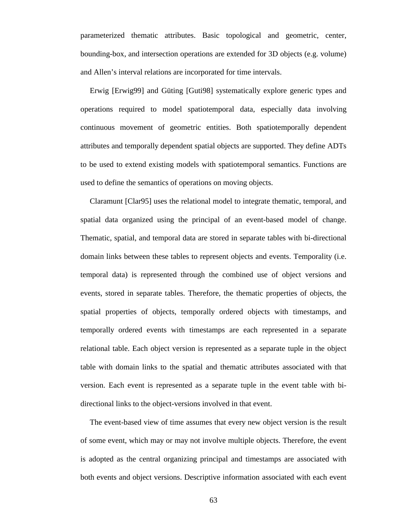parameterized thematic attributes. Basic topological and geometric, center, bounding-box, and intersection operations are extended for 3D objects (e.g. volume) and Allen's interval relations are incorporated for time intervals.

Erwig [Erwig99] and Güting [Guti98] systematically explore generic types and operations required to model spatiotemporal data, especially data involving continuous movement of geometric entities. Both spatiotemporally dependent attributes and temporally dependent spatial objects are supported. They define ADTs to be used to extend existing models with spatiotemporal semantics. Functions are used to define the semantics of operations on moving objects.

Claramunt [Clar95] uses the relational model to integrate thematic, temporal, and spatial data organized using the principal of an event-based model of change. Thematic, spatial, and temporal data are stored in separate tables with bi-directional domain links between these tables to represent objects and events. Temporality (i.e. temporal data) is represented through the combined use of object versions and events, stored in separate tables. Therefore, the thematic properties of objects, the spatial properties of objects, temporally ordered objects with timestamps, and temporally ordered events with timestamps are each represented in a separate relational table. Each object version is represented as a separate tuple in the object table with domain links to the spatial and thematic attributes associated with that version. Each event is represented as a separate tuple in the event table with bidirectional links to the object-versions involved in that event.

The event-based view of time assumes that every new object version is the result of some event, which may or may not involve multiple objects. Therefore, the event is adopted as the central organizing principal and timestamps are associated with both events and object versions. Descriptive information associated with each event

63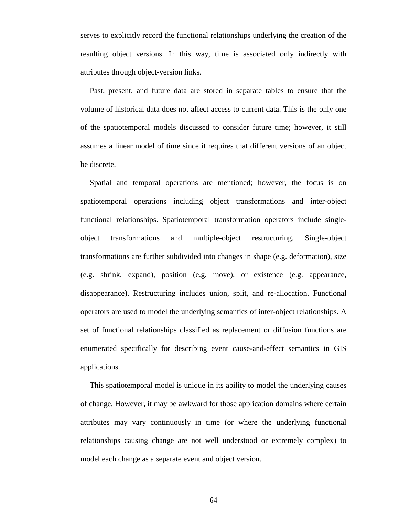serves to explicitly record the functional relationships underlying the creation of the resulting object versions. In this way, time is associated only indirectly with attributes through object-version links.

Past, present, and future data are stored in separate tables to ensure that the volume of historical data does not affect access to current data. This is the only one of the spatiotemporal models discussed to consider future time; however, it still assumes a linear model of time since it requires that different versions of an object be discrete.

Spatial and temporal operations are mentioned; however, the focus is on spatiotemporal operations including object transformations and inter-object functional relationships. Spatiotemporal transformation operators include singleobject transformations and multiple-object restructuring. Single-object transformations are further subdivided into changes in shape (e.g. deformation), size (e.g. shrink, expand), position (e.g. move), or existence (e.g. appearance, disappearance). Restructuring includes union, split, and re-allocation. Functional operators are used to model the underlying semantics of inter-object relationships. A set of functional relationships classified as replacement or diffusion functions are enumerated specifically for describing event cause-and-effect semantics in GIS applications.

This spatiotemporal model is unique in its ability to model the underlying causes of change. However, it may be awkward for those application domains where certain attributes may vary continuously in time (or where the underlying functional relationships causing change are not well understood or extremely complex) to model each change as a separate event and object version.

64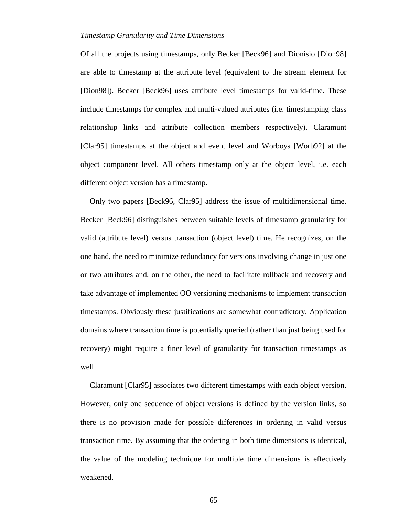#### *Timestamp Granularity and Time Dimensions*

Of all the projects using timestamps, only Becker [Beck96] and Dionisio [Dion98] are able to timestamp at the attribute level (equivalent to the stream element for [Dion98]). Becker [Beck96] uses attribute level timestamps for valid-time. These include timestamps for complex and multi-valued attributes (i.e. timestamping class relationship links and attribute collection members respectively). Claramunt [Clar95] timestamps at the object and event level and Worboys [Worb92] at the object component level. All others timestamp only at the object level, i.e. each different object version has a timestamp.

Only two papers [Beck96, Clar95] address the issue of multidimensional time. Becker [Beck96] distinguishes between suitable levels of timestamp granularity for valid (attribute level) versus transaction (object level) time. He recognizes, on the one hand, the need to minimize redundancy for versions involving change in just one or two attributes and, on the other, the need to facilitate rollback and recovery and take advantage of implemented OO versioning mechanisms to implement transaction timestamps. Obviously these justifications are somewhat contradictory. Application domains where transaction time is potentially queried (rather than just being used for recovery) might require a finer level of granularity for transaction timestamps as well.

Claramunt [Clar95] associates two different timestamps with each object version. However, only one sequence of object versions is defined by the version links, so there is no provision made for possible differences in ordering in valid versus transaction time. By assuming that the ordering in both time dimensions is identical, the value of the modeling technique for multiple time dimensions is effectively weakened.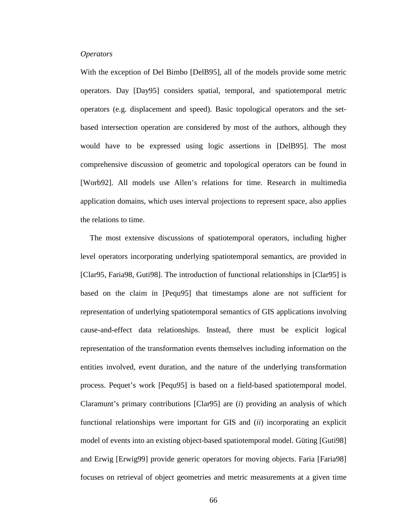#### *Operators*

With the exception of Del Bimbo [DelB95], all of the models provide some metric operators. Day [Day95] considers spatial, temporal, and spatiotemporal metric operators (e.g. displacement and speed). Basic topological operators and the setbased intersection operation are considered by most of the authors, although they would have to be expressed using logic assertions in [DelB95]. The most comprehensive discussion of geometric and topological operators can be found in [Worb92]. All models use Allen's relations for time. Research in multimedia application domains, which uses interval projections to represent space, also applies the relations to time.

The most extensive discussions of spatiotemporal operators, including higher level operators incorporating underlying spatiotemporal semantics, are provided in [Clar95, Faria98, Guti98]. The introduction of functional relationships in [Clar95] is based on the claim in [Pequ95] that timestamps alone are not sufficient for representation of underlying spatiotemporal semantics of GIS applications involving cause-and-effect data relationships. Instead, there must be explicit logical representation of the transformation events themselves including information on the entities involved, event duration, and the nature of the underlying transformation process. Pequet's work [Pequ95] is based on a field-based spatiotemporal model. Claramunt's primary contributions [Clar95] are (*i*) providing an analysis of which functional relationships were important for GIS and (*ii*) incorporating an explicit model of events into an existing object-based spatiotemporal model. Güting [Guti98] and Erwig [Erwig99] provide generic operators for moving objects. Faria [Faria98] focuses on retrieval of object geometries and metric measurements at a given time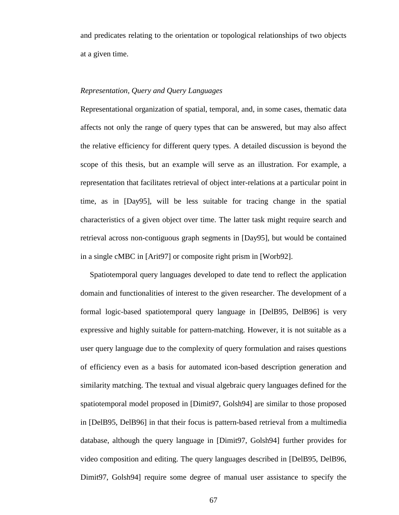and predicates relating to the orientation or topological relationships of two objects at a given time.

#### *Representation, Query and Query Languages*

Representational organization of spatial, temporal, and, in some cases, thematic data affects not only the range of query types that can be answered, but may also affect the relative efficiency for different query types. A detailed discussion is beyond the scope of this thesis, but an example will serve as an illustration. For example, a representation that facilitates retrieval of object inter-relations at a particular point in time, as in [Day95], will be less suitable for tracing change in the spatial characteristics of a given object over time. The latter task might require search and retrieval across non-contiguous graph segments in [Day95], but would be contained in a single cMBC in [Arit97] or composite right prism in [Worb92].

Spatiotemporal query languages developed to date tend to reflect the application domain and functionalities of interest to the given researcher. The development of a formal logic-based spatiotemporal query language in [DelB95, DelB96] is very expressive and highly suitable for pattern-matching. However, it is not suitable as a user query language due to the complexity of query formulation and raises questions of efficiency even as a basis for automated icon-based description generation and similarity matching. The textual and visual algebraic query languages defined for the spatiotemporal model proposed in [Dimit97, Golsh94] are similar to those proposed in [DelB95, DelB96] in that their focus is pattern-based retrieval from a multimedia database, although the query language in [Dimit97, Golsh94] further provides for video composition and editing. The query languages described in [DelB95, DelB96, Dimit97, Golsh94] require some degree of manual user assistance to specify the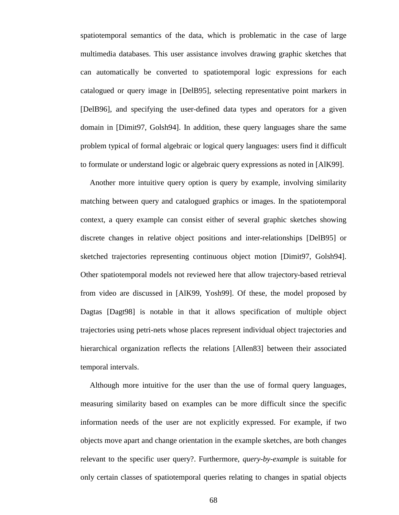spatiotemporal semantics of the data, which is problematic in the case of large multimedia databases. This user assistance involves drawing graphic sketches that can automatically be converted to spatiotemporal logic expressions for each catalogued or query image in [DelB95], selecting representative point markers in [DelB96], and specifying the user-defined data types and operators for a given domain in [Dimit97, Golsh94]. In addition, these query languages share the same problem typical of formal algebraic or logical query languages: users find it difficult to formulate or understand logic or algebraic query expressions as noted in [AlK99].

Another more intuitive query option is query by example, involving similarity matching between query and catalogued graphics or images. In the spatiotemporal context, a query example can consist either of several graphic sketches showing discrete changes in relative object positions and inter-relationships [DelB95] or sketched trajectories representing continuous object motion [Dimit97, Golsh94]. Other spatiotemporal models not reviewed here that allow trajectory-based retrieval from video are discussed in [AlK99, Yosh99]. Of these, the model proposed by Dagtas [Dagt98] is notable in that it allows specification of multiple object trajectories using petri-nets whose places represent individual object trajectories and hierarchical organization reflects the relations [Allen83] between their associated temporal intervals.

Although more intuitive for the user than the use of formal query languages, measuring similarity based on examples can be more difficult since the specific information needs of the user are not explicitly expressed. For example, if two objects move apart and change orientation in the example sketches, are both changes relevant to the specific user query?. Furthermore, *query-by-example* is suitable for only certain classes of spatiotemporal queries relating to changes in spatial objects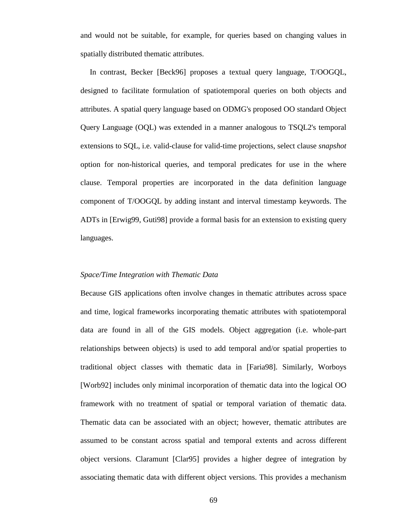and would not be suitable, for example, for queries based on changing values in spatially distributed thematic attributes.

In contrast, Becker [Beck96] proposes a textual query language, T/OOGQL, designed to facilitate formulation of spatiotemporal queries on both objects and attributes. A spatial query language based on ODMG's proposed OO standard Object Query Language (OQL) was extended in a manner analogous to TSQL2's temporal extensions to SQL, i.e. valid-clause for valid-time projections, select clause *snapshot* option for non-historical queries, and temporal predicates for use in the where clause. Temporal properties are incorporated in the data definition language component of T/OOGQL by adding instant and interval timestamp keywords. The ADTs in [Erwig99, Guti98] provide a formal basis for an extension to existing query languages.

#### *Space/Time Integration with Thematic Data*

Because GIS applications often involve changes in thematic attributes across space and time, logical frameworks incorporating thematic attributes with spatiotemporal data are found in all of the GIS models. Object aggregation (i.e. whole-part relationships between objects) is used to add temporal and/or spatial properties to traditional object classes with thematic data in [Faria98]. Similarly, Worboys [Worb92] includes only minimal incorporation of thematic data into the logical OO framework with no treatment of spatial or temporal variation of thematic data. Thematic data can be associated with an object; however, thematic attributes are assumed to be constant across spatial and temporal extents and across different object versions. Claramunt [Clar95] provides a higher degree of integration by associating thematic data with different object versions. This provides a mechanism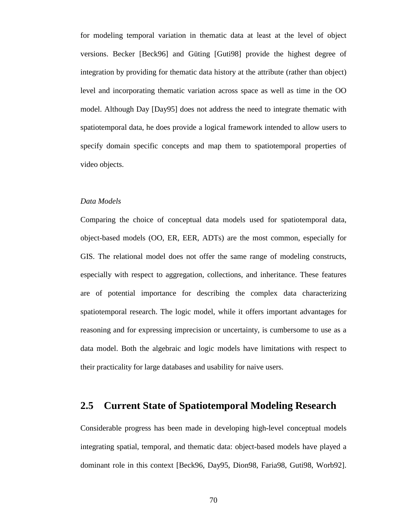for modeling temporal variation in thematic data at least at the level of object versions. Becker [Beck96] and Güting [Guti98] provide the highest degree of integration by providing for thematic data history at the attribute (rather than object) level and incorporating thematic variation across space as well as time in the OO model. Although Day [Day95] does not address the need to integrate thematic with spatiotemporal data, he does provide a logical framework intended to allow users to specify domain specific concepts and map them to spatiotemporal properties of video objects.

#### *Data Models*

Comparing the choice of conceptual data models used for spatiotemporal data, object-based models (OO, ER, EER, ADTs) are the most common, especially for GIS. The relational model does not offer the same range of modeling constructs, especially with respect to aggregation, collections, and inheritance. These features are of potential importance for describing the complex data characterizing spatiotemporal research. The logic model, while it offers important advantages for reasoning and for expressing imprecision or uncertainty, is cumbersome to use as a data model. Both the algebraic and logic models have limitations with respect to their practicality for large databases and usability for naive users.

## **2.5 Current State of Spatiotemporal Modeling Research**

Considerable progress has been made in developing high-level conceptual models integrating spatial, temporal, and thematic data: object-based models have played a dominant role in this context [Beck96, Day95, Dion98, Faria98, Guti98, Worb92].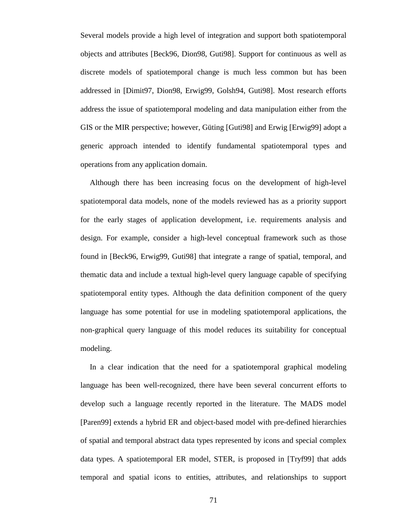Several models provide a high level of integration and support both spatiotemporal objects and attributes [Beck96, Dion98, Guti98]. Support for continuous as well as discrete models of spatiotemporal change is much less common but has been addressed in [Dimit97, Dion98, Erwig99, Golsh94, Guti98]. Most research efforts address the issue of spatiotemporal modeling and data manipulation either from the GIS or the MIR perspective; however, Güting [Guti98] and Erwig [Erwig99] adopt a generic approach intended to identify fundamental spatiotemporal types and operations from any application domain.

Although there has been increasing focus on the development of high-level spatiotemporal data models, none of the models reviewed has as a priority support for the early stages of application development, i.e. requirements analysis and design. For example, consider a high-level conceptual framework such as those found in [Beck96, Erwig99, Guti98] that integrate a range of spatial, temporal, and thematic data and include a textual high-level query language capable of specifying spatiotemporal entity types. Although the data definition component of the query language has some potential for use in modeling spatiotemporal applications, the non-graphical query language of this model reduces its suitability for conceptual modeling.

In a clear indication that the need for a spatiotemporal graphical modeling language has been well-recognized, there have been several concurrent efforts to develop such a language recently reported in the literature. The MADS model [Paren99] extends a hybrid ER and object-based model with pre-defined hierarchies of spatial and temporal abstract data types represented by icons and special complex data types. A spatiotemporal ER model, STER, is proposed in [Tryf99] that adds temporal and spatial icons to entities, attributes, and relationships to support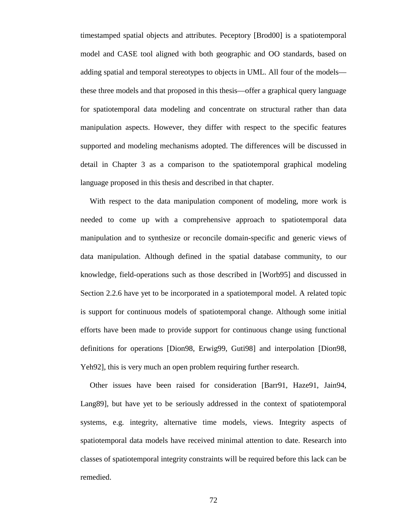timestamped spatial objects and attributes. Peceptory [Brod00] is a spatiotemporal model and CASE tool aligned with both geographic and OO standards, based on adding spatial and temporal stereotypes to objects in UML. All four of the models these three models and that proposed in this thesis—offer a graphical query language for spatiotemporal data modeling and concentrate on structural rather than data manipulation aspects. However, they differ with respect to the specific features supported and modeling mechanisms adopted. The differences will be discussed in detail in Chapter 3 as a comparison to the spatiotemporal graphical modeling language proposed in this thesis and described in that chapter.

With respect to the data manipulation component of modeling, more work is needed to come up with a comprehensive approach to spatiotemporal data manipulation and to synthesize or reconcile domain-specific and generic views of data manipulation. Although defined in the spatial database community, to our knowledge, field-operations such as those described in [Worb95] and discussed in Section 2.2.6 have yet to be incorporated in a spatiotemporal model. A related topic is support for continuous models of spatiotemporal change. Although some initial efforts have been made to provide support for continuous change using functional definitions for operations [Dion98, Erwig99, Guti98] and interpolation [Dion98, Yeh92], this is very much an open problem requiring further research.

Other issues have been raised for consideration [Barr91, Haze91, Jain94, Lang89], but have yet to be seriously addressed in the context of spatiotemporal systems, e.g. integrity, alternative time models, views. Integrity aspects of spatiotemporal data models have received minimal attention to date. Research into classes of spatiotemporal integrity constraints will be required before this lack can be remedied.

72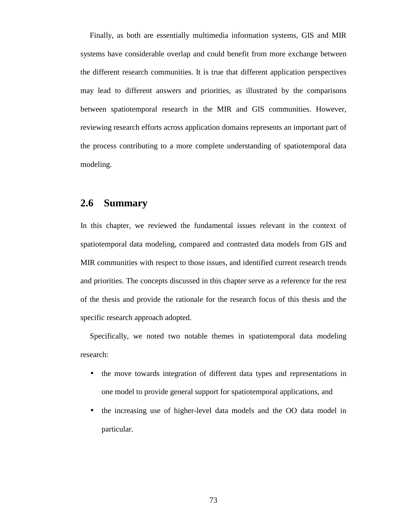Finally, as both are essentially multimedia information systems, GIS and MIR systems have considerable overlap and could benefit from more exchange between the different research communities. It is true that different application perspectives may lead to different answers and priorities, as illustrated by the comparisons between spatiotemporal research in the MIR and GIS communities. However, reviewing research efforts across application domains represents an important part of the process contributing to a more complete understanding of spatiotemporal data modeling.

## **2.6 Summary**

In this chapter, we reviewed the fundamental issues relevant in the context of spatiotemporal data modeling, compared and contrasted data models from GIS and MIR communities with respect to those issues, and identified current research trends and priorities. The concepts discussed in this chapter serve as a reference for the rest of the thesis and provide the rationale for the research focus of this thesis and the specific research approach adopted.

Specifically, we noted two notable themes in spatiotemporal data modeling research:

- the move towards integration of different data types and representations in one model to provide general support for spatiotemporal applications, and
- the increasing use of higher-level data models and the OO data model in particular.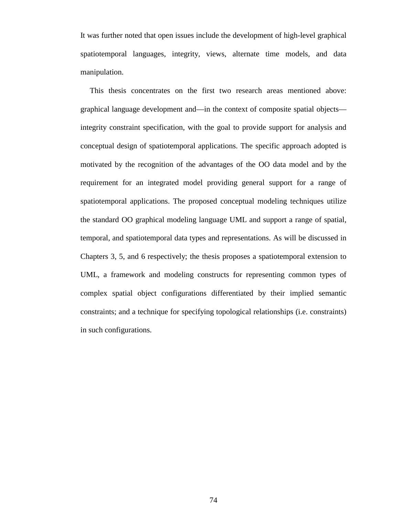It was further noted that open issues include the development of high-level graphical spatiotemporal languages, integrity, views, alternate time models, and data manipulation.

This thesis concentrates on the first two research areas mentioned above: graphical language development and—in the context of composite spatial objects integrity constraint specification, with the goal to provide support for analysis and conceptual design of spatiotemporal applications. The specific approach adopted is motivated by the recognition of the advantages of the OO data model and by the requirement for an integrated model providing general support for a range of spatiotemporal applications. The proposed conceptual modeling techniques utilize the standard OO graphical modeling language UML and support a range of spatial, temporal, and spatiotemporal data types and representations. As will be discussed in Chapters 3, 5, and 6 respectively; the thesis proposes a spatiotemporal extension to UML, a framework and modeling constructs for representing common types of complex spatial object configurations differentiated by their implied semantic constraints; and a technique for specifying topological relationships (i.e. constraints) in such configurations.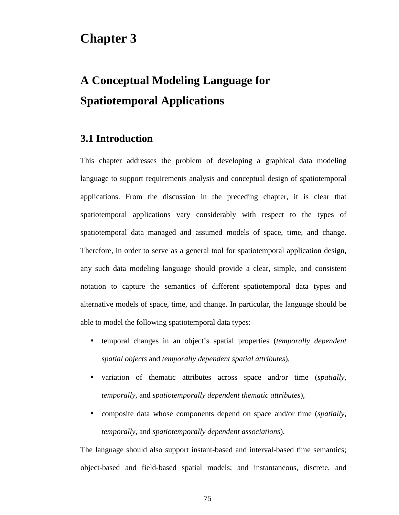# **Chapter 3**

# **A Conceptual Modeling Language for Spatiotemporal Applications**

## **3.1 Introduction**

This chapter addresses the problem of developing a graphical data modeling language to support requirements analysis and conceptual design of spatiotemporal applications. From the discussion in the preceding chapter, it is clear that spatiotemporal applications vary considerably with respect to the types of spatiotemporal data managed and assumed models of space, time, and change. Therefore, in order to serve as a general tool for spatiotemporal application design, any such data modeling language should provide a clear, simple, and consistent notation to capture the semantics of different spatiotemporal data types and alternative models of space, time, and change. In particular, the language should be able to model the following spatiotemporal data types:

- temporal changes in an object's spatial properties (*temporally dependent spatial objects* and *temporally dependent spatial attributes*),
- variation of thematic attributes across space and/or time (*spatially, temporally,* and *spatiotemporally dependent thematic attributes*),
- composite data whose components depend on space and/or time (*spatially, temporally,* and *spatiotemporally dependent associations*).

The language should also support instant-based and interval-based time semantics; object-based and field-based spatial models; and instantaneous, discrete, and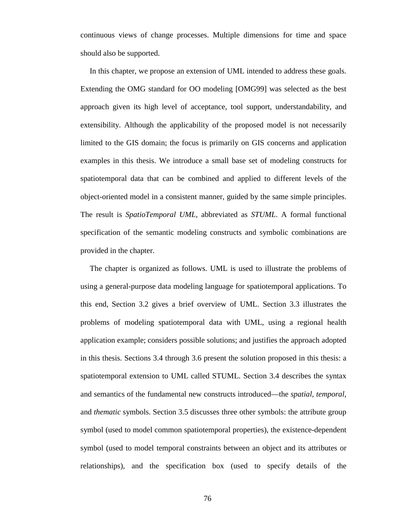continuous views of change processes. Multiple dimensions for time and space should also be supported.

In this chapter, we propose an extension of UML intended to address these goals. Extending the OMG standard for OO modeling [OMG99] was selected as the best approach given its high level of acceptance, tool support, understandability, and extensibility. Although the applicability of the proposed model is not necessarily limited to the GIS domain; the focus is primarily on GIS concerns and application examples in this thesis. We introduce a small base set of modeling constructs for spatiotemporal data that can be combined and applied to different levels of the object-oriented model in a consistent manner, guided by the same simple principles. The result is *SpatioTemporal UML*, abbreviated as *STUML*. A formal functional specification of the semantic modeling constructs and symbolic combinations are provided in the chapter.

The chapter is organized as follows. UML is used to illustrate the problems of using a general-purpose data modeling language for spatiotemporal applications. To this end, Section 3.2 gives a brief overview of UML. Section 3.3 illustrates the problems of modeling spatiotemporal data with UML, using a regional health application example; considers possible solutions; and justifies the approach adopted in this thesis. Sections 3.4 through 3.6 present the solution proposed in this thesis: a spatiotemporal extension to UML called STUML. Section 3.4 describes the syntax and semantics of the fundamental new constructs introduced—the *spatial*, *temporal*, and *thematic* symbols. Section 3.5 discusses three other symbols: the attribute group symbol (used to model common spatiotemporal properties), the existence-dependent symbol (used to model temporal constraints between an object and its attributes or relationships), and the specification box (used to specify details of the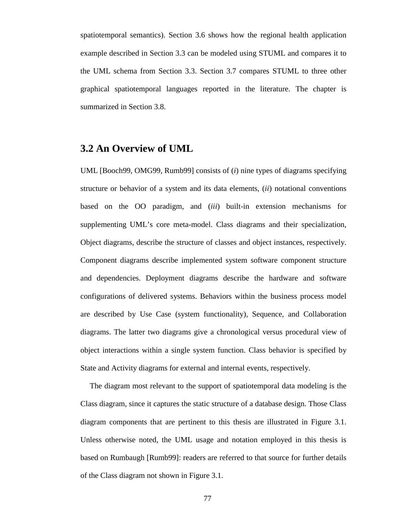spatiotemporal semantics). Section 3.6 shows how the regional health application example described in Section 3.3 can be modeled using STUML and compares it to the UML schema from Section 3.3. Section 3.7 compares STUML to three other graphical spatiotemporal languages reported in the literature. The chapter is summarized in Section 3.8.

## **3.2 An Overview of UML**

UML [Booch99, OMG99, Rumb99] consists of (*i*) nine types of diagrams specifying structure or behavior of a system and its data elements, (*ii*) notational conventions based on the OO paradigm, and (*iii*) built-in extension mechanisms for supplementing UML's core meta-model. Class diagrams and their specialization, Object diagrams, describe the structure of classes and object instances, respectively. Component diagrams describe implemented system software component structure and dependencies. Deployment diagrams describe the hardware and software configurations of delivered systems. Behaviors within the business process model are described by Use Case (system functionality), Sequence, and Collaboration diagrams. The latter two diagrams give a chronological versus procedural view of object interactions within a single system function. Class behavior is specified by State and Activity diagrams for external and internal events, respectively.

The diagram most relevant to the support of spatiotemporal data modeling is the Class diagram, since it captures the static structure of a database design. Those Class diagram components that are pertinent to this thesis are illustrated in Figure 3.1. Unless otherwise noted, the UML usage and notation employed in this thesis is based on Rumbaugh [Rumb99]: readers are referred to that source for further details of the Class diagram not shown in Figure 3.1.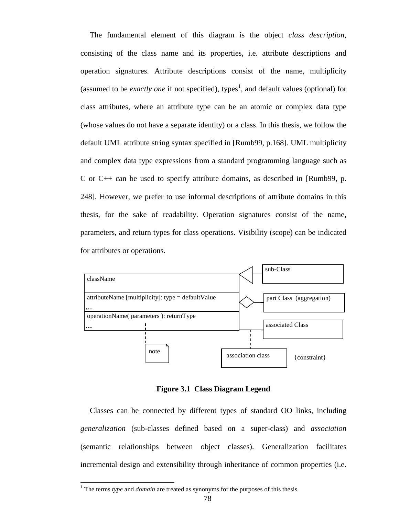The fundamental element of this diagram is the object *class description*, consisting of the class name and its properties, i.e. attribute descriptions and operation signatures. Attribute descriptions consist of the name, multiplicity (assumed to be *exactly one* if not specified), types<sup>1</sup>, and default values (optional) for class attributes, where an attribute type can be an atomic or complex data type (whose values do not have a separate identity) or a class. In this thesis, we follow the default UML attribute string syntax specified in [Rumb99, p.168]. UML multiplicity and complex data type expressions from a standard programming language such as C or C++ can be used to specify attribute domains, as described in [Rumb99, p. 248]. However, we prefer to use informal descriptions of attribute domains in this thesis, for the sake of readability. Operation signatures consist of the name, parameters, and return types for class operations. Visibility (scope) can be indicated for attributes or operations.



**Figure 3.1 Class Diagram Legend**

Classes can be connected by different types of standard OO links, including *generalization* (sub-classes defined based on a super-class) and *association* (semantic relationships between object classes). Generalization facilitates incremental design and extensibility through inheritance of common properties (i.e.

l

<sup>&</sup>lt;sup>1</sup> The terms *type* and *domain* are treated as synonyms for the purposes of this thesis.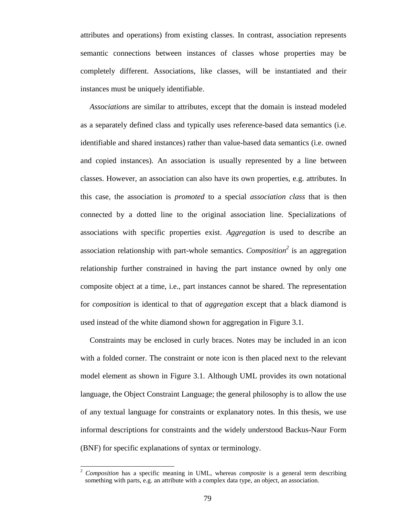attributes and operations) from existing classes. In contrast, association represents semantic connections between instances of classes whose properties may be completely different. Associations, like classes, will be instantiated and their instances must be uniquely identifiable.

*Associations* are similar to attributes, except that the domain is instead modeled as a separately defined class and typically uses reference-based data semantics (i.e. identifiable and shared instances) rather than value-based data semantics (i.e. owned and copied instances). An association is usually represented by a line between classes. However, an association can also have its own properties, e.g. attributes. In this case, the association is *promoted* to a special *association class* that is then connected by a dotted line to the original association line. Specializations of associations with specific properties exist. *Aggregation* is used to describe an association relationship with part-whole semantics. *Composition*<sup>2</sup> is an aggregation relationship further constrained in having the part instance owned by only one composite object at a time, i.e., part instances cannot be shared. The representation for *composition* is identical to that of *aggregation* except that a black diamond is used instead of the white diamond shown for aggregation in Figure 3.1.

Constraints may be enclosed in curly braces. Notes may be included in an icon with a folded corner. The constraint or note icon is then placed next to the relevant model element as shown in Figure 3.1. Although UML provides its own notational language, the Object Constraint Language; the general philosophy is to allow the use of any textual language for constraints or explanatory notes. In this thesis, we use informal descriptions for constraints and the widely understood Backus-Naur Form (BNF) for specific explanations of syntax or terminology.

l

<sup>2</sup> *Composition* has a specific meaning in UML, whereas *composite* is a general term describing something with parts, e.g. an attribute with a complex data type, an object, an association.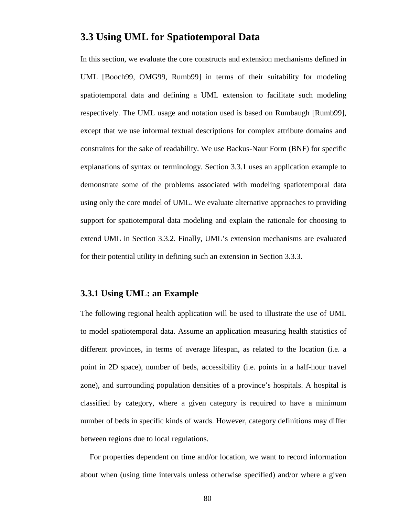## **3.3 Using UML for Spatiotemporal Data**

In this section, we evaluate the core constructs and extension mechanisms defined in UML [Booch99, OMG99, Rumb99] in terms of their suitability for modeling spatiotemporal data and defining a UML extension to facilitate such modeling respectively. The UML usage and notation used is based on Rumbaugh [Rumb99], except that we use informal textual descriptions for complex attribute domains and constraints for the sake of readability. We use Backus-Naur Form (BNF) for specific explanations of syntax or terminology. Section 3.3.1 uses an application example to demonstrate some of the problems associated with modeling spatiotemporal data using only the core model of UML. We evaluate alternative approaches to providing support for spatiotemporal data modeling and explain the rationale for choosing to extend UML in Section 3.3.2. Finally, UML's extension mechanisms are evaluated for their potential utility in defining such an extension in Section 3.3.3.

#### **3.3.1 Using UML: an Example**

The following regional health application will be used to illustrate the use of UML to model spatiotemporal data. Assume an application measuring health statistics of different provinces, in terms of average lifespan, as related to the location (i.e. a point in 2D space), number of beds, accessibility (i.e. points in a half-hour travel zone), and surrounding population densities of a province's hospitals. A hospital is classified by category, where a given category is required to have a minimum number of beds in specific kinds of wards. However, category definitions may differ between regions due to local regulations.

For properties dependent on time and/or location, we want to record information about when (using time intervals unless otherwise specified) and/or where a given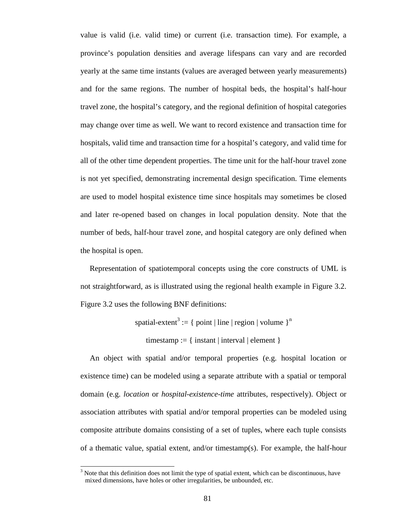value is valid (i.e. valid time) or current (i.e. transaction time). For example, a province's population densities and average lifespans can vary and are recorded yearly at the same time instants (values are averaged between yearly measurements) and for the same regions. The number of hospital beds, the hospital's half-hour travel zone, the hospital's category, and the regional definition of hospital categories may change over time as well. We want to record existence and transaction time for hospitals, valid time and transaction time for a hospital's category, and valid time for all of the other time dependent properties. The time unit for the half-hour travel zone is not yet specified, demonstrating incremental design specification. Time elements are used to model hospital existence time since hospitals may sometimes be closed and later re-opened based on changes in local population density. Note that the number of beds, half-hour travel zone, and hospital category are only defined when the hospital is open.

Representation of spatiotemporal concepts using the core constructs of UML is not straightforward, as is illustrated using the regional health example in Figure 3.2. Figure 3.2 uses the following BNF definitions:

spatial-extent<sup>3</sup> := { point | line | region | volume }<sup>n</sup>

timestamp :=  $\{$  instant  $|$  interval  $|$  element  $\}$ 

An object with spatial and/or temporal properties (e.g. hospital location or existence time) can be modeled using a separate attribute with a spatial or temporal domain (e.g. *location* or *hospital-existence-time* attributes, respectively). Object or association attributes with spatial and/or temporal properties can be modeled using composite attribute domains consisting of a set of tuples, where each tuple consists of a thematic value, spatial extent, and/or timestamp(s). For example, the half-hour

l

 $3$  Note that this definition does not limit the type of spatial extent, which can be discontinuous, have mixed dimensions, have holes or other irregularities, be unbounded, etc.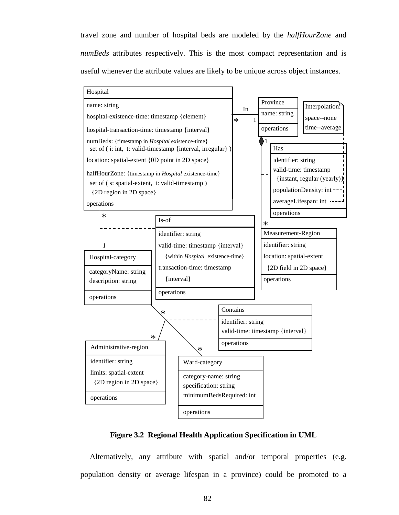travel zone and number of hospital beds are modeled by the *halfHourZone* and *numBeds* attributes respectively. This is the most compact representation and is useful whenever the attribute values are likely to be unique across object instances.



**Figure 3.2 Regional Health Application Specification in UML**

Alternatively, any attribute with spatial and/or temporal properties (e.g. population density or average lifespan in a province) could be promoted to a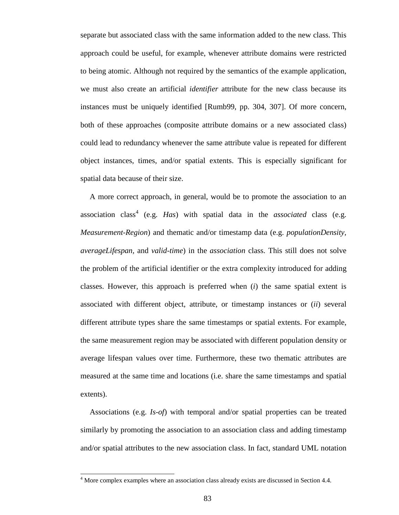separate but associated class with the same information added to the new class. This approach could be useful, for example, whenever attribute domains were restricted to being atomic. Although not required by the semantics of the example application, we must also create an artificial *identifier* attribute for the new class because its instances must be uniquely identified [Rumb99, pp. 304, 307]. Of more concern, both of these approaches (composite attribute domains or a new associated class) could lead to redundancy whenever the same attribute value is repeated for different object instances, times, and/or spatial extents. This is especially significant for spatial data because of their size.

A more correct approach, in general, would be to promote the association to an association class<sup>4</sup> (e.g. *Has*) with spatial data in the *associated* class (e.g. *Measurement-Region*) and thematic and/or timestamp data (e.g. *populationDensity, averageLifespan,* and *valid-time*) in the *association* class. This still does not solve the problem of the artificial identifier or the extra complexity introduced for adding classes. However, this approach is preferred when (*i*) the same spatial extent is associated with different object, attribute, or timestamp instances or (*ii*) several different attribute types share the same timestamps or spatial extents. For example, the same measurement region may be associated with different population density or average lifespan values over time. Furthermore, these two thematic attributes are measured at the same time and locations (i.e. share the same timestamps and spatial extents).

Associations (e.g. *Is-of*) with temporal and/or spatial properties can be treated similarly by promoting the association to an association class and adding timestamp and/or spatial attributes to the new association class. In fact, standard UML notation

l

<sup>&</sup>lt;sup>4</sup> More complex examples where an association class already exists are discussed in Section 4.4.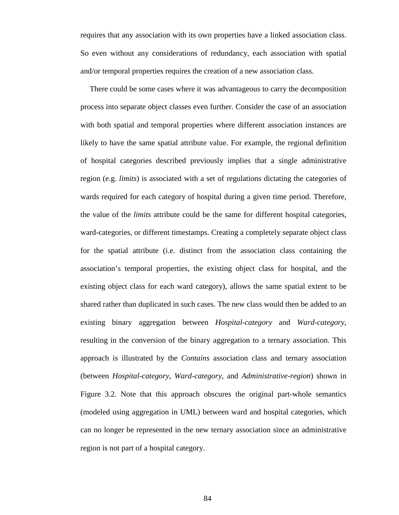requires that any association with its own properties have a linked association class. So even without any considerations of redundancy, each association with spatial and/or temporal properties requires the creation of a new association class.

There could be some cases where it was advantageous to carry the decomposition process into separate object classes even further. Consider the case of an association with both spatial and temporal properties where different association instances are likely to have the same spatial attribute value. For example, the regional definition of hospital categories described previously implies that a single administrative region (e.g. *limits*) is associated with a set of regulations dictating the categories of wards required for each category of hospital during a given time period. Therefore, the value of the *limits* attribute could be the same for different hospital categories, ward-categories, or different timestamps. Creating a completely separate object class for the spatial attribute (i.e. distinct from the association class containing the association's temporal properties, the existing object class for hospital, and the existing object class for each ward category), allows the same spatial extent to be shared rather than duplicated in such cases. The new class would then be added to an existing binary aggregation between *Hospital-category* and *Ward-category*, resulting in the conversion of the binary aggregation to a ternary association. This approach is illustrated by the *Contains* association class and ternary association (between *Hospital-category*, *Ward-category*, and *Administrative-region*) shown in Figure 3.2. Note that this approach obscures the original part-whole semantics (modeled using aggregation in UML) between ward and hospital categories, which can no longer be represented in the new ternary association since an administrative region is not part of a hospital category.

84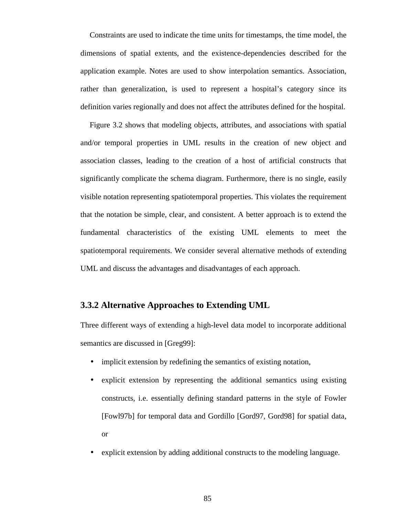Constraints are used to indicate the time units for timestamps, the time model, the dimensions of spatial extents, and the existence-dependencies described for the application example. Notes are used to show interpolation semantics. Association, rather than generalization, is used to represent a hospital's category since its definition varies regionally and does not affect the attributes defined for the hospital.

Figure 3.2 shows that modeling objects, attributes, and associations with spatial and/or temporal properties in UML results in the creation of new object and association classes, leading to the creation of a host of artificial constructs that significantly complicate the schema diagram. Furthermore, there is no single, easily visible notation representing spatiotemporal properties. This violates the requirement that the notation be simple, clear, and consistent. A better approach is to extend the fundamental characteristics of the existing UML elements to meet the spatiotemporal requirements. We consider several alternative methods of extending UML and discuss the advantages and disadvantages of each approach.

### **3.3.2 Alternative Approaches to Extending UML**

Three different ways of extending a high-level data model to incorporate additional semantics are discussed in [Greg99]:

- implicit extension by redefining the semantics of existing notation,
- explicit extension by representing the additional semantics using existing constructs, i.e. essentially defining standard patterns in the style of Fowler [Fowl97b] for temporal data and Gordillo [Gord97, Gord98] for spatial data, or
- explicit extension by adding additional constructs to the modeling language.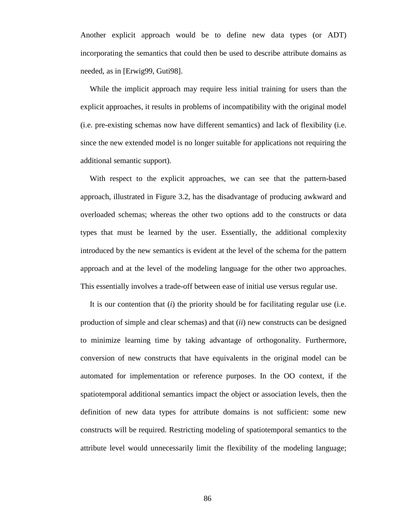Another explicit approach would be to define new data types (or ADT) incorporating the semantics that could then be used to describe attribute domains as needed, as in [Erwig99, Guti98].

While the implicit approach may require less initial training for users than the explicit approaches, it results in problems of incompatibility with the original model (i.e. pre-existing schemas now have different semantics) and lack of flexibility (i.e. since the new extended model is no longer suitable for applications not requiring the additional semantic support).

With respect to the explicit approaches, we can see that the pattern-based approach, illustrated in Figure 3.2, has the disadvantage of producing awkward and overloaded schemas; whereas the other two options add to the constructs or data types that must be learned by the user. Essentially, the additional complexity introduced by the new semantics is evident at the level of the schema for the pattern approach and at the level of the modeling language for the other two approaches. This essentially involves a trade-off between ease of initial use versus regular use.

It is our contention that (*i*) the priority should be for facilitating regular use (i.e. production of simple and clear schemas) and that (*ii*) new constructs can be designed to minimize learning time by taking advantage of orthogonality. Furthermore, conversion of new constructs that have equivalents in the original model can be automated for implementation or reference purposes. In the OO context, if the spatiotemporal additional semantics impact the object or association levels, then the definition of new data types for attribute domains is not sufficient: some new constructs will be required. Restricting modeling of spatiotemporal semantics to the attribute level would unnecessarily limit the flexibility of the modeling language;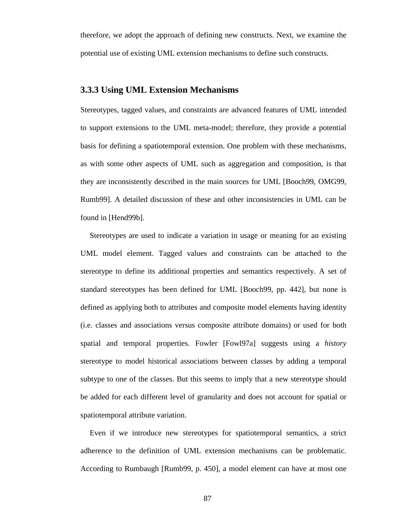therefore, we adopt the approach of defining new constructs. Next, we examine the potential use of existing UML extension mechanisms to define such constructs.

#### **3.3.3 Using UML Extension Mechanisms**

Stereotypes, tagged values, and constraints are advanced features of UML intended to support extensions to the UML meta-model; therefore, they provide a potential basis for defining a spatiotemporal extension. One problem with these mechanisms, as with some other aspects of UML such as aggregation and composition, is that they are inconsistently described in the main sources for UML [Booch99, OMG99, Rumb99]. A detailed discussion of these and other inconsistencies in UML can be found in [Hend99b].

Stereotypes are used to indicate a variation in usage or meaning for an existing UML model element. Tagged values and constraints can be attached to the stereotype to define its additional properties and semantics respectively. A set of standard stereotypes has been defined for UML [Booch99, pp. 442], but none is defined as applying both to attributes and composite model elements having identity (i.e. classes and associations versus composite attribute domains) or used for both spatial and temporal properties. Fowler [Fowl97a] suggests using a *history* stereotype to model historical associations between classes by adding a temporal subtype to one of the classes. But this seems to imply that a new stereotype should be added for each different level of granularity and does not account for spatial or spatiotemporal attribute variation.

Even if we introduce new stereotypes for spatiotemporal semantics, a strict adherence to the definition of UML extension mechanisms can be problematic. According to Rumbaugh [Rumb99, p. 450], a model element can have at most one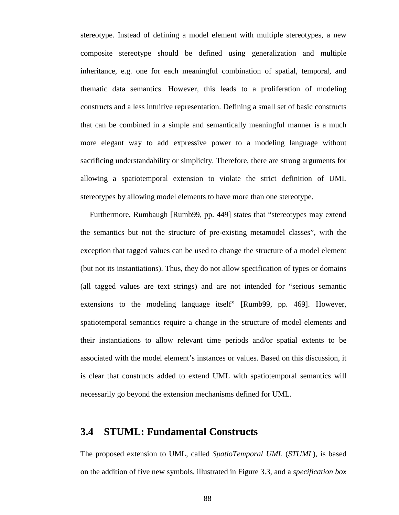stereotype. Instead of defining a model element with multiple stereotypes, a new composite stereotype should be defined using generalization and multiple inheritance, e.g. one for each meaningful combination of spatial, temporal, and thematic data semantics. However, this leads to a proliferation of modeling constructs and a less intuitive representation. Defining a small set of basic constructs that can be combined in a simple and semantically meaningful manner is a much more elegant way to add expressive power to a modeling language without sacrificing understandability or simplicity. Therefore, there are strong arguments for allowing a spatiotemporal extension to violate the strict definition of UML stereotypes by allowing model elements to have more than one stereotype.

Furthermore, Rumbaugh [Rumb99, pp. 449] states that "stereotypes may extend the semantics but not the structure of pre-existing metamodel classes", with the exception that tagged values can be used to change the structure of a model element (but not its instantiations). Thus, they do not allow specification of types or domains (all tagged values are text strings) and are not intended for "serious semantic extensions to the modeling language itself" [Rumb99, pp. 469]. However, spatiotemporal semantics require a change in the structure of model elements and their instantiations to allow relevant time periods and/or spatial extents to be associated with the model element's instances or values. Based on this discussion, it is clear that constructs added to extend UML with spatiotemporal semantics will necessarily go beyond the extension mechanisms defined for UML.

## **3.4 STUML: Fundamental Constructs**

The proposed extension to UML, called *SpatioTemporal UML* (*STUML*), is based on the addition of five new symbols, illustrated in Figure 3.3, and a *specification box*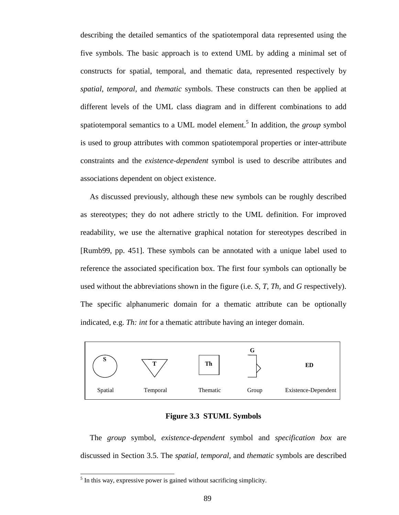describing the detailed semantics of the spatiotemporal data represented using the five symbols. The basic approach is to extend UML by adding a minimal set of constructs for spatial, temporal, and thematic data, represented respectively by *spatial, temporal,* and *thematic* symbols. These constructs can then be applied at different levels of the UML class diagram and in different combinations to add spatiotemporal semantics to a UML model element.<sup>5</sup> In addition, the *group* symbol is used to group attributes with common spatiotemporal properties or inter-attribute constraints and the *existence-dependent* symbol is used to describe attributes and associations dependent on object existence.

As discussed previously, although these new symbols can be roughly described as stereotypes; they do not adhere strictly to the UML definition. For improved readability, we use the alternative graphical notation for stereotypes described in [Rumb99, pp. 451]. These symbols can be annotated with a unique label used to reference the associated specification box. The first four symbols can optionally be used without the abbreviations shown in the figure (i.e. *S, T, Th,* and *G* respectively). The specific alphanumeric domain for a thematic attribute can be optionally indicated, e.g. *Th: int* for a thematic attribute having an integer domain.



#### **Figure 3.3 STUML Symbols**

The *group* symbol, *existence-dependent* symbol and *specification box* are discussed in Section 3.5. The *spatial, temporal,* and *thematic* symbols are described

<sup>&</sup>lt;sup>5</sup> In this way, expressive power is gained without sacrificing simplicity.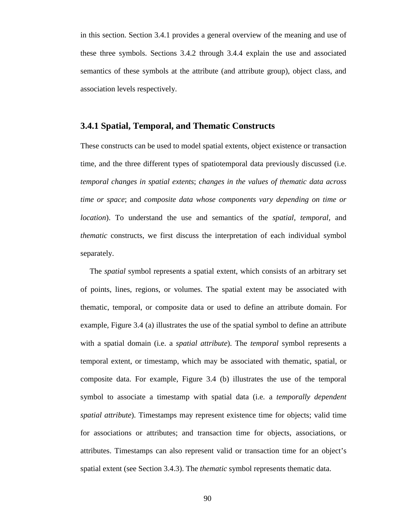in this section. Section 3.4.1 provides a general overview of the meaning and use of these three symbols. Sections 3.4.2 through 3.4.4 explain the use and associated semantics of these symbols at the attribute (and attribute group), object class, and association levels respectively.

#### **3.4.1 Spatial, Temporal, and Thematic Constructs**

These constructs can be used to model spatial extents, object existence or transaction time, and the three different types of spatiotemporal data previously discussed (i.e. *temporal changes in spatial extents*; *changes in the values of thematic data across time or space*; and *composite data whose components vary depending on time or location*). To understand the use and semantics of the *spatial, temporal,* and *thematic* constructs, we first discuss the interpretation of each individual symbol separately.

The *spatial* symbol represents a spatial extent, which consists of an arbitrary set of points, lines, regions, or volumes. The spatial extent may be associated with thematic, temporal, or composite data or used to define an attribute domain. For example, Figure 3.4 (a) illustrates the use of the spatial symbol to define an attribute with a spatial domain (i.e. a *spatial attribute*). The *temporal* symbol represents a temporal extent, or timestamp, which may be associated with thematic, spatial, or composite data. For example, Figure 3.4 (b) illustrates the use of the temporal symbol to associate a timestamp with spatial data (i.e. a *temporally dependent spatial attribute*). Timestamps may represent existence time for objects; valid time for associations or attributes; and transaction time for objects, associations, or attributes. Timestamps can also represent valid or transaction time for an object's spatial extent (see Section 3.4.3). The *thematic* symbol represents thematic data.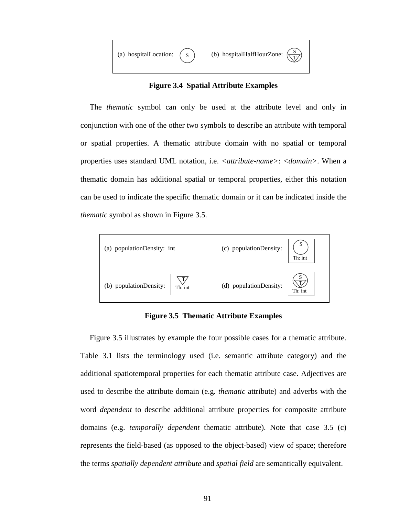

**Figure 3.4 Spatial Attribute Examples**

The *thematic* symbol can only be used at the attribute level and only in conjunction with one of the other two symbols to describe an attribute with temporal or spatial properties. A thematic attribute domain with no spatial or temporal properties uses standard UML notation, i.e. *<attribute-name>*: *<domain>*. When a thematic domain has additional spatial or temporal properties, either this notation can be used to indicate the specific thematic domain or it can be indicated inside the *thematic* symbol as shown in Figure 3.5.



**Figure 3.5 Thematic Attribute Examples**

Figure 3.5 illustrates by example the four possible cases for a thematic attribute. Table 3.1 lists the terminology used (i.e. semantic attribute category) and the additional spatiotemporal properties for each thematic attribute case. Adjectives are used to describe the attribute domain (e.g. *thematic* attribute) and adverbs with the word *dependent* to describe additional attribute properties for composite attribute domains (e.g. *temporally dependent* thematic attribute). Note that case 3.5 (c) represents the field-based (as opposed to the object-based) view of space; therefore the terms *spatially dependent attribute* and *spatial field* are semantically equivalent.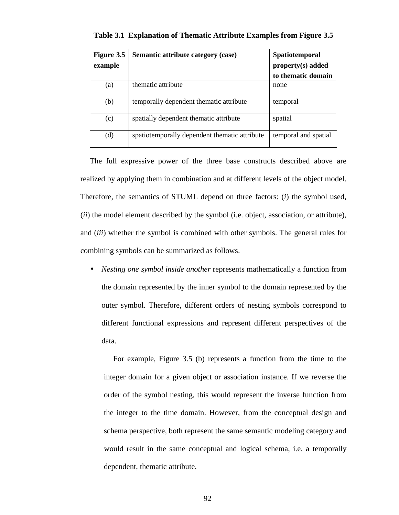| Figure 3.5<br>example | Semantic attribute category (case)            | <b>Spatiotemporal</b><br>property(s) added |
|-----------------------|-----------------------------------------------|--------------------------------------------|
|                       |                                               | to thematic domain                         |
| (a)                   | thematic attribute                            | none                                       |
| (b)                   | temporally dependent thematic attribute       | temporal                                   |
| (c)                   | spatially dependent thematic attribute        | spatial                                    |
| (d)                   | spatiotemporally dependent thematic attribute | temporal and spatial                       |

**Table 3.1 Explanation of Thematic Attribute Examples from Figure 3.5**

The full expressive power of the three base constructs described above are realized by applying them in combination and at different levels of the object model. Therefore, the semantics of STUML depend on three factors: (*i*) the symbol used, (*ii*) the model element described by the symbol (i.e. object, association, or attribute), and (*iii*) whether the symbol is combined with other symbols. The general rules for combining symbols can be summarized as follows.

• *Nesting one symbol inside another* represents mathematically a function from the domain represented by the inner symbol to the domain represented by the outer symbol. Therefore, different orders of nesting symbols correspond to different functional expressions and represent different perspectives of the data.

For example, Figure 3.5 (b) represents a function from the time to the integer domain for a given object or association instance. If we reverse the order of the symbol nesting, this would represent the inverse function from the integer to the time domain. However, from the conceptual design and schema perspective, both represent the same semantic modeling category and would result in the same conceptual and logical schema, i.e. a temporally dependent, thematic attribute.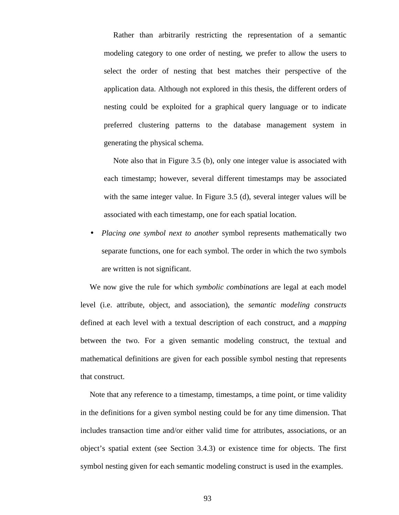Rather than arbitrarily restricting the representation of a semantic modeling category to one order of nesting, we prefer to allow the users to select the order of nesting that best matches their perspective of the application data. Although not explored in this thesis, the different orders of nesting could be exploited for a graphical query language or to indicate preferred clustering patterns to the database management system in generating the physical schema.

Note also that in Figure 3.5 (b), only one integer value is associated with each timestamp; however, several different timestamps may be associated with the same integer value. In Figure 3.5 (d), several integer values will be associated with each timestamp, one for each spatial location.

• *Placing one symbol next to another* symbol represents mathematically two separate functions, one for each symbol. The order in which the two symbols are written is not significant.

We now give the rule for which *symbolic combinations* are legal at each model level (i.e. attribute, object, and association), the *semantic modeling constructs* defined at each level with a textual description of each construct, and a *mapping* between the two. For a given semantic modeling construct, the textual and mathematical definitions are given for each possible symbol nesting that represents that construct.

Note that any reference to a timestamp, timestamps, a time point, or time validity in the definitions for a given symbol nesting could be for any time dimension. That includes transaction time and/or either valid time for attributes, associations, or an object's spatial extent (see Section 3.4.3) or existence time for objects. The first symbol nesting given for each semantic modeling construct is used in the examples.

93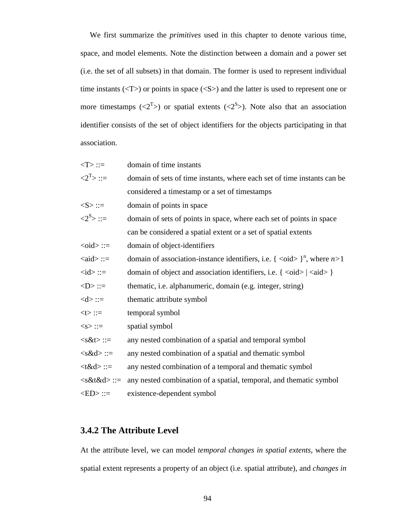We first summarize the *primitives* used in this chapter to denote various time, space, and model elements. Note the distinction between a domain and a power set (i.e. the set of all subsets) in that domain. The former is used to represent individual time instants  $(\langle T \rangle)$  or points in space  $(\langle S \rangle)$  and the latter is used to represent one or more timestamps  $(\langle 2^T \rangle)$  or spatial extents  $(\langle 2^S \rangle)$ . Note also that an association identifier consists of the set of object identifiers for the objects participating in that association.

| $<\hspace{-2.5mm}T\hspace{-2.5mm}>$ $:=$ | domain of time instants                                                                                         |  |
|------------------------------------------|-----------------------------------------------------------------------------------------------------------------|--|
| $\langle 2^T \rangle ::=$                | domain of sets of time instants, where each set of time instants can be                                         |  |
|                                          | considered a timestamp or a set of timestamps                                                                   |  |
| $<\!\!S\!\!>$ ::=                        | domain of points in space                                                                                       |  |
| $\langle 2^{\mathcal{S}} \rangle ::=$    | domain of sets of points in space, where each set of points in space                                            |  |
|                                          | can be considered a spatial extent or a set of spatial extents                                                  |  |
| $\leq$ oid $\geq$ ::=                    | domain of object-identifiers                                                                                    |  |
| $\langle \text{aid} \rangle ::=$         | domain of association-instance identifiers, i.e. $\{\langle \text{oid}\rangle\}^n$ , where $n>1$                |  |
| $< id > ::=$                             | domain of object and association identifiers, i.e. $\{\langle \text{oid}\rangle   \langle \text{aid}\rangle \}$ |  |
| $\langle D \rangle ::=$                  | thematic, i.e. alphanumeric, domain (e.g. integer, string)                                                      |  |
| $\lt d$ : $\gt$ ::=                      | thematic attribute symbol                                                                                       |  |
| $\leq t$ $\geq$ $\leq$ $\leq$            | temporal symbol                                                                                                 |  |
| $<\!\!s\!\!>::=\;$                       | spatial symbol                                                                                                  |  |
| $<$ s&t> ::=                             | any nested combination of a spatial and temporal symbol                                                         |  |
| $<$ s&d> ::=                             | any nested combination of a spatial and thematic symbol                                                         |  |
| $<$ t&d> ::=                             | any nested combination of a temporal and thematic symbol                                                        |  |
| <s&t&d> ::=</s&t&d>                      | any nested combination of a spatial, temporal, and thematic symbol                                              |  |
| $\langle ED \rangle ::=$                 | existence-dependent symbol                                                                                      |  |

## **3.4.2 The Attribute Level**

At the attribute level, we can model *temporal changes in spatial extents*, where the spatial extent represents a property of an object (i.e. spatial attribute), and *changes in*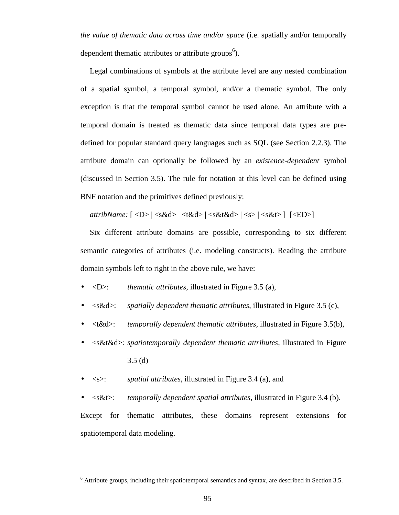*the value of thematic data across time and/or space* (i.e. spatially and/or temporally dependent thematic attributes or attribute groups<sup>6</sup>).

Legal combinations of symbols at the attribute level are any nested combination of a spatial symbol, a temporal symbol, and/or a thematic symbol. The only exception is that the temporal symbol cannot be used alone. An attribute with a temporal domain is treated as thematic data since temporal data types are predefined for popular standard query languages such as SQL (see Section 2.2.3). The attribute domain can optionally be followed by an *existence-dependent* symbol (discussed in Section 3.5). The rule for notation at this level can be defined using BNF notation and the primitives defined previously:

*attribName:* [ <D> | <s&d> | <t&d> | <s&t&d> | <s> | <s&t> ] [<ED>]

Six different attribute domains are possible, corresponding to six different semantic categories of attributes (i.e. modeling constructs). Reading the attribute domain symbols left to right in the above rule, we have:

- <D>: *thematic attributes*, illustrated in Figure 3.5 (a),
- <s&d>: *spatially dependent thematic attributes*, illustrated in Figure 3.5 (c),
- <t&d>: *temporally dependent thematic attributes,* illustrated in Figure 3.5(b),
- <s&t&d>: *spatiotemporally dependent thematic attributes,* illustrated in Figure 3.5 (d)
- <s>: *spatial attributes*, illustrated in Figure 3.4 (a), and

l

• <s&t>: *temporally dependent spatial attributes*, illustrated in Figure 3.4 (b).

Except for thematic attributes, these domains represent extensions for spatiotemporal data modeling.

 $6$  Attribute groups, including their spatiotemporal semantics and syntax, are described in Section 3.5.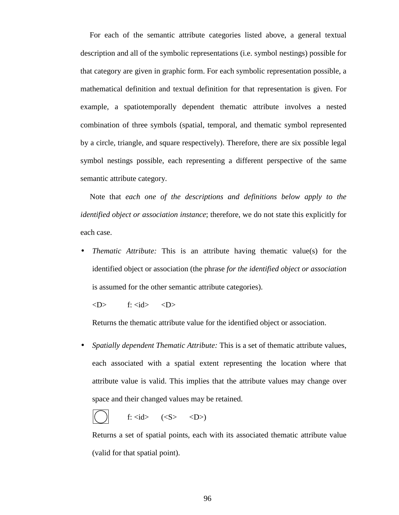For each of the semantic attribute categories listed above, a general textual description and all of the symbolic representations (i.e. symbol nestings) possible for that category are given in graphic form. For each symbolic representation possible, a mathematical definition and textual definition for that representation is given. For example, a spatiotemporally dependent thematic attribute involves a nested combination of three symbols (spatial, temporal, and thematic symbol represented by a circle, triangle, and square respectively). Therefore, there are six possible legal symbol nestings possible, each representing a different perspective of the same semantic attribute category.

Note that *each one of the descriptions and definitions below apply to the identified object or association instance*; therefore, we do not state this explicitly for each case.

• *Thematic Attribute:* This is an attribute having thematic value(s) for the identified object or association (the phrase *for the identified object or association* is assumed for the other semantic attribute categories).

 $\langle D \rangle$  f:  $\langle id \rangle$   $\langle D \rangle$ 

Returns the thematic attribute value for the identified object or association.

• *Spatially dependent Thematic Attribute:* This is a set of thematic attribute values, each associated with a spatial extent representing the location where that attribute value is valid. This implies that the attribute values may change over space and their changed values may be retained.

f:  $\langle id \rangle$   $(\langle S \rangle \langle D \rangle)$ 

Returns a set of spatial points, each with its associated thematic attribute value (valid for that spatial point).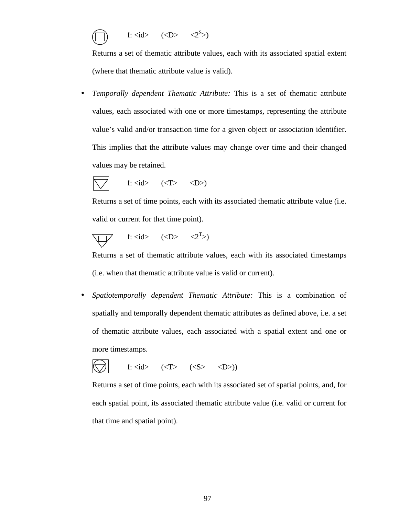f:  $\langle \text{id} \rangle$   $\langle \langle D \rangle$   $\langle 2^{\text{S}} \rangle$ 

Returns a set of thematic attribute values, each with its associated spatial extent (where that thematic attribute value is valid).

• *Temporally dependent Thematic Attribute:* This is a set of thematic attribute values, each associated with one or more timestamps, representing the attribute value's valid and/or transaction time for a given object or association identifier. This implies that the attribute values may change over time and their changed values may be retained.

$$
\boxed{\bigvee} \qquad f: \langle id \rangle \quad (\langle T \rangle \quad \langle D \rangle)
$$

Returns a set of time points, each with its associated thematic attribute value (i.e. valid or current for that time point).

$$
\overrightarrow{L} \qquad \text{f: } \langle \text{d} \rangle \qquad (\langle D \rangle \qquad \langle 2^T \rangle)
$$

Returns a set of thematic attribute values, each with its associated timestamps (i.e. when that thematic attribute value is valid or current).

• *Spatiotemporally dependent Thematic Attribute:* This is a combination of spatially and temporally dependent thematic attributes as defined above, i.e. a set of thematic attribute values, each associated with a spatial extent and one or more timestamps.

$$
\bigotimes f: \langle id \rangle \quad (\langle T \rangle \quad (\langle S \rangle \quad \langle D \rangle))
$$

Returns a set of time points, each with its associated set of spatial points, and, for each spatial point, its associated thematic attribute value (i.e. valid or current for that time and spatial point).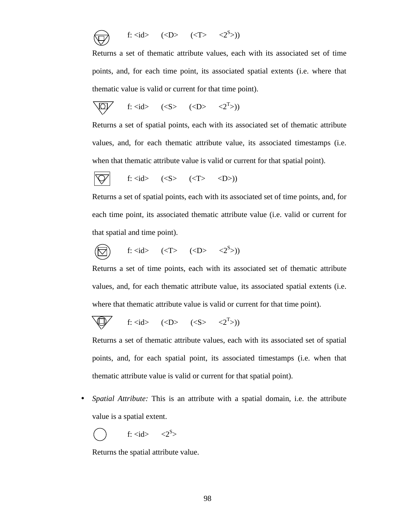f:  $\langle$ id>  $(\langle D \rangle \quad (\langle T \rangle$  $\langle 2^{\mathcal{S}} \rangle$ ))

Returns a set of thematic attribute values, each with its associated set of time points, and, for each time point, its associated spatial extents (i.e. where that thematic value is valid or current for that time point).

$$
\begin{array}{ccc}\n\hline\n\hline\n\hline\n\end{array}\n\quad f: < id> \quad ( ~~\quad (2^T>)~~
$$
)

Returns a set of spatial points, each with its associated set of thematic attribute values, and, for each thematic attribute value, its associated timestamps (i.e. when that thematic attribute value is valid or current for that spatial point).

$$
\boxed{\bigtriangledown} \qquad f: < id> \qquad ( ~~\qquad ( \qquad ))~~
$$

Returns a set of spatial points, each with its associated set of time points, and, for each time point, its associated thematic attribute value (i.e. valid or current for that spatial and time point).

$$
\qquad \qquad \textbf{(a)} \qquad \textbf{f:} < \textbf{id} < \textbf{(a)} \qquad \textbf{(b)} \qquad \textbf{(c)} < 2^{\textbf{S}} > \textbf{))}
$$

Returns a set of time points, each with its associated set of thematic attribute values, and, for each thematic attribute value, its associated spatial extents (i.e. where that thematic attribute value is valid or current for that time point).

$$
\overrightarrow{Q} \qquad f: \langle id \rangle \qquad (\langle D \rangle \qquad (\langle S \rangle \qquad \langle 2^T \rangle))
$$

Returns a set of thematic attribute values, each with its associated set of spatial points, and, for each spatial point, its associated timestamps (i.e. when that thematic attribute value is valid or current for that spatial point).

• *Spatial Attribute:* This is an attribute with a spatial domain, i.e. the attribute value is a spatial extent.

$$
\bigcirc \qquad \qquad f: \text{ } \qquad \text{ <2}^S \text{ >}
$$

Returns the spatial attribute value.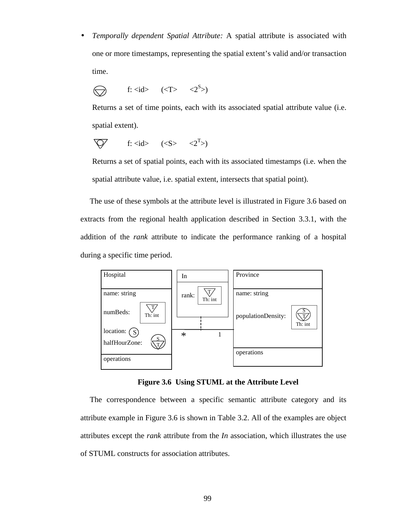• *Temporally dependent Spatial Attribute:* A spatial attribute is associated with one or more timestamps, representing the spatial extent's valid and/or transaction time.

f: <id>  $(\langle T \rangle \quad \langle 2^S \rangle)$  $\leftrightarrow$ 

Returns a set of time points, each with its associated spatial attribute value (i.e. spatial extent).

f:  $\langle \mathrm{d} \rangle$   $(\langle S \rangle \langle 2^T \rangle)$ 

Returns a set of spatial points, each with its associated timestamps (i.e. when the spatial attribute value, i.e. spatial extent, intersects that spatial point).

The use of these symbols at the attribute level is illustrated in Figure 3.6 based on extracts from the regional health application described in Section 3.3.1, with the addition of the *rank* attribute to indicate the performance ranking of a hospital during a specific time period.



**Figure 3.6 Using STUML at the Attribute Level**

The correspondence between a specific semantic attribute category and its attribute example in Figure 3.6 is shown in Table 3.2. All of the examples are object attributes except the *rank* attribute from the *In* association, which illustrates the use of STUML constructs for association attributes.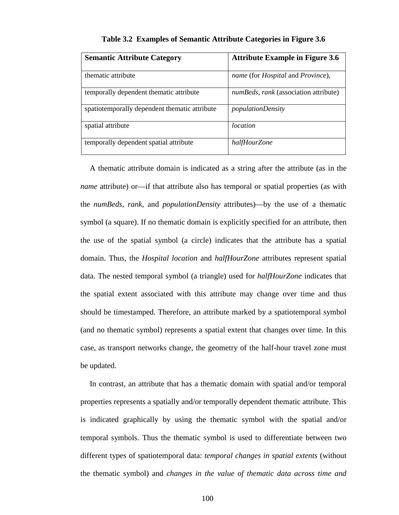| <b>Semantic Attribute Category</b>            | <b>Attribute Example in Figure 3.6</b> |
|-----------------------------------------------|----------------------------------------|
| thematic attribute                            | name (for Hospital and Province),      |
| temporally dependent thematic attribute       | numBeds, rank (association attribute)  |
| spatiotemporally dependent thematic attribute | <i>populationDensity</i>               |
| spatial attribute                             | location                               |
| temporally dependent spatial attribute        | halfHourZone                           |

**Table 3.2 Examples of Semantic Attribute Categories in Figure 3.6**

A thematic attribute domain is indicated as a string after the attribute (as in the *name* attribute) or—if that attribute also has temporal or spatial properties (as with the *numBeds*, *rank*, and *populationDensity* attributes)—by the use of a thematic symbol (a square). If no thematic domain is explicitly specified for an attribute, then the use of the spatial symbol (a circle) indicates that the attribute has a spatial domain. Thus, the *Hospital location* and *halfHourZone* attributes represent spatial data. The nested temporal symbol (a triangle) used for *halfHourZone* indicates that the spatial extent associated with this attribute may change over time and thus should be timestamped. Therefore, an attribute marked by a spatiotemporal symbol (and no thematic symbol) represents a spatial extent that changes over time. In this case, as transport networks change, the geometry of the half-hour travel zone must be updated.

In contrast, an attribute that has a thematic domain with spatial and/or temporal properties represents a spatially and/or temporally dependent thematic attribute. This is indicated graphically by using the thematic symbol with the spatial and/or temporal symbols. Thus the thematic symbol is used to differentiate between two different types of spatiotemporal data: *temporal changes in spatial extents* (without the thematic symbol) and *changes in the value of thematic data across time and*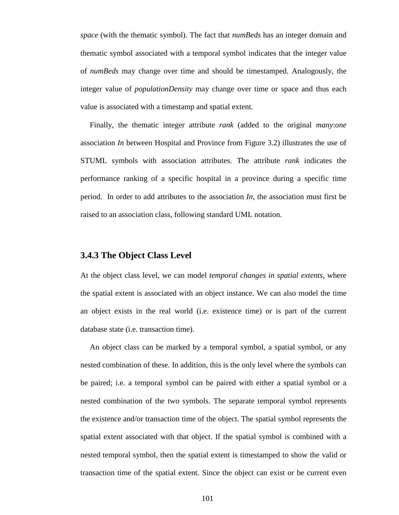*space* (with the thematic symbol). The fact that *numBeds* has an integer domain and thematic symbol associated with a temporal symbol indicates that the integer value of *numBeds* may change over time and should be timestamped. Analogously, the integer value of *populationDensity* may change over time or space and thus each value is associated with a timestamp and spatial extent.

Finally, the thematic integer attribute *rank* (added to the original *many*:*one* association *In* between Hospital and Province from Figure 3.2) illustrates the use of STUML symbols with association attributes. The attribute *rank* indicates the performance ranking of a specific hospital in a province during a specific time period. In order to add attributes to the association *In*, the association must first be raised to an association class, following standard UML notation.

## **3.4.3 The Object Class Level**

At the object class level, we can model *temporal changes in spatial extents*, where the spatial extent is associated with an object instance. We can also model the time an object exists in the real world (i.e. existence time) or is part of the current database state (i.e. transaction time).

An object class can be marked by a temporal symbol, a spatial symbol, or any nested combination of these. In addition, this is the only level where the symbols can be paired; i.e. a temporal symbol can be paired with either a spatial symbol or a nested combination of the two symbols. The separate temporal symbol represents the existence and/or transaction time of the object. The spatial symbol represents the spatial extent associated with that object. If the spatial symbol is combined with a nested temporal symbol, then the spatial extent is timestamped to show the valid or transaction time of the spatial extent. Since the object can exist or be current even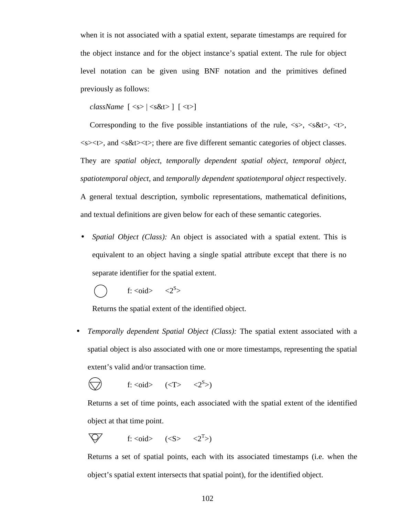when it is not associated with a spatial extent, separate timestamps are required for the object instance and for the object instance's spatial extent. The rule for object level notation can be given using BNF notation and the primitives defined previously as follows:

*className*  $\lceil \langle s \rangle \rangle \langle s \& t \rangle \rceil \langle t \rangle$ 

Corresponding to the five possible instantiations of the rule,  $\langle s \rangle$ ,  $\langle s \& t \rangle$ ,  $\langle t \rangle$ ,  $\langle s \rangle \langle t \rangle$ , and  $\langle s \& t \rangle \langle t \rangle$ ; there are five different semantic categories of object classes. They are *spatial object*, *temporally dependent spatial object*, *temporal object*, *spatiotemporal object*, and *temporally dependent spatiotemporal object* respectively. A general textual description, symbolic representations, mathematical definitions, and textual definitions are given below for each of these semantic categories.

• *Spatial Object (Class):* An object is associated with a spatial extent. This is equivalent to an object having a single spatial attribute except that there is no separate identifier for the spatial extent.

f:  $<$ oid $>$  $\langle 2^{\mathcal{S}} \rangle$ 

Returns the spatial extent of the identified object.

• *Temporally dependent Spatial Object (Class):* The spatial extent associated with a spatial object is also associated with one or more timestamps, representing the spatial extent's valid and/or transaction time.

f: <oid>  $(\langle T \rangle \quad \langle 2^S \rangle)$ 

Returns a set of time points, each associated with the spatial extent of the identified object at that time point.

$$
\bigvee f: <\text{oid}> (~~^{-2^{T}}>)~~
$$

Returns a set of spatial points, each with its associated timestamps (i.e. when the object's spatial extent intersects that spatial point), for the identified object.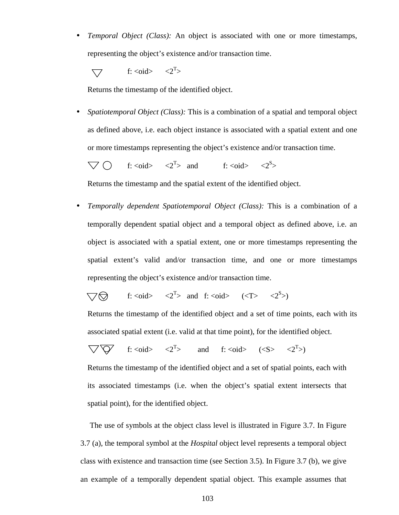• *Temporal Object (Class):* An object is associated with one or more timestamps, representing the object's existence and/or transaction time.

f:  $\langle \text{oid} \rangle$  $\langle 2^T \rangle$  $\bigtriangledown$ 

Returns the timestamp of the identified object.

• *Spatiotemporal Object (Class)*: This is a combination of a spatial and temporal object as defined above, i.e. each object instance is associated with a spatial extent and one or more timestamps representing the object's existence and/or transaction time.

 $\langle 2^T \rangle$  and f:  $\langle \text{oid} \rangle$  $\langle 2^{\mathcal{S}} \rangle$ 77 O  $f:  $\text{oid}$$ 

Returns the timestamp and the spatial extent of the identified object.

• *Temporally dependent Spatiotemporal Object (Class):* This is a combination of a temporally dependent spatial object and a temporal object as defined above, i.e. an object is associated with a spatial extent, one or more timestamps representing the spatial extent's valid and/or transaction time, and one or more timestamps representing the object's existence and/or transaction time.

$$
\nabla \bigotimes \qquad f: < \text{oid} > \quad <2^T> \text{ and } f: < \text{oid} > \quad ( \quad <2^S>)
$$

Returns the timestamp of the identified object and a set of time points, each with its associated spatial extent (i.e. valid at that time point), for the identified object.

$$
\nabla \nabla
$$
 f:  $\langle \text{oid} \rangle$   $\langle 2^T \rangle$  and f:  $\langle \text{oid} \rangle$   $(\langle S \rangle \langle 2^T \rangle)$ 

Returns the timestamp of the identified object and a set of spatial points, each with its associated timestamps (i.e. when the object's spatial extent intersects that spatial point), for the identified object.

The use of symbols at the object class level is illustrated in Figure 3.7. In Figure 3.7 (a), the temporal symbol at the *Hospital* object level represents a temporal object class with existence and transaction time (see Section 3.5). In Figure 3.7 (b), we give an example of a temporally dependent spatial object. This example assumes that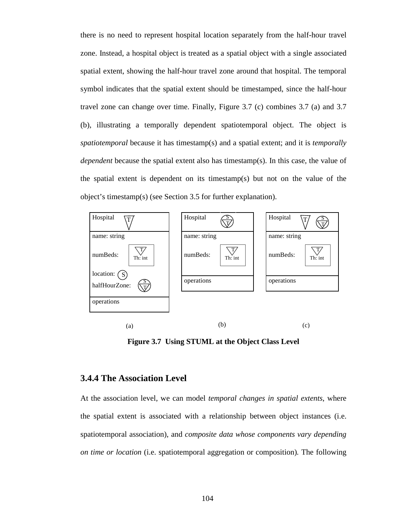there is no need to represent hospital location separately from the half-hour travel zone. Instead, a hospital object is treated as a spatial object with a single associated spatial extent, showing the half-hour travel zone around that hospital. The temporal symbol indicates that the spatial extent should be timestamped, since the half-hour travel zone can change over time. Finally, Figure 3.7 (c) combines 3.7 (a) and 3.7 (b), illustrating a temporally dependent spatiotemporal object. The object is *spatiotemporal* because it has timestamp(s) and a spatial extent; and it is *temporally dependent* because the spatial extent also has timestamp(s). In this case, the value of the spatial extent is dependent on its timestamp(s) but not on the value of the object's timestamp(s) (see Section 3.5 for further explanation).



**Figure 3.7 Using STUML at the Object Class Level**

## **3.4.4 The Association Level**

At the association level, we can model *temporal changes in spatial extents*, where the spatial extent is associated with a relationship between object instances (i.e. spatiotemporal association), and *composite data whose components vary depending on time or location* (i.e. spatiotemporal aggregation or composition)*.* The following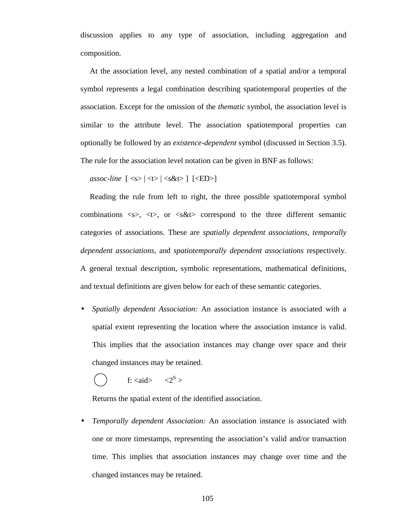discussion applies to any type of association, including aggregation and composition.

At the association level, any nested combination of a spatial and/or a temporal symbol represents a legal combination describing spatiotemporal properties of the association. Except for the omission of the *thematic* symbol, the association level is similar to the attribute level. The association spatiotemporal properties can optionally be followed by an *existence-dependent* symbol (discussed in Section 3.5). The rule for the association level notation can be given in BNF as follows:

*assoc-line* [ <s> | <t> | <s&t> ] [<ED>]

Reading the rule from left to right, the three possible spatiotemporal symbol combinations  $\langle s \rangle$ ,  $\langle t \rangle$ , or  $\langle s \& t \rangle$  correspond to the three different semantic categories of associations. These are *spatially dependent associations*, *temporally dependent associations*, and *spatiotemporally dependent associations* respectively. A general textual description, symbolic representations, mathematical definitions, and textual definitions are given below for each of these semantic categories.

• *Spatially dependent Association:* An association instance is associated with a spatial extent representing the location where the association instance is valid. This implies that the association instances may change over space and their changed instances may be retained.

f:  $\langle \text{aid} \rangle$  $\langle 2^{\mathcal{S}} \rangle$ 

Returns the spatial extent of the identified association.

• *Temporally dependent Association:* An association instance is associated with one or more timestamps, representing the association's valid and/or transaction time. This implies that association instances may change over time and the changed instances may be retained.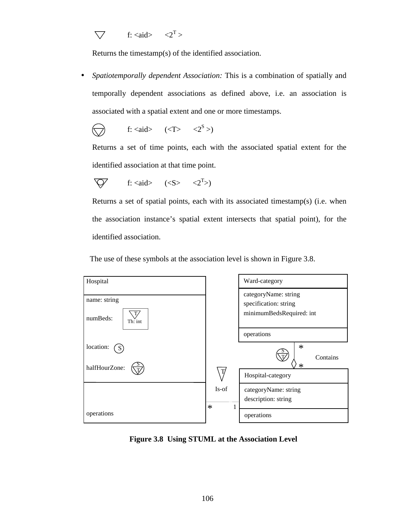$\bigtriangledown$ f:  $\langle \text{aid} \rangle$   $\langle 2^T \rangle$ 

Returns the timestamp(s) of the identified association.

• *Spatiotemporally dependent Association:* This is a combination of spatially and temporally dependent associations as defined above, i.e. an association is associated with a spatial extent and one or more timestamps.

f: <aid>  $(**T** > **2**<sup>S</sup> >)$  $\left(\rightleftharpoons\right)$ 

Returns a set of time points, each with the associated spatial extent for the identified association at that time point.

$$
\bigtriangledown \qquad \text{f: } < \text{aid} < < S < 2^T > \text{)}
$$

Returns a set of spatial points, each with its associated timestamp(s) (i.e. when the association instance's spatial extent intersects that spatial point), for the identified association.

The use of these symbols at the association level is shown in Figure 3.8.

| Hospital                            |                       | Ward-category                                                                           |  |
|-------------------------------------|-----------------------|-----------------------------------------------------------------------------------------|--|
| name: string<br>numBeds:<br>Th: int |                       | categoryName: string<br>specification: string<br>minimumBedsRequired: int<br>operations |  |
|                                     |                       |                                                                                         |  |
| location:<br>halfHourZone:          | T,<br>Is-of<br>$\ast$ | $\ast$<br>Contains<br>∗                                                                 |  |
|                                     |                       | Hospital-category                                                                       |  |
|                                     |                       | categoryName: string<br>description: string                                             |  |
| operations                          |                       | operations                                                                              |  |

**Figure 3.8 Using STUML at the Association Level**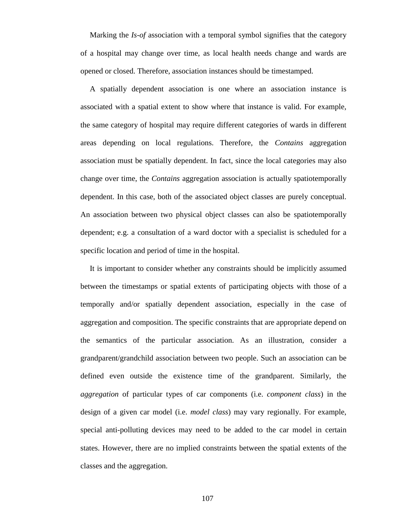Marking the *Is-of* association with a temporal symbol signifies that the category of a hospital may change over time, as local health needs change and wards are opened or closed. Therefore, association instances should be timestamped.

A spatially dependent association is one where an association instance is associated with a spatial extent to show where that instance is valid. For example, the same category of hospital may require different categories of wards in different areas depending on local regulations. Therefore, the *Contains* aggregation association must be spatially dependent. In fact, since the local categories may also change over time, the *Contains* aggregation association is actually spatiotemporally dependent. In this case, both of the associated object classes are purely conceptual. An association between two physical object classes can also be spatiotemporally dependent; e.g. a consultation of a ward doctor with a specialist is scheduled for a specific location and period of time in the hospital.

It is important to consider whether any constraints should be implicitly assumed between the timestamps or spatial extents of participating objects with those of a temporally and/or spatially dependent association, especially in the case of aggregation and composition. The specific constraints that are appropriate depend on the semantics of the particular association. As an illustration, consider a grandparent/grandchild association between two people. Such an association can be defined even outside the existence time of the grandparent. Similarly, the *aggregation* of particular types of car components (i.e. *component class*) in the design of a given car model (i.e. *model class*) may vary regionally. For example, special anti-polluting devices may need to be added to the car model in certain states. However, there are no implied constraints between the spatial extents of the classes and the aggregation.

107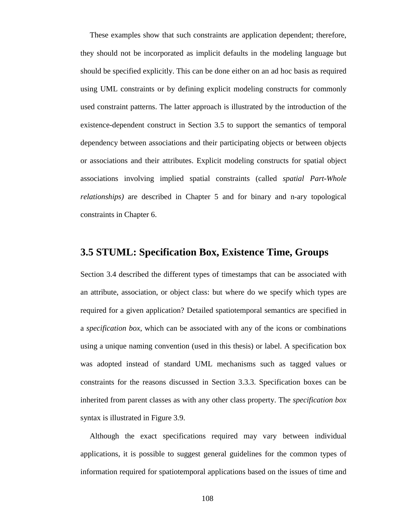These examples show that such constraints are application dependent; therefore, they should not be incorporated as implicit defaults in the modeling language but should be specified explicitly. This can be done either on an ad hoc basis as required using UML constraints or by defining explicit modeling constructs for commonly used constraint patterns. The latter approach is illustrated by the introduction of the existence-dependent construct in Section 3.5 to support the semantics of temporal dependency between associations and their participating objects or between objects or associations and their attributes. Explicit modeling constructs for spatial object associations involving implied spatial constraints (called *spatial Part-Whole relationships)* are described in Chapter 5 and for binary and n-ary topological constraints in Chapter 6.

# **3.5 STUML: Specification Box, Existence Time, Groups**

Section 3.4 described the different types of timestamps that can be associated with an attribute, association, or object class: but where do we specify which types are required for a given application? Detailed spatiotemporal semantics are specified in a *specification box*, which can be associated with any of the icons or combinations using a unique naming convention (used in this thesis) or label. A specification box was adopted instead of standard UML mechanisms such as tagged values or constraints for the reasons discussed in Section 3.3.3. Specification boxes can be inherited from parent classes as with any other class property. The *specification box* syntax is illustrated in Figure 3.9.

Although the exact specifications required may vary between individual applications, it is possible to suggest general guidelines for the common types of information required for spatiotemporal applications based on the issues of time and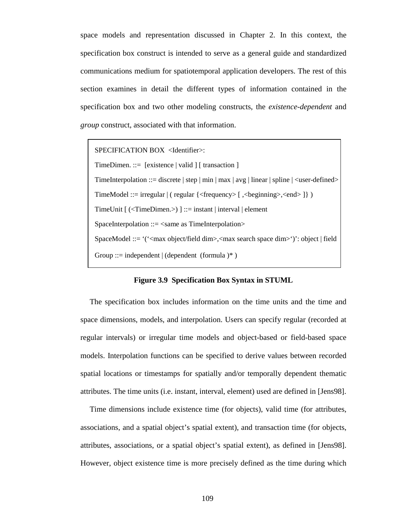space models and representation discussed in Chapter 2. In this context, the specification box construct is intended to serve as a general guide and standardized communications medium for spatiotemporal application developers. The rest of this section examines in detail the different types of information contained in the specification box and two other modeling constructs, the *existence-dependent* and *group* construct, associated with that information.

 SPECIFICATION BOX <Identifier>: TimeDimen. ::= [existence | valid ] [ transaction ] TimeInterpolation ::= discrete | step | min | max | avg | linear | spline |  $\langle$ user-defined> TimeModel ::= irregular | ( regular {<frequency> [ ,<br/>>beginning>,<end> ] } )

TimeUnit [ (<TimeDimen.>) ] ::= instant | interval | element

SpaceInterpolation ::= <same as TimeInterpolation>

SpaceModel ::= '('<max object/field dim>,<max search space dim>')': object | field

Group ::= independent  $\phi$  (dependent (formula  $)$ \*)

### **Figure 3.9 Specification Box Syntax in STUML**

The specification box includes information on the time units and the time and space dimensions, models, and interpolation. Users can specify regular (recorded at regular intervals) or irregular time models and object-based or field-based space models. Interpolation functions can be specified to derive values between recorded spatial locations or timestamps for spatially and/or temporally dependent thematic attributes. The time units (i.e. instant, interval, element) used are defined in [Jens98].

Time dimensions include existence time (for objects), valid time (for attributes, associations, and a spatial object's spatial extent), and transaction time (for objects, attributes, associations, or a spatial object's spatial extent), as defined in [Jens98]. However, object existence time is more precisely defined as the time during which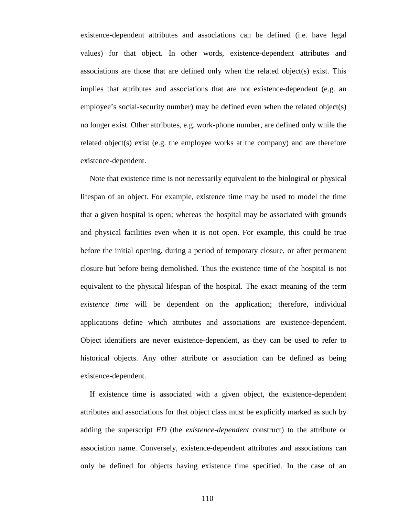existence-dependent attributes and associations can be defined (i.e. have legal values) for that object. In other words, existence-dependent attributes and associations are those that are defined only when the related object(s) exist. This implies that attributes and associations that are not existence-dependent (e.g. an employee's social-security number) may be defined even when the related object(s) no longer exist. Other attributes, e.g. work-phone number, are defined only while the related object(s) exist (e.g. the employee works at the company) and are therefore existence-dependent.

Note that existence time is not necessarily equivalent to the biological or physical lifespan of an object. For example, existence time may be used to model the time that a given hospital is open; whereas the hospital may be associated with grounds and physical facilities even when it is not open. For example, this could be true before the initial opening, during a period of temporary closure, or after permanent closure but before being demolished. Thus the existence time of the hospital is not equivalent to the physical lifespan of the hospital. The exact meaning of the term *existence time* will be dependent on the application; therefore, individual applications define which attributes and associations are existence-dependent. Object identifiers are never existence-dependent, as they can be used to refer to historical objects. Any other attribute or association can be defined as being existence-dependent.

If existence time is associated with a given object, the existence-dependent attributes and associations for that object class must be explicitly marked as such by adding the superscript *ED* (the *existence-dependent* construct) to the attribute or association name. Conversely, existence-dependent attributes and associations can only be defined for objects having existence time specified. In the case of an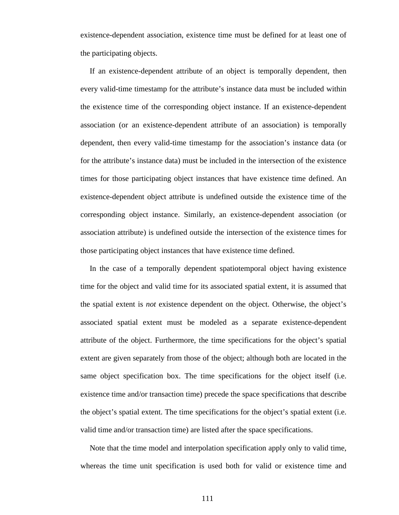existence-dependent association, existence time must be defined for at least one of the participating objects.

If an existence-dependent attribute of an object is temporally dependent, then every valid-time timestamp for the attribute's instance data must be included within the existence time of the corresponding object instance. If an existence-dependent association (or an existence-dependent attribute of an association) is temporally dependent, then every valid-time timestamp for the association's instance data (or for the attribute's instance data) must be included in the intersection of the existence times for those participating object instances that have existence time defined. An existence-dependent object attribute is undefined outside the existence time of the corresponding object instance. Similarly, an existence-dependent association (or association attribute) is undefined outside the intersection of the existence times for those participating object instances that have existence time defined.

In the case of a temporally dependent spatiotemporal object having existence time for the object and valid time for its associated spatial extent, it is assumed that the spatial extent is *not* existence dependent on the object. Otherwise, the object's associated spatial extent must be modeled as a separate existence-dependent attribute of the object. Furthermore, the time specifications for the object's spatial extent are given separately from those of the object; although both are located in the same object specification box. The time specifications for the object itself (i.e. existence time and/or transaction time) precede the space specifications that describe the object's spatial extent. The time specifications for the object's spatial extent (i.e. valid time and/or transaction time) are listed after the space specifications.

Note that the time model and interpolation specification apply only to valid time, whereas the time unit specification is used both for valid or existence time and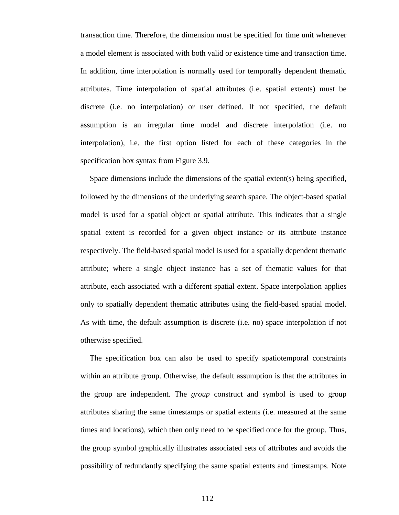transaction time. Therefore, the dimension must be specified for time unit whenever a model element is associated with both valid or existence time and transaction time. In addition, time interpolation is normally used for temporally dependent thematic attributes. Time interpolation of spatial attributes (i.e. spatial extents) must be discrete (i.e. no interpolation) or user defined. If not specified, the default assumption is an irregular time model and discrete interpolation (i.e. no interpolation), i.e. the first option listed for each of these categories in the specification box syntax from Figure 3.9.

Space dimensions include the dimensions of the spatial extent(s) being specified, followed by the dimensions of the underlying search space. The object-based spatial model is used for a spatial object or spatial attribute. This indicates that a single spatial extent is recorded for a given object instance or its attribute instance respectively. The field-based spatial model is used for a spatially dependent thematic attribute; where a single object instance has a set of thematic values for that attribute, each associated with a different spatial extent. Space interpolation applies only to spatially dependent thematic attributes using the field-based spatial model. As with time, the default assumption is discrete (i.e. no) space interpolation if not otherwise specified.

The specification box can also be used to specify spatiotemporal constraints within an attribute group. Otherwise, the default assumption is that the attributes in the group are independent. The *group* construct and symbol is used to group attributes sharing the same timestamps or spatial extents (i.e. measured at the same times and locations), which then only need to be specified once for the group. Thus, the group symbol graphically illustrates associated sets of attributes and avoids the possibility of redundantly specifying the same spatial extents and timestamps. Note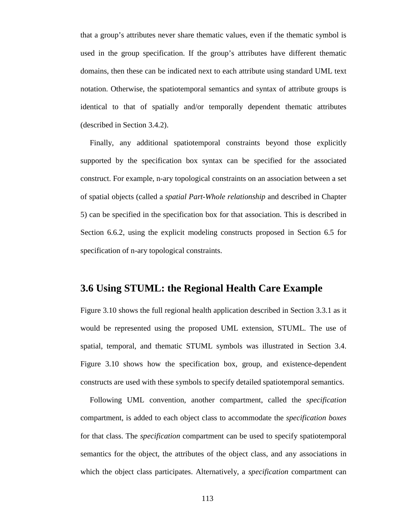that a group's attributes never share thematic values, even if the thematic symbol is used in the group specification. If the group's attributes have different thematic domains, then these can be indicated next to each attribute using standard UML text notation. Otherwise, the spatiotemporal semantics and syntax of attribute groups is identical to that of spatially and/or temporally dependent thematic attributes (described in Section 3.4.2).

Finally, any additional spatiotemporal constraints beyond those explicitly supported by the specification box syntax can be specified for the associated construct. For example, n-ary topological constraints on an association between a set of spatial objects (called a *spatial Part-Whole relationship* and described in Chapter 5) can be specified in the specification box for that association. This is described in Section 6.6.2, using the explicit modeling constructs proposed in Section 6.5 for specification of n-ary topological constraints.

# **3.6 Using STUML: the Regional Health Care Example**

Figure 3.10 shows the full regional health application described in Section 3.3.1 as it would be represented using the proposed UML extension, STUML. The use of spatial, temporal, and thematic STUML symbols was illustrated in Section 3.4. Figure 3.10 shows how the specification box, group, and existence-dependent constructs are used with these symbols to specify detailed spatiotemporal semantics.

Following UML convention, another compartment, called the *specification* compartment, is added to each object class to accommodate the *specification boxes* for that class. The *specification* compartment can be used to specify spatiotemporal semantics for the object, the attributes of the object class, and any associations in which the object class participates. Alternatively, a *specification* compartment can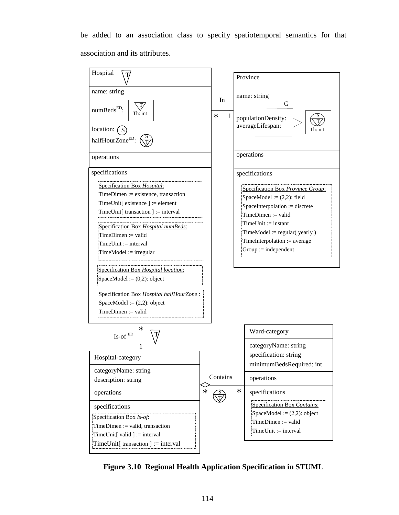be added to an association class to specify spatiotemporal semantics for that association and its attributes.



**Figure 3.10 Regional Health Application Specification in STUML**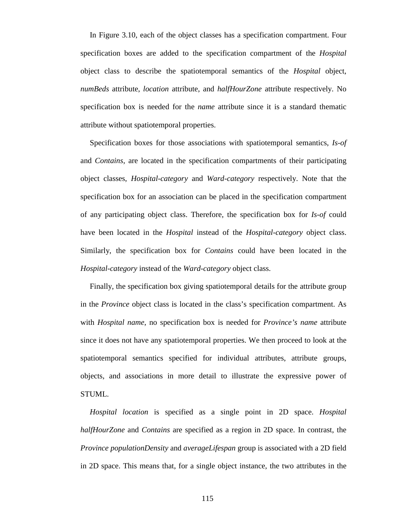In Figure 3.10, each of the object classes has a specification compartment. Four specification boxes are added to the specification compartment of the *Hospital* object class to describe the spatiotemporal semantics of the *Hospital* object, *numBeds* attribute, *location* attribute, and *halfHourZone* attribute respectively. No specification box is needed for the *name* attribute since it is a standard thematic attribute without spatiotemporal properties.

Specification boxes for those associations with spatiotemporal semantics, *Is-of* and *Contains*, are located in the specification compartments of their participating object classes, *Hospital-category* and *Ward-category* respectively. Note that the specification box for an association can be placed in the specification compartment of any participating object class. Therefore, the specification box for *Is-of* could have been located in the *Hospital* instead of the *Hospital-category* object class. Similarly, the specification box for *Contains* could have been located in the *Hospital-category* instead of the *Ward-category* object class.

Finally, the specification box giving spatiotemporal details for the attribute group in the *Province* object class is located in the class's specification compartment. As with *Hospital name*, no specification box is needed for *Province's name* attribute since it does not have any spatiotemporal properties. We then proceed to look at the spatiotemporal semantics specified for individual attributes, attribute groups, objects, and associations in more detail to illustrate the expressive power of STUML.

*Hospital location* is specified as a single point in 2D space. *Hospital halfHourZone* and *Contains* are specified as a region in 2D space. In contrast, the *Province populationDensity* and *averageLifespan* group is associated with a 2D field in 2D space. This means that, for a single object instance, the two attributes in the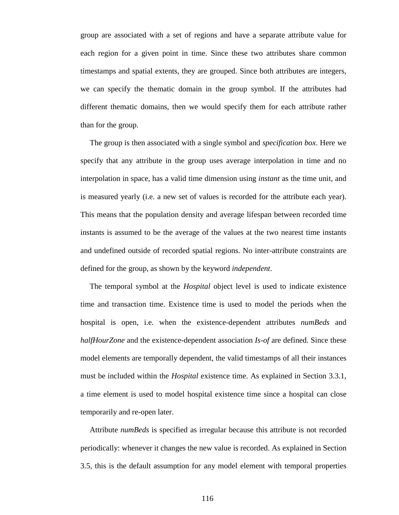group are associated with a set of regions and have a separate attribute value for each region for a given point in time. Since these two attributes share common timestamps and spatial extents, they are grouped. Since both attributes are integers, we can specify the thematic domain in the group symbol. If the attributes had different thematic domains, then we would specify them for each attribute rather than for the group.

The group is then associated with a single symbol and *specification box*. Here we specify that any attribute in the group uses average interpolation in time and no interpolation in space, has a valid time dimension using *instant* as the time unit, and is measured yearly (i.e. a new set of values is recorded for the attribute each year). This means that the population density and average lifespan between recorded time instants is assumed to be the average of the values at the two nearest time instants and undefined outside of recorded spatial regions. No inter-attribute constraints are defined for the group, as shown by the keyword *independent*.

The temporal symbol at the *Hospital* object level is used to indicate existence time and transaction time. Existence time is used to model the periods when the hospital is open, i.e. when the existence-dependent attributes *numBeds* and *halfHourZone* and the existence-dependent association *Is-of* are defined. Since these model elements are temporally dependent, the valid timestamps of all their instances must be included within the *Hospital* existence time. As explained in Section 3.3.1, a time element is used to model hospital existence time since a hospital can close temporarily and re-open later.

Attribute *numBeds* is specified as irregular because this attribute is not recorded periodically: whenever it changes the new value is recorded. As explained in Section 3.5, this is the default assumption for any model element with temporal properties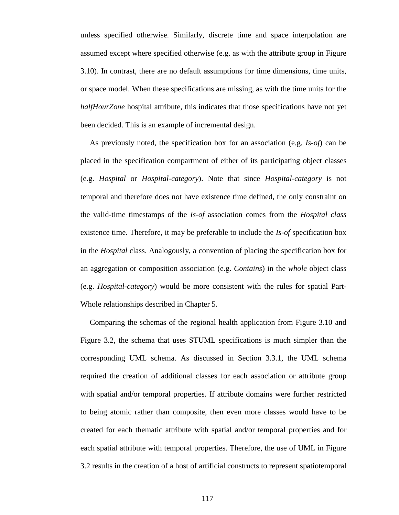unless specified otherwise. Similarly, discrete time and space interpolation are assumed except where specified otherwise (e.g. as with the attribute group in Figure 3.10). In contrast, there are no default assumptions for time dimensions, time units, or space model. When these specifications are missing, as with the time units for the *halfHourZone* hospital attribute, this indicates that those specifications have not yet been decided. This is an example of incremental design.

As previously noted, the specification box for an association (e.g. *Is-of*) can be placed in the specification compartment of either of its participating object classes (e.g. *Hospital* or *Hospital-category*). Note that since *Hospital-category* is not temporal and therefore does not have existence time defined, the only constraint on the valid-time timestamps of the *Is-of* association comes from the *Hospital class* existence time. Therefore, it may be preferable to include the *Is-of* specification box in the *Hospital* class. Analogously, a convention of placing the specification box for an aggregation or composition association (e.g. *Contains*) in the *whole* object class (e.g. *Hospital-category*) would be more consistent with the rules for spatial Part-Whole relationships described in Chapter 5.

Comparing the schemas of the regional health application from Figure 3.10 and Figure 3.2, the schema that uses STUML specifications is much simpler than the corresponding UML schema. As discussed in Section 3.3.1, the UML schema required the creation of additional classes for each association or attribute group with spatial and/or temporal properties. If attribute domains were further restricted to being atomic rather than composite, then even more classes would have to be created for each thematic attribute with spatial and/or temporal properties and for each spatial attribute with temporal properties. Therefore, the use of UML in Figure 3.2 results in the creation of a host of artificial constructs to represent spatiotemporal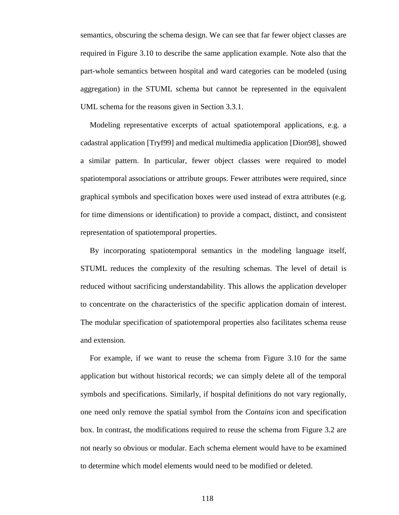semantics, obscuring the schema design. We can see that far fewer object classes are required in Figure 3.10 to describe the same application example. Note also that the part-whole semantics between hospital and ward categories can be modeled (using aggregation) in the STUML schema but cannot be represented in the equivalent UML schema for the reasons given in Section 3.3.1.

Modeling representative excerpts of actual spatiotemporal applications, e.g. a cadastral application [Tryf99] and medical multimedia application [Dion98], showed a similar pattern. In particular, fewer object classes were required to model spatiotemporal associations or attribute groups. Fewer attributes were required, since graphical symbols and specification boxes were used instead of extra attributes (e.g. for time dimensions or identification) to provide a compact, distinct, and consistent representation of spatiotemporal properties.

By incorporating spatiotemporal semantics in the modeling language itself, STUML reduces the complexity of the resulting schemas. The level of detail is reduced without sacrificing understandability. This allows the application developer to concentrate on the characteristics of the specific application domain of interest. The modular specification of spatiotemporal properties also facilitates schema reuse and extension.

For example, if we want to reuse the schema from Figure 3.10 for the same application but without historical records; we can simply delete all of the temporal symbols and specifications. Similarly, if hospital definitions do not vary regionally, one need only remove the spatial symbol from the *Contains* icon and specification box. In contrast, the modifications required to reuse the schema from Figure 3.2 are not nearly so obvious or modular. Each schema element would have to be examined to determine which model elements would need to be modified or deleted.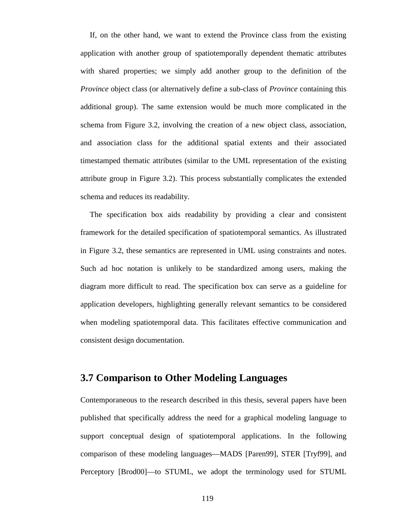If, on the other hand, we want to extend the Province class from the existing application with another group of spatiotemporally dependent thematic attributes with shared properties; we simply add another group to the definition of the *Province* object class (or alternatively define a sub-class of *Province* containing this additional group). The same extension would be much more complicated in the schema from Figure 3.2, involving the creation of a new object class, association, and association class for the additional spatial extents and their associated timestamped thematic attributes (similar to the UML representation of the existing attribute group in Figure 3.2). This process substantially complicates the extended schema and reduces its readability.

The specification box aids readability by providing a clear and consistent framework for the detailed specification of spatiotemporal semantics. As illustrated in Figure 3.2, these semantics are represented in UML using constraints and notes. Such ad hoc notation is unlikely to be standardized among users, making the diagram more difficult to read. The specification box can serve as a guideline for application developers, highlighting generally relevant semantics to be considered when modeling spatiotemporal data. This facilitates effective communication and consistent design documentation.

# **3.7 Comparison to Other Modeling Languages**

Contemporaneous to the research described in this thesis, several papers have been published that specifically address the need for a graphical modeling language to support conceptual design of spatiotemporal applications. In the following comparison of these modeling languages—MADS [Paren99], STER [Tryf99], and Perceptory [Brod00]—to STUML, we adopt the terminology used for STUML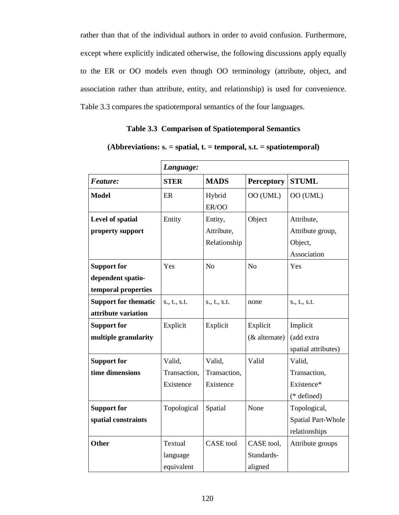rather than that of the individual authors in order to avoid confusion. Furthermore, except where explicitly indicated otherwise, the following discussions apply equally to the ER or OO models even though OO terminology (attribute, object, and association rather than attribute, entity, and relationship) is used for convenience. Table 3.3 compares the spatiotemporal semantics of the four languages.

## **Table 3.3 Comparison of Spatiotemporal Semantics**

**(Abbreviations: s. = spatial, t. = temporal, s.t. = spatiotemporal)**

|                                                                | Language:                           |                                       |                                     |                                                            |
|----------------------------------------------------------------|-------------------------------------|---------------------------------------|-------------------------------------|------------------------------------------------------------|
| Feature:                                                       | <b>STER</b>                         | <b>MADS</b>                           | <b>Perceptory</b>                   | <b>STUML</b>                                               |
| <b>Model</b>                                                   | ER                                  | Hybrid<br>ER/OO                       | OO (UML)                            | OO (UML)                                                   |
| Level of spatial<br>property support                           | Entity                              | Entity,<br>Attribute,<br>Relationship | Object                              | Attribute,<br>Attribute group,<br>Object,<br>Association   |
| <b>Support for</b><br>dependent spatio-<br>temporal properties | Yes                                 | N <sub>0</sub>                        | N <sub>0</sub>                      | Yes                                                        |
| <b>Support for thematic</b><br>attribute variation             | s., t., s.t.                        | s., t., s.t.                          | none                                | s., t., s.t.                                               |
| <b>Support for</b><br>multiple granularity                     | Explicit                            | Explicit                              | Explicit<br>$(x$ alternate)         | Implicit<br>(add extra<br>spatial attributes)              |
| <b>Support for</b><br>time dimensions                          | Valid,<br>Transaction,<br>Existence | Valid,<br>Transaction,<br>Existence   | Valid                               | Valid,<br>Transaction,<br>Existence*<br>(* defined)        |
| <b>Support for</b><br>spatial constraints                      | Topological                         | Spatial                               | None                                | Topological,<br><b>Spatial Part-Whole</b><br>relationships |
| <b>Other</b>                                                   | Textual<br>language<br>equivalent   | <b>CASE</b> tool                      | CASE tool,<br>Standards-<br>aligned | Attribute groups                                           |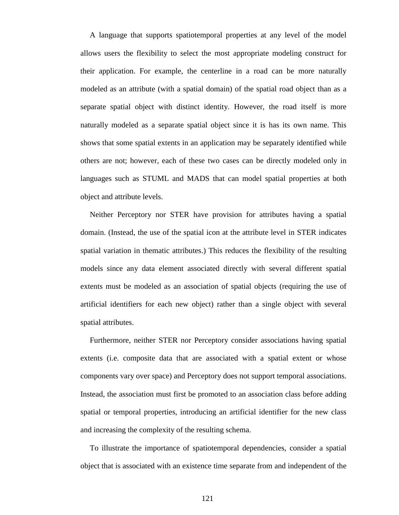A language that supports spatiotemporal properties at any level of the model allows users the flexibility to select the most appropriate modeling construct for their application. For example, the centerline in a road can be more naturally modeled as an attribute (with a spatial domain) of the spatial road object than as a separate spatial object with distinct identity. However, the road itself is more naturally modeled as a separate spatial object since it is has its own name. This shows that some spatial extents in an application may be separately identified while others are not; however, each of these two cases can be directly modeled only in languages such as STUML and MADS that can model spatial properties at both object and attribute levels.

Neither Perceptory nor STER have provision for attributes having a spatial domain. (Instead, the use of the spatial icon at the attribute level in STER indicates spatial variation in thematic attributes.) This reduces the flexibility of the resulting models since any data element associated directly with several different spatial extents must be modeled as an association of spatial objects (requiring the use of artificial identifiers for each new object) rather than a single object with several spatial attributes.

Furthermore, neither STER nor Perceptory consider associations having spatial extents (i.e. composite data that are associated with a spatial extent or whose components vary over space) and Perceptory does not support temporal associations. Instead, the association must first be promoted to an association class before adding spatial or temporal properties, introducing an artificial identifier for the new class and increasing the complexity of the resulting schema.

To illustrate the importance of spatiotemporal dependencies, consider a spatial object that is associated with an existence time separate from and independent of the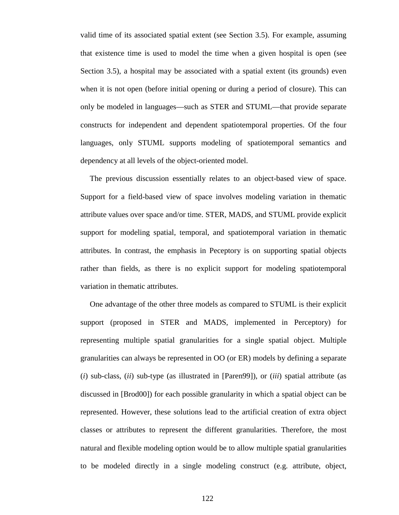valid time of its associated spatial extent (see Section 3.5). For example, assuming that existence time is used to model the time when a given hospital is open (see Section 3.5), a hospital may be associated with a spatial extent (its grounds) even when it is not open (before initial opening or during a period of closure). This can only be modeled in languages—such as STER and STUML—that provide separate constructs for independent and dependent spatiotemporal properties. Of the four languages, only STUML supports modeling of spatiotemporal semantics and dependency at all levels of the object-oriented model.

The previous discussion essentially relates to an object-based view of space. Support for a field-based view of space involves modeling variation in thematic attribute values over space and/or time. STER, MADS, and STUML provide explicit support for modeling spatial, temporal, and spatiotemporal variation in thematic attributes. In contrast, the emphasis in Peceptory is on supporting spatial objects rather than fields, as there is no explicit support for modeling spatiotemporal variation in thematic attributes.

One advantage of the other three models as compared to STUML is their explicit support (proposed in STER and MADS, implemented in Perceptory) for representing multiple spatial granularities for a single spatial object. Multiple granularities can always be represented in OO (or ER) models by defining a separate (*i*) sub-class, (*ii*) sub-type (as illustrated in [Paren99]), or (*iii*) spatial attribute (as discussed in [Brod00]) for each possible granularity in which a spatial object can be represented. However, these solutions lead to the artificial creation of extra object classes or attributes to represent the different granularities. Therefore, the most natural and flexible modeling option would be to allow multiple spatial granularities to be modeled directly in a single modeling construct (e.g. attribute, object,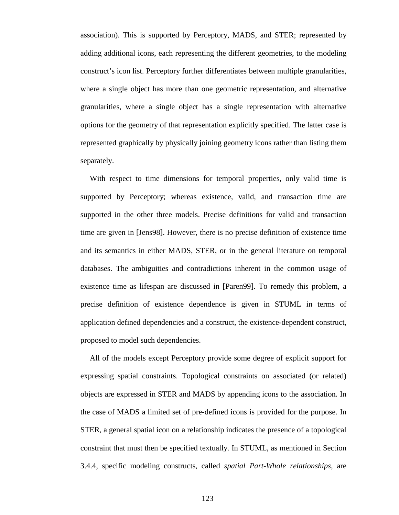association). This is supported by Perceptory, MADS, and STER; represented by adding additional icons, each representing the different geometries, to the modeling construct's icon list. Perceptory further differentiates between multiple granularities, where a single object has more than one geometric representation, and alternative granularities, where a single object has a single representation with alternative options for the geometry of that representation explicitly specified. The latter case is represented graphically by physically joining geometry icons rather than listing them separately.

With respect to time dimensions for temporal properties, only valid time is supported by Perceptory; whereas existence, valid, and transaction time are supported in the other three models. Precise definitions for valid and transaction time are given in [Jens98]. However, there is no precise definition of existence time and its semantics in either MADS, STER, or in the general literature on temporal databases. The ambiguities and contradictions inherent in the common usage of existence time as lifespan are discussed in [Paren99]. To remedy this problem, a precise definition of existence dependence is given in STUML in terms of application defined dependencies and a construct, the existence-dependent construct, proposed to model such dependencies.

All of the models except Perceptory provide some degree of explicit support for expressing spatial constraints. Topological constraints on associated (or related) objects are expressed in STER and MADS by appending icons to the association. In the case of MADS a limited set of pre-defined icons is provided for the purpose. In STER, a general spatial icon on a relationship indicates the presence of a topological constraint that must then be specified textually. In STUML, as mentioned in Section 3.4.4, specific modeling constructs, called *spatial Part-Whole relationships*, are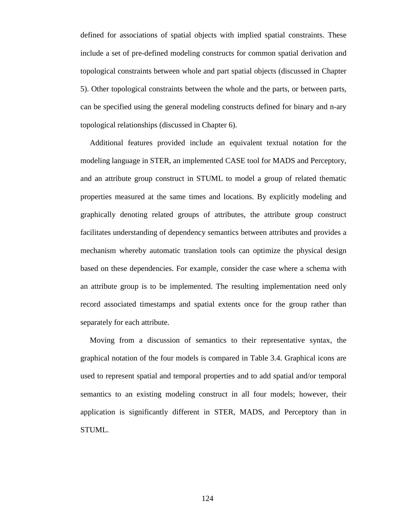defined for associations of spatial objects with implied spatial constraints. These include a set of pre-defined modeling constructs for common spatial derivation and topological constraints between whole and part spatial objects (discussed in Chapter 5). Other topological constraints between the whole and the parts, or between parts, can be specified using the general modeling constructs defined for binary and n-ary topological relationships (discussed in Chapter 6).

Additional features provided include an equivalent textual notation for the modeling language in STER, an implemented CASE tool for MADS and Perceptory, and an attribute group construct in STUML to model a group of related thematic properties measured at the same times and locations. By explicitly modeling and graphically denoting related groups of attributes, the attribute group construct facilitates understanding of dependency semantics between attributes and provides a mechanism whereby automatic translation tools can optimize the physical design based on these dependencies. For example, consider the case where a schema with an attribute group is to be implemented. The resulting implementation need only record associated timestamps and spatial extents once for the group rather than separately for each attribute.

Moving from a discussion of semantics to their representative syntax, the graphical notation of the four models is compared in Table 3.4. Graphical icons are used to represent spatial and temporal properties and to add spatial and/or temporal semantics to an existing modeling construct in all four models; however, their application is significantly different in STER, MADS, and Perceptory than in STUML.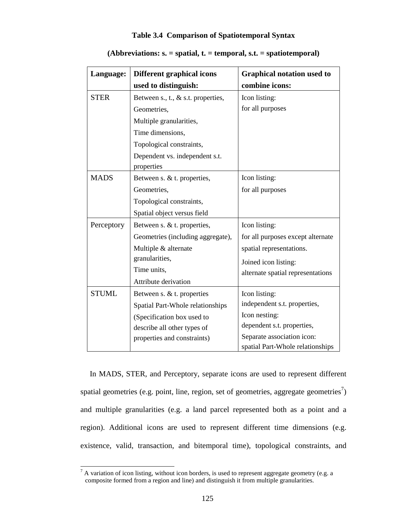#### **Table 3.4 Comparison of Spatiotemporal Syntax**

| Language:    | <b>Different graphical icons</b>   | <b>Graphical notation used to</b> |
|--------------|------------------------------------|-----------------------------------|
|              | used to distinguish:               | combine icons:                    |
| <b>STER</b>  | Between s., t., & s.t. properties, | Icon listing:                     |
|              | Geometries,                        | for all purposes                  |
|              | Multiple granularities,            |                                   |
|              | Time dimensions,                   |                                   |
|              | Topological constraints,           |                                   |
|              | Dependent vs. independent s.t.     |                                   |
|              | properties                         |                                   |
| <b>MADS</b>  | Between s. & t. properties,        | Icon listing:                     |
|              | Geometries,                        | for all purposes                  |
|              | Topological constraints,           |                                   |
|              | Spatial object versus field        |                                   |
| Perceptory   | Between s. & t. properties,        | Icon listing:                     |
|              | Geometries (including aggregate),  | for all purposes except alternate |
|              | Multiple & alternate               | spatial representations.          |
|              | granularities,                     | Joined icon listing:              |
|              | Time units,                        | alternate spatial representations |
|              | Attribute derivation               |                                   |
| <b>STUML</b> | Between s. & t. properties         | Icon listing:                     |
|              | Spatial Part-Whole relationships   | independent s.t. properties,      |
|              | (Specification box used to         | Icon nesting:                     |
|              | describe all other types of        | dependent s.t. properties,        |
|              | properties and constraints)        | Separate association icon:        |
|              |                                    | spatial Part-Whole relationships  |

### **(Abbreviations: s. = spatial, t. = temporal, s.t. = spatiotemporal)**

In MADS, STER, and Perceptory, separate icons are used to represent different spatial geometries (e.g. point, line, region, set of geometries, aggregate geometries<sup>7</sup>) and multiple granularities (e.g. a land parcel represented both as a point and a region). Additional icons are used to represent different time dimensions (e.g. existence, valid, transaction, and bitemporal time), topological constraints, and

<sup>&</sup>lt;sup>7</sup> A variation of icon listing, without icon borders, is used to represent aggregate geometry (e.g. a composite formed from a region and line) and distinguish it from multiple granularities.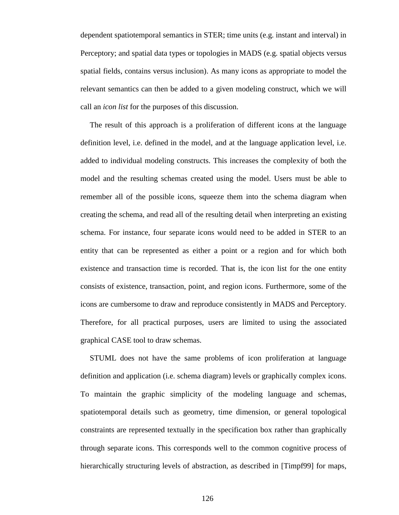dependent spatiotemporal semantics in STER; time units (e.g. instant and interval) in Perceptory; and spatial data types or topologies in MADS (e.g. spatial objects versus spatial fields, contains versus inclusion). As many icons as appropriate to model the relevant semantics can then be added to a given modeling construct, which we will call an *icon list* for the purposes of this discussion.

The result of this approach is a proliferation of different icons at the language definition level, i.e. defined in the model, and at the language application level, i.e. added to individual modeling constructs. This increases the complexity of both the model and the resulting schemas created using the model. Users must be able to remember all of the possible icons, squeeze them into the schema diagram when creating the schema, and read all of the resulting detail when interpreting an existing schema. For instance, four separate icons would need to be added in STER to an entity that can be represented as either a point or a region and for which both existence and transaction time is recorded. That is, the icon list for the one entity consists of existence, transaction, point, and region icons. Furthermore, some of the icons are cumbersome to draw and reproduce consistently in MADS and Perceptory. Therefore, for all practical purposes, users are limited to using the associated graphical CASE tool to draw schemas.

STUML does not have the same problems of icon proliferation at language definition and application (i.e. schema diagram) levels or graphically complex icons. To maintain the graphic simplicity of the modeling language and schemas, spatiotemporal details such as geometry, time dimension, or general topological constraints are represented textually in the specification box rather than graphically through separate icons. This corresponds well to the common cognitive process of hierarchically structuring levels of abstraction, as described in [Timpf99] for maps,

126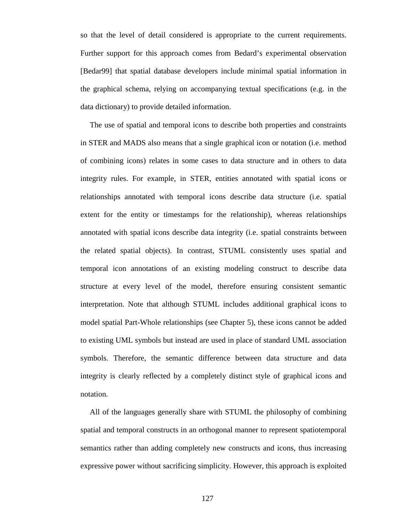so that the level of detail considered is appropriate to the current requirements. Further support for this approach comes from Bedard's experimental observation [Bedar99] that spatial database developers include minimal spatial information in the graphical schema, relying on accompanying textual specifications (e.g. in the data dictionary) to provide detailed information.

The use of spatial and temporal icons to describe both properties and constraints in STER and MADS also means that a single graphical icon or notation (i.e. method of combining icons) relates in some cases to data structure and in others to data integrity rules. For example, in STER, entities annotated with spatial icons or relationships annotated with temporal icons describe data structure (i.e. spatial extent for the entity or timestamps for the relationship), whereas relationships annotated with spatial icons describe data integrity (i.e. spatial constraints between the related spatial objects). In contrast, STUML consistently uses spatial and temporal icon annotations of an existing modeling construct to describe data structure at every level of the model, therefore ensuring consistent semantic interpretation. Note that although STUML includes additional graphical icons to model spatial Part-Whole relationships (see Chapter 5), these icons cannot be added to existing UML symbols but instead are used in place of standard UML association symbols. Therefore, the semantic difference between data structure and data integrity is clearly reflected by a completely distinct style of graphical icons and notation.

All of the languages generally share with STUML the philosophy of combining spatial and temporal constructs in an orthogonal manner to represent spatiotemporal semantics rather than adding completely new constructs and icons, thus increasing expressive power without sacrificing simplicity. However, this approach is exploited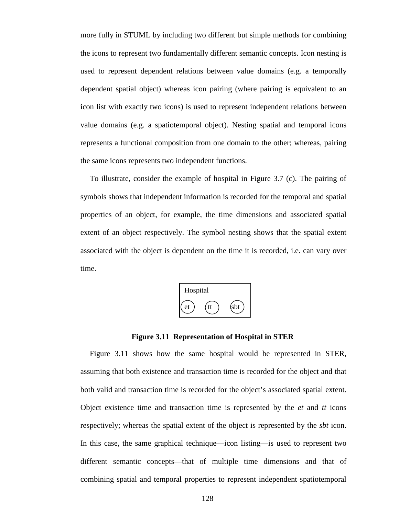more fully in STUML by including two different but simple methods for combining the icons to represent two fundamentally different semantic concepts. Icon nesting is used to represent dependent relations between value domains (e.g. a temporally dependent spatial object) whereas icon pairing (where pairing is equivalent to an icon list with exactly two icons) is used to represent independent relations between value domains (e.g. a spatiotemporal object). Nesting spatial and temporal icons represents a functional composition from one domain to the other; whereas, pairing the same icons represents two independent functions.

To illustrate, consider the example of hospital in Figure 3.7 (c). The pairing of symbols shows that independent information is recorded for the temporal and spatial properties of an object, for example, the time dimensions and associated spatial extent of an object respectively. The symbol nesting shows that the spatial extent associated with the object is dependent on the time it is recorded, i.e. can vary over time.



**Figure 3.11 Representation of Hospital in STER**

Figure 3.11 shows how the same hospital would be represented in STER, assuming that both existence and transaction time is recorded for the object and that both valid and transaction time is recorded for the object's associated spatial extent. Object existence time and transaction time is represented by the *et* and *tt* icons respectively; whereas the spatial extent of the object is represented by the *sbt* icon. In this case, the same graphical technique—icon listing—is used to represent two different semantic concepts—that of multiple time dimensions and that of combining spatial and temporal properties to represent independent spatiotemporal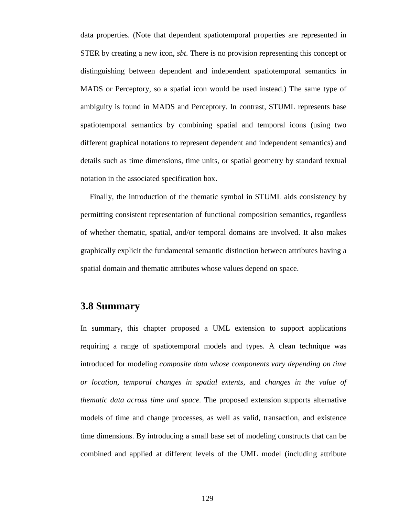data properties. (Note that dependent spatiotemporal properties are represented in STER by creating a new icon, *sbt*. There is no provision representing this concept or distinguishing between dependent and independent spatiotemporal semantics in MADS or Perceptory, so a spatial icon would be used instead.) The same type of ambiguity is found in MADS and Perceptory. In contrast, STUML represents base spatiotemporal semantics by combining spatial and temporal icons (using two different graphical notations to represent dependent and independent semantics) and details such as time dimensions, time units, or spatial geometry by standard textual notation in the associated specification box.

Finally, the introduction of the thematic symbol in STUML aids consistency by permitting consistent representation of functional composition semantics, regardless of whether thematic, spatial, and/or temporal domains are involved. It also makes graphically explicit the fundamental semantic distinction between attributes having a spatial domain and thematic attributes whose values depend on space.

# **3.8 Summary**

In summary, this chapter proposed a UML extension to support applications requiring a range of spatiotemporal models and types. A clean technique was introduced for modeling *composite data whose components vary depending on time or location, temporal changes in spatial extents,* and *changes in the value of thematic data across time and space.* The proposed extension supports alternative models of time and change processes, as well as valid, transaction, and existence time dimensions. By introducing a small base set of modeling constructs that can be combined and applied at different levels of the UML model (including attribute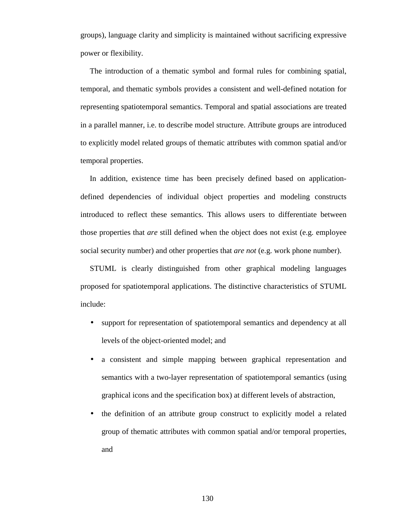groups), language clarity and simplicity is maintained without sacrificing expressive power or flexibility.

The introduction of a thematic symbol and formal rules for combining spatial, temporal, and thematic symbols provides a consistent and well-defined notation for representing spatiotemporal semantics. Temporal and spatial associations are treated in a parallel manner, i.e. to describe model structure. Attribute groups are introduced to explicitly model related groups of thematic attributes with common spatial and/or temporal properties.

In addition, existence time has been precisely defined based on applicationdefined dependencies of individual object properties and modeling constructs introduced to reflect these semantics. This allows users to differentiate between those properties that *are* still defined when the object does not exist (e.g. employee social security number) and other properties that *are not* (e.g. work phone number).

STUML is clearly distinguished from other graphical modeling languages proposed for spatiotemporal applications. The distinctive characteristics of STUML include:

- support for representation of spatiotemporal semantics and dependency at all levels of the object-oriented model; and
- a consistent and simple mapping between graphical representation and semantics with a two-layer representation of spatiotemporal semantics (using graphical icons and the specification box) at different levels of abstraction,
- the definition of an attribute group construct to explicitly model a related group of thematic attributes with common spatial and/or temporal properties, and

130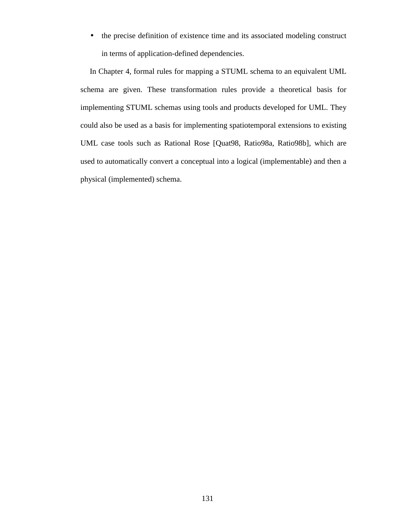• the precise definition of existence time and its associated modeling construct in terms of application-defined dependencies.

In Chapter 4, formal rules for mapping a STUML schema to an equivalent UML schema are given. These transformation rules provide a theoretical basis for implementing STUML schemas using tools and products developed for UML. They could also be used as a basis for implementing spatiotemporal extensions to existing UML case tools such as Rational Rose [Quat98, Ratio98a, Ratio98b], which are used to automatically convert a conceptual into a logical (implementable) and then a physical (implemented) schema.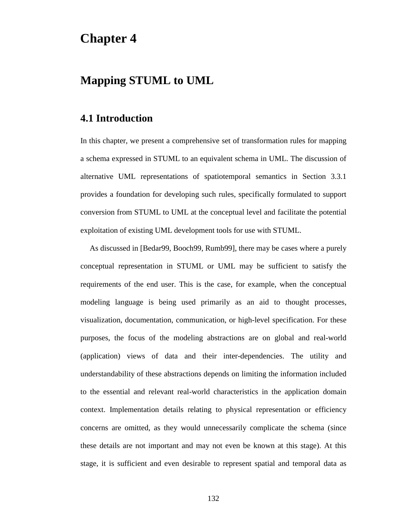# **Chapter 4**

# **Mapping STUML to UML**

### **4.1 Introduction**

In this chapter, we present a comprehensive set of transformation rules for mapping a schema expressed in STUML to an equivalent schema in UML. The discussion of alternative UML representations of spatiotemporal semantics in Section 3.3.1 provides a foundation for developing such rules, specifically formulated to support conversion from STUML to UML at the conceptual level and facilitate the potential exploitation of existing UML development tools for use with STUML.

As discussed in [Bedar99, Booch99, Rumb99], there may be cases where a purely conceptual representation in STUML or UML may be sufficient to satisfy the requirements of the end user. This is the case, for example, when the conceptual modeling language is being used primarily as an aid to thought processes, visualization, documentation, communication, or high-level specification. For these purposes, the focus of the modeling abstractions are on global and real-world (application) views of data and their inter-dependencies. The utility and understandability of these abstractions depends on limiting the information included to the essential and relevant real-world characteristics in the application domain context. Implementation details relating to physical representation or efficiency concerns are omitted, as they would unnecessarily complicate the schema (since these details are not important and may not even be known at this stage). At this stage, it is sufficient and even desirable to represent spatial and temporal data as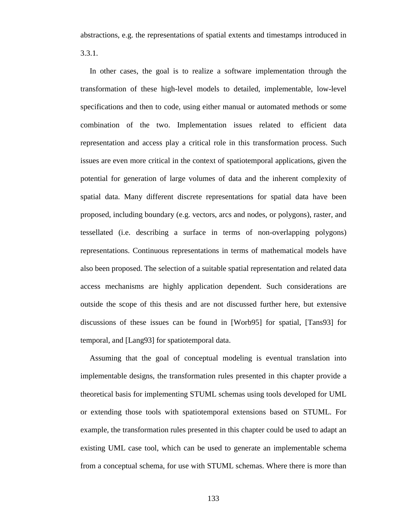abstractions, e.g. the representations of spatial extents and timestamps introduced in 3.3.1.

In other cases, the goal is to realize a software implementation through the transformation of these high-level models to detailed, implementable, low-level specifications and then to code, using either manual or automated methods or some combination of the two. Implementation issues related to efficient data representation and access play a critical role in this transformation process. Such issues are even more critical in the context of spatiotemporal applications, given the potential for generation of large volumes of data and the inherent complexity of spatial data. Many different discrete representations for spatial data have been proposed, including boundary (e.g. vectors, arcs and nodes, or polygons), raster, and tessellated (i.e. describing a surface in terms of non-overlapping polygons) representations. Continuous representations in terms of mathematical models have also been proposed. The selection of a suitable spatial representation and related data access mechanisms are highly application dependent. Such considerations are outside the scope of this thesis and are not discussed further here, but extensive discussions of these issues can be found in [Worb95] for spatial, [Tans93] for temporal, and [Lang93] for spatiotemporal data.

Assuming that the goal of conceptual modeling is eventual translation into implementable designs, the transformation rules presented in this chapter provide a theoretical basis for implementing STUML schemas using tools developed for UML or extending those tools with spatiotemporal extensions based on STUML. For example, the transformation rules presented in this chapter could be used to adapt an existing UML case tool, which can be used to generate an implementable schema from a conceptual schema, for use with STUML schemas. Where there is more than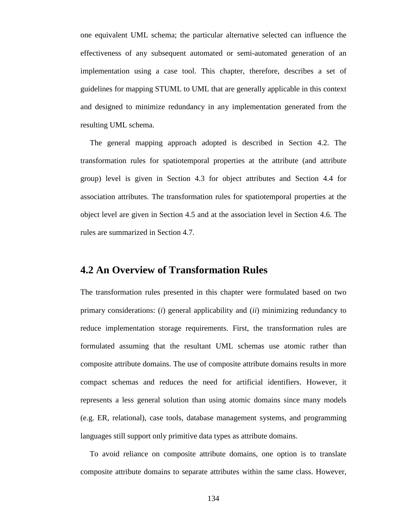one equivalent UML schema; the particular alternative selected can influence the effectiveness of any subsequent automated or semi-automated generation of an implementation using a case tool. This chapter, therefore, describes a set of guidelines for mapping STUML to UML that are generally applicable in this context and designed to minimize redundancy in any implementation generated from the resulting UML schema.

The general mapping approach adopted is described in Section 4.2. The transformation rules for spatiotemporal properties at the attribute (and attribute group) level is given in Section 4.3 for object attributes and Section 4.4 for association attributes. The transformation rules for spatiotemporal properties at the object level are given in Section 4.5 and at the association level in Section 4.6. The rules are summarized in Section 4.7.

#### **4.2 An Overview of Transformation Rules**

The transformation rules presented in this chapter were formulated based on two primary considerations: (*i*) general applicability and (*ii*) minimizing redundancy to reduce implementation storage requirements. First, the transformation rules are formulated assuming that the resultant UML schemas use atomic rather than composite attribute domains. The use of composite attribute domains results in more compact schemas and reduces the need for artificial identifiers. However, it represents a less general solution than using atomic domains since many models (e.g. ER, relational), case tools, database management systems, and programming languages still support only primitive data types as attribute domains.

To avoid reliance on composite attribute domains, one option is to translate composite attribute domains to separate attributes within the same class. However,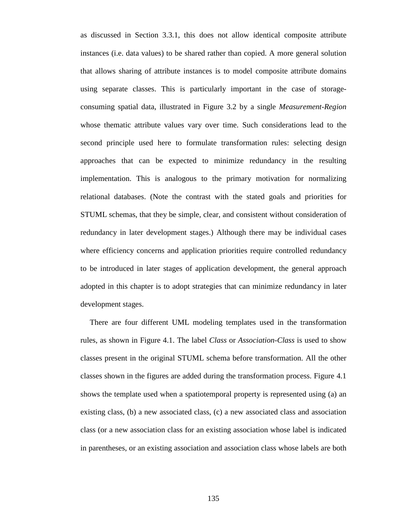as discussed in Section 3.3.1, this does not allow identical composite attribute instances (i.e. data values) to be shared rather than copied. A more general solution that allows sharing of attribute instances is to model composite attribute domains using separate classes. This is particularly important in the case of storageconsuming spatial data, illustrated in Figure 3.2 by a single *Measurement-Region* whose thematic attribute values vary over time. Such considerations lead to the second principle used here to formulate transformation rules: selecting design approaches that can be expected to minimize redundancy in the resulting implementation. This is analogous to the primary motivation for normalizing relational databases. (Note the contrast with the stated goals and priorities for STUML schemas, that they be simple, clear, and consistent without consideration of redundancy in later development stages.) Although there may be individual cases where efficiency concerns and application priorities require controlled redundancy to be introduced in later stages of application development, the general approach adopted in this chapter is to adopt strategies that can minimize redundancy in later development stages.

There are four different UML modeling templates used in the transformation rules, as shown in Figure 4.1. The label *Class* or *Association-Class* is used to show classes present in the original STUML schema before transformation. All the other classes shown in the figures are added during the transformation process. Figure 4.1 shows the template used when a spatiotemporal property is represented using (a) an existing class, (b) a new associated class, (c) a new associated class and association class (or a new association class for an existing association whose label is indicated in parentheses, or an existing association and association class whose labels are both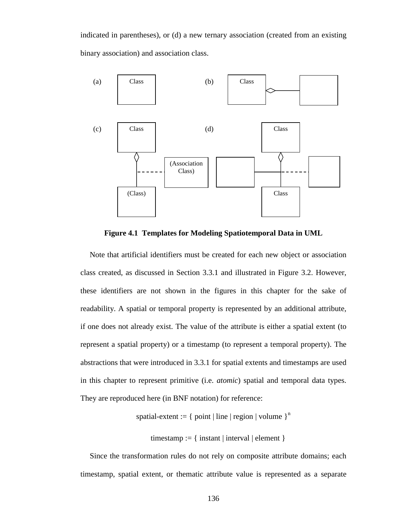indicated in parentheses), or (d) a new ternary association (created from an existing binary association) and association class.



**Figure 4.1 Templates for Modeling Spatiotemporal Data in UML**

Note that artificial identifiers must be created for each new object or association class created, as discussed in Section 3.3.1 and illustrated in Figure 3.2. However, these identifiers are not shown in the figures in this chapter for the sake of readability. A spatial or temporal property is represented by an additional attribute, if one does not already exist. The value of the attribute is either a spatial extent (to represent a spatial property) or a timestamp (to represent a temporal property). The abstractions that were introduced in 3.3.1 for spatial extents and timestamps are used in this chapter to represent primitive (i.e. *atomic*) spatial and temporal data types. They are reproduced here (in BNF notation) for reference:

spatial-extent := { point | line | region | volume }<sup>n</sup>

timestamp := { instant | interval | element }

Since the transformation rules do not rely on composite attribute domains; each timestamp, spatial extent, or thematic attribute value is represented as a separate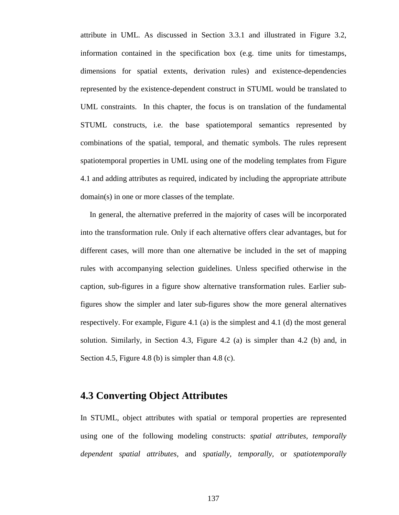attribute in UML. As discussed in Section 3.3.1 and illustrated in Figure 3.2, information contained in the specification box (e.g. time units for timestamps, dimensions for spatial extents, derivation rules) and existence-dependencies represented by the existence-dependent construct in STUML would be translated to UML constraints. In this chapter, the focus is on translation of the fundamental STUML constructs, i.e. the base spatiotemporal semantics represented by combinations of the spatial, temporal, and thematic symbols. The rules represent spatiotemporal properties in UML using one of the modeling templates from Figure 4.1 and adding attributes as required, indicated by including the appropriate attribute domain(s) in one or more classes of the template.

In general, the alternative preferred in the majority of cases will be incorporated into the transformation rule. Only if each alternative offers clear advantages, but for different cases, will more than one alternative be included in the set of mapping rules with accompanying selection guidelines. Unless specified otherwise in the caption, sub-figures in a figure show alternative transformation rules. Earlier subfigures show the simpler and later sub-figures show the more general alternatives respectively. For example, Figure 4.1 (a) is the simplest and 4.1 (d) the most general solution. Similarly, in Section 4.3, Figure 4.2 (a) is simpler than 4.2 (b) and, in Section 4.5, Figure 4.8 (b) is simpler than 4.8 (c).

### **4.3 Converting Object Attributes**

In STUML, object attributes with spatial or temporal properties are represented using one of the following modeling constructs: *spatial attributes, temporally dependent spatial attributes,* and *spatially, temporally,* or *spatiotemporally*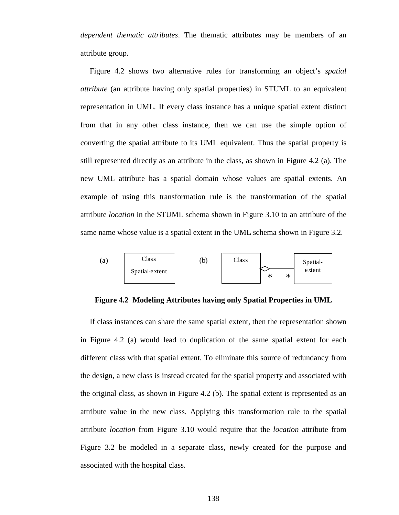*dependent thematic attributes*. The thematic attributes may be members of an attribute group.

Figure 4.2 shows two alternative rules for transforming an object's *spatial attribute* (an attribute having only spatial properties) in STUML to an equivalent representation in UML. If every class instance has a unique spatial extent distinct from that in any other class instance, then we can use the simple option of converting the spatial attribute to its UML equivalent. Thus the spatial property is still represented directly as an attribute in the class, as shown in Figure 4.2 (a). The new UML attribute has a spatial domain whose values are spatial extents. An example of using this transformation rule is the transformation of the spatial attribute *location* in the STUML schema shown in Figure 3.10 to an attribute of the same name whose value is a spatial extent in the UML schema shown in Figure 3.2.



**Figure 4.2 Modeling Attributes having only Spatial Properties in UML**

If class instances can share the same spatial extent, then the representation shown in Figure 4.2 (a) would lead to duplication of the same spatial extent for each different class with that spatial extent. To eliminate this source of redundancy from the design, a new class is instead created for the spatial property and associated with the original class, as shown in Figure 4.2 (b). The spatial extent is represented as an attribute value in the new class. Applying this transformation rule to the spatial attribute *location* from Figure 3.10 would require that the *location* attribute from Figure 3.2 be modeled in a separate class, newly created for the purpose and associated with the hospital class.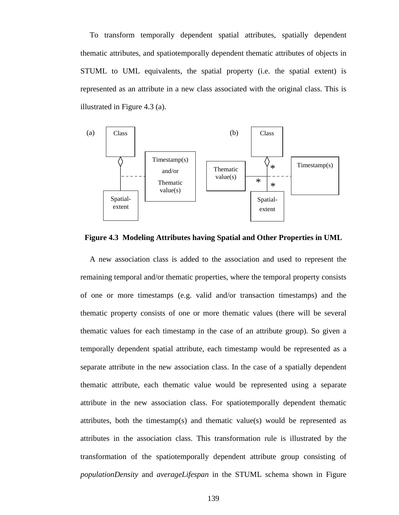To transform temporally dependent spatial attributes, spatially dependent thematic attributes, and spatiotemporally dependent thematic attributes of objects in STUML to UML equivalents, the spatial property (i.e. the spatial extent) is represented as an attribute in a new class associated with the original class. This is illustrated in Figure 4.3 (a).



**Figure 4.3 Modeling Attributes having Spatial and Other Properties in UML**

A new association class is added to the association and used to represent the remaining temporal and/or thematic properties, where the temporal property consists of one or more timestamps (e.g. valid and/or transaction timestamps) and the thematic property consists of one or more thematic values (there will be several thematic values for each timestamp in the case of an attribute group). So given a temporally dependent spatial attribute, each timestamp would be represented as a separate attribute in the new association class. In the case of a spatially dependent thematic attribute, each thematic value would be represented using a separate attribute in the new association class. For spatiotemporally dependent thematic attributes, both the timestamp(s) and thematic value(s) would be represented as attributes in the association class. This transformation rule is illustrated by the transformation of the spatiotemporally dependent attribute group consisting of *populationDensity* and *averageLifespan* in the STUML schema shown in Figure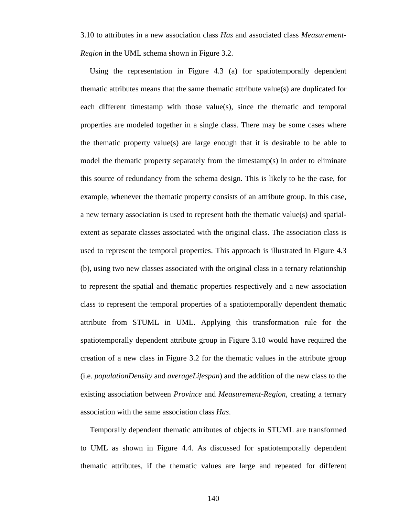3.10 to attributes in a new association class *Has* and associated class *Measurement-Region* in the UML schema shown in Figure 3.2.

Using the representation in Figure 4.3 (a) for spatiotemporally dependent thematic attributes means that the same thematic attribute value(s) are duplicated for each different timestamp with those value(s), since the thematic and temporal properties are modeled together in a single class. There may be some cases where the thematic property value(s) are large enough that it is desirable to be able to model the thematic property separately from the timestamp(s) in order to eliminate this source of redundancy from the schema design. This is likely to be the case, for example, whenever the thematic property consists of an attribute group. In this case, a new ternary association is used to represent both the thematic value(s) and spatialextent as separate classes associated with the original class. The association class is used to represent the temporal properties. This approach is illustrated in Figure 4.3 (b), using two new classes associated with the original class in a ternary relationship to represent the spatial and thematic properties respectively and a new association class to represent the temporal properties of a spatiotemporally dependent thematic attribute from STUML in UML. Applying this transformation rule for the spatiotemporally dependent attribute group in Figure 3.10 would have required the creation of a new class in Figure 3.2 for the thematic values in the attribute group (i.e. *populationDensity* and *averageLifespan*) and the addition of the new class to the existing association between *Province* and *Measurement-Region,* creating a ternary association with the same association class *Has*.

Temporally dependent thematic attributes of objects in STUML are transformed to UML as shown in Figure 4.4. As discussed for spatiotemporally dependent thematic attributes, if the thematic values are large and repeated for different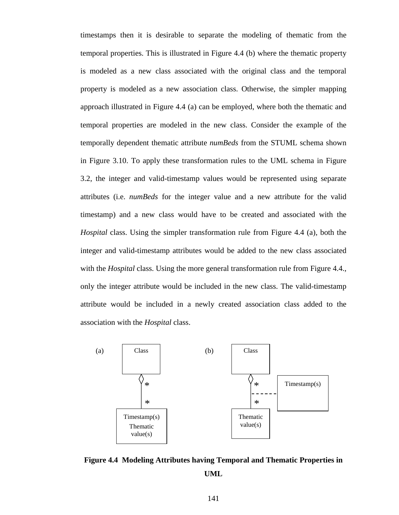timestamps then it is desirable to separate the modeling of thematic from the temporal properties. This is illustrated in Figure 4.4 (b) where the thematic property is modeled as a new class associated with the original class and the temporal property is modeled as a new association class. Otherwise, the simpler mapping approach illustrated in Figure 4.4 (a) can be employed, where both the thematic and temporal properties are modeled in the new class. Consider the example of the temporally dependent thematic attribute *numBeds* from the STUML schema shown in Figure 3.10. To apply these transformation rules to the UML schema in Figure 3.2, the integer and valid-timestamp values would be represented using separate attributes (i.e. *numBeds* for the integer value and a new attribute for the valid timestamp) and a new class would have to be created and associated with the *Hospital* class. Using the simpler transformation rule from Figure 4.4 (a), both the integer and valid-timestamp attributes would be added to the new class associated with the *Hospital* class. Using the more general transformation rule from Figure 4.4., only the integer attribute would be included in the new class. The valid-timestamp attribute would be included in a newly created association class added to the association with the *Hospital* class.



**Figure 4.4 Modeling Attributes having Temporal and Thematic Properties in UML**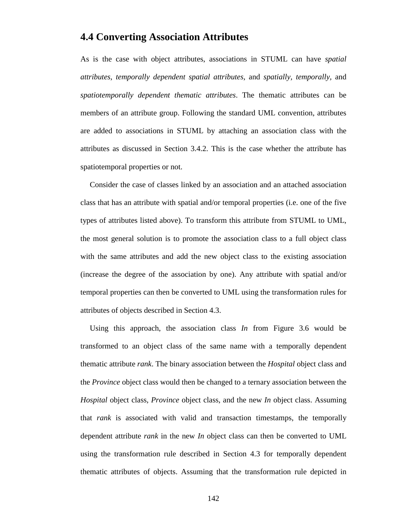#### **4.4 Converting Association Attributes**

As is the case with object attributes, associations in STUML can have *spatial attributes, temporally dependent spatial attributes,* and *spatially, temporally,* and *spatiotemporally dependent thematic attributes*. The thematic attributes can be members of an attribute group. Following the standard UML convention, attributes are added to associations in STUML by attaching an association class with the attributes as discussed in Section 3.4.2. This is the case whether the attribute has spatiotemporal properties or not.

Consider the case of classes linked by an association and an attached association class that has an attribute with spatial and/or temporal properties (i.e. one of the five types of attributes listed above). To transform this attribute from STUML to UML, the most general solution is to promote the association class to a full object class with the same attributes and add the new object class to the existing association (increase the degree of the association by one). Any attribute with spatial and/or temporal properties can then be converted to UML using the transformation rules for attributes of objects described in Section 4.3.

Using this approach, the association class *In* from Figure 3.6 would be transformed to an object class of the same name with a temporally dependent thematic attribute *rank*. The binary association between the *Hospital* object class and the *Province* object class would then be changed to a ternary association between the *Hospital* object class*, Province* object class, and the new *In* object class. Assuming that *rank* is associated with valid and transaction timestamps, the temporally dependent attribute *rank* in the new *In* object class can then be converted to UML using the transformation rule described in Section 4.3 for temporally dependent thematic attributes of objects. Assuming that the transformation rule depicted in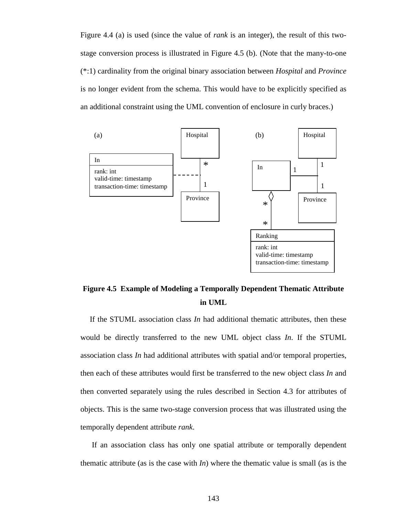Figure 4.4 (a) is used (since the value of *rank* is an integer), the result of this twostage conversion process is illustrated in Figure 4.5 (b). (Note that the many-to-one (\*:1) cardinality from the original binary association between *Hospital* and *Province* is no longer evident from the schema. This would have to be explicitly specified as an additional constraint using the UML convention of enclosure in curly braces.)



**Figure 4.5 Example of Modeling a Temporally Dependent Thematic Attribute in UML**

If the STUML association class *In* had additional thematic attributes, then these would be directly transferred to the new UML object class *In*. If the STUML association class *In* had additional attributes with spatial and/or temporal properties, then each of these attributes would first be transferred to the new object class *In* and then converted separately using the rules described in Section 4.3 for attributes of objects. This is the same two-stage conversion process that was illustrated using the temporally dependent attribute *rank*.

 If an association class has only one spatial attribute or temporally dependent thematic attribute (as is the case with *In*) where the thematic value is small (as is the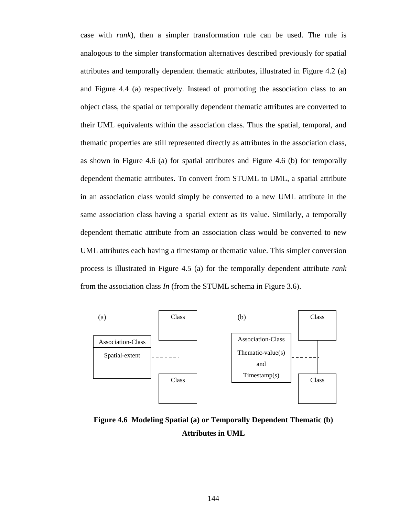case with *rank*), then a simpler transformation rule can be used. The rule is analogous to the simpler transformation alternatives described previously for spatial attributes and temporally dependent thematic attributes, illustrated in Figure 4.2 (a) and Figure 4.4 (a) respectively. Instead of promoting the association class to an object class, the spatial or temporally dependent thematic attributes are converted to their UML equivalents within the association class. Thus the spatial, temporal, and thematic properties are still represented directly as attributes in the association class, as shown in Figure 4.6 (a) for spatial attributes and Figure 4.6 (b) for temporally dependent thematic attributes. To convert from STUML to UML, a spatial attribute in an association class would simply be converted to a new UML attribute in the same association class having a spatial extent as its value. Similarly, a temporally dependent thematic attribute from an association class would be converted to new UML attributes each having a timestamp or thematic value. This simpler conversion process is illustrated in Figure 4.5 (a) for the temporally dependent attribute *rank* from the association class *In* (from the STUML schema in Figure 3.6).



**Figure 4.6 Modeling Spatial (a) or Temporally Dependent Thematic (b) Attributes in UML**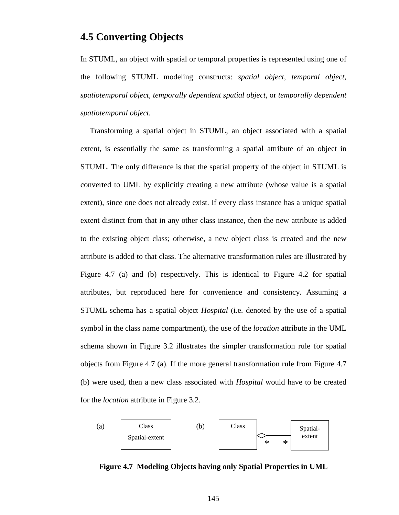## **4.5 Converting Objects**

In STUML, an object with spatial or temporal properties is represented using one of the following STUML modeling constructs: *spatial object, temporal object, spatiotemporal object, temporally dependent spatial object,* or *temporally dependent spatiotemporal object.*

Transforming a spatial object in STUML, an object associated with a spatial extent, is essentially the same as transforming a spatial attribute of an object in STUML. The only difference is that the spatial property of the object in STUML is converted to UML by explicitly creating a new attribute (whose value is a spatial extent), since one does not already exist. If every class instance has a unique spatial extent distinct from that in any other class instance, then the new attribute is added to the existing object class; otherwise, a new object class is created and the new attribute is added to that class. The alternative transformation rules are illustrated by Figure 4.7 (a) and (b) respectively. This is identical to Figure 4.2 for spatial attributes, but reproduced here for convenience and consistency. Assuming a STUML schema has a spatial object *Hospital* (i.e. denoted by the use of a spatial symbol in the class name compartment), the use of the *location* attribute in the UML schema shown in Figure 3.2 illustrates the simpler transformation rule for spatial objects from Figure 4.7 (a). If the more general transformation rule from Figure 4.7 (b) were used, then a new class associated with *Hospital* would have to be created for the *location* attribute in Figure 3.2.



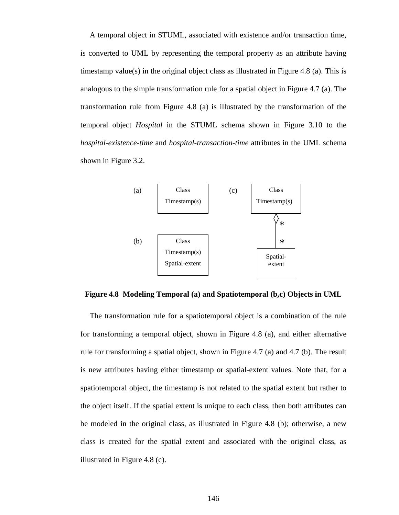A temporal object in STUML, associated with existence and/or transaction time, is converted to UML by representing the temporal property as an attribute having timestamp value(s) in the original object class as illustrated in Figure 4.8 (a). This is analogous to the simple transformation rule for a spatial object in Figure 4.7 (a). The transformation rule from Figure 4.8 (a) is illustrated by the transformation of the temporal object *Hospital* in the STUML schema shown in Figure 3.10 to the *hospital-existence-time* and *hospital-transaction-time* attributes in the UML schema shown in Figure 3.2.



**Figure 4.8 Modeling Temporal (a) and Spatiotemporal (b,c) Objects in UML**

The transformation rule for a spatiotemporal object is a combination of the rule for transforming a temporal object, shown in Figure 4.8 (a), and either alternative rule for transforming a spatial object, shown in Figure 4.7 (a) and 4.7 (b). The result is new attributes having either timestamp or spatial-extent values. Note that, for a spatiotemporal object, the timestamp is not related to the spatial extent but rather to the object itself. If the spatial extent is unique to each class, then both attributes can be modeled in the original class, as illustrated in Figure 4.8 (b); otherwise, a new class is created for the spatial extent and associated with the original class, as illustrated in Figure 4.8 (c).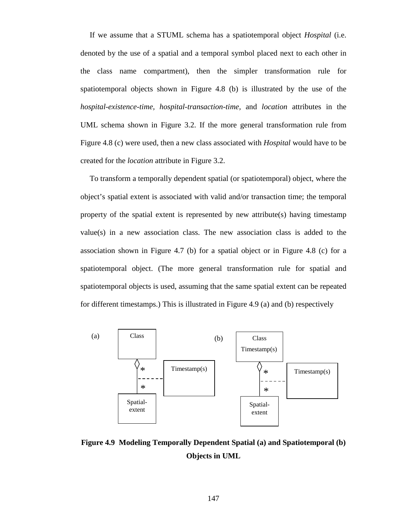If we assume that a STUML schema has a spatiotemporal object *Hospital* (i.e. denoted by the use of a spatial and a temporal symbol placed next to each other in the class name compartment), then the simpler transformation rule for spatiotemporal objects shown in Figure 4.8 (b) is illustrated by the use of the *hospital-existence-time, hospital-transaction-time,* and *location* attributes in the UML schema shown in Figure 3.2. If the more general transformation rule from Figure 4.8 (c) were used, then a new class associated with *Hospital* would have to be created for the *location* attribute in Figure 3.2.

To transform a temporally dependent spatial (or spatiotemporal) object, where the object's spatial extent is associated with valid and/or transaction time; the temporal property of the spatial extent is represented by new attribute(s) having timestamp value(s) in a new association class. The new association class is added to the association shown in Figure 4.7 (b) for a spatial object or in Figure 4.8 (c) for a spatiotemporal object. (The more general transformation rule for spatial and spatiotemporal objects is used, assuming that the same spatial extent can be repeated for different timestamps.) This is illustrated in Figure 4.9 (a) and (b) respectively



**Figure 4.9 Modeling Temporally Dependent Spatial (a) and Spatiotemporal (b) Objects in UML**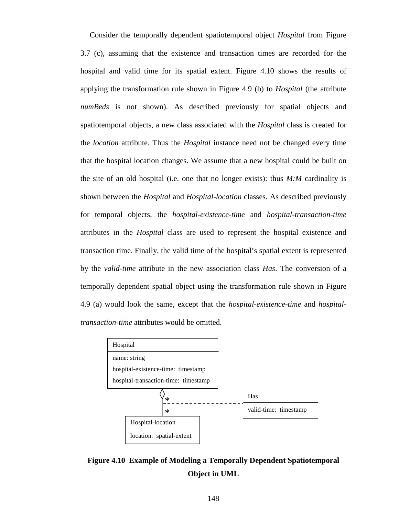Consider the temporally dependent spatiotemporal object *Hospital* from Figure 3.7 (c), assuming that the existence and transaction times are recorded for the hospital and valid time for its spatial extent. Figure 4.10 shows the results of applying the transformation rule shown in Figure 4.9 (b) to *Hospital* (the attribute *numBeds* is not shown). As described previously for spatial objects and spatiotemporal objects, a new class associated with the *Hospital* class is created for the *location* attribute. Thus the *Hospital* instance need not be changed every time that the hospital location changes. We assume that a new hospital could be built on the site of an old hospital (i.e. one that no longer exists): thus *M:M* cardinality is shown between the *Hospital* and *Hospital-location* classes. As described previously for temporal objects, the *hospital-existence-time* and *hospital-transaction-time* attributes in the *Hospital* class are used to represent the hospital existence and transaction time. Finally, the valid time of the hospital's spatial extent is represented by the *valid-time* attribute in the new association class *Has*. The conversion of a temporally dependent spatial object using the transformation rule shown in Figure 4.9 (a) would look the same, except that the *hospital-existence-time* and *hospitaltransaction-time* attributes would be omitted.



**Figure 4.10 Example of Modeling a Temporally Dependent Spatiotemporal Object in UML**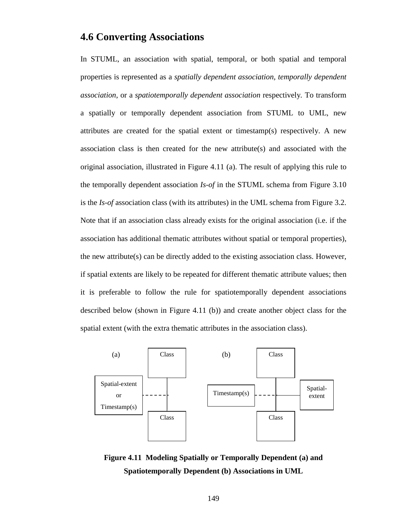### **4.6 Converting Associations**

In STUML, an association with spatial, temporal, or both spatial and temporal properties is represented as a *spatially dependent association, temporally dependent association*, or a *spatiotemporally dependent association* respectively*.* To transform a spatially or temporally dependent association from STUML to UML, new attributes are created for the spatial extent or timestamp(s) respectively. A new association class is then created for the new attribute(s) and associated with the original association, illustrated in Figure 4.11 (a). The result of applying this rule to the temporally dependent association *Is-of* in the STUML schema from Figure 3.10 is the *Is-of* association class (with its attributes) in the UML schema from Figure 3.2. Note that if an association class already exists for the original association (i.e. if the association has additional thematic attributes without spatial or temporal properties), the new attribute(s) can be directly added to the existing association class. However, if spatial extents are likely to be repeated for different thematic attribute values; then it is preferable to follow the rule for spatiotemporally dependent associations described below (shown in Figure 4.11 (b)) and create another object class for the spatial extent (with the extra thematic attributes in the association class).



**Figure 4.11 Modeling Spatially or Temporally Dependent (a) and Spatiotemporally Dependent (b) Associations in UML**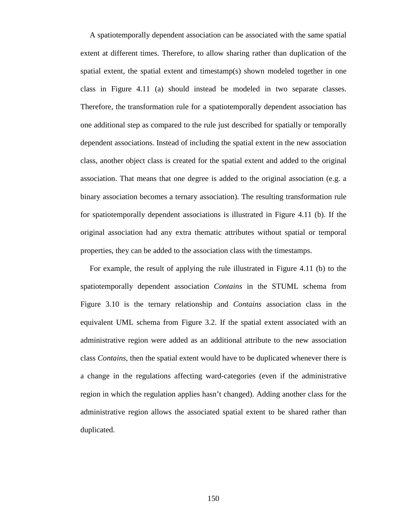A spatiotemporally dependent association can be associated with the same spatial extent at different times. Therefore, to allow sharing rather than duplication of the spatial extent, the spatial extent and timestamp(s) shown modeled together in one class in Figure 4.11 (a) should instead be modeled in two separate classes. Therefore, the transformation rule for a spatiotemporally dependent association has one additional step as compared to the rule just described for spatially or temporally dependent associations. Instead of including the spatial extent in the new association class, another object class is created for the spatial extent and added to the original association. That means that one degree is added to the original association (e.g. a binary association becomes a ternary association). The resulting transformation rule for spatiotemporally dependent associations is illustrated in Figure 4.11 (b). If the original association had any extra thematic attributes without spatial or temporal properties, they can be added to the association class with the timestamps.

For example, the result of applying the rule illustrated in Figure 4.11 (b) to the spatiotemporally dependent association *Contains* in the STUML schema from Figure 3.10 is the ternary relationship and *Contains* association class in the equivalent UML schema from Figure 3.2. If the spatial extent associated with an administrative region were added as an additional attribute to the new association class *Contains*, then the spatial extent would have to be duplicated whenever there is a change in the regulations affecting ward-categories (even if the administrative region in which the regulation applies hasn't changed). Adding another class for the administrative region allows the associated spatial extent to be shared rather than duplicated.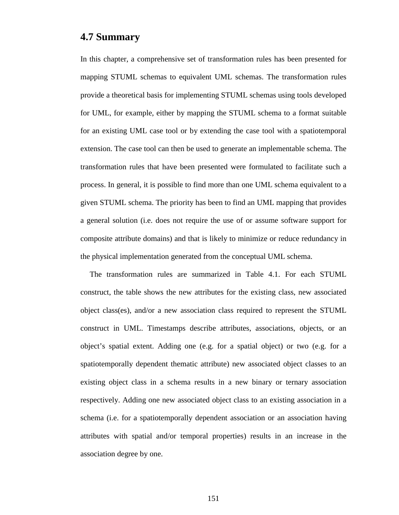### **4.7 Summary**

In this chapter, a comprehensive set of transformation rules has been presented for mapping STUML schemas to equivalent UML schemas. The transformation rules provide a theoretical basis for implementing STUML schemas using tools developed for UML, for example, either by mapping the STUML schema to a format suitable for an existing UML case tool or by extending the case tool with a spatiotemporal extension. The case tool can then be used to generate an implementable schema. The transformation rules that have been presented were formulated to facilitate such a process. In general, it is possible to find more than one UML schema equivalent to a given STUML schema. The priority has been to find an UML mapping that provides a general solution (i.e. does not require the use of or assume software support for composite attribute domains) and that is likely to minimize or reduce redundancy in the physical implementation generated from the conceptual UML schema.

The transformation rules are summarized in Table 4.1. For each STUML construct, the table shows the new attributes for the existing class, new associated object class(es), and/or a new association class required to represent the STUML construct in UML. Timestamps describe attributes, associations, objects, or an object's spatial extent. Adding one (e.g. for a spatial object) or two (e.g. for a spatiotemporally dependent thematic attribute) new associated object classes to an existing object class in a schema results in a new binary or ternary association respectively. Adding one new associated object class to an existing association in a schema (i.e. for a spatiotemporally dependent association or an association having attributes with spatial and/or temporal properties) results in an increase in the association degree by one.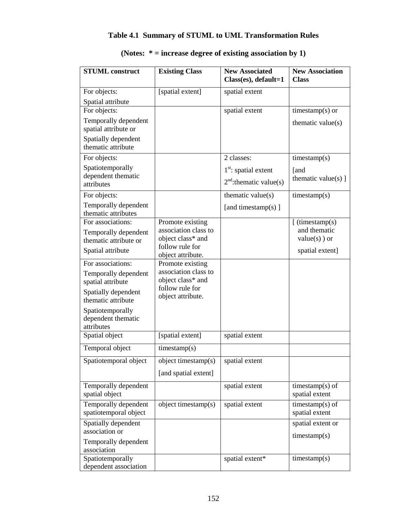#### **Table 4.1 Summary of STUML to UML Transformation Rules**

| <b>STUML</b> construct                               | <b>Existing Class</b>                     | <b>New Associated</b><br>Class(es), default=1 | <b>New Association</b><br><b>Class</b> |
|------------------------------------------------------|-------------------------------------------|-----------------------------------------------|----------------------------------------|
| For objects:<br>Spatial attribute                    | [spatial extent]                          | spatial extent                                |                                        |
| For objects:                                         |                                           | spatial extent                                | $timestamp(s)$ or                      |
| Temporally dependent<br>spatial attribute or         |                                           |                                               | thematic value(s)                      |
| Spatially dependent<br>thematic attribute            |                                           |                                               |                                        |
| For objects:                                         |                                           | 2 classes:                                    | timestamp(s)                           |
| Spatiotemporally                                     |                                           | $1st$ : spatial extent                        | [and                                   |
| dependent thematic<br>attributes                     |                                           | $2nd$ :thematic value(s)                      | thematic value(s) $\,$ ]               |
| For objects:                                         |                                           | thematic value(s)                             | timestamp(s)                           |
| Temporally dependent<br>thematic attributes          |                                           | [and timestamp(s) ]                           |                                        |
| For associations:                                    | Promote existing                          |                                               | $[$ (timestamp(s)                      |
| Temporally dependent                                 | association class to                      |                                               | and thematic                           |
| thematic attribute or                                | object class* and<br>follow rule for      |                                               | $value(s)$ ) or                        |
| Spatial attribute                                    | object attribute.                         |                                               | spatial extent]                        |
| For associations:                                    | Promote existing                          |                                               |                                        |
| Temporally dependent<br>spatial attribute            | association class to<br>object class* and |                                               |                                        |
| Spatially dependent                                  | follow rule for                           |                                               |                                        |
| thematic attribute                                   | object attribute.                         |                                               |                                        |
| Spatiotemporally<br>dependent thematic<br>attributes |                                           |                                               |                                        |
| Spatial object                                       | [spatial extent]                          | spatial extent                                |                                        |
| Temporal object                                      | timestamp(s)                              |                                               |                                        |
| Spatiotemporal object                                | object timestamp(s)                       | spatial extent                                |                                        |
|                                                      | [and spatial extent]                      |                                               |                                        |
| Temporally dependent<br>spatial object               |                                           | spatial extent                                | $timestamp(s)$ of<br>spatial extent    |
| Temporally dependent<br>spatiotemporal object        | object timestamp(s)                       | spatial extent                                | $timestamp(s)$ of<br>spatial extent    |
| Spatially dependent<br>association or                |                                           |                                               | spatial extent or                      |
| Temporally dependent<br>association                  |                                           |                                               | timestamp(s)                           |
| Spatiotemporally<br>dependent association            |                                           | spatial extent*                               | timestamp(s)                           |

#### **(Notes: \* = increase degree of existing association by 1)**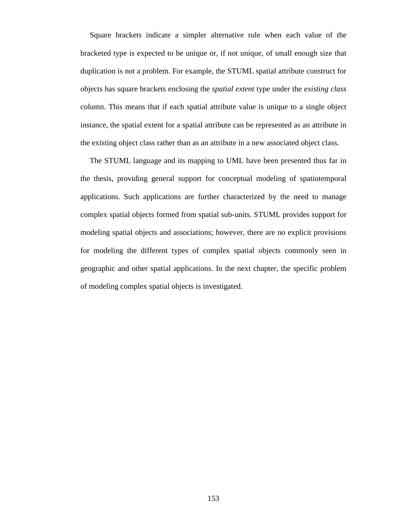Square brackets indicate a simpler alternative rule when each value of the bracketed type is expected to be unique or, if not unique, of small enough size that duplication is not a problem. For example, the STUML spatial attribute construct for objects has square brackets enclosing the *spatial extent* type under the *existing class* column. This means that if each spatial attribute value is unique to a single object instance, the spatial extent for a spatial attribute can be represented as an attribute in the existing object class rather than as an attribute in a new associated object class.

The STUML language and its mapping to UML have been presented thus far in the thesis, providing general support for conceptual modeling of spatiotemporal applications. Such applications are further characterized by the need to manage complex spatial objects formed from spatial sub-units. STUML provides support for modeling spatial objects and associations; however, there are no explicit provisions for modeling the different types of complex spatial objects commonly seen in geographic and other spatial applications. In the next chapter, the specific problem of modeling complex spatial objects is investigated.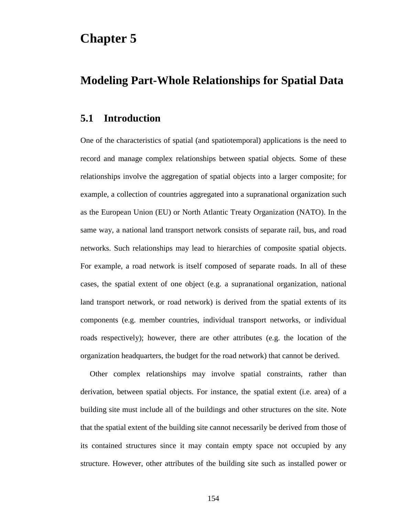# **Chapter 5**

# **Modeling Part-Whole Relationships for Spatial Data**

### **5.1 Introduction**

One of the characteristics of spatial (and spatiotemporal) applications is the need to record and manage complex relationships between spatial objects*.* Some of these relationships involve the aggregation of spatial objects into a larger composite; for example, a collection of countries aggregated into a supranational organization such as the European Union (EU) or North Atlantic Treaty Organization (NATO). In the same way, a national land transport network consists of separate rail, bus, and road networks. Such relationships may lead to hierarchies of composite spatial objects. For example, a road network is itself composed of separate roads. In all of these cases, the spatial extent of one object (e.g. a supranational organization, national land transport network, or road network) is derived from the spatial extents of its components (e.g. member countries, individual transport networks, or individual roads respectively); however, there are other attributes (e.g. the location of the organization headquarters, the budget for the road network) that cannot be derived.

Other complex relationships may involve spatial constraints, rather than derivation, between spatial objects. For instance, the spatial extent (i.e. area) of a building site must include all of the buildings and other structures on the site. Note that the spatial extent of the building site cannot necessarily be derived from those of its contained structures since it may contain empty space not occupied by any structure. However, other attributes of the building site such as installed power or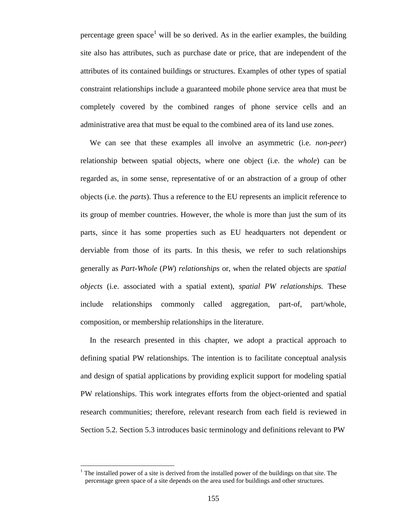percentage green space<sup>1</sup> will be so derived. As in the earlier examples, the building site also has attributes, such as purchase date or price, that are independent of the attributes of its contained buildings or structures. Examples of other types of spatial constraint relationships include a guaranteed mobile phone service area that must be completely covered by the combined ranges of phone service cells and an administrative area that must be equal to the combined area of its land use zones.

We can see that these examples all involve an asymmetric (i.e. *non-peer*) relationship between spatial objects, where one object (i.e. the *whole*) can be regarded as, in some sense, representative of or an abstraction of a group of other objects (i.e. the *parts*). Thus a reference to the EU represents an implicit reference to its group of member countries. However, the whole is more than just the sum of its parts, since it has some properties such as EU headquarters not dependent or derviable from those of its parts. In this thesis, we refer to such relationships generally as *Part-Whole* (*PW*) *relationships* or, when the related objects are *spatial objects* (i.e. associated with a spatial extent), *spatial PW relationships.* These include relationships commonly called aggregation, part-of, part/whole, composition, or membership relationships in the literature.

In the research presented in this chapter, we adopt a practical approach to defining spatial PW relationships. The intention is to facilitate conceptual analysis and design of spatial applications by providing explicit support for modeling spatial PW relationships. This work integrates efforts from the object-oriented and spatial research communities; therefore, relevant research from each field is reviewed in Section 5.2. Section 5.3 introduces basic terminology and definitions relevant to PW

 $\overline{a}$ 

<sup>1</sup> The installed power of a site is derived from the installed power of the buildings on that site. The percentage green space of a site depends on the area used for buildings and other structures.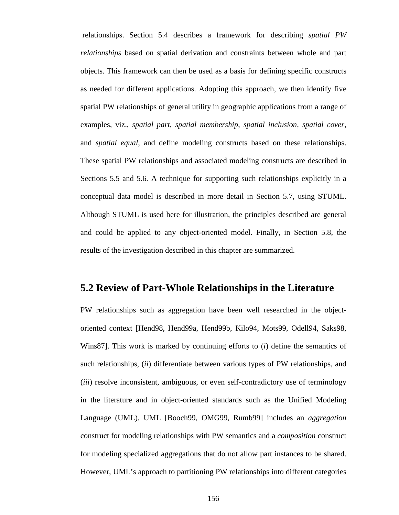relationships. Section 5.4 describes a framework for describing *spatial PW relationships* based on spatial derivation and constraints between whole and part objects. This framework can then be used as a basis for defining specific constructs as needed for different applications. Adopting this approach, we then identify five spatial PW relationships of general utility in geographic applications from a range of examples, viz., *spatial part*, *spatial membership*, *spatial inclusion, spatial cover*, and *spatial equal*, and define modeling constructs based on these relationships. These spatial PW relationships and associated modeling constructs are described in Sections 5.5 and 5.6*.* A technique for supporting such relationships explicitly in a conceptual data model is described in more detail in Section 5.7, using STUML. Although STUML is used here for illustration, the principles described are general and could be applied to any object-oriented model. Finally, in Section 5.8, the results of the investigation described in this chapter are summarized.

#### **5.2 Review of Part-Whole Relationships in the Literature**

PW relationships such as aggregation have been well researched in the objectoriented context [Hend98, Hend99a, Hend99b, Kilo94, Mots99, Odell94, Saks98, Wins87]. This work is marked by continuing efforts to (*i*) define the semantics of such relationships, (*ii*) differentiate between various types of PW relationships, and (*iii*) resolve inconsistent, ambiguous, or even self-contradictory use of terminology in the literature and in object-oriented standards such as the Unified Modeling Language (UML). UML [Booch99, OMG99, Rumb99] includes an *aggregation* construct for modeling relationships with PW semantics and a *composition* construct for modeling specialized aggregations that do not allow part instances to be shared. However, UML's approach to partitioning PW relationships into different categories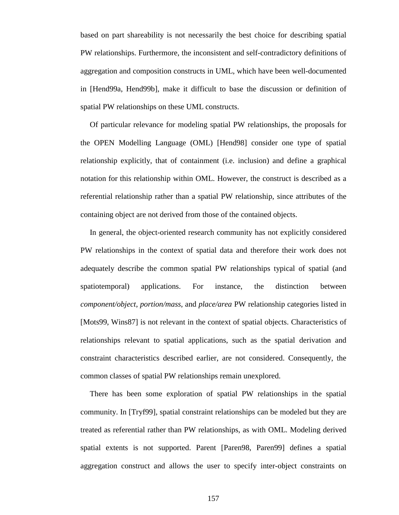based on part shareability is not necessarily the best choice for describing spatial PW relationships. Furthermore, the inconsistent and self-contradictory definitions of aggregation and composition constructs in UML, which have been well-documented in [Hend99a, Hend99b], make it difficult to base the discussion or definition of spatial PW relationships on these UML constructs.

Of particular relevance for modeling spatial PW relationships, the proposals for the OPEN Modelling Language (OML) [Hend98] consider one type of spatial relationship explicitly, that of containment (i.e. inclusion) and define a graphical notation for this relationship within OML. However, the construct is described as a referential relationship rather than a spatial PW relationship, since attributes of the containing object are not derived from those of the contained objects.

In general, the object-oriented research community has not explicitly considered PW relationships in the context of spatial data and therefore their work does not adequately describe the common spatial PW relationships typical of spatial (and spatiotemporal) applications. For instance, the distinction between *component/object*, *portion/mass*, and *place/area* PW relationship categories listed in [Mots99, Wins87] is not relevant in the context of spatial objects. Characteristics of relationships relevant to spatial applications, such as the spatial derivation and constraint characteristics described earlier, are not considered. Consequently, the common classes of spatial PW relationships remain unexplored.

There has been some exploration of spatial PW relationships in the spatial community. In [Tryf99], spatial constraint relationships can be modeled but they are treated as referential rather than PW relationships, as with OML. Modeling derived spatial extents is not supported. Parent [Paren98, Paren99] defines a spatial aggregation construct and allows the user to specify inter-object constraints on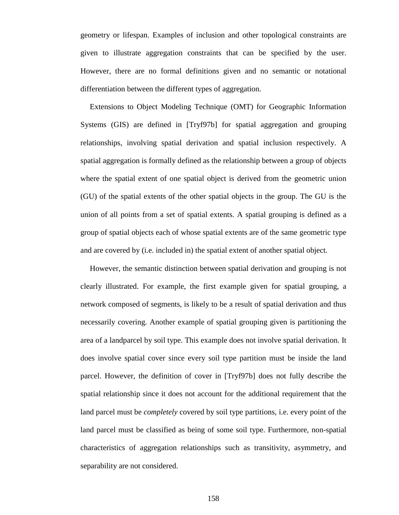geometry or lifespan. Examples of inclusion and other topological constraints are given to illustrate aggregation constraints that can be specified by the user. However, there are no formal definitions given and no semantic or notational differentiation between the different types of aggregation.

Extensions to Object Modeling Technique (OMT) for Geographic Information Systems (GIS) are defined in [Tryf97b] for spatial aggregation and grouping relationships, involving spatial derivation and spatial inclusion respectively. A spatial aggregation is formally defined as the relationship between a group of objects where the spatial extent of one spatial object is derived from the geometric union (GU) of the spatial extents of the other spatial objects in the group. The GU is the union of all points from a set of spatial extents. A spatial grouping is defined as a group of spatial objects each of whose spatial extents are of the same geometric type and are covered by (i.e. included in) the spatial extent of another spatial object.

However, the semantic distinction between spatial derivation and grouping is not clearly illustrated. For example, the first example given for spatial grouping, a network composed of segments, is likely to be a result of spatial derivation and thus necessarily covering. Another example of spatial grouping given is partitioning the area of a landparcel by soil type. This example does not involve spatial derivation. It does involve spatial cover since every soil type partition must be inside the land parcel. However, the definition of cover in [Tryf97b] does not fully describe the spatial relationship since it does not account for the additional requirement that the land parcel must be *completely* covered by soil type partitions, i.e. every point of the land parcel must be classified as being of some soil type. Furthermore, non-spatial characteristics of aggregation relationships such as transitivity, asymmetry, and separability are not considered.

158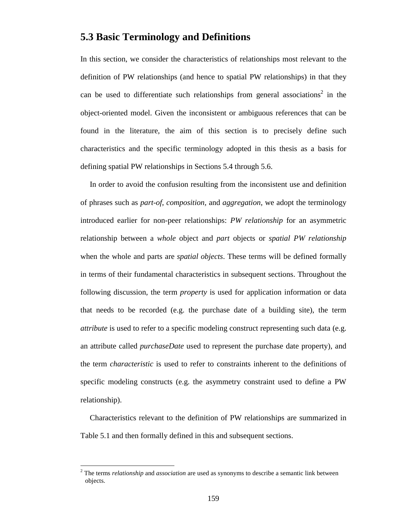#### **5.3 Basic Terminology and Definitions**

In this section, we consider the characteristics of relationships most relevant to the definition of PW relationships (and hence to spatial PW relationships) in that they can be used to differentiate such relationships from general associations<sup>2</sup> in the object-oriented model. Given the inconsistent or ambiguous references that can be found in the literature, the aim of this section is to precisely define such characteristics and the specific terminology adopted in this thesis as a basis for defining spatial PW relationships in Sections 5.4 through 5.6.

In order to avoid the confusion resulting from the inconsistent use and definition of phrases such as *part-of*, *composition,* and *aggregation*, we adopt the terminology introduced earlier for non-peer relationships: *PW relationship* for an asymmetric relationship between a *whole* object and *part* objects or *spatial PW relationship* when the whole and parts are *spatial objects*. These terms will be defined formally in terms of their fundamental characteristics in subsequent sections. Throughout the following discussion, the term *property* is used for application information or data that needs to be recorded (e.g. the purchase date of a building site), the term *attribute* is used to refer to a specific modeling construct representing such data (e.g. an attribute called *purchaseDate* used to represent the purchase date property), and the term *characteristic* is used to refer to constraints inherent to the definitions of specific modeling constructs (e.g. the asymmetry constraint used to define a PW relationship).

Characteristics relevant to the definition of PW relationships are summarized in Table 5.1 and then formally defined in this and subsequent sections.

 $\overline{a}$ 

<sup>2</sup> The terms *relationship* and *association* are used as synonyms to describe a semantic link between objects.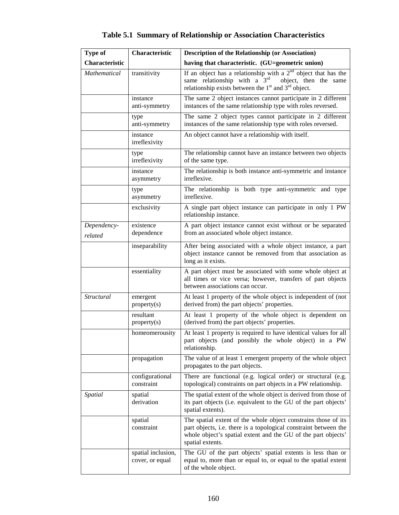| <b>Type of</b>         | Characteristic                        | <b>Description of the Relationship (or Association)</b>                                                                                                                                                                 |
|------------------------|---------------------------------------|-------------------------------------------------------------------------------------------------------------------------------------------------------------------------------------------------------------------------|
| <b>Characteristic</b>  |                                       | having that characteristic. (GU=geometric union)                                                                                                                                                                        |
| Mathematical           | transitivity                          | If an object has a relationship with a $2nd$ object that has the<br>same relationship with a $3rd$<br>object, then the same<br>relationship exists between the $1st$ and $3rd$ object.                                  |
|                        | instance<br>anti-symmetry             | The same 2 object instances cannot participate in 2 different<br>instances of the same relationship type with roles reversed.                                                                                           |
|                        | type<br>anti-symmetry                 | The same 2 object types cannot participate in 2 different<br>instances of the same relationship type with roles reversed.                                                                                               |
|                        | instance<br>irreflexivity             | An object cannot have a relationship with itself.                                                                                                                                                                       |
|                        | type<br>irreflexivity                 | The relationship cannot have an instance between two objects<br>of the same type.                                                                                                                                       |
|                        | instance<br>asymmetry                 | The relationship is both instance anti-symmetric and instance<br>irreflexive.                                                                                                                                           |
|                        | type<br>asymmetry                     | The relationship is both type anti-symmetric and type<br>irreflexive.                                                                                                                                                   |
|                        | exclusivity                           | A single part object instance can participate in only 1 PW<br>relationship instance.                                                                                                                                    |
| Dependency-<br>related | existence<br>dependence               | A part object instance cannot exist without or be separated<br>from an associated whole object instance.                                                                                                                |
|                        | inseparability                        | After being associated with a whole object instance, a part<br>object instance cannot be removed from that association as<br>long as it exists.                                                                         |
|                        | essentiality                          | A part object must be associated with some whole object at<br>all times or vice versa; however, transfers of part objects<br>between associations can occur.                                                            |
| Structural             | emergent<br>property(s)               | At least 1 property of the whole object is independent of (not<br>derived from) the part objects' properties.                                                                                                           |
|                        | resultant<br>property(s)              | At least 1 property of the whole object is dependent on<br>(derived from) the part objects' properties.                                                                                                                 |
|                        | homeomerousity                        | At least 1 property is required to have identical values for all<br>part objects (and possibly the whole object) in a PW<br>relationship.                                                                               |
|                        | propagation                           | The value of at least 1 emergent property of the whole object<br>propagates to the part objects.                                                                                                                        |
|                        | configurational<br>constraint         | There are functional (e.g. logical order) or structural (e.g.<br>topological) constraints on part objects in a PW relationship.                                                                                         |
| Spatial                | spatial<br>derivation                 | The spatial extent of the whole object is derived from those of<br>its part objects (i.e. equivalent to the GU of the part objects'<br>spatial extents).                                                                |
|                        | spatial<br>constraint                 | The spatial extent of the whole object constrains those of its<br>part objects, i.e. there is a topological constraint between the<br>whole object's spatial extent and the GU of the part objects'<br>spatial extents. |
|                        | spatial inclusion,<br>cover, or equal | The GU of the part objects' spatial extents is less than or<br>equal to, more than or equal to, or equal to the spatial extent<br>of the whole object.                                                                  |

# **Table 5.1 Summary of Relationship or Association Characteristics**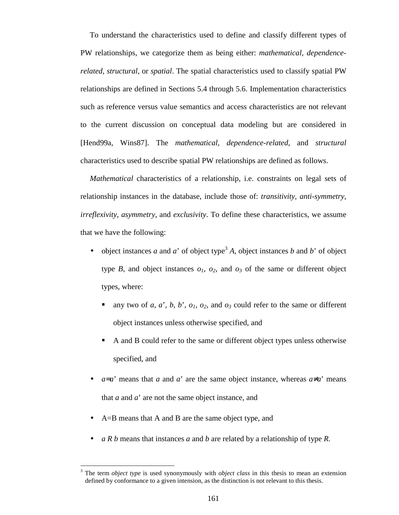To understand the characteristics used to define and classify different types of PW relationships, we categorize them as being either: *mathematical*, *dependencerelated*, *structural,* or *spatial*. The spatial characteristics used to classify spatial PW relationships are defined in Sections 5.4 through 5.6. Implementation characteristics such as reference versus value semantics and access characteristics are not relevant to the current discussion on conceptual data modeling but are considered in [Hend99a, Wins87]. The *mathematical, dependence-related,* and *structural* characteristics used to describe spatial PW relationships are defined as follows.

*Mathematical* characteristics of a relationship, i.e. constraints on legal sets of relationship instances in the database, include those of: *transitivity, anti-symmetry, irreflexivity, asymmetry,* and *exclusivity*. To define these characteristics, we assume that we have the following:

- object instances *a* and *a*' of object type<sup>3</sup> *A*, object instances *b* and *b*' of object type *B*, and object instances  $o_1$ ,  $o_2$ , and  $o_3$  of the same or different object types, where:
	- any two of *a, a*'*, b, b*'*, o<sub>1</sub>, o<sub>2</sub>, and o<sub>3</sub> could refer to the same or different* object instances unless otherwise specified, and
	- A and B could refer to the same or different object types unless otherwise specified, and
- $a=a'$  means that *a* and *a*' are the same object instance, whereas  $a \neq a'$  means that *a* and *a*' are not the same object instance, and
- A=B means that A and B are the same object type, and

 $\overline{a}$ 

• *a R b* means that instances *a* and *b* are related by a relationship of type *R.*

<sup>3</sup> The term *object type* is used synonymously with *object class* in this thesis to mean an extension defined by conformance to a given intension, as the distinction is not relevant to this thesis.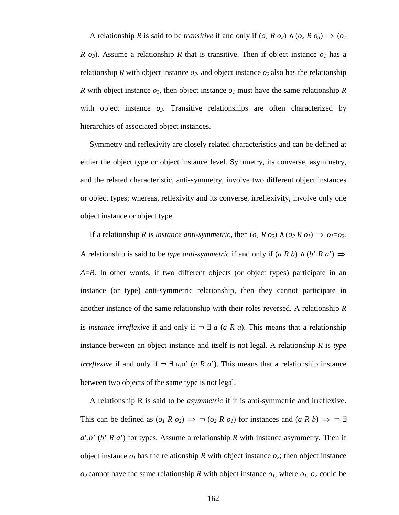A relationship *R* is said to be *transitive* if and only if  $(o_1 R o_2) \wedge (o_2 R o_3) \Rightarrow (o_1)$ *R*  $o_3$ ). Assume a relationship *R* that is transitive. Then if object instance  $o_1$  has a relationship *R* with object instance  $o_2$ , and object instance  $o_2$  also has the relationship *R* with object instance  $o_3$ , then object instance  $o_1$  must have the same relationship *R* with object instance  $o_3$ . Transitive relationships are often characterized by hierarchies of associated object instances.

Symmetry and reflexivity are closely related characteristics and can be defined at either the object type or object instance level. Symmetry, its converse, asymmetry, and the related characteristic, anti-symmetry, involve two different object instances or object types; whereas, reflexivity and its converse, irreflexivity, involve only one object instance or object type.

If a relationship *R* is *instance anti-symmetric*, then  $(o_1 R o_2) \wedge (o_2 R o_1) \Rightarrow o_1 = o_2$ . A relationship is said to be *type anti-symmetric* if and only if  $(a R b) \wedge (b' R a') \Rightarrow$ *A*=*B.* In other words, if two different objects (or object types) participate in an instance (or type) anti-symmetric relationship, then they cannot participate in another instance of the same relationship with their roles reversed. A relationship *R* is *instance irreflexive* if and only if  $\neg \exists a$  (*a R a*). This means that a relationship instance between an object instance and itself is not legal. A relationship *R* is *type irreflexive* if and only if  $\neg \exists a, a' (a R a')$ . This means that a relationship instance between two objects of the same type is not legal.

A relationship R is said to be *asymmetric* if it is anti-symmetric and irreflexive. This can be defined as  $(o_1 R o_2) \Rightarrow \neg (o_2 R o_1)$  for instances and  $(a R b) \Rightarrow \neg \exists$  $a$ ',  $b$ '  $(b' R a')$  for types. Assume a relationship *R* with instance asymmetry. Then if object instance  $o_1$  has the relationship *R* with object instance  $o_2$ ; then object instance  $o_2$  cannot have the same relationship *R* with object instance  $o_1$ , where  $o_1$ ,  $o_2$  could be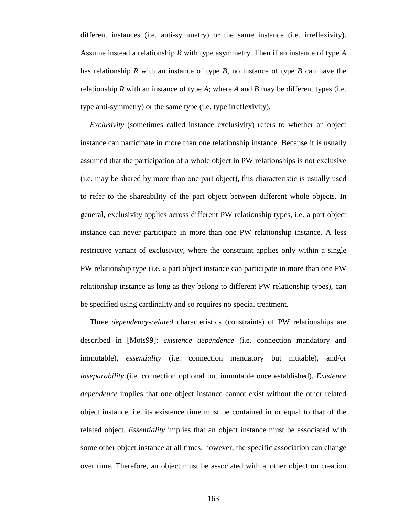different instances (i.e. anti-symmetry) or the same instance (i.e. irreflexivity). Assume instead a relationship *R* with type asymmetry. Then if an instance of type *A* has relationship *R* with an instance of type *B*, no instance of type *B* can have the relationship *R* with an instance of type *A*; where *A* and *B* may be different types (i.e. type anti-symmetry) or the same type (i.e. type irreflexivity).

*Exclusivity* (sometimes called instance exclusivity) refers to whether an object instance can participate in more than one relationship instance. Because it is usually assumed that the participation of a whole object in PW relationships is not exclusive (i.e. may be shared by more than one part object), this characteristic is usually used to refer to the shareability of the part object between different whole objects*.* In general, exclusivity applies across different PW relationship types, i.e. a part object instance can never participate in more than one PW relationship instance. A less restrictive variant of exclusivity, where the constraint applies only within a single PW relationship type (i.e. a part object instance can participate in more than one PW relationship instance as long as they belong to different PW relationship types), can be specified using cardinality and so requires no special treatment.

Three *dependency-related* characteristics (constraints) of PW relationships are described in [Mots99]: *existence dependence* (i.e. connection mandatory and immutable), *essentiality* (i.e. connection mandatory but mutable), and/or *inseparability* (i.e. connection optional but immutable once established). *Existence dependence* implies that one object instance cannot exist without the other related object instance, i.e. its existence time must be contained in or equal to that of the related object. *Essentiality* implies that an object instance must be associated with some other object instance at all times; however, the specific association can change over time. Therefore, an object must be associated with another object on creation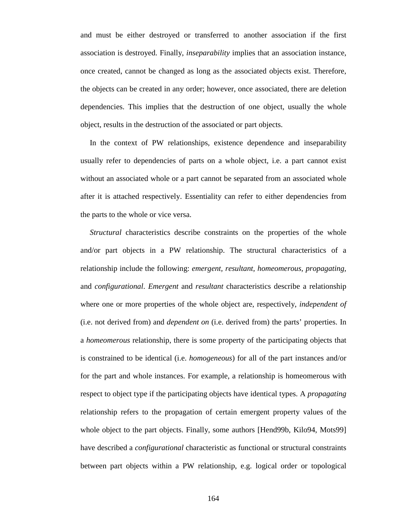and must be either destroyed or transferred to another association if the first association is destroyed. Finally, *inseparability* implies that an association instance, once created, cannot be changed as long as the associated objects exist. Therefore, the objects can be created in any order; however, once associated, there are deletion dependencies. This implies that the destruction of one object, usually the whole object, results in the destruction of the associated or part objects.

In the context of PW relationships, existence dependence and inseparability usually refer to dependencies of parts on a whole object, i.e. a part cannot exist without an associated whole or a part cannot be separated from an associated whole after it is attached respectively. Essentiality can refer to either dependencies from the parts to the whole or vice versa.

*Structural* characteristics describe constraints on the properties of the whole and/or part objects in a PW relationship. The structural characteristics of a relationship include the following: *emergent, resultant, homeomerous, propagating,* and *configurational*. *Emergent* and *resultant* characteristics describe a relationship where one or more properties of the whole object are, respectively, *independent of* (i.e. not derived from) and *dependent on* (i.e. derived from) the parts' properties. In a *homeomerous* relationship, there is some property of the participating objects that is constrained to be identical (i.e. *homogeneous*) for all of the part instances and/or for the part and whole instances. For example, a relationship is homeomerous with respect to object type if the participating objects have identical types. A *propagating* relationship refers to the propagation of certain emergent property values of the whole object to the part objects. Finally, some authors [Hend99b, Kilo94, Mots99] have described a *configurational* characteristic as functional or structural constraints between part objects within a PW relationship, e.g. logical order or topological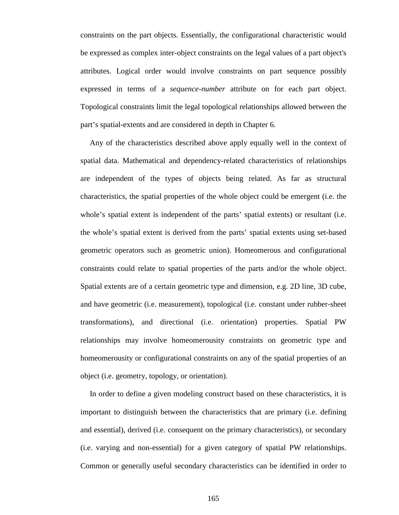constraints on the part objects. Essentially, the configurational characteristic would be expressed as complex inter-object constraints on the legal values of a part object's attributes. Logical order would involve constraints on part sequence possibly expressed in terms of a *sequence-number* attribute on for each part object. Topological constraints limit the legal topological relationships allowed between the part's spatial-extents and are considered in depth in Chapter 6.

Any of the characteristics described above apply equally well in the context of spatial data. Mathematical and dependency-related characteristics of relationships are independent of the types of objects being related. As far as structural characteristics, the spatial properties of the whole object could be emergent (i.e. the whole's spatial extent is independent of the parts' spatial extents) or resultant (i.e. the whole's spatial extent is derived from the parts' spatial extents using set-based geometric operators such as geometric union). Homeomerous and configurational constraints could relate to spatial properties of the parts and/or the whole object. Spatial extents are of a certain geometric type and dimension, e.g. 2D line, 3D cube, and have geometric (i.e. measurement), topological (i.e. constant under rubber-sheet transformations), and directional (i.e. orientation) properties. Spatial PW relationships may involve homeomerousity constraints on geometric type and homeomerousity or configurational constraints on any of the spatial properties of an object (i.e. geometry, topology, or orientation).

In order to define a given modeling construct based on these characteristics, it is important to distinguish between the characteristics that are primary (i.e. defining and essential), derived (i.e. consequent on the primary characteristics), or secondary (i.e. varying and non-essential) for a given category of spatial PW relationships. Common or generally useful secondary characteristics can be identified in order to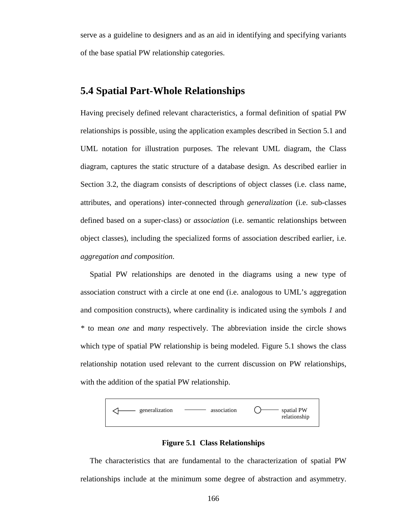serve as a guideline to designers and as an aid in identifying and specifying variants of the base spatial PW relationship categories.

### **5.4 Spatial Part-Whole Relationships**

Having precisely defined relevant characteristics, a formal definition of spatial PW relationships is possible, using the application examples described in Section 5.1 and UML notation for illustration purposes. The relevant UML diagram, the Class diagram, captures the static structure of a database design. As described earlier in Section 3.2, the diagram consists of descriptions of object classes (i.e. class name, attributes, and operations) inter-connected through *generalization* (i.e. sub-classes defined based on a super-class) or *association* (i.e. semantic relationships between object classes), including the specialized forms of association described earlier, i.e. *aggregation and composition*.

Spatial PW relationships are denoted in the diagrams using a new type of association construct with a circle at one end (i.e. analogous to UML's aggregation and composition constructs), where cardinality is indicated using the symbols *1* and *\** to mean *one* and *many* respectively. The abbreviation inside the circle shows which type of spatial PW relationship is being modeled. Figure 5.1 shows the class relationship notation used relevant to the current discussion on PW relationships, with the addition of the spatial PW relationship.



#### **Figure 5.1 Class Relationships**

The characteristics that are fundamental to the characterization of spatial PW relationships include at the minimum some degree of abstraction and asymmetry.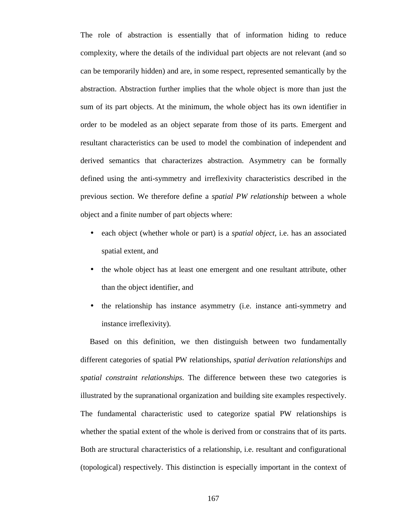The role of abstraction is essentially that of information hiding to reduce complexity, where the details of the individual part objects are not relevant (and so can be temporarily hidden) and are, in some respect, represented semantically by the abstraction. Abstraction further implies that the whole object is more than just the sum of its part objects. At the minimum, the whole object has its own identifier in order to be modeled as an object separate from those of its parts. Emergent and resultant characteristics can be used to model the combination of independent and derived semantics that characterizes abstraction. Asymmetry can be formally defined using the anti-symmetry and irreflexivity characteristics described in the previous section. We therefore define a *spatial PW relationship* between a whole object and a finite number of part objects where:

- each object (whether whole or part) is a *spatial object*, i.e. has an associated spatial extent, and
- the whole object has at least one emergent and one resultant attribute, other than the object identifier, and
- the relationship has instance asymmetry (i.e. instance anti-symmetry and instance irreflexivity).

Based on this definition, we then distinguish between two fundamentally different categories of spatial PW relationships, *spatial derivation relationships* and *spatial constraint relationships*. The difference between these two categories is illustrated by the supranational organization and building site examples respectively. The fundamental characteristic used to categorize spatial PW relationships is whether the spatial extent of the whole is derived from or constrains that of its parts. Both are structural characteristics of a relationship, i.e. resultant and configurational (topological) respectively. This distinction is especially important in the context of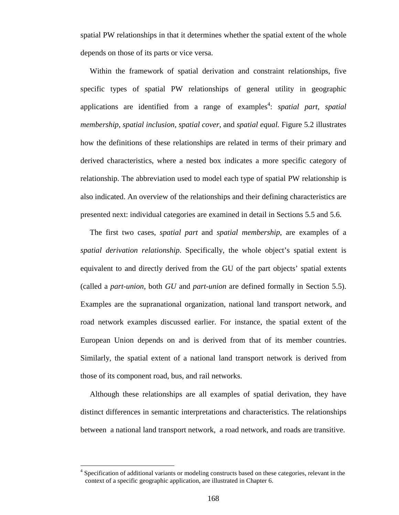spatial PW relationships in that it determines whether the spatial extent of the whole depends on those of its parts or vice versa.

Within the framework of spatial derivation and constraint relationships, five specific types of spatial PW relationships of general utility in geographic applications are identified from a range of examples<sup>4</sup>: *spatial part, spatial membership, spatial inclusion, spatial cover*, and *spatial equal.* Figure 5.2 illustrates how the definitions of these relationships are related in terms of their primary and derived characteristics, where a nested box indicates a more specific category of relationship. The abbreviation used to model each type of spatial PW relationship is also indicated. An overview of the relationships and their defining characteristics are presented next: individual categories are examined in detail in Sections 5.5 and 5.6.

The first two cases, *spatial part* and *spatial membership*, are examples of a *spatial derivation relationship*. Specifically, the whole object's spatial extent is equivalent to and directly derived from the GU of the part objects' spatial extents (called a *part-union*, both *GU* and *part-union* are defined formally in Section 5.5). Examples are the supranational organization, national land transport network, and road network examples discussed earlier. For instance, the spatial extent of the European Union depends on and is derived from that of its member countries. Similarly, the spatial extent of a national land transport network is derived from those of its component road, bus, and rail networks.

Although these relationships are all examples of spatial derivation, they have distinct differences in semantic interpretations and characteristics. The relationships between a national land transport network, a road network, and roads are transitive.

 $\overline{a}$ 

<sup>4</sup> Specification of additional variants or modeling constructs based on these categories, relevant in the context of a specific geographic application, are illustrated in Chapter 6.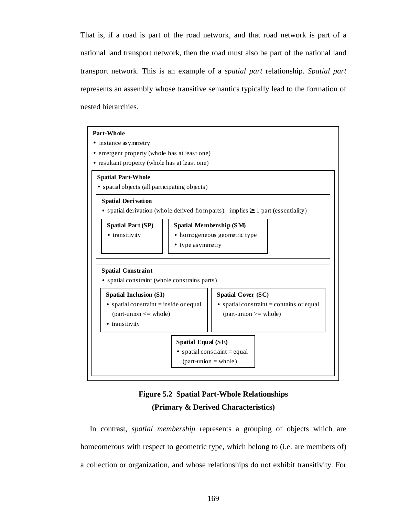That is, if a road is part of the road network, and that road network is part of a national land transport network, then the road must also be part of the national land transport network. This is an example of a *spatial part* relationship. *Spatial part* represents an assembly whose transitive semantics typically lead to the formation of nested hierarchies.



# **Figure 5.2 Spatial Part-Whole Relationships (Primary & Derived Characteristics)**

In contrast, *spatial membership* represents a grouping of objects which are homeomerous with respect to geometric type, which belong to (i.e. are members of) a collection or organization, and whose relationships do not exhibit transitivity. For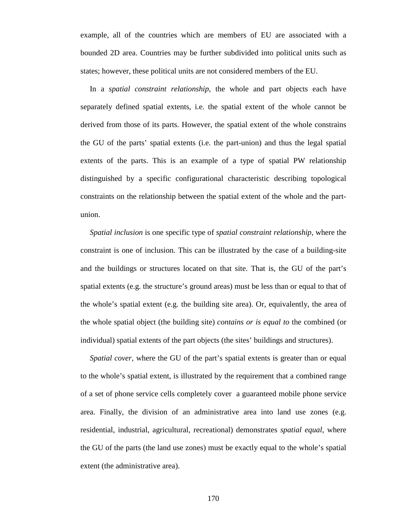example, all of the countries which are members of EU are associated with a bounded 2D area. Countries may be further subdivided into political units such as states; however, these political units are not considered members of the EU.

In a *spatial constraint relationship*, the whole and part objects each have separately defined spatial extents, i.e. the spatial extent of the whole cannot be derived from those of its parts. However, the spatial extent of the whole constrains the GU of the parts' spatial extents (i.e. the part-union) and thus the legal spatial extents of the parts. This is an example of a type of spatial PW relationship distinguished by a specific configurational characteristic describing topological constraints on the relationship between the spatial extent of the whole and the partunion.

*Spatial inclusion* is one specific type of *spatial constraint relationship,* where the constraint is one of inclusion. This can be illustrated by the case of a building-site and the buildings or structures located on that site. That is, the GU of the part's spatial extents (e.g. the structure's ground areas) must be less than or equal to that of the whole's spatial extent (e.g. the building site area). Or, equivalently, the area of the whole spatial object (the building site) *contains or is equal to* the combined (or individual) spatial extents of the part objects (the sites' buildings and structures).

*Spatial cover*, where the GU of the part's spatial extents is greater than or equal to the whole's spatial extent, is illustrated by the requirement that a combined range of a set of phone service cells completely cover a guaranteed mobile phone service area. Finally, the division of an administrative area into land use zones (e.g. residential, industrial, agricultural, recreational) demonstrates *spatial equal*, where the GU of the parts (the land use zones) must be exactly equal to the whole's spatial extent (the administrative area).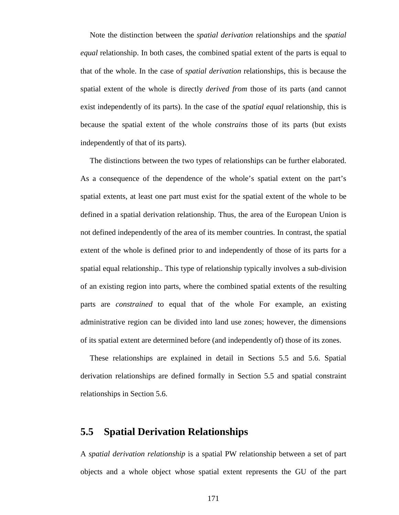Note the distinction between the *spatial derivation* relationships and the *spatial equal* relationship. In both cases, the combined spatial extent of the parts is equal to that of the whole. In the case of *spatial derivation* relationships, this is because the spatial extent of the whole is directly *derived from* those of its parts (and cannot exist independently of its parts). In the case of the *spatial equal* relationship, this is because the spatial extent of the whole *constrains* those of its parts (but exists independently of that of its parts).

The distinctions between the two types of relationships can be further elaborated. As a consequence of the dependence of the whole's spatial extent on the part's spatial extents, at least one part must exist for the spatial extent of the whole to be defined in a spatial derivation relationship. Thus, the area of the European Union is not defined independently of the area of its member countries. In contrast, the spatial extent of the whole is defined prior to and independently of those of its parts for a spatial equal relationship.. This type of relationship typically involves a sub-division of an existing region into parts, where the combined spatial extents of the resulting parts are *constrained* to equal that of the whole For example, an existing administrative region can be divided into land use zones; however, the dimensions of its spatial extent are determined before (and independently of) those of its zones.

These relationships are explained in detail in Sections 5.5 and 5.6. Spatial derivation relationships are defined formally in Section 5.5 and spatial constraint relationships in Section 5.6.

# **5.5 Spatial Derivation Relationships**

A *spatial derivation relationship* is a spatial PW relationship between a set of part objects and a whole object whose spatial extent represents the GU of the part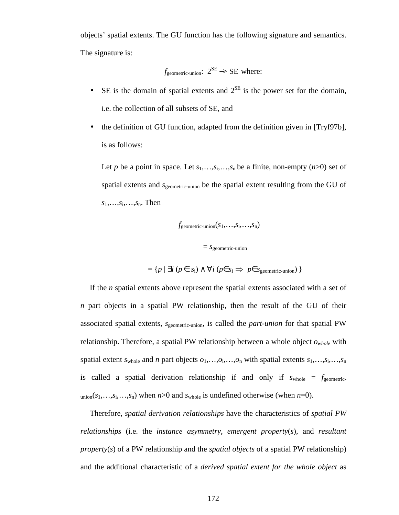objects' spatial extents. The GU function has the following signature and semantics. The signature is:

$$
f_{\text{geometric-union}}
$$
:  $2^{\text{SE}} \rightarrow \text{SE}$  where:

- SE is the domain of spatial extents and  $2^{SE}$  is the power set for the domain, i.e. the collection of all subsets of SE, and
- the definition of GU function, adapted from the definition given in [Tryf97b], is as follows:

Let *p* be a point in space. Let  $s_1, \ldots, s_i, \ldots, s_n$  be a finite, non-empty  $(n>0)$  set of spatial extents and *s*<sub>geometric-union</sub> be the spatial extent resulting from the GU of  $s_1, \ldots, s_i, \ldots, s_n$ . Then

$$
f_{\text{geometric-union}}(s_1, \ldots, s_i, \ldots, s_n)
$$

= *s*geometric-union

$$
= \{ p \mid \exists i \ (p \in s_i) \land \forall i \ (p \in s_i \Rightarrow p \in s_{\text{geometric-union}}) \}
$$

If the *n* spatial extents above represent the spatial extents associated with a set of *n* part objects in a spatial PW relationship, then the result of the GU of their associated spatial extents, *s*geometric-union, is called the *part-union* for that spatial PW relationship. Therefore, a spatial PW relationship between a whole object *owhole* with spatial extent  $s_{whole}$  and *n* part objects  $o_1, \ldots, o_i, \ldots, o_n$  with spatial extents  $s_1, \ldots, s_i, \ldots, s_n$ is called a spatial derivation relationship if and only if  $s_{whole} = f_{geometric}$  $u_{\text{minor}}(s_1,...,s_i,...,s_n)$  when  $n>0$  and  $s_{\text{whole}}$  is undefined otherwise (when  $n=0$ ).

Therefore, *spatial derivation relationships* have the characteristics of *spatial PW relationships* (i.e. the *instance asymmetry*, *emergent property*(*s*), and *resultant property*(*s*) of a PW relationship and the *spatial objects* of a spatial PW relationship) and the additional characteristic of a *derived spatial extent for the whole object* as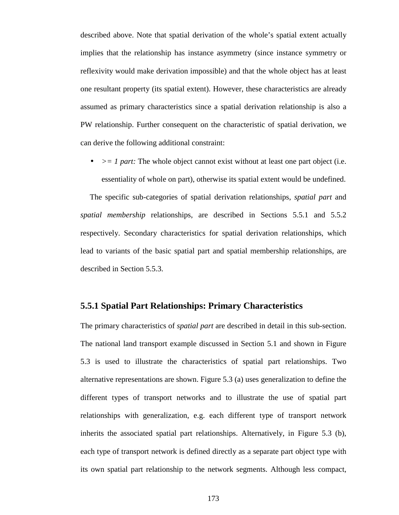described above. Note that spatial derivation of the whole's spatial extent actually implies that the relationship has instance asymmetry (since instance symmetry or reflexivity would make derivation impossible) and that the whole object has at least one resultant property (its spatial extent). However, these characteristics are already assumed as primary characteristics since a spatial derivation relationship is also a PW relationship. Further consequent on the characteristic of spatial derivation, we can derive the following additional constraint:

 $\bullet$   $> = 1$  part: The whole object cannot exist without at least one part object (i.e. essentiality of whole on part), otherwise its spatial extent would be undefined.

The specific sub-categories of spatial derivation relationships, *spatial part* and *spatial membership* relationships, are described in Sections 5.5.1 and 5.5.2 respectively. Secondary characteristics for spatial derivation relationships, which lead to variants of the basic spatial part and spatial membership relationships, are described in Section 5.5.3.

#### **5.5.1 Spatial Part Relationships: Primary Characteristics**

The primary characteristics of *spatial part* are described in detail in this sub-section. The national land transport example discussed in Section 5.1 and shown in Figure 5.3 is used to illustrate the characteristics of spatial part relationships. Two alternative representations are shown. Figure 5.3 (a) uses generalization to define the different types of transport networks and to illustrate the use of spatial part relationships with generalization, e.g. each different type of transport network inherits the associated spatial part relationships. Alternatively, in Figure 5.3 (b), each type of transport network is defined directly as a separate part object type with its own spatial part relationship to the network segments. Although less compact,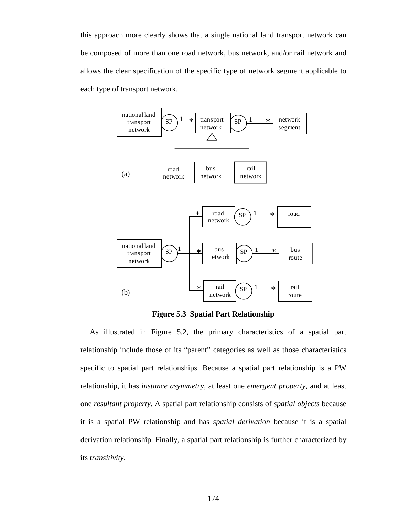this approach more clearly shows that a single national land transport network can be composed of more than one road network, bus network, and/or rail network and allows the clear specification of the specific type of network segment applicable to each type of transport network.



**Figure 5.3 Spatial Part Relationship**

As illustrated in Figure 5.2, the primary characteristics of a spatial part relationship include those of its "parent" categories as well as those characteristics specific to spatial part relationships. Because a spatial part relationship is a PW relationship, it has *instance asymmetry*, at least one *emergent property*, and at least one *resultant property*. A spatial part relationship consists of *spatial objects* because it is a spatial PW relationship and has *spatial derivation* because it is a spatial derivation relationship. Finally, a spatial part relationship is further characterized by its *transitivity*.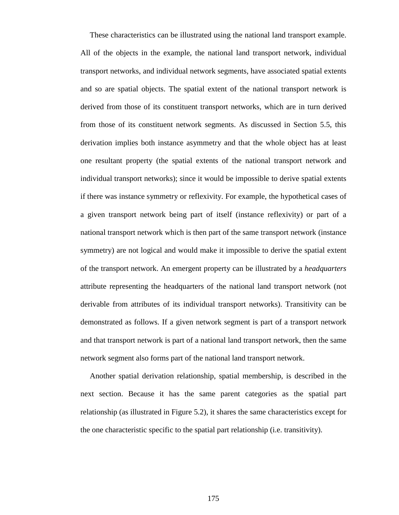These characteristics can be illustrated using the national land transport example. All of the objects in the example, the national land transport network, individual transport networks, and individual network segments, have associated spatial extents and so are spatial objects. The spatial extent of the national transport network is derived from those of its constituent transport networks, which are in turn derived from those of its constituent network segments. As discussed in Section 5.5, this derivation implies both instance asymmetry and that the whole object has at least one resultant property (the spatial extents of the national transport network and individual transport networks); since it would be impossible to derive spatial extents if there was instance symmetry or reflexivity. For example, the hypothetical cases of a given transport network being part of itself (instance reflexivity) or part of a national transport network which is then part of the same transport network (instance symmetry) are not logical and would make it impossible to derive the spatial extent of the transport network. An emergent property can be illustrated by a *headquarters* attribute representing the headquarters of the national land transport network (not derivable from attributes of its individual transport networks). Transitivity can be demonstrated as follows. If a given network segment is part of a transport network and that transport network is part of a national land transport network, then the same network segment also forms part of the national land transport network.

Another spatial derivation relationship, spatial membership, is described in the next section. Because it has the same parent categories as the spatial part relationship (as illustrated in Figure 5.2), it shares the same characteristics except for the one characteristic specific to the spatial part relationship (i.e. transitivity).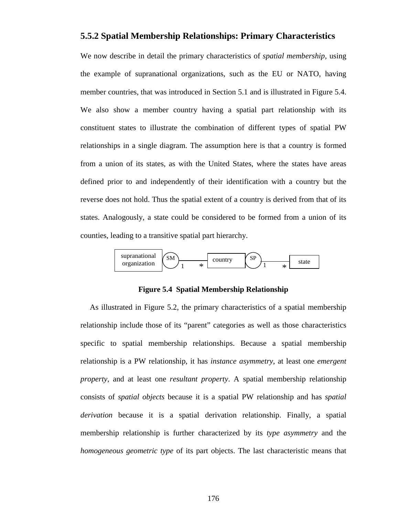#### **5.5.2 Spatial Membership Relationships: Primary Characteristics**

We now describe in detail the primary characteristics of *spatial membership*, using the example of supranational organizations, such as the EU or NATO, having member countries, that was introduced in Section 5.1 and is illustrated in Figure 5.4. We also show a member country having a spatial part relationship with its constituent states to illustrate the combination of different types of spatial PW relationships in a single diagram. The assumption here is that a country is formed from a union of its states, as with the United States, where the states have areas defined prior to and independently of their identification with a country but the reverse does not hold. Thus the spatial extent of a country is derived from that of its states. Analogously, a state could be considered to be formed from a union of its counties, leading to a transitive spatial part hierarchy.



**Figure 5.4 Spatial Membership Relationship**

As illustrated in Figure 5.2, the primary characteristics of a spatial membership relationship include those of its "parent" categories as well as those characteristics specific to spatial membership relationships. Because a spatial membership relationship is a PW relationship, it has *instance asymmetry*, at least one *emergent property*, and at least one *resultant property*. A spatial membership relationship consists of *spatial objects* because it is a spatial PW relationship and has *spatial derivation* because it is a spatial derivation relationship. Finally, a spatial membership relationship is further characterized by its *type asymmetry* and the *homogeneous geometric type* of its part objects. The last characteristic means that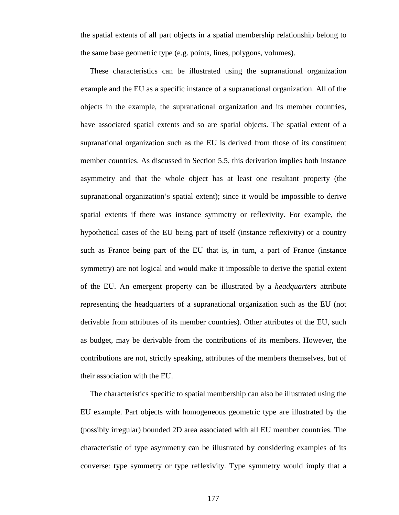the spatial extents of all part objects in a spatial membership relationship belong to the same base geometric type (e.g. points, lines, polygons, volumes).

These characteristics can be illustrated using the supranational organization example and the EU as a specific instance of a supranational organization. All of the objects in the example, the supranational organization and its member countries, have associated spatial extents and so are spatial objects. The spatial extent of a supranational organization such as the EU is derived from those of its constituent member countries. As discussed in Section 5.5, this derivation implies both instance asymmetry and that the whole object has at least one resultant property (the supranational organization's spatial extent); since it would be impossible to derive spatial extents if there was instance symmetry or reflexivity. For example, the hypothetical cases of the EU being part of itself (instance reflexivity) or a country such as France being part of the EU that is, in turn, a part of France (instance symmetry) are not logical and would make it impossible to derive the spatial extent of the EU. An emergent property can be illustrated by a *headquarters* attribute representing the headquarters of a supranational organization such as the EU (not derivable from attributes of its member countries). Other attributes of the EU, such as budget, may be derivable from the contributions of its members. However, the contributions are not, strictly speaking, attributes of the members themselves, but of their association with the EU.

The characteristics specific to spatial membership can also be illustrated using the EU example. Part objects with homogeneous geometric type are illustrated by the (possibly irregular) bounded 2D area associated with all EU member countries. The characteristic of type asymmetry can be illustrated by considering examples of its converse: type symmetry or type reflexivity. Type symmetry would imply that a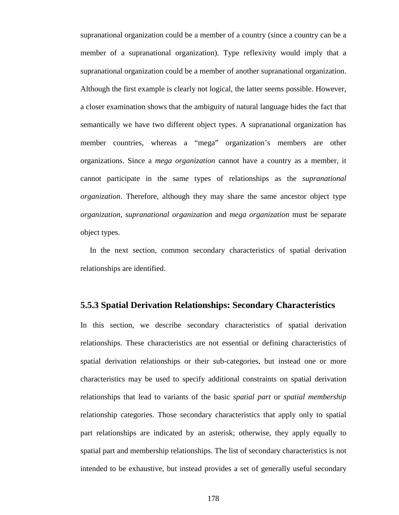supranational organization could be a member of a country (since a country can be a member of a supranational organization). Type reflexivity would imply that a supranational organization could be a member of another supranational organization. Although the first example is clearly not logical, the latter seems possible. However, a closer examination shows that the ambiguity of natural language hides the fact that semantically we have two different object types. A supranational organization has member countries, whereas a "mega" organization's members are other organizations. Since a *mega organization* cannot have a country as a member, it cannot participate in the same types of relationships as the *supranational organization*. Therefore, although they may share the same ancestor object type *organization*, *supranational organization* and *mega organization* must be separate object types.

In the next section, common secondary characteristics of spatial derivation relationships are identified.

#### **5.5.3 Spatial Derivation Relationships: Secondary Characteristics**

In this section, we describe secondary characteristics of spatial derivation relationships. These characteristics are not essential or defining characteristics of spatial derivation relationships or their sub-categories, but instead one or more characteristics may be used to specify additional constraints on spatial derivation relationships that lead to variants of the basic *spatial part* or *spatial membership* relationship categories. Those secondary characteristics that apply only to spatial part relationships are indicated by an asterisk; otherwise, they apply equally to spatial part and membership relationships. The list of secondary characteristics is not intended to be exhaustive, but instead provides a set of generally useful secondary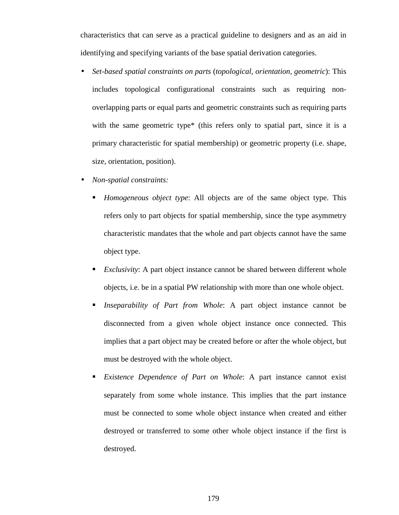characteristics that can serve as a practical guideline to designers and as an aid in identifying and specifying variants of the base spatial derivation categories.

- *Set-based spatial constraints on parts* (*topological, orientation, geometric*): This includes topological configurational constraints such as requiring nonoverlapping parts or equal parts and geometric constraints such as requiring parts with the same geometric type\* (this refers only to spatial part, since it is a primary characteristic for spatial membership) or geometric property (i.e. shape, size, orientation, position).
- *Non-spatial constraints:*
	- *Homogeneous object type*: All objects are of the same object type. This refers only to part objects for spatial membership, since the type asymmetry characteristic mandates that the whole and part objects cannot have the same object type.
	- *Exclusivity*: A part object instance cannot be shared between different whole objects, i.e. be in a spatial PW relationship with more than one whole object.
	- *Inseparability of Part from Whole*: A part object instance cannot be disconnected from a given whole object instance once connected. This implies that a part object may be created before or after the whole object, but must be destroyed with the whole object.
	- *Existence Dependence of Part on Whole*: A part instance cannot exist separately from some whole instance. This implies that the part instance must be connected to some whole object instance when created and either destroyed or transferred to some other whole object instance if the first is destroyed.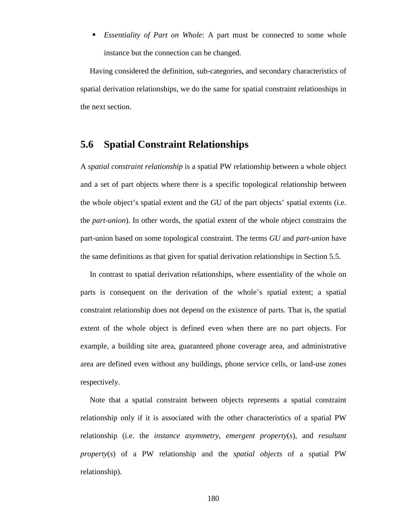*Essentiality of Part on Whole*: A part must be connected to some whole instance but the connection can be changed.

Having considered the definition, sub-categories, and secondary characteristics of spatial derivation relationships, we do the same for spatial constraint relationships in the next section.

# **5.6 Spatial Constraint Relationships**

A *spatial constraint relationship* is a spatial PW relationship between a whole object and a set of part objects where there is a specific topological relationship between the whole object's spatial extent and the GU of the part objects' spatial extents (i.e. the *part-union*). In other words, the spatial extent of the whole object constrains the part-union based on some topological constraint. The terms *GU* and *part-union* have the same definitions as that given for spatial derivation relationships in Section 5.5.

In contrast to spatial derivation relationships, where essentiality of the whole on parts is consequent on the derivation of the whole's spatial extent; a spatial constraint relationship does not depend on the existence of parts. That is, the spatial extent of the whole object is defined even when there are no part objects. For example, a building site area, guaranteed phone coverage area, and administrative area are defined even without any buildings, phone service cells, or land-use zones respectively.

Note that a spatial constraint between objects represents a spatial constraint relationship only if it is associated with the other characteristics of a spatial PW relationship (i.e. the *instance asymmetry*, *emergent property*(*s*), and *resultant property*(*s*) of a PW relationship and the *spatial objects* of a spatial PW relationship).

180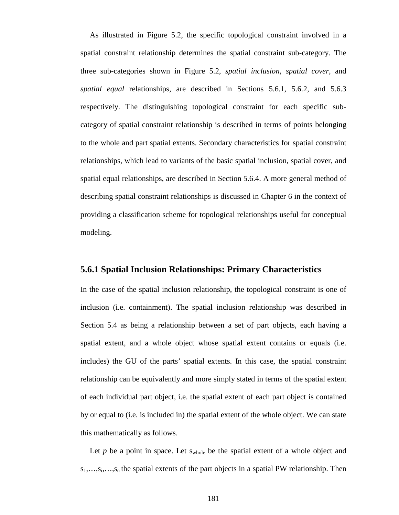As illustrated in Figure 5.2, the specific topological constraint involved in a spatial constraint relationship determines the spatial constraint sub-category. The three sub-categories shown in Figure 5.2, *spatial inclusion, spatial cover,* and *spatial equal* relationships, are described in Sections 5.6.1, 5.6.2, and 5.6.3 respectively. The distinguishing topological constraint for each specific subcategory of spatial constraint relationship is described in terms of points belonging to the whole and part spatial extents. Secondary characteristics for spatial constraint relationships, which lead to variants of the basic spatial inclusion, spatial cover, and spatial equal relationships, are described in Section 5.6.4. A more general method of describing spatial constraint relationships is discussed in Chapter 6 in the context of providing a classification scheme for topological relationships useful for conceptual modeling.

#### **5.6.1 Spatial Inclusion Relationships: Primary Characteristics**

In the case of the spatial inclusion relationship, the topological constraint is one of inclusion (i.e. containment). The spatial inclusion relationship was described in Section 5.4 as being a relationship between a set of part objects*,* each having a spatial extent, and a whole object whose spatial extent contains or equals (i.e. includes) the GU of the parts' spatial extents. In this case, the spatial constraint relationship can be equivalently and more simply stated in terms of the spatial extent of each individual part object, i.e. the spatial extent of each part object is contained by or equal to (i.e. is included in) the spatial extent of the whole object. We can state this mathematically as follows.

Let  $p$  be a point in space. Let  $s_{whole}$  be the spatial extent of a whole object and  $s_1, \ldots, s_i, \ldots, s_n$  the spatial extents of the part objects in a spatial PW relationship. Then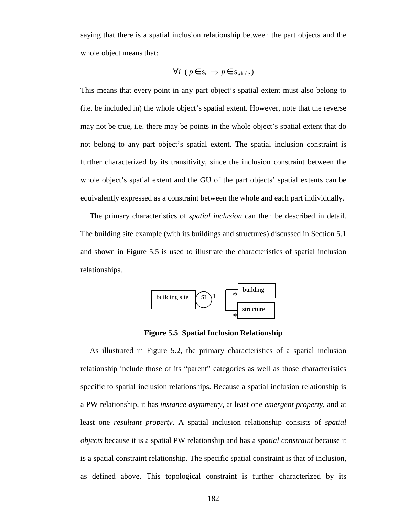saying that there is a spatial inclusion relationship between the part objects and the whole object means that:

$$
\forall i \ (p \in s_i \Rightarrow p \in s_{\text{whole}})
$$

This means that every point in any part object's spatial extent must also belong to (i.e. be included in) the whole object's spatial extent. However, note that the reverse may not be true, i.e. there may be points in the whole object's spatial extent that do not belong to any part object's spatial extent. The spatial inclusion constraint is further characterized by its transitivity, since the inclusion constraint between the whole object's spatial extent and the GU of the part objects' spatial extents can be equivalently expressed as a constraint between the whole and each part individually.

The primary characteristics of *spatial inclusion* can then be described in detail. The building site example (with its buildings and structures) discussed in Section 5.1 and shown in Figure 5.5 is used to illustrate the characteristics of spatial inclusion relationships.



**Figure 5.5 Spatial Inclusion Relationship**

As illustrated in Figure 5.2, the primary characteristics of a spatial inclusion relationship include those of its "parent" categories as well as those characteristics specific to spatial inclusion relationships. Because a spatial inclusion relationship is a PW relationship, it has *instance asymmetry*, at least one *emergent property*, and at least one *resultant property*. A spatial inclusion relationship consists of *spatial objects* because it is a spatial PW relationship and has a *spatial constraint* because it is a spatial constraint relationship. The specific spatial constraint is that of inclusion, as defined above. This topological constraint is further characterized by its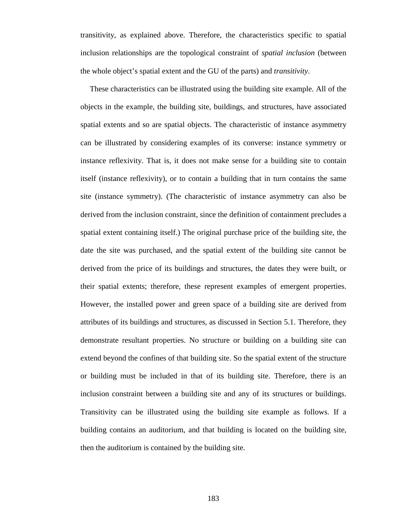transitivity, as explained above. Therefore, the characteristics specific to spatial inclusion relationships are the topological constraint of *spatial inclusion* (between the whole object's spatial extent and the GU of the parts) and *transitivity*.

These characteristics can be illustrated using the building site example. All of the objects in the example, the building site, buildings, and structures, have associated spatial extents and so are spatial objects. The characteristic of instance asymmetry can be illustrated by considering examples of its converse: instance symmetry or instance reflexivity. That is, it does not make sense for a building site to contain itself (instance reflexivity), or to contain a building that in turn contains the same site (instance symmetry). (The characteristic of instance asymmetry can also be derived from the inclusion constraint, since the definition of containment precludes a spatial extent containing itself.) The original purchase price of the building site, the date the site was purchased, and the spatial extent of the building site cannot be derived from the price of its buildings and structures, the dates they were built, or their spatial extents; therefore, these represent examples of emergent properties. However, the installed power and green space of a building site are derived from attributes of its buildings and structures, as discussed in Section 5.1. Therefore, they demonstrate resultant properties. No structure or building on a building site can extend beyond the confines of that building site. So the spatial extent of the structure or building must be included in that of its building site. Therefore, there is an inclusion constraint between a building site and any of its structures or buildings. Transitivity can be illustrated using the building site example as follows. If a building contains an auditorium, and that building is located on the building site, then the auditorium is contained by the building site.

183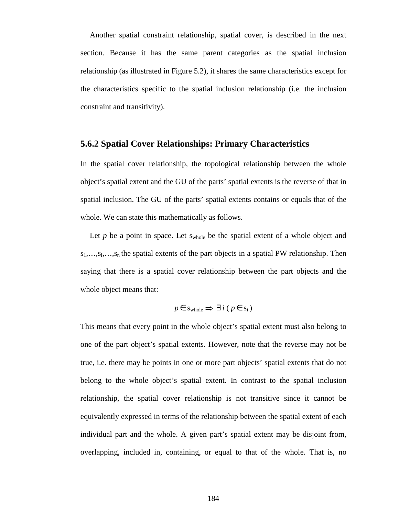Another spatial constraint relationship, spatial cover, is described in the next section. Because it has the same parent categories as the spatial inclusion relationship (as illustrated in Figure 5.2), it shares the same characteristics except for the characteristics specific to the spatial inclusion relationship (i.e. the inclusion constraint and transitivity).

#### **5.6.2 Spatial Cover Relationships: Primary Characteristics**

In the spatial cover relationship, the topological relationship between the whole object's spatial extent and the GU of the parts' spatial extents is the reverse of that in spatial inclusion. The GU of the parts' spatial extents contains or equals that of the whole. We can state this mathematically as follows.

Let  $p$  be a point in space. Let  $s_{whole}$  be the spatial extent of a whole object and  $s_1, \ldots, s_i, \ldots, s_n$  the spatial extents of the part objects in a spatial PW relationship. Then saying that there is a spatial cover relationship between the part objects and the whole object means that:

$$
p \in s_{\text{whole}} \Rightarrow \exists i (p \in s_i)
$$

This means that every point in the whole object's spatial extent must also belong to one of the part object's spatial extents. However, note that the reverse may not be true, i.e. there may be points in one or more part objects' spatial extents that do not belong to the whole object's spatial extent. In contrast to the spatial inclusion relationship, the spatial cover relationship is not transitive since it cannot be equivalently expressed in terms of the relationship between the spatial extent of each individual part and the whole. A given part's spatial extent may be disjoint from, overlapping, included in, containing, or equal to that of the whole. That is, no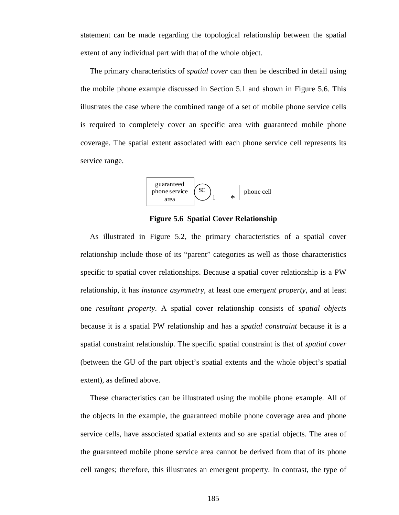statement can be made regarding the topological relationship between the spatial extent of any individual part with that of the whole object.

The primary characteristics of *spatial cover* can then be described in detail using the mobile phone example discussed in Section 5.1 and shown in Figure 5.6. This illustrates the case where the combined range of a set of mobile phone service cells is required to completely cover an specific area with guaranteed mobile phone coverage. The spatial extent associated with each phone service cell represents its service range.



**Figure 5.6 Spatial Cover Relationship**

As illustrated in Figure 5.2, the primary characteristics of a spatial cover relationship include those of its "parent" categories as well as those characteristics specific to spatial cover relationships. Because a spatial cover relationship is a PW relationship, it has *instance asymmetry*, at least one *emergent property*, and at least one *resultant property*. A spatial cover relationship consists of *spatial objects* because it is a spatial PW relationship and has a *spatial constraint* because it is a spatial constraint relationship. The specific spatial constraint is that of *spatial cover* (between the GU of the part object's spatial extents and the whole object's spatial extent), as defined above.

These characteristics can be illustrated using the mobile phone example. All of the objects in the example, the guaranteed mobile phone coverage area and phone service cells, have associated spatial extents and so are spatial objects. The area of the guaranteed mobile phone service area cannot be derived from that of its phone cell ranges; therefore, this illustrates an emergent property. In contrast, the type of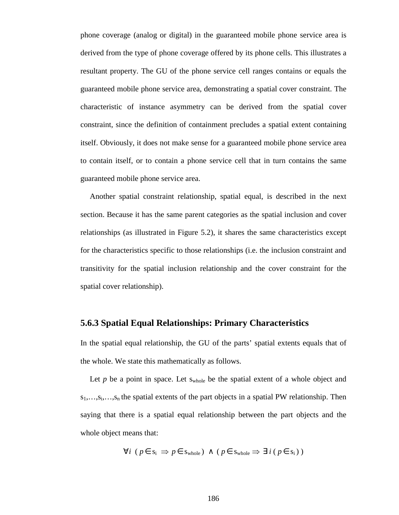phone coverage (analog or digital) in the guaranteed mobile phone service area is derived from the type of phone coverage offered by its phone cells. This illustrates a resultant property. The GU of the phone service cell ranges contains or equals the guaranteed mobile phone service area, demonstrating a spatial cover constraint. The characteristic of instance asymmetry can be derived from the spatial cover constraint, since the definition of containment precludes a spatial extent containing itself. Obviously, it does not make sense for a guaranteed mobile phone service area to contain itself, or to contain a phone service cell that in turn contains the same guaranteed mobile phone service area.

Another spatial constraint relationship, spatial equal, is described in the next section. Because it has the same parent categories as the spatial inclusion and cover relationships (as illustrated in Figure 5.2), it shares the same characteristics except for the characteristics specific to those relationships (i.e. the inclusion constraint and transitivity for the spatial inclusion relationship and the cover constraint for the spatial cover relationship).

#### **5.6.3 Spatial Equal Relationships: Primary Characteristics**

In the spatial equal relationship, the GU of the parts' spatial extents equals that of the whole. We state this mathematically as follows.

Let  $p$  be a point in space. Let  $s_{whole}$  be the spatial extent of a whole object and  $s_1, \ldots, s_i, \ldots, s_n$  the spatial extents of the part objects in a spatial PW relationship. Then saying that there is a spatial equal relationship between the part objects and the whole object means that:

$$
\forall i \ (p \in s_i \Rightarrow p \in s_{\text{whole}}) \land (p \in s_{\text{whole}} \Rightarrow \exists i (p \in s_i))
$$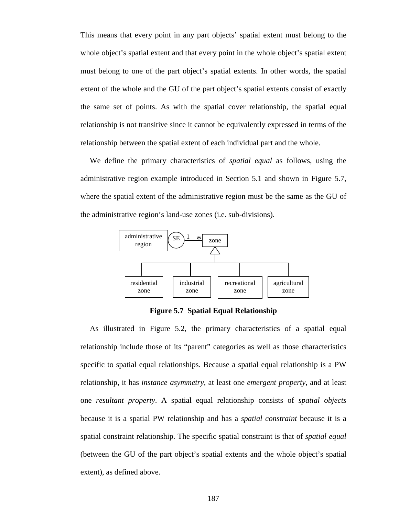This means that every point in any part objects' spatial extent must belong to the whole object's spatial extent and that every point in the whole object's spatial extent must belong to one of the part object's spatial extents. In other words, the spatial extent of the whole and the GU of the part object's spatial extents consist of exactly the same set of points. As with the spatial cover relationship, the spatial equal relationship is not transitive since it cannot be equivalently expressed in terms of the relationship between the spatial extent of each individual part and the whole.

We define the primary characteristics of *spatial equal* as follows, using the administrative region example introduced in Section 5.1 and shown in Figure 5.7, where the spatial extent of the administrative region must be the same as the GU of the administrative region's land-use zones (i.e. sub-divisions).



**Figure 5.7 Spatial Equal Relationship**

As illustrated in Figure 5.2, the primary characteristics of a spatial equal relationship include those of its "parent" categories as well as those characteristics specific to spatial equal relationships. Because a spatial equal relationship is a PW relationship, it has *instance asymmetry*, at least one *emergent property*, and at least one *resultant property*. A spatial equal relationship consists of *spatial objects* because it is a spatial PW relationship and has a *spatial constraint* because it is a spatial constraint relationship. The specific spatial constraint is that of *spatial equal* (between the GU of the part object's spatial extents and the whole object's spatial extent), as defined above.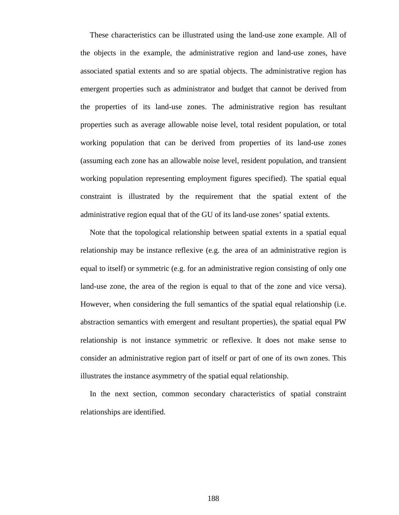These characteristics can be illustrated using the land-use zone example. All of the objects in the example, the administrative region and land-use zones, have associated spatial extents and so are spatial objects. The administrative region has emergent properties such as administrator and budget that cannot be derived from the properties of its land-use zones. The administrative region has resultant properties such as average allowable noise level, total resident population, or total working population that can be derived from properties of its land-use zones (assuming each zone has an allowable noise level, resident population, and transient working population representing employment figures specified). The spatial equal constraint is illustrated by the requirement that the spatial extent of the administrative region equal that of the GU of its land-use zones' spatial extents.

Note that the topological relationship between spatial extents in a spatial equal relationship may be instance reflexive (e.g. the area of an administrative region is equal to itself) or symmetric (e.g. for an administrative region consisting of only one land-use zone, the area of the region is equal to that of the zone and vice versa). However, when considering the full semantics of the spatial equal relationship (i.e. abstraction semantics with emergent and resultant properties), the spatial equal PW relationship is not instance symmetric or reflexive. It does not make sense to consider an administrative region part of itself or part of one of its own zones. This illustrates the instance asymmetry of the spatial equal relationship.

In the next section, common secondary characteristics of spatial constraint relationships are identified.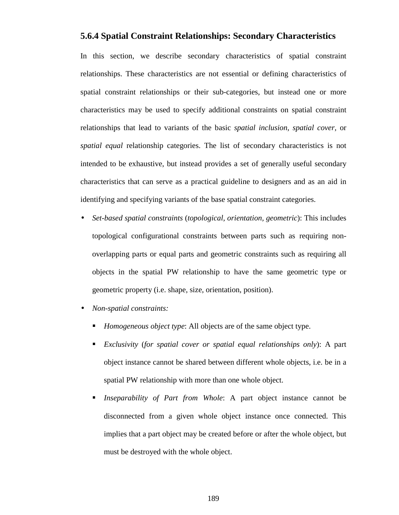#### **5.6.4 Spatial Constraint Relationships: Secondary Characteristics**

In this section, we describe secondary characteristics of spatial constraint relationships. These characteristics are not essential or defining characteristics of spatial constraint relationships or their sub-categories, but instead one or more characteristics may be used to specify additional constraints on spatial constraint relationships that lead to variants of the basic *spatial inclusion, spatial cover,* or *spatial equal* relationship categories. The list of secondary characteristics is not intended to be exhaustive, but instead provides a set of generally useful secondary characteristics that can serve as a practical guideline to designers and as an aid in identifying and specifying variants of the base spatial constraint categories.

- *Set-based spatial constraints* (*topological, orientation, geometric*): This includes topological configurational constraints between parts such as requiring nonoverlapping parts or equal parts and geometric constraints such as requiring all objects in the spatial PW relationship to have the same geometric type or geometric property (i.e. shape, size, orientation, position).
- *Non-spatial constraints:*
	- *Homogeneous object type*: All objects are of the same object type.
	- *Exclusivity* (*for spatial cover or spatial equal relationships only*): A part object instance cannot be shared between different whole objects, i.e. be in a spatial PW relationship with more than one whole object.
	- *Inseparability of Part from Whole*: A part object instance cannot be disconnected from a given whole object instance once connected. This implies that a part object may be created before or after the whole object, but must be destroyed with the whole object.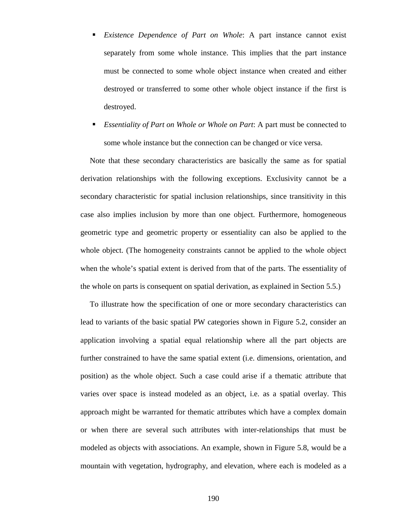- *Existence Dependence of Part on Whole*: A part instance cannot exist separately from some whole instance. This implies that the part instance must be connected to some whole object instance when created and either destroyed or transferred to some other whole object instance if the first is destroyed.
- *Essentiality of Part on Whole or Whole on Part*: A part must be connected to some whole instance but the connection can be changed or vice versa.

Note that these secondary characteristics are basically the same as for spatial derivation relationships with the following exceptions. Exclusivity cannot be a secondary characteristic for spatial inclusion relationships, since transitivity in this case also implies inclusion by more than one object. Furthermore, homogeneous geometric type and geometric property or essentiality can also be applied to the whole object. (The homogeneity constraints cannot be applied to the whole object when the whole's spatial extent is derived from that of the parts. The essentiality of the whole on parts is consequent on spatial derivation, as explained in Section 5.5.)

To illustrate how the specification of one or more secondary characteristics can lead to variants of the basic spatial PW categories shown in Figure 5.2, consider an application involving a spatial equal relationship where all the part objects are further constrained to have the same spatial extent (i.e. dimensions, orientation, and position) as the whole object. Such a case could arise if a thematic attribute that varies over space is instead modeled as an object, i.e. as a spatial overlay. This approach might be warranted for thematic attributes which have a complex domain or when there are several such attributes with inter-relationships that must be modeled as objects with associations. An example, shown in Figure 5.8, would be a mountain with vegetation, hydrography, and elevation, where each is modeled as a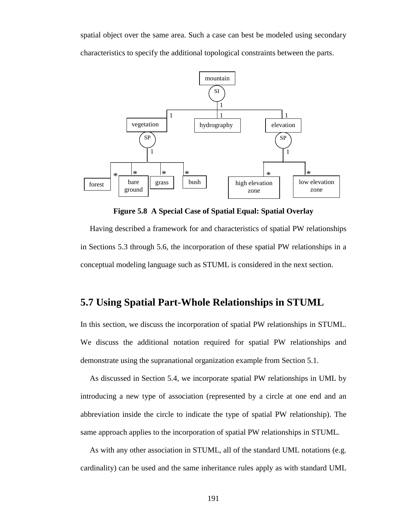spatial object over the same area. Such a case can best be modeled using secondary characteristics to specify the additional topological constraints between the parts.



**Figure 5.8 A Special Case of Spatial Equal: Spatial Overlay**

Having described a framework for and characteristics of spatial PW relationships in Sections 5.3 through 5.6, the incorporation of these spatial PW relationships in a conceptual modeling language such as STUML is considered in the next section.

## **5.7 Using Spatial Part-Whole Relationships in STUML**

In this section, we discuss the incorporation of spatial PW relationships in STUML. We discuss the additional notation required for spatial PW relationships and demonstrate using the supranational organization example from Section 5.1.

As discussed in Section 5.4, we incorporate spatial PW relationships in UML by introducing a new type of association (represented by a circle at one end and an abbreviation inside the circle to indicate the type of spatial PW relationship). The same approach applies to the incorporation of spatial PW relationships in STUML.

As with any other association in STUML, all of the standard UML notations (e.g. cardinality) can be used and the same inheritance rules apply as with standard UML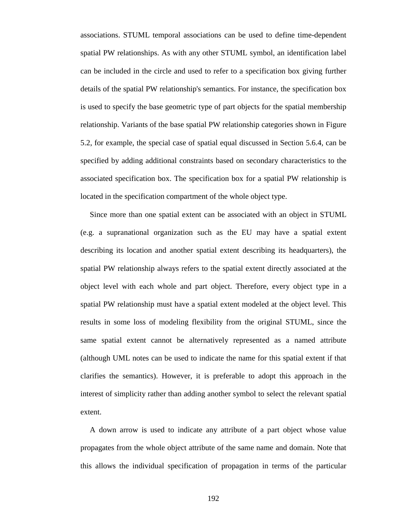associations. STUML temporal associations can be used to define time-dependent spatial PW relationships. As with any other STUML symbol, an identification label can be included in the circle and used to refer to a specification box giving further details of the spatial PW relationship's semantics. For instance, the specification box is used to specify the base geometric type of part objects for the spatial membership relationship. Variants of the base spatial PW relationship categories shown in Figure 5.2, for example, the special case of spatial equal discussed in Section 5.6.4, can be specified by adding additional constraints based on secondary characteristics to the associated specification box. The specification box for a spatial PW relationship is located in the specification compartment of the whole object type.

Since more than one spatial extent can be associated with an object in STUML (e.g. a supranational organization such as the EU may have a spatial extent describing its location and another spatial extent describing its headquarters), the spatial PW relationship always refers to the spatial extent directly associated at the object level with each whole and part object. Therefore, every object type in a spatial PW relationship must have a spatial extent modeled at the object level. This results in some loss of modeling flexibility from the original STUML, since the same spatial extent cannot be alternatively represented as a named attribute (although UML notes can be used to indicate the name for this spatial extent if that clarifies the semantics). However, it is preferable to adopt this approach in the interest of simplicity rather than adding another symbol to select the relevant spatial extent.

A down arrow is used to indicate any attribute of a part object whose value propagates from the whole object attribute of the same name and domain. Note that this allows the individual specification of propagation in terms of the particular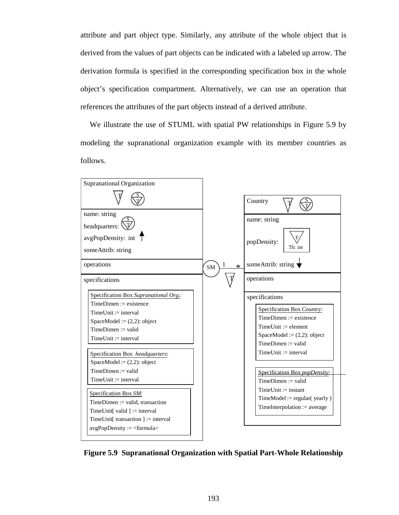attribute and part object type. Similarly, any attribute of the whole object that is derived from the values of part objects can be indicated with a labeled up arrow. The derivation formula is specified in the corresponding specification box in the whole object's specification compartment. Alternatively, we can use an operation that references the attributes of the part objects instead of a derived attribute.

We illustrate the use of STUML with spatial PW relationships in Figure 5.9 by modeling the supranational organization example with its member countries as follows.



**Figure 5.9 Supranational Organization with Spatial Part-Whole Relationship**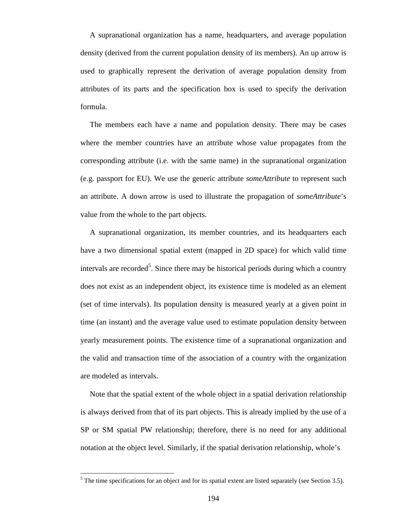A supranational organization has a name, headquarters, and average population density (derived from the current population density of its members). An up arrow is used to graphically represent the derivation of average population density from attributes of its parts and the specification box is used to specify the derivation formula.

The members each have a name and population density. There may be cases where the member countries have an attribute whose value propagates from the corresponding attribute (i.e. with the same name) in the supranational organization (e.g. passport for EU). We use the generic attribute *someAttribute* to represent such an attribute. A down arrow is used to illustrate the propagation of *someAttribute*'s value from the whole to the part objects.

A supranational organization, its member countries, and its headquarters each have a two dimensional spatial extent (mapped in 2D space) for which valid time intervals are recorded<sup>5</sup>. Since there may be historical periods during which a country does not exist as an independent object, its existence time is modeled as an element (set of time intervals). Its population density is measured yearly at a given point in time (an instant) and the average value used to estimate population density between yearly measurement points. The existence time of a supranational organization and the valid and transaction time of the association of a country with the organization are modeled as intervals.

Note that the spatial extent of the whole object in a spatial derivation relationship is always derived from that of its part objects. This is already implied by the use of a SP or SM spatial PW relationship; therefore, there is no need for any additional notation at the object level. Similarly, if the spatial derivation relationship, whole's

 $\overline{a}$ 

 $<sup>5</sup>$  The time specifications for an object and for its spatial extent are listed separately (see Section 3.5).</sup>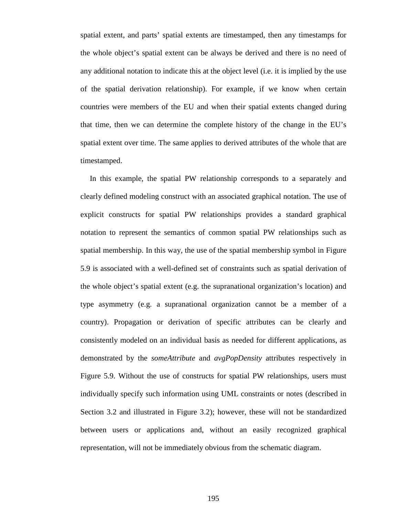spatial extent, and parts' spatial extents are timestamped, then any timestamps for the whole object's spatial extent can be always be derived and there is no need of any additional notation to indicate this at the object level (i.e. it is implied by the use of the spatial derivation relationship). For example, if we know when certain countries were members of the EU and when their spatial extents changed during that time, then we can determine the complete history of the change in the EU's spatial extent over time. The same applies to derived attributes of the whole that are timestamped.

In this example, the spatial PW relationship corresponds to a separately and clearly defined modeling construct with an associated graphical notation. The use of explicit constructs for spatial PW relationships provides a standard graphical notation to represent the semantics of common spatial PW relationships such as spatial membership. In this way, the use of the spatial membership symbol in Figure 5.9 is associated with a well-defined set of constraints such as spatial derivation of the whole object's spatial extent (e.g. the supranational organization's location) and type asymmetry (e.g. a supranational organization cannot be a member of a country). Propagation or derivation of specific attributes can be clearly and consistently modeled on an individual basis as needed for different applications, as demonstrated by the *someAttribute* and *avgPopDensity* attributes respectively in Figure 5.9. Without the use of constructs for spatial PW relationships, users must individually specify such information using UML constraints or notes (described in Section 3.2 and illustrated in Figure 3.2); however, these will not be standardized between users or applications and, without an easily recognized graphical representation, will not be immediately obvious from the schematic diagram.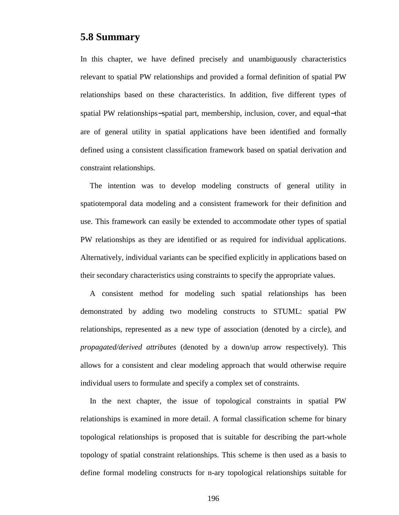### **5.8 Summary**

In this chapter, we have defined precisely and unambiguously characteristics relevant to spatial PW relationships and provided a formal definition of spatial PW relationships based on these characteristics. In addition, five different types of spatial PW relationships−spatial part, membership, inclusion, cover, and equal−that are of general utility in spatial applications have been identified and formally defined using a consistent classification framework based on spatial derivation and constraint relationships.

The intention was to develop modeling constructs of general utility in spatiotemporal data modeling and a consistent framework for their definition and use. This framework can easily be extended to accommodate other types of spatial PW relationships as they are identified or as required for individual applications. Alternatively, individual variants can be specified explicitly in applications based on their secondary characteristics using constraints to specify the appropriate values.

A consistent method for modeling such spatial relationships has been demonstrated by adding two modeling constructs to STUML: spatial PW relationships, represented as a new type of association (denoted by a circle), and *propagated/derived attributes* (denoted by a down/up arrow respectively). This allows for a consistent and clear modeling approach that would otherwise require individual users to formulate and specify a complex set of constraints.

In the next chapter, the issue of topological constraints in spatial PW relationships is examined in more detail. A formal classification scheme for binary topological relationships is proposed that is suitable for describing the part-whole topology of spatial constraint relationships. This scheme is then used as a basis to define formal modeling constructs for n-ary topological relationships suitable for

196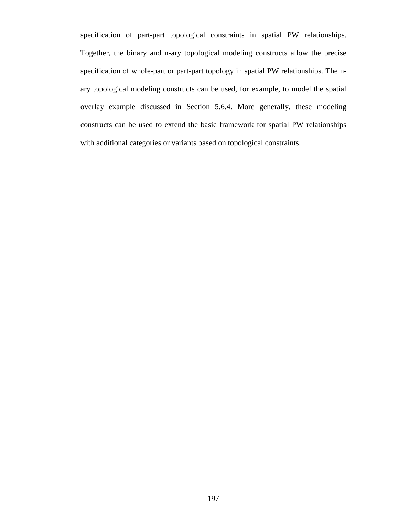specification of part-part topological constraints in spatial PW relationships. Together, the binary and n-ary topological modeling constructs allow the precise specification of whole-part or part-part topology in spatial PW relationships. The nary topological modeling constructs can be used, for example, to model the spatial overlay example discussed in Section 5.6.4. More generally, these modeling constructs can be used to extend the basic framework for spatial PW relationships with additional categories or variants based on topological constraints.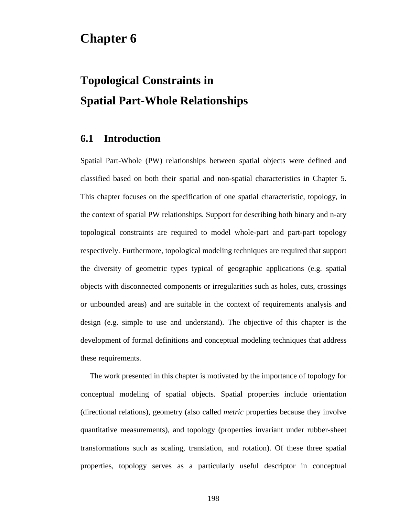# **Chapter 6**

# **Topological Constraints in Spatial Part-Whole Relationships**

# **6.1 Introduction**

Spatial Part-Whole (PW) relationships between spatial objects were defined and classified based on both their spatial and non-spatial characteristics in Chapter 5. This chapter focuses on the specification of one spatial characteristic, topology, in the context of spatial PW relationships. Support for describing both binary and n-ary topological constraints are required to model whole-part and part-part topology respectively. Furthermore, topological modeling techniques are required that support the diversity of geometric types typical of geographic applications (e.g. spatial objects with disconnected components or irregularities such as holes, cuts, crossings or unbounded areas) and are suitable in the context of requirements analysis and design (e.g. simple to use and understand). The objective of this chapter is the development of formal definitions and conceptual modeling techniques that address these requirements.

The work presented in this chapter is motivated by the importance of topology for conceptual modeling of spatial objects. Spatial properties include orientation (directional relations), geometry (also called *metric* properties because they involve quantitative measurements), and topology (properties invariant under rubber-sheet transformations such as scaling, translation, and rotation). Of these three spatial properties, topology serves as a particularly useful descriptor in conceptual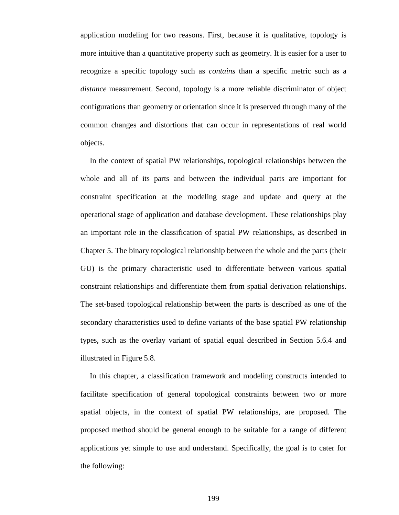application modeling for two reasons. First, because it is qualitative, topology is more intuitive than a quantitative property such as geometry. It is easier for a user to recognize a specific topology such as *contains* than a specific metric such as a *distance* measurement. Second, topology is a more reliable discriminator of object configurations than geometry or orientation since it is preserved through many of the common changes and distortions that can occur in representations of real world objects.

In the context of spatial PW relationships, topological relationships between the whole and all of its parts and between the individual parts are important for constraint specification at the modeling stage and update and query at the operational stage of application and database development. These relationships play an important role in the classification of spatial PW relationships, as described in Chapter 5. The binary topological relationship between the whole and the parts (their GU) is the primary characteristic used to differentiate between various spatial constraint relationships and differentiate them from spatial derivation relationships. The set-based topological relationship between the parts is described as one of the secondary characteristics used to define variants of the base spatial PW relationship types, such as the overlay variant of spatial equal described in Section 5.6.4 and illustrated in Figure 5.8.

In this chapter, a classification framework and modeling constructs intended to facilitate specification of general topological constraints between two or more spatial objects, in the context of spatial PW relationships, are proposed. The proposed method should be general enough to be suitable for a range of different applications yet simple to use and understand. Specifically, the goal is to cater for the following: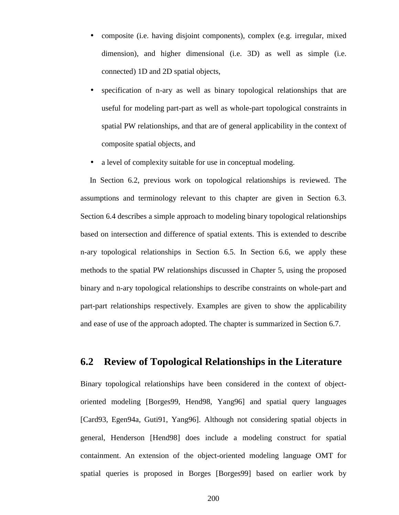- composite (i.e. having disjoint components), complex (e.g. irregular, mixed dimension), and higher dimensional (i.e. 3D) as well as simple (i.e. connected) 1D and 2D spatial objects,
- specification of n-ary as well as binary topological relationships that are useful for modeling part-part as well as whole-part topological constraints in spatial PW relationships, and that are of general applicability in the context of composite spatial objects, and
- a level of complexity suitable for use in conceptual modeling.

In Section 6.2, previous work on topological relationships is reviewed. The assumptions and terminology relevant to this chapter are given in Section 6.3. Section 6.4 describes a simple approach to modeling binary topological relationships based on intersection and difference of spatial extents. This is extended to describe n-ary topological relationships in Section 6.5. In Section 6.6, we apply these methods to the spatial PW relationships discussed in Chapter 5, using the proposed binary and n-ary topological relationships to describe constraints on whole-part and part-part relationships respectively. Examples are given to show the applicability and ease of use of the approach adopted. The chapter is summarized in Section 6.7.

# **6.2 Review of Topological Relationships in the Literature**

Binary topological relationships have been considered in the context of objectoriented modeling [Borges99, Hend98, Yang96] and spatial query languages [Card93, Egen94a, Guti91, Yang96]. Although not considering spatial objects in general, Henderson [Hend98] does include a modeling construct for spatial containment. An extension of the object-oriented modeling language OMT for spatial queries is proposed in Borges [Borges99] based on earlier work by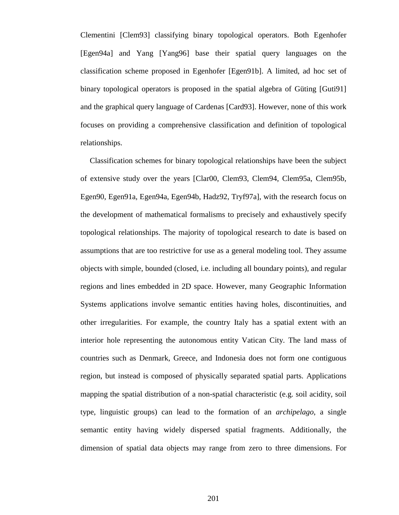Clementini [Clem93] classifying binary topological operators. Both Egenhofer [Egen94a] and Yang [Yang96] base their spatial query languages on the classification scheme proposed in Egenhofer [Egen91b]. A limited, ad hoc set of binary topological operators is proposed in the spatial algebra of Güting [Guti91] and the graphical query language of Cardenas [Card93]. However, none of this work focuses on providing a comprehensive classification and definition of topological relationships.

Classification schemes for binary topological relationships have been the subject of extensive study over the years [Clar00, Clem93, Clem94, Clem95a, Clem95b, Egen90, Egen91a, Egen94a, Egen94b, Hadz92, Tryf97a], with the research focus on the development of mathematical formalisms to precisely and exhaustively specify topological relationships. The majority of topological research to date is based on assumptions that are too restrictive for use as a general modeling tool. They assume objects with simple, bounded (closed, i.e. including all boundary points), and regular regions and lines embedded in 2D space. However, many Geographic Information Systems applications involve semantic entities having holes, discontinuities, and other irregularities. For example, the country Italy has a spatial extent with an interior hole representing the autonomous entity Vatican City. The land mass of countries such as Denmark, Greece, and Indonesia does not form one contiguous region, but instead is composed of physically separated spatial parts. Applications mapping the spatial distribution of a non-spatial characteristic (e.g. soil acidity, soil type, linguistic groups) can lead to the formation of an *archipelago*, a single semantic entity having widely dispersed spatial fragments. Additionally, the dimension of spatial data objects may range from zero to three dimensions. For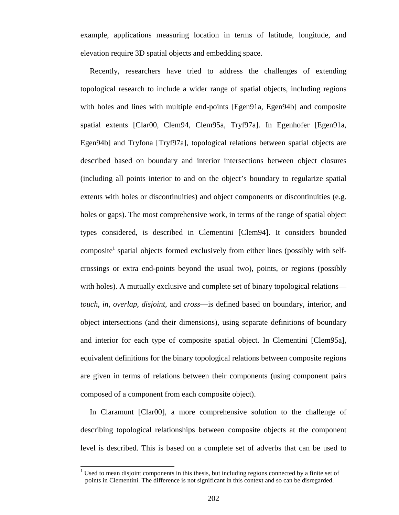example, applications measuring location in terms of latitude, longitude, and elevation require 3D spatial objects and embedding space.

Recently, researchers have tried to address the challenges of extending topological research to include a wider range of spatial objects, including regions with holes and lines with multiple end-points [Egen91a, Egen94b] and composite spatial extents [Clar00, Clem94, Clem95a, Tryf97a]. In Egenhofer [Egen91a, Egen94b] and Tryfona [Tryf97a], topological relations between spatial objects are described based on boundary and interior intersections between object closures (including all points interior to and on the object's boundary to regularize spatial extents with holes or discontinuities) and object components or discontinuities (e.g. holes or gaps). The most comprehensive work, in terms of the range of spatial object types considered, is described in Clementini [Clem94]. It considers bounded composite<sup>1</sup> spatial objects formed exclusively from either lines (possibly with selfcrossings or extra end-points beyond the usual two), points, or regions (possibly with holes). A mutually exclusive and complete set of binary topological relations *touch, in, overlap, disjoint,* and *cross*—is defined based on boundary, interior, and object intersections (and their dimensions), using separate definitions of boundary and interior for each type of composite spatial object. In Clementini [Clem95a], equivalent definitions for the binary topological relations between composite regions are given in terms of relations between their components (using component pairs composed of a component from each composite object).

In Claramunt [Clar00], a more comprehensive solution to the challenge of describing topological relationships between composite objects at the component level is described. This is based on a complete set of adverbs that can be used to

l

<sup>1</sup> Used to mean disjoint components in this thesis, but including regions connected by a finite set of points in Clementini. The difference is not significant in this context and so can be disregarded.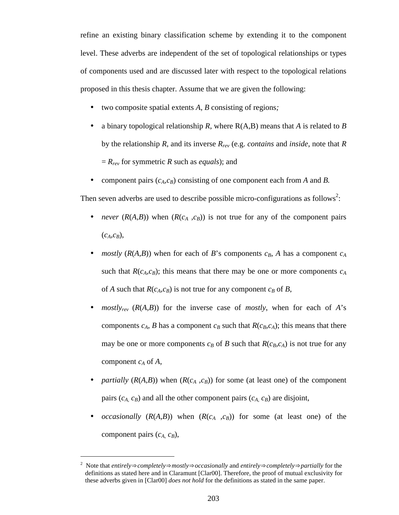refine an existing binary classification scheme by extending it to the component level. These adverbs are independent of the set of topological relationships or types of components used and are discussed later with respect to the topological relations proposed in this thesis chapter. Assume that we are given the following:

- two composite spatial extents *A*, *B* consisting of regions*;*
- a binary topological relationship *R*, where R(A,B) means that *A* is related to *B* by the relationship *R*, and its inverse *Rrev* (e.g. *contains* and *inside*, note that *R* = *Rrev* for symmetric *R* such as *equals*); and
- component pairs  $(c_A, c_B)$  consisting of one component each from *A* and *B*.

Then seven adverbs are used to describe possible micro-configurations as follows<sup>2</sup>:

- *never*  $(R(A,B))$  when  $(R(c_A, c_B))$  is not true for any of the component pairs  $(c_A,c_B),$
- *mostly*  $(R(A,B))$  when for each of *B*'s components  $c_B$ , *A* has a component  $c_A$ such that  $R(c_A, c_B)$ ; this means that there may be one or more components  $c_A$ of *A* such that  $R(c_A, c_B)$  is not true for any component  $c_B$  of *B*,
- *mostly<sub>rev</sub>*  $(R(A,B))$  for the inverse case of *mostly*, when for each of *A*'s components  $c_A$ , *B* has a component  $c_B$  such that  $R(c_B, c_A)$ ; this means that there may be one or more components  $c_B$  of *B* such that  $R(c_B, c_A)$  is not true for any component *cA* of *A*,
- *partially*  $(R(A,B))$  when  $(R(c_A, c_B))$  for some (at least one) of the component pairs  $(c_A, c_B)$  and all the other component pairs  $(c_A, c_B)$  are disjoint,
- *occasionally*  $(R(A,B))$  when  $(R(c_A, c_B))$  for some (at least one) of the component pairs  $(c_A, c_B)$ ,

l

<sup>2</sup> Note that *entirely*⇒*completely*⇒*mostly*⇒*occasionally* and *entirely*⇒*completely*⇒*partially* for the definitions as stated here and in Claramunt [Clar00]. Therefore, the proof of mutual exclusivity for these adverbs given in [Clar00] *does not hold* for the definitions as stated in the same paper.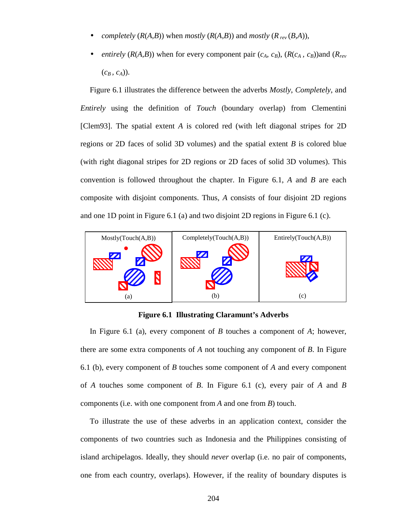- *completely* ( $R(A,B)$ ) when *mostly* ( $R(A,B)$ ) and *mostly* ( $R_{rev}(B,A)$ ),
- *entirely* ( $R(A,B)$ ) when for every component pair ( $c_A$ ,  $c_B$ ), ( $R(c_A, c_B)$ )and ( $R_{rev}$  $(c_B, c_A)$ ).

Figure 6.1 illustrates the difference between the adverbs *Mostly*, *Completely*, and *Entirely* using the definition of *Touch* (boundary overlap) from Clementini [Clem93]. The spatial extent *A* is colored red (with left diagonal stripes for 2D regions or 2D faces of solid 3D volumes) and the spatial extent *B* is colored blue (with right diagonal stripes for 2D regions or 2D faces of solid 3D volumes). This convention is followed throughout the chapter. In Figure 6.1, *A* and *B* are each composite with disjoint components. Thus, *A* consists of four disjoint 2D regions and one 1D point in Figure 6.1 (a) and two disjoint 2D regions in Figure 6.1 (c).



**Figure 6.1 Illustrating Claramunt's Adverbs**

In Figure 6.1 (a), every component of *B* touches a component of *A*; however, there are some extra components of *A* not touching any component of *B*. In Figure 6.1 (b), every component of *B* touches some component of *A* and every component of *A* touches some component of *B*. In Figure 6.1 (c), every pair of *A* and *B* components (i.e. with one component from *A* and one from *B*) touch.

To illustrate the use of these adverbs in an application context, consider the components of two countries such as Indonesia and the Philippines consisting of island archipelagos. Ideally, they should *never* overlap (i.e. no pair of components, one from each country, overlaps). However, if the reality of boundary disputes is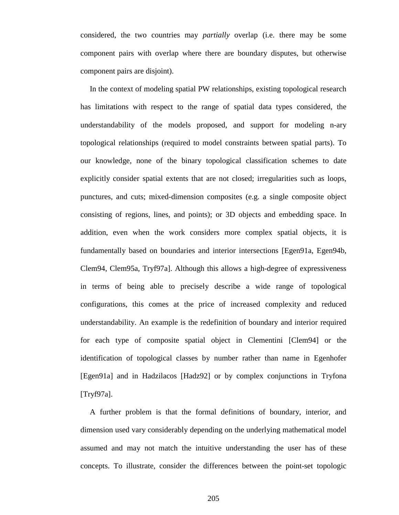considered, the two countries may *partially* overlap (i.e. there may be some component pairs with overlap where there are boundary disputes, but otherwise component pairs are disjoint).

In the context of modeling spatial PW relationships, existing topological research has limitations with respect to the range of spatial data types considered, the understandability of the models proposed, and support for modeling n-ary topological relationships (required to model constraints between spatial parts). To our knowledge, none of the binary topological classification schemes to date explicitly consider spatial extents that are not closed; irregularities such as loops, punctures, and cuts; mixed-dimension composites (e.g. a single composite object consisting of regions, lines, and points); or 3D objects and embedding space. In addition, even when the work considers more complex spatial objects, it is fundamentally based on boundaries and interior intersections [Egen91a, Egen94b, Clem94, Clem95a, Tryf97a]. Although this allows a high-degree of expressiveness in terms of being able to precisely describe a wide range of topological configurations, this comes at the price of increased complexity and reduced understandability. An example is the redefinition of boundary and interior required for each type of composite spatial object in Clementini [Clem94] or the identification of topological classes by number rather than name in Egenhofer [Egen91a] and in Hadzilacos [Hadz92] or by complex conjunctions in Tryfona [Tryf97a].

A further problem is that the formal definitions of boundary, interior, and dimension used vary considerably depending on the underlying mathematical model assumed and may not match the intuitive understanding the user has of these concepts. To illustrate, consider the differences between the point-set topologic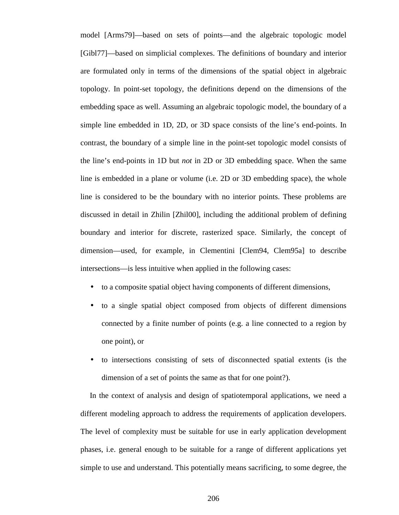model [Arms79]—based on sets of points—and the algebraic topologic model [Gibl77]—based on simplicial complexes. The definitions of boundary and interior are formulated only in terms of the dimensions of the spatial object in algebraic topology. In point-set topology, the definitions depend on the dimensions of the embedding space as well. Assuming an algebraic topologic model, the boundary of a simple line embedded in 1D, 2D, or 3D space consists of the line's end-points. In contrast, the boundary of a simple line in the point-set topologic model consists of the line's end-points in 1D but *not* in 2D or 3D embedding space. When the same line is embedded in a plane or volume (i.e. 2D or 3D embedding space), the whole line is considered to be the boundary with no interior points. These problems are discussed in detail in Zhilin [Zhil00], including the additional problem of defining boundary and interior for discrete, rasterized space. Similarly, the concept of dimension—used, for example, in Clementini [Clem94, Clem95a] to describe intersections—is less intuitive when applied in the following cases:

- to a composite spatial object having components of different dimensions,
- to a single spatial object composed from objects of different dimensions connected by a finite number of points (e.g. a line connected to a region by one point), or
- to intersections consisting of sets of disconnected spatial extents (is the dimension of a set of points the same as that for one point?).

In the context of analysis and design of spatiotemporal applications, we need a different modeling approach to address the requirements of application developers. The level of complexity must be suitable for use in early application development phases, i.e. general enough to be suitable for a range of different applications yet simple to use and understand. This potentially means sacrificing, to some degree, the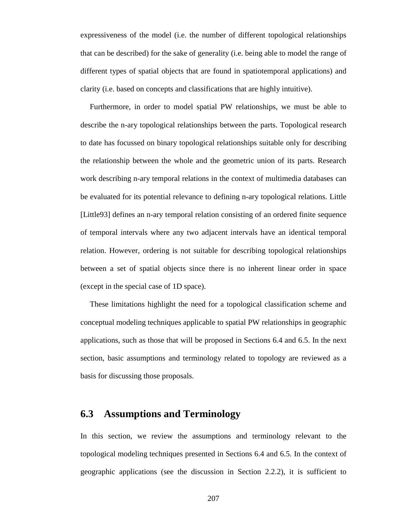expressiveness of the model (i.e. the number of different topological relationships that can be described) for the sake of generality (i.e. being able to model the range of different types of spatial objects that are found in spatiotemporal applications) and clarity (i.e. based on concepts and classifications that are highly intuitive).

Furthermore, in order to model spatial PW relationships, we must be able to describe the n-ary topological relationships between the parts. Topological research to date has focussed on binary topological relationships suitable only for describing the relationship between the whole and the geometric union of its parts. Research work describing n-ary temporal relations in the context of multimedia databases can be evaluated for its potential relevance to defining n-ary topological relations. Little [Little93] defines an n-ary temporal relation consisting of an ordered finite sequence of temporal intervals where any two adjacent intervals have an identical temporal relation. However, ordering is not suitable for describing topological relationships between a set of spatial objects since there is no inherent linear order in space (except in the special case of 1D space).

These limitations highlight the need for a topological classification scheme and conceptual modeling techniques applicable to spatial PW relationships in geographic applications, such as those that will be proposed in Sections 6.4 and 6.5. In the next section, basic assumptions and terminology related to topology are reviewed as a basis for discussing those proposals.

## **6.3 Assumptions and Terminology**

In this section, we review the assumptions and terminology relevant to the topological modeling techniques presented in Sections 6.4 and 6.5. In the context of geographic applications (see the discussion in Section 2.2.2), it is sufficient to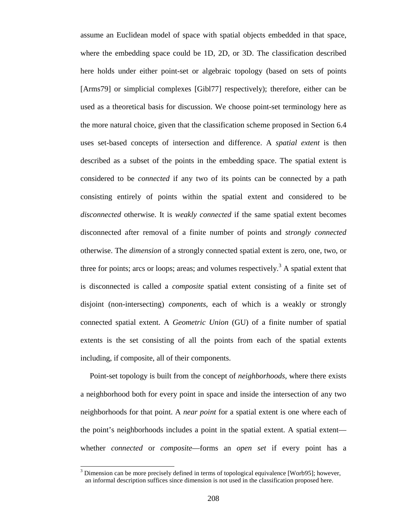assume an Euclidean model of space with spatial objects embedded in that space, where the embedding space could be 1D, 2D, or 3D. The classification described here holds under either point-set or algebraic topology (based on sets of points [Arms79] or simplicial complexes [Gibl77] respectively); therefore, either can be used as a theoretical basis for discussion. We choose point-set terminology here as the more natural choice, given that the classification scheme proposed in Section 6.4 uses set-based concepts of intersection and difference. A *spatial extent* is then described as a subset of the points in the embedding space. The spatial extent is considered to be *connected* if any two of its points can be connected by a path consisting entirely of points within the spatial extent and considered to be *disconnected* otherwise. It is *weakly connected* if the same spatial extent becomes disconnected after removal of a finite number of points and *strongly connected* otherwise. The *dimension* of a strongly connected spatial extent is zero, one, two, or three for points; arcs or loops; areas; and volumes respectively.<sup>3</sup> A spatial extent that is disconnected is called a *composite* spatial extent consisting of a finite set of disjoint (non-intersecting) *components*, each of which is a weakly or strongly connected spatial extent. A *Geometric Union* (GU) of a finite number of spatial extents is the set consisting of all the points from each of the spatial extents including, if composite, all of their components.

Point-set topology is built from the concept of *neighborhoods*, where there exists a neighborhood both for every point in space and inside the intersection of any two neighborhoods for that point. A *near point* for a spatial extent is one where each of the point's neighborhoods includes a point in the spatial extent. A spatial extent whether *connected* or *composite*—forms an *open set* if every point has a

l

 $3$  Dimension can be more precisely defined in terms of topological equivalence [Worb95]; however, an informal description suffices since dimension is not used in the classification proposed here.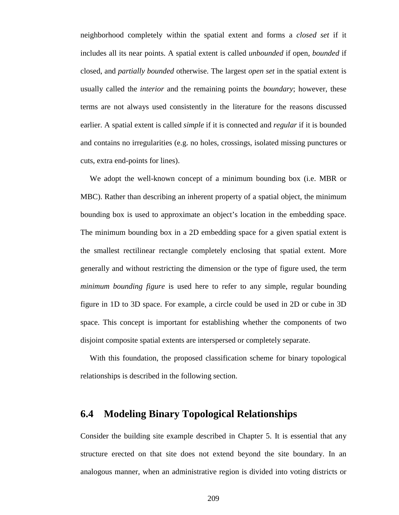neighborhood completely within the spatial extent and forms a *closed set* if it includes all its near points. A spatial extent is called *unbounded* if open, *bounded* if closed, and *partially bounded* otherwise. The largest *open set* in the spatial extent is usually called the *interior* and the remaining points the *boundary*; however, these terms are not always used consistently in the literature for the reasons discussed earlier. A spatial extent is called *simple* if it is connected and *regular* if it is bounded and contains no irregularities (e.g. no holes, crossings, isolated missing punctures or cuts, extra end-points for lines).

We adopt the well-known concept of a minimum bounding box (i.e. MBR or MBC). Rather than describing an inherent property of a spatial object, the minimum bounding box is used to approximate an object's location in the embedding space. The minimum bounding box in a 2D embedding space for a given spatial extent is the smallest rectilinear rectangle completely enclosing that spatial extent. More generally and without restricting the dimension or the type of figure used, the term *minimum bounding figure* is used here to refer to any simple, regular bounding figure in 1D to 3D space. For example, a circle could be used in 2D or cube in 3D space. This concept is important for establishing whether the components of two disjoint composite spatial extents are interspersed or completely separate.

With this foundation, the proposed classification scheme for binary topological relationships is described in the following section.

## **6.4 Modeling Binary Topological Relationships**

Consider the building site example described in Chapter 5. It is essential that any structure erected on that site does not extend beyond the site boundary. In an analogous manner, when an administrative region is divided into voting districts or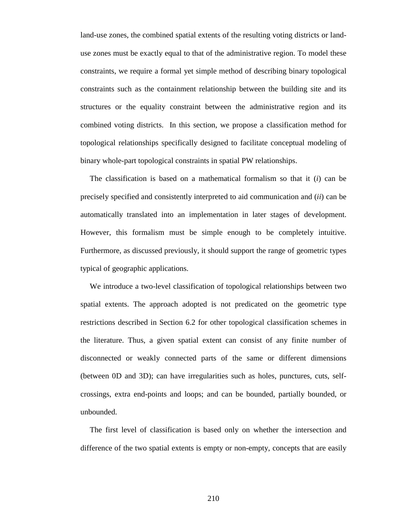land-use zones, the combined spatial extents of the resulting voting districts or landuse zones must be exactly equal to that of the administrative region. To model these constraints, we require a formal yet simple method of describing binary topological constraints such as the containment relationship between the building site and its structures or the equality constraint between the administrative region and its combined voting districts. In this section, we propose a classification method for topological relationships specifically designed to facilitate conceptual modeling of binary whole-part topological constraints in spatial PW relationships.

The classification is based on a mathematical formalism so that it (*i*) can be precisely specified and consistently interpreted to aid communication and (*ii*) can be automatically translated into an implementation in later stages of development. However, this formalism must be simple enough to be completely intuitive. Furthermore, as discussed previously, it should support the range of geometric types typical of geographic applications.

We introduce a two-level classification of topological relationships between two spatial extents. The approach adopted is not predicated on the geometric type restrictions described in Section 6.2 for other topological classification schemes in the literature. Thus, a given spatial extent can consist of any finite number of disconnected or weakly connected parts of the same or different dimensions (between 0D and 3D); can have irregularities such as holes, punctures, cuts, selfcrossings, extra end-points and loops; and can be bounded, partially bounded, or unbounded.

The first level of classification is based only on whether the intersection and difference of the two spatial extents is empty or non-empty, concepts that are easily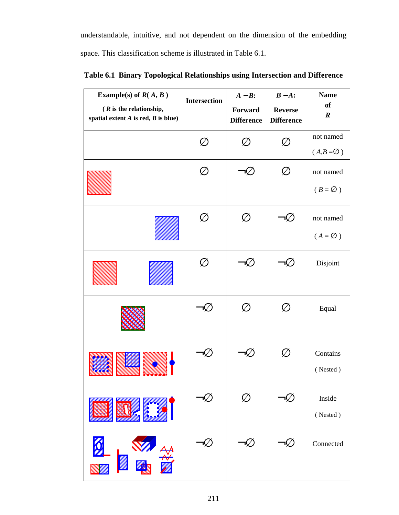understandable, intuitive, and not dependent on the dimension of the embedding space. This classification scheme is illustrated in Table 6.1.

| Example(s) of $R(A, B)$<br>$(R$ is the relationship,<br>spatial extent $A$ is red, $B$ is blue) | <b>Intersection</b> | $A - B$ :<br>Forward<br><b>Difference</b> | $B - A$ :<br><b>Reverse</b><br><b>Difference</b> | <b>Name</b><br>of<br>$\boldsymbol{R}$ |
|-------------------------------------------------------------------------------------------------|---------------------|-------------------------------------------|--------------------------------------------------|---------------------------------------|
|                                                                                                 | Ø                   | Ø                                         | Ø                                                | not named<br>$(A,B=\varnothing)$      |
|                                                                                                 | Ø                   | ıØ                                        | Ø                                                | not named<br>$(B = \emptyset)$        |
|                                                                                                 | $\varnothing$       | Ø                                         | √ר                                               | not named<br>$(A = \emptyset)$        |
|                                                                                                 | Ø                   | -Ø                                        | $\neg\varnothing$                                | Disjoint                              |
|                                                                                                 | ⊣Ø                  | Ø                                         | Ø                                                | Equal                                 |
|                                                                                                 | ıØ                  | ıØ                                        | Ø                                                | Contains<br>(Nested)                  |
|                                                                                                 | ıØ                  | Ø                                         | ¯                                                | Inside<br>(Nested)                    |
|                                                                                                 | -Ø                  | -Ø                                        | $\neg \varnothing$                               | Connected                             |

**Table 6.1 Binary Topological Relationships using Intersection and Difference**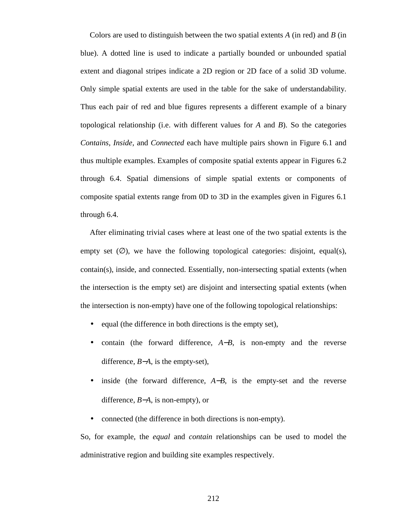Colors are used to distinguish between the two spatial extents *A* (in red) and *B* (in blue). A dotted line is used to indicate a partially bounded or unbounded spatial extent and diagonal stripes indicate a 2D region or 2D face of a solid 3D volume. Only simple spatial extents are used in the table for the sake of understandability. Thus each pair of red and blue figures represents a different example of a binary topological relationship (i.e. with different values for *A* and *B*). So the categories *Contains, Inside,* and *Connected* each have multiple pairs shown in Figure 6.1 and thus multiple examples. Examples of composite spatial extents appear in Figures 6.2 through 6.4. Spatial dimensions of simple spatial extents or components of composite spatial extents range from 0D to 3D in the examples given in Figures 6.1 through 6.4.

After eliminating trivial cases where at least one of the two spatial extents is the empty set  $(\emptyset)$ , we have the following topological categories: disjoint, equal(s), contain(s), inside, and connected. Essentially, non-intersecting spatial extents (when the intersection is the empty set) are disjoint and intersecting spatial extents (when the intersection is non-empty) have one of the following topological relationships:

- equal (the difference in both directions is the empty set),
- contain (the forward difference, *A*−*B*, is non-empty and the reverse difference, *B*−*A*, is the empty-set),
- inside (the forward difference, *A*−*B*, is the empty-set and the reverse difference, *B*−*A*, is non-empty), or
- connected (the difference in both directions is non-empty).

So, for example, the *equal* and *contain* relationships can be used to model the administrative region and building site examples respectively.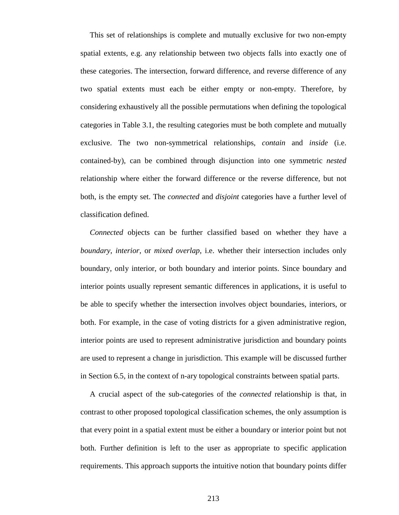This set of relationships is complete and mutually exclusive for two non-empty spatial extents, e.g. any relationship between two objects falls into exactly one of these categories. The intersection, forward difference, and reverse difference of any two spatial extents must each be either empty or non-empty. Therefore, by considering exhaustively all the possible permutations when defining the topological categories in Table 3.1, the resulting categories must be both complete and mutually exclusive. The two non-symmetrical relationships, *contain* and *inside* (i.e. contained-by), can be combined through disjunction into one symmetric *nested* relationship where either the forward difference or the reverse difference, but not both, is the empty set. The *connected* and *disjoint* categories have a further level of classification defined.

*Connected* objects can be further classified based on whether they have a *boundary*, *interior*, or *mixed overlap*, i.e. whether their intersection includes only boundary, only interior, or both boundary and interior points. Since boundary and interior points usually represent semantic differences in applications, it is useful to be able to specify whether the intersection involves object boundaries, interiors, or both. For example, in the case of voting districts for a given administrative region, interior points are used to represent administrative jurisdiction and boundary points are used to represent a change in jurisdiction. This example will be discussed further in Section 6.5, in the context of n-ary topological constraints between spatial parts.

A crucial aspect of the sub-categories of the *connected* relationship is that, in contrast to other proposed topological classification schemes, the only assumption is that every point in a spatial extent must be either a boundary or interior point but not both. Further definition is left to the user as appropriate to specific application requirements. This approach supports the intuitive notion that boundary points differ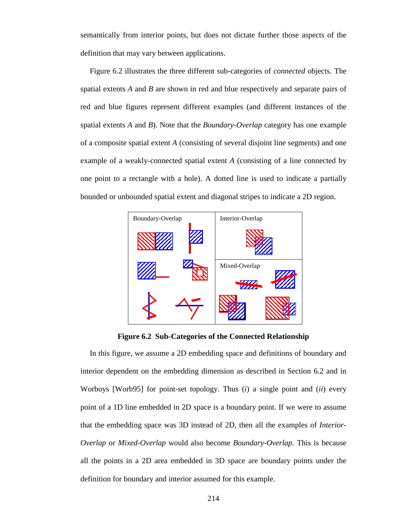semantically from interior points, but does not dictate further those aspects of the definition that may vary between applications.

Figure 6.2 illustrates the three different sub-categories of *connected* objects. The spatial extents *A* and *B* are shown in red and blue respectively and separate pairs of red and blue figures represent different examples (and different instances of the spatial extents *A* and *B*). Note that the *Boundary-Overlap* category has one example of a composite spatial extent *A* (consisting of several disjoint line segments) and one example of a weakly-connected spatial extent *A* (consisting of a line connected by one point to a rectangle with a hole). A dotted line is used to indicate a partially bounded or unbounded spatial extent and diagonal stripes to indicate a 2D region.



**Figure 6.2 Sub-Categories of the Connected Relationship**

In this figure, we assume a 2D embedding space and definitions of boundary and interior dependent on the embedding dimension as described in Section 6.2 and in Worboys [Worb95] for point-set topology. Thus (*i*) a single point and (*ii*) every point of a 1D line embedded in 2D space is a boundary point. If we were to assume that the embedding space was 3D instead of 2D, then all the examples of *Interior-Overlap* or *Mixed-Overlap* would also become *Boundary-Overlap*. This is because all the points in a 2D area embedded in 3D space are boundary points under the definition for boundary and interior assumed for this example.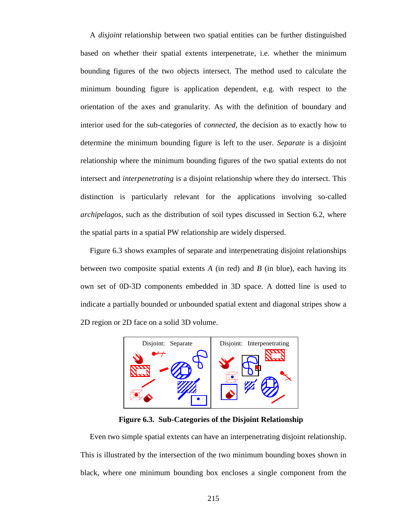A *disjoint* relationship between two spatial entities can be further distinguished based on whether their spatial extents interpenetrate, i.e. whether the minimum bounding figures of the two objects intersect. The method used to calculate the minimum bounding figure is application dependent, e.g. with respect to the orientation of the axes and granularity. As with the definition of boundary and interior used for the sub-categories of *connected*, the decision as to exactly how to determine the minimum bounding figure is left to the user. *Separate* is a disjoint relationship where the minimum bounding figures of the two spatial extents do not intersect and *interpenetrating* is a disjoint relationship where they do intersect. This distinction is particularly relevant for the applications involving so-called *archipelagos*, such as the distribution of soil types discussed in Section 6.2, where the spatial parts in a spatial PW relationship are widely dispersed.

Figure 6.3 shows examples of separate and interpenetrating disjoint relationships between two composite spatial extents *A* (in red) and *B* (in blue), each having its own set of 0D-3D components embedded in 3D space. A dotted line is used to indicate a partially bounded or unbounded spatial extent and diagonal stripes show a 2D region or 2D face on a solid 3D volume.



**Figure 6.3. Sub-Categories of the Disjoint Relationship**

Even two simple spatial extents can have an interpenetrating disjoint relationship. This is illustrated by the intersection of the two minimum bounding boxes shown in black, where one minimum bounding box encloses a single component from the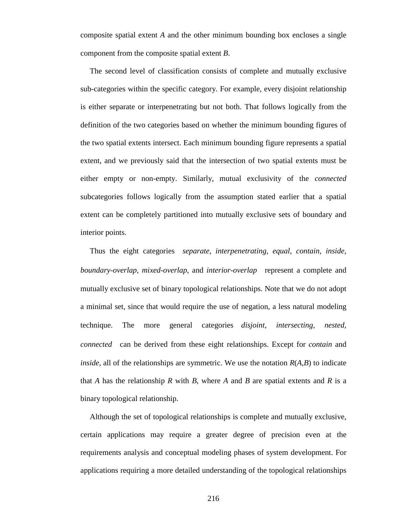composite spatial extent *A* and the other minimum bounding box encloses a single component from the composite spatial extent *B*.

The second level of classification consists of complete and mutually exclusive sub-categories within the specific category. For example, every disjoint relationship is either separate or interpenetrating but not both. That follows logically from the definition of the two categories based on whether the minimum bounding figures of the two spatial extents intersect. Each minimum bounding figure represents a spatial extent, and we previously said that the intersection of two spatial extents must be either empty or non-empty. Similarly, mutual exclusivity of the *connected* subcategories follows logically from the assumption stated earlier that a spatial extent can be completely partitioned into mutually exclusive sets of boundary and interior points.

Thus the eight categories—separate, *interpenetrating*, *equal*, *contain*, *inside*, *boundary-overlap, mixed-overlap, and interior-overlap*—represent a complete and mutually exclusive set of binary topological relationships. Note that we do not adopt a minimal set, since that would require the use of negation, a less natural modeling technique. The more general categories*disjoint, intersecting, nested, connected*—can be derived from these eight relationships. Except for *contain* and *inside*, all of the relationships are symmetric. We use the notation *R*(*A,B*) to indicate that *A* has the relationship *R* with *B*, where *A* and *B* are spatial extents and *R* is a binary topological relationship.

Although the set of topological relationships is complete and mutually exclusive, certain applications may require a greater degree of precision even at the requirements analysis and conceptual modeling phases of system development. For applications requiring a more detailed understanding of the topological relationships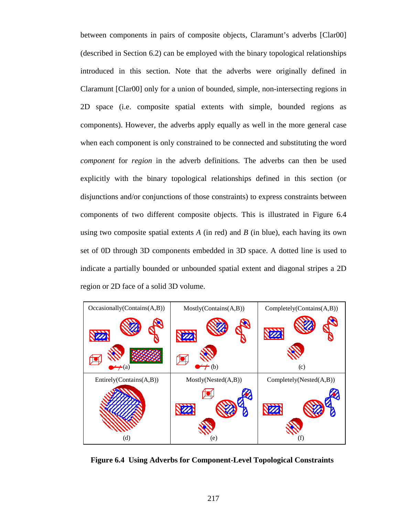between components in pairs of composite objects, Claramunt's adverbs [Clar00] (described in Section 6.2) can be employed with the binary topological relationships introduced in this section. Note that the adverbs were originally defined in Claramunt [Clar00] only for a union of bounded, simple, non-intersecting regions in 2D space (i.e. composite spatial extents with simple, bounded regions as components). However, the adverbs apply equally as well in the more general case when each component is only constrained to be connected and substituting the word *component* for *region* in the adverb definitions. The adverbs can then be used explicitly with the binary topological relationships defined in this section (or disjunctions and/or conjunctions of those constraints) to express constraints between components of two different composite objects. This is illustrated in Figure 6.4 using two composite spatial extents  $A$  (in red) and  $B$  (in blue), each having its own set of 0D through 3D components embedded in 3D space. A dotted line is used to indicate a partially bounded or unbounded spatial extent and diagonal stripes a 2D region or 2D face of a solid 3D volume.



**Figure 6.4 Using Adverbs for Component-Level Topological Constraints**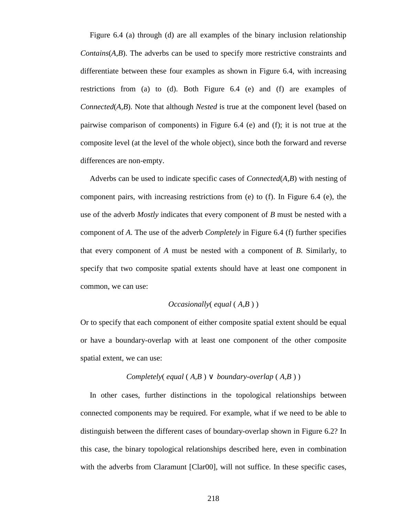Figure 6.4 (a) through (d) are all examples of the binary inclusion relationship *Contains*(*A,B*). The adverbs can be used to specify more restrictive constraints and differentiate between these four examples as shown in Figure 6.4, with increasing restrictions from (a) to (d). Both Figure 6.4 (e) and (f) are examples of *Connected*(*A,B*). Note that although *Nested* is true at the component level (based on pairwise comparison of components) in Figure 6.4 (e) and (f); it is not true at the composite level (at the level of the whole object), since both the forward and reverse differences are non-empty.

Adverbs can be used to indicate specific cases of *Connected*(*A,B*) with nesting of component pairs, with increasing restrictions from (e) to (f). In Figure 6.4 (e), the use of the adverb *Mostly* indicates that every component of *B* must be nested with a component of *A*. The use of the adverb *Completely* in Figure 6.4 (f) further specifies that every component of *A* must be nested with a component of *B*. Similarly, to specify that two composite spatial extents should have at least one component in common, we can use:

#### *Occasionally*( *equal* ( *A,B* ) )

Or to specify that each component of either composite spatial extent should be equal or have a boundary-overlap with at least one component of the other composite spatial extent, we can use:

#### *Completely*( $equal (A,B) \vee boundary-overlap (A,B))$ )

In other cases, further distinctions in the topological relationships between connected components may be required. For example, what if we need to be able to distinguish between the different cases of boundary-overlap shown in Figure 6.2? In this case, the binary topological relationships described here, even in combination with the adverbs from Claramunt [Clar00], will not suffice. In these specific cases,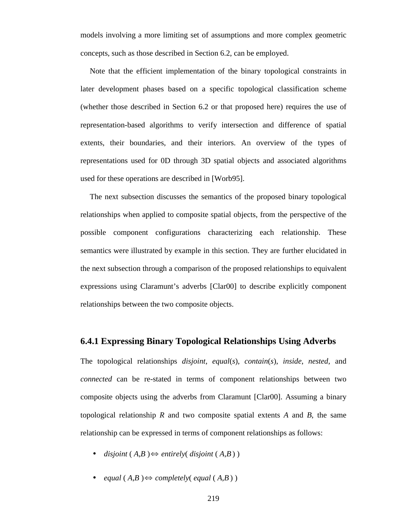models involving a more limiting set of assumptions and more complex geometric concepts, such as those described in Section 6.2, can be employed.

Note that the efficient implementation of the binary topological constraints in later development phases based on a specific topological classification scheme (whether those described in Section 6.2 or that proposed here) requires the use of representation-based algorithms to verify intersection and difference of spatial extents, their boundaries, and their interiors. An overview of the types of representations used for 0D through 3D spatial objects and associated algorithms used for these operations are described in [Worb95].

The next subsection discusses the semantics of the proposed binary topological relationships when applied to composite spatial objects, from the perspective of the possible component configurations characterizing each relationship. These semantics were illustrated by example in this section. They are further elucidated in the next subsection through a comparison of the proposed relationships to equivalent expressions using Claramunt's adverbs [Clar00] to describe explicitly component relationships between the two composite objects.

#### **6.4.1 Expressing Binary Topological Relationships Using Adverbs**

The topological relationships *disjoint*, *equal*(*s*), *contain*(*s*), *inside*, *nested*, and *connected* can be re-stated in terms of component relationships between two composite objects using the adverbs from Claramunt [Clar00]. Assuming a binary topological relationship *R* and two composite spatial extents *A* and *B*, the same relationship can be expressed in terms of component relationships as follows:

- *disjoint*  $(A,B) \Leftrightarrow$  *entirely*( *disjoint*  $(A,B)$  )
- *equal*  $(A,B) \Leftrightarrow \text{completely}(\text{ equal } (A,B))$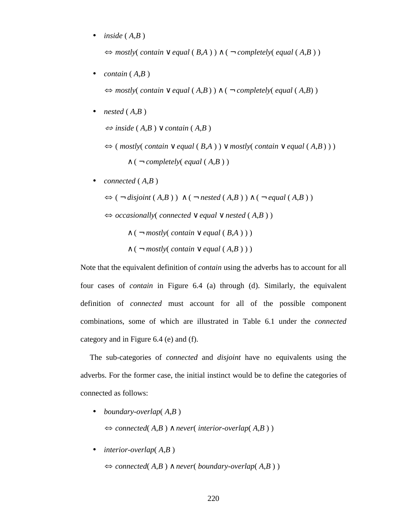•  $inside (A,B)$ 

 $\Leftrightarrow$  *mostly*( *contain*  $\vee$  *equal* ( $B$ , $A$ ))  $\wedge$  (  $\neg$  *completely*( *equal* ( $A$ , $B$ ))

• *contain*  $(A,B)$ 

 $\Leftrightarrow$  *mostly*( *contain*  $\vee$  *equal* ( $A,B$ ) )  $\wedge$  (  $\neg$  *completely*( *equal* ( $A,B$ ) )

•  $nested (A,B)$ 

 $\Leftrightarrow$  *inside* (*A*,*B*)  $\vee$  *contain* (*A*,*B*)

- $\Leftrightarrow$  (*mostly*(*contain* ∨ *equal* (*B,A*)) ∨ *mostly*(*contain* ∨ *equal* (*A,B*)))  $∧ (¬completely( equal (A,B)) )$
- *connected*  $(A,B)$

$$
\Leftrightarrow (\neg \text{ disjoint } (A,B)) \land (\neg \text{ nested } (A,B)) \land (\neg \text{ equal } (A,B))
$$

⇔ *occasionally*( *connected* ∨ *equal* ∨ *nested* ( *A*,*B* ) )

 $∧ (¬ mostly( contain ∨ equal ( B,A) ) )$ 

 $∧ (¬ mostly( contain ∨ equal(A,B)))$ 

Note that the equivalent definition of *contain* using the adverbs has to account for all four cases of *contain* in Figure 6.4 (a) through (d). Similarly, the equivalent definition of *connected* must account for all of the possible component combinations, some of which are illustrated in Table 6.1 under the *connected* category and in Figure 6.4 (e) and (f).

The sub-categories of *connected* and *disjoint* have no equivalents using the adverbs. For the former case, the initial instinct would be to define the categories of connected as follows:

• *boundary-overlap*( *A*,*B* )

 $\Leftrightarrow$  *connected*( $A,B$ )  $\land$  *never*(*interior-overlap*( $A,B$ ))

• *interior-overlap*( *A*,*B* )

 $\Leftrightarrow$  *connected*( $A,B$ )  $\land$  *never*( $boundary-overlap(A,B)$ )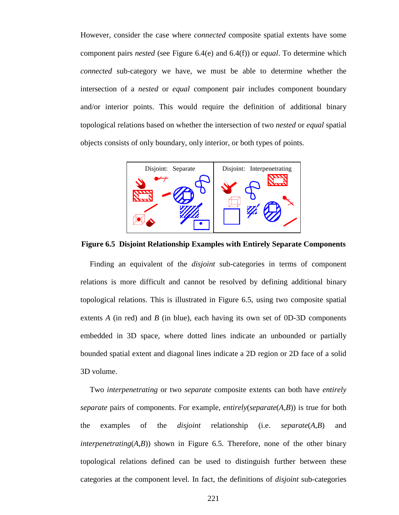However, consider the case where *connected* composite spatial extents have some component pairs *nested* (see Figure 6.4(e) and 6.4(f)) or *equal*. To determine which *connected* sub-category we have, we must be able to determine whether the intersection of a *nested* or *equal* component pair includes component boundary and/or interior points. This would require the definition of additional binary topological relations based on whether the intersection of two *nested* or *equal* spatial objects consists of only boundary, only interior, or both types of points.



**Figure 6.5 Disjoint Relationship Examples with Entirely Separate Components**

Finding an equivalent of the *disjoint* sub-categories in terms of component relations is more difficult and cannot be resolved by defining additional binary topological relations. This is illustrated in Figure 6.5, using two composite spatial extents *A* (in red) and *B* (in blue), each having its own set of 0D-3D components embedded in 3D space, where dotted lines indicate an unbounded or partially bounded spatial extent and diagonal lines indicate a 2D region or 2D face of a solid 3D volume.

Two *interpenetrating* or two *separate* composite extents can both have *entirely separate* pairs of components. For example, *entirely*(*separate*(*A,B*)) is true for both the examples of the *disjoint* relationship (i.e. *separate*(*A*,*B*) and *interpenetrating* $(A,B)$  shown in Figure 6.5. Therefore, none of the other binary topological relations defined can be used to distinguish further between these categories at the component level. In fact, the definitions of *disjoint* sub-categories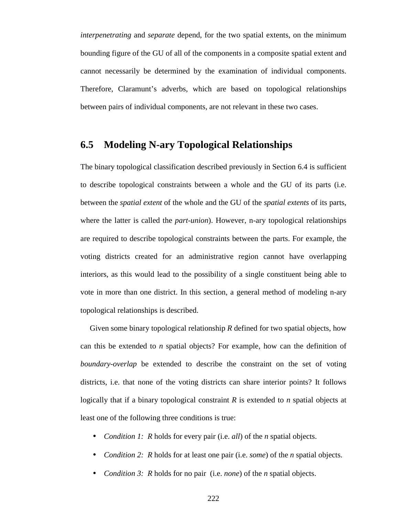*interpenetrating* and *separate* depend, for the two spatial extents, on the minimum bounding figure of the GU of all of the components in a composite spatial extent and cannot necessarily be determined by the examination of individual components. Therefore, Claramunt's adverbs, which are based on topological relationships between pairs of individual components, are not relevant in these two cases.

## **6.5 Modeling N-ary Topological Relationships**

The binary topological classification described previously in Section 6.4 is sufficient to describe topological constraints between a whole and the GU of its parts (i.e. between the *spatial extent* of the whole and the GU of the *spatial extents* of its parts, where the latter is called the *part-union*). However, n-ary topological relationships are required to describe topological constraints between the parts. For example, the voting districts created for an administrative region cannot have overlapping interiors, as this would lead to the possibility of a single constituent being able to vote in more than one district. In this section, a general method of modeling n-ary topological relationships is described.

Given some binary topological relationship *R* defined for two spatial objects, how can this be extended to *n* spatial objects? For example, how can the definition of *boundary-overlap* be extended to describe the constraint on the set of voting districts, i.e. that none of the voting districts can share interior points? It follows logically that if a binary topological constraint *R* is extended to *n* spatial objects at least one of the following three conditions is true:

- *Condition 1: R* holds for every pair (i.e. *all*) of the *n* spatial objects.
- *Condition 2: R* holds for at least one pair (i.e. *some*) of the *n* spatial objects.
- *Condition 3: R* holds for no pair (i.e. *none*) of the *n* spatial objects.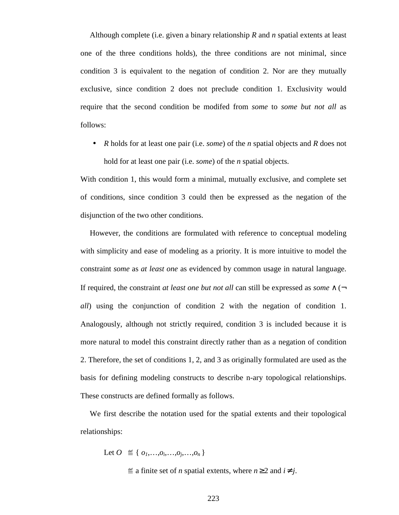Although complete (i.e. given a binary relationship *R* and *n* spatial extents at least one of the three conditions holds), the three conditions are not minimal, since condition 3 is equivalent to the negation of condition 2. Nor are they mutually exclusive, since condition 2 does not preclude condition 1. Exclusivity would require that the second condition be modifed from *some* to *some but not all* as follows:

• *R* holds for at least one pair (i.e. *some*) of the *n* spatial objects and *R* does not hold for at least one pair (i.e. *some*) of the *n* spatial objects.

With condition 1, this would form a minimal, mutually exclusive, and complete set of conditions, since condition 3 could then be expressed as the negation of the disjunction of the two other conditions.

However, the conditions are formulated with reference to conceptual modeling with simplicity and ease of modeling as a priority. It is more intuitive to model the constraint *some* as *at least one* as evidenced by common usage in natural language. If required, the constraint *at least one but not all* can still be expressed as *some*  $\wedge$  ( $\neg$ *all*) using the conjunction of condition 2 with the negation of condition 1. Analogously, although not strictly required, condition 3 is included because it is more natural to model this constraint directly rather than as a negation of condition 2. Therefore, the set of conditions 1, 2, and 3 as originally formulated are used as the basis for defining modeling constructs to describe n-ary topological relationships. These constructs are defined formally as follows.

We first describe the notation used for the spatial extents and their topological relationships:

Let 
$$
O \equiv \{o_1, \ldots, o_i, \ldots, o_j, \ldots, o_n\}
$$

≝ a finite set of *n* spatial extents*,* where *n* ≥ 2 and *i* ≠ *j*.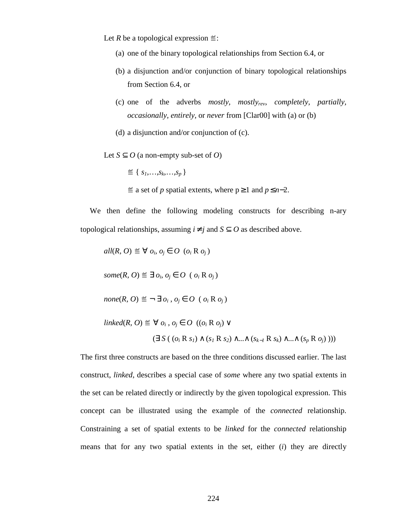Let *R* be a topological expression  $\stackrel{\text{def}}{=}$ :

- (a) one of the binary topological relationships from Section 6.4, or
- (b) a disjunction and/or conjunction of binary topological relationships from Section 6.4, or
- (c) one of the adverbs *mostly, mostlyrev, completely, partially, occasionally, entirely,* or *never* from [Clar00] with (a) or (b)
- (d) a disjunction and/or conjunction of (c).

Let  $S \subseteq O$  (a non-empty sub-set of *O*)

 $\stackrel{\text{def}}{=} \{ S_1, \ldots, S_k, \ldots, S_p \}$ 

≝ a set of *p* spatial extents*,* where p ≥ 1 and *p* ≤ *n*−2.

We then define the following modeling constructs for describing n-ary topological relationships, assuming  $i \neq j$  and  $S ⊆ O$  as described above.

$$
all(R, O) \stackrel{\text{def}}{=} \forall o_i, o_j \in O \ (o_i \, R \, o_j)
$$
\n
$$
some(R, O) \stackrel{\text{def}}{=} \exists o_i, o_j \in O \ (o_i \, R \, o_j)
$$
\n
$$
none(R, O) \stackrel{\text{def}}{=} \neg \exists o_i, o_j \in O \ (o_i \, R \, o_j)
$$
\n
$$
linked(R, O) \stackrel{\text{def}}{=} \forall o_i, o_j \in O \ ((o_i \, R \, o_j) \vee
$$

 $(\exists S ((o_i R s_1) ∧ (s_1 R s_2) ∧ ... ∧ (s_{k-1} R s_k) ∧ ... ∧ (s_p R o_j))))$ 

The first three constructs are based on the three conditions discussed earlier. The last construct, *linked*, describes a special case of *some* where any two spatial extents in the set can be related directly or indirectly by the given topological expression. This concept can be illustrated using the example of the *connected* relationship. Constraining a set of spatial extents to be *linked* for the *connected* relationship means that for any two spatial extents in the set, either (*i*) they are directly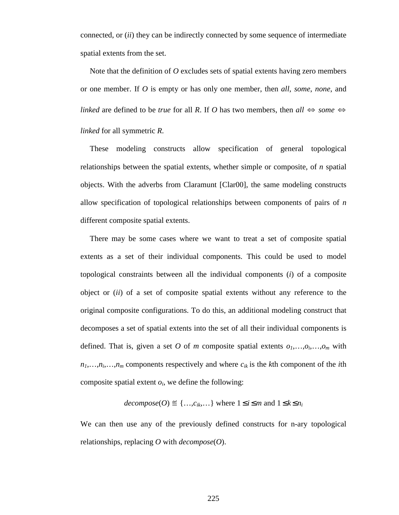connected, or (*ii*) they can be indirectly connected by some sequence of intermediate spatial extents from the set.

Note that the definition of *O* excludes sets of spatial extents having zero members or one member. If *O* is empty or has only one member, then *all*, *some*, *none*, and *linked* are defined to be *true* for all R. If O has two members, then all  $\Leftrightarrow$  *some*  $\Leftrightarrow$ *linked* for all symmetric *R*.

These modeling constructs allow specification of general topological relationships between the spatial extents, whether simple or composite, of *n* spatial objects. With the adverbs from Claramunt [Clar00], the same modeling constructs allow specification of topological relationships between components of pairs of *n* different composite spatial extents.

There may be some cases where we want to treat a set of composite spatial extents as a set of their individual components. This could be used to model topological constraints between all the individual components (*i*) of a composite object or (*ii*) of a set of composite spatial extents without any reference to the original composite configurations. To do this, an additional modeling construct that decomposes a set of spatial extents into the set of all their individual components is defined. That is, given a set *O* of *m* composite spatial extents  $o_1, \ldots, o_i, \ldots, o_m$  with  $n_1, \ldots, n_i, \ldots, n_m$  components respectively and where  $c_{ik}$  is the *k*th component of the *i*th composite spatial extent  $o_i$ , we define the following:

 $decompose(O) \triangleq \{...,c_{ik},...\}$  where  $1 \leq i \leq m$  and  $1 \leq k \leq n_i$ 

We can then use any of the previously defined constructs for n-ary topological relationships, replacing *O* with *decompose*(*O*).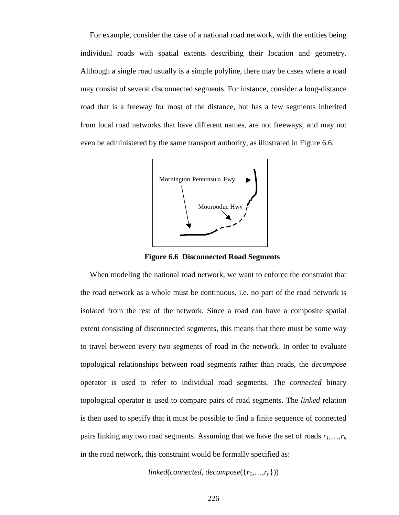For example, consider the case of a national road network, with the entities being individual roads with spatial extents describing their location and geometry. Although a single road usually is a simple polyline, there may be cases where a road may consist of several disconnected segments. For instance, consider a long-distance road that is a freeway for most of the distance, but has a few segments inherited from local road networks that have different names, are not freeways, and may not even be administered by the same transport authority, as illustrated in Figure 6.6.



**Figure 6.6 Disconnected Road Segments**

When modeling the national road network, we want to enforce the constraint that the road network as a whole must be continuous, i.e. no part of the road network is isolated from the rest of the network. Since a road can have a composite spatial extent consisting of disconnected segments, this means that there must be some way to travel between every two segments of road in the network. In order to evaluate topological relationships between road segments rather than roads, the *decompose* operator is used to refer to individual road segments. The *connected* binary topological operator is used to compare pairs of road segments. The *linked* relation is then used to specify that it must be possible to find a finite sequence of connected pairs linking any two road segments. Assuming that we have the set of roads  $r_1, \ldots, r_n$ in the road network, this constraint would be formally specified as:

*linked*(*connected*, *decompose*( $\{r_1, \ldots, r_n\})$ )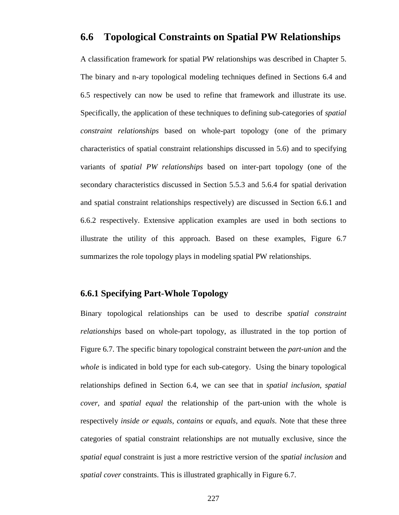## **6.6 Topological Constraints on Spatial PW Relationships**

A classification framework for spatial PW relationships was described in Chapter 5. The binary and n-ary topological modeling techniques defined in Sections 6.4 and 6.5 respectively can now be used to refine that framework and illustrate its use. Specifically, the application of these techniques to defining sub-categories of *spatial constraint relationships* based on whole-part topology (one of the primary characteristics of spatial constraint relationships discussed in 5.6) and to specifying variants of *spatial PW relationships* based on inter-part topology (one of the secondary characteristics discussed in Section 5.5.3 and 5.6.4 for spatial derivation and spatial constraint relationships respectively) are discussed in Section 6.6.1 and 6.6.2 respectively. Extensive application examples are used in both sections to illustrate the utility of this approach. Based on these examples, Figure 6.7 summarizes the role topology plays in modeling spatial PW relationships.

#### **6.6.1 Specifying Part-Whole Topology**

Binary topological relationships can be used to describe *spatial constraint relationships* based on whole-part topology, as illustrated in the top portion of Figure 6.7. The specific binary topological constraint between the *part-union* and the *whole* is indicated in bold type for each sub-category. Using the binary topological relationships defined in Section 6.4, we can see that in *spatial inclusion*, *spatial cover,* and *spatial equal* the relationship of the part-union with the whole is respectively *inside or equals*, *contains* or *equals*, and *equals*. Note that these three categories of spatial constraint relationships are not mutually exclusive, since the *spatial equal* constraint is just a more restrictive version of the *spatial inclusion* and *spatial cover* constraints. This is illustrated graphically in Figure 6.7.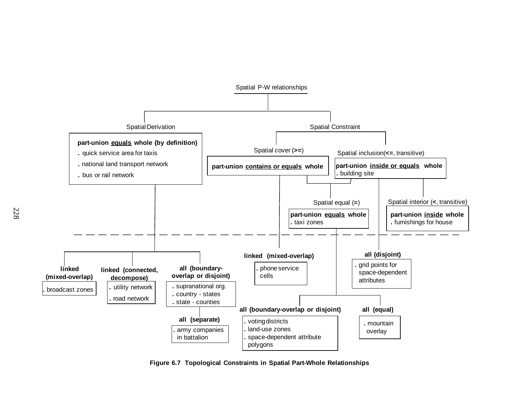

**Figure 6.7 Topological Constraints in Spatial Part-Whole Relationships**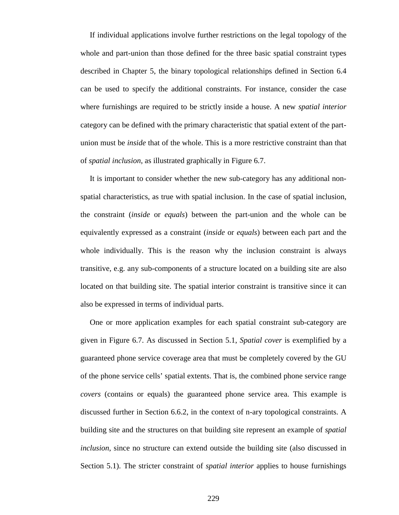If individual applications involve further restrictions on the legal topology of the whole and part-union than those defined for the three basic spatial constraint types described in Chapter 5, the binary topological relationships defined in Section 6.4 can be used to specify the additional constraints. For instance, consider the case where furnishings are required to be strictly inside a house. A new *spatial interior* category can be defined with the primary characteristic that spatial extent of the partunion must be *inside* that of the whole. This is a more restrictive constraint than that of *spatial inclusion*, as illustrated graphically in Figure 6.7.

It is important to consider whether the new sub-category has any additional nonspatial characteristics, as true with spatial inclusion. In the case of spatial inclusion, the constraint (*inside* or *equals*) between the part-union and the whole can be equivalently expressed as a constraint (*inside* or *equals*) between each part and the whole individually. This is the reason why the inclusion constraint is always transitive, e.g. any sub-components of a structure located on a building site are also located on that building site. The spatial interior constraint is transitive since it can also be expressed in terms of individual parts.

One or more application examples for each spatial constraint sub-category are given in Figure 6.7. As discussed in Section 5.1, *Spatial cover* is exemplified by a guaranteed phone service coverage area that must be completely covered by the GU of the phone service cells' spatial extents. That is, the combined phone service range *covers* (contains or equals) the guaranteed phone service area. This example is discussed further in Section 6.6.2, in the context of n-ary topological constraints. A building site and the structures on that building site represent an example of *spatial inclusion*, since no structure can extend outside the building site (also discussed in Section 5.1). The stricter constraint of *spatial interior* applies to house furnishings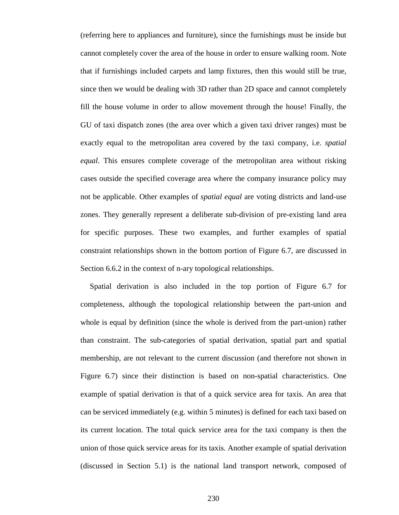(referring here to appliances and furniture), since the furnishings must be inside but cannot completely cover the area of the house in order to ensure walking room. Note that if furnishings included carpets and lamp fixtures, then this would still be true, since then we would be dealing with 3D rather than 2D space and cannot completely fill the house volume in order to allow movement through the house! Finally, the GU of taxi dispatch zones (the area over which a given taxi driver ranges) must be exactly equal to the metropolitan area covered by the taxi company, i.e. *spatial equal*. This ensures complete coverage of the metropolitan area without risking cases outside the specified coverage area where the company insurance policy may not be applicable. Other examples of *spatial equal* are voting districts and land-use zones. They generally represent a deliberate sub-division of pre-existing land area for specific purposes. These two examples, and further examples of spatial constraint relationships shown in the bottom portion of Figure 6.7, are discussed in Section 6.6.2 in the context of n-ary topological relationships.

Spatial derivation is also included in the top portion of Figure 6.7 for completeness, although the topological relationship between the part-union and whole is equal by definition (since the whole is derived from the part-union) rather than constraint. The sub-categories of spatial derivation, spatial part and spatial membership, are not relevant to the current discussion (and therefore not shown in Figure 6.7) since their distinction is based on non-spatial characteristics. One example of spatial derivation is that of a quick service area for taxis. An area that can be serviced immediately (e.g. within 5 minutes) is defined for each taxi based on its current location. The total quick service area for the taxi company is then the union of those quick service areas for its taxis. Another example of spatial derivation (discussed in Section 5.1) is the national land transport network, composed of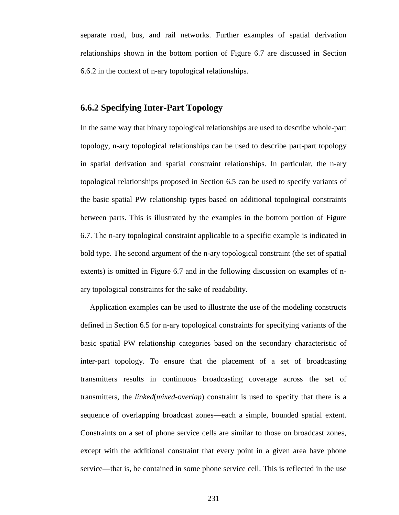separate road, bus, and rail networks. Further examples of spatial derivation relationships shown in the bottom portion of Figure 6.7 are discussed in Section 6.6.2 in the context of n-ary topological relationships.

#### **6.6.2 Specifying Inter-Part Topology**

In the same way that binary topological relationships are used to describe whole-part topology, n-ary topological relationships can be used to describe part-part topology in spatial derivation and spatial constraint relationships. In particular, the n-ary topological relationships proposed in Section 6.5 can be used to specify variants of the basic spatial PW relationship types based on additional topological constraints between parts. This is illustrated by the examples in the bottom portion of Figure 6.7. The n-ary topological constraint applicable to a specific example is indicated in bold type. The second argument of the n-ary topological constraint (the set of spatial extents) is omitted in Figure 6.7 and in the following discussion on examples of nary topological constraints for the sake of readability.

Application examples can be used to illustrate the use of the modeling constructs defined in Section 6.5 for n-ary topological constraints for specifying variants of the basic spatial PW relationship categories based on the secondary characteristic of inter-part topology. To ensure that the placement of a set of broadcasting transmitters results in continuous broadcasting coverage across the set of transmitters, the *linked*(*mixed-overlap*) constraint is used to specify that there is a sequence of overlapping broadcast zones—each a simple, bounded spatial extent. Constraints on a set of phone service cells are similar to those on broadcast zones, except with the additional constraint that every point in a given area have phone service—that is, be contained in some phone service cell. This is reflected in the use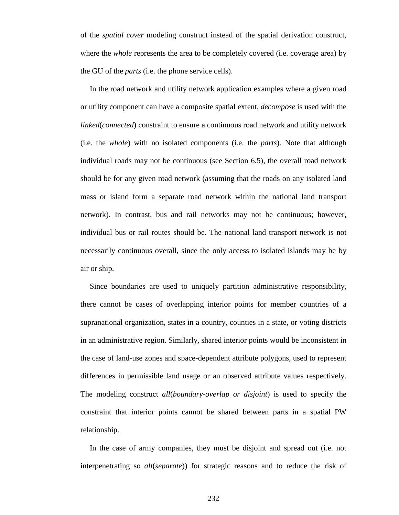of the *spatial cover* modeling construct instead of the spatial derivation construct, where the *whole* represents the area to be completely covered (i.e. coverage area) by the GU of the *parts* (i.e. the phone service cells).

In the road network and utility network application examples where a given road or utility component can have a composite spatial extent, *decompose* is used with the *linked*(*connected*) constraint to ensure a continuous road network and utility network (i.e. the *whole*) with no isolated components (i.e. the *parts*). Note that although individual roads may not be continuous (see Section 6.5), the overall road network should be for any given road network (assuming that the roads on any isolated land mass or island form a separate road network within the national land transport network). In contrast, bus and rail networks may not be continuous; however, individual bus or rail routes should be. The national land transport network is not necessarily continuous overall, since the only access to isolated islands may be by air or ship.

Since boundaries are used to uniquely partition administrative responsibility, there cannot be cases of overlapping interior points for member countries of a supranational organization, states in a country, counties in a state, or voting districts in an administrative region. Similarly, shared interior points would be inconsistent in the case of land-use zones and space-dependent attribute polygons, used to represent differences in permissible land usage or an observed attribute values respectively. The modeling construct *all*(*boundary-overlap or disjoint*) is used to specify the constraint that interior points cannot be shared between parts in a spatial PW relationship.

In the case of army companies, they must be disjoint and spread out (i.e. not interpenetrating so *all*(*separate*)) for strategic reasons and to reduce the risk of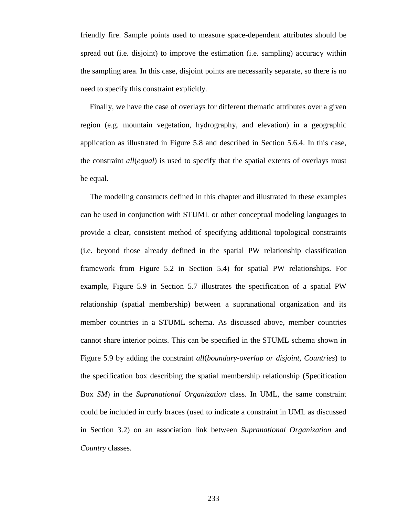friendly fire. Sample points used to measure space-dependent attributes should be spread out (i.e. disjoint) to improve the estimation (i.e. sampling) accuracy within the sampling area. In this case, disjoint points are necessarily separate, so there is no need to specify this constraint explicitly.

Finally, we have the case of overlays for different thematic attributes over a given region (e.g. mountain vegetation, hydrography, and elevation) in a geographic application as illustrated in Figure 5.8 and described in Section 5.6.4. In this case, the constraint *all*(*equal*) is used to specify that the spatial extents of overlays must be equal.

The modeling constructs defined in this chapter and illustrated in these examples can be used in conjunction with STUML or other conceptual modeling languages to provide a clear, consistent method of specifying additional topological constraints (i.e. beyond those already defined in the spatial PW relationship classification framework from Figure 5.2 in Section 5.4) for spatial PW relationships. For example, Figure 5.9 in Section 5.7 illustrates the specification of a spatial PW relationship (spatial membership) between a supranational organization and its member countries in a STUML schema. As discussed above, member countries cannot share interior points. This can be specified in the STUML schema shown in Figure 5.9 by adding the constraint *all*(*boundary-overlap or disjoint, Countries*) to the specification box describing the spatial membership relationship (Specification Box *SM*) in the *Supranational Organization* class. In UML, the same constraint could be included in curly braces (used to indicate a constraint in UML as discussed in Section 3.2) on an association link between *Supranational Organization* and *Country* classes.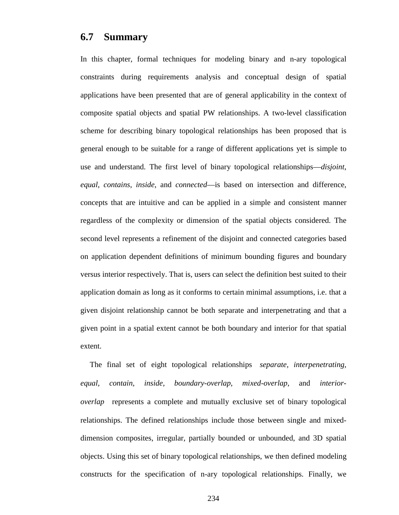## **6.7 Summary**

In this chapter, formal techniques for modeling binary and n-ary topological constraints during requirements analysis and conceptual design of spatial applications have been presented that are of general applicability in the context of composite spatial objects and spatial PW relationships. A two-level classification scheme for describing binary topological relationships has been proposed that is general enough to be suitable for a range of different applications yet is simple to use and understand. The first level of binary topological relationships—*disjoint*, *equal*, *contains*, *inside*, and *connected*—is based on intersection and difference, concepts that are intuitive and can be applied in a simple and consistent manner regardless of the complexity or dimension of the spatial objects considered. The second level represents a refinement of the disjoint and connected categories based on application dependent definitions of minimum bounding figures and boundary versus interior respectively. That is, users can select the definition best suited to their application domain as long as it conforms to certain minimal assumptions, i.e. that a given disjoint relationship cannot be both separate and interpenetrating and that a given point in a spatial extent cannot be both boundary and interior for that spatial extent.

The final set of eight topological relationships—separate, interpenetrating, *equal, contain, inside, boundary-overlap, mixed-overlap,* and *interioroverlap*—represents a complete and mutually exclusive set of binary topological relationships. The defined relationships include those between single and mixeddimension composites, irregular, partially bounded or unbounded, and 3D spatial objects. Using this set of binary topological relationships, we then defined modeling constructs for the specification of n-ary topological relationships. Finally, we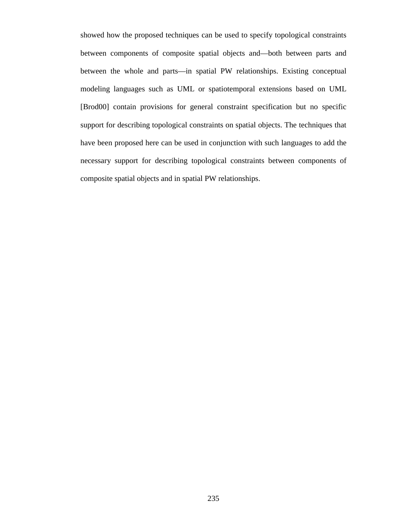showed how the proposed techniques can be used to specify topological constraints between components of composite spatial objects and—both between parts and between the whole and parts—in spatial PW relationships. Existing conceptual modeling languages such as UML or spatiotemporal extensions based on UML [Brod00] contain provisions for general constraint specification but no specific support for describing topological constraints on spatial objects. The techniques that have been proposed here can be used in conjunction with such languages to add the necessary support for describing topological constraints between components of composite spatial objects and in spatial PW relationships.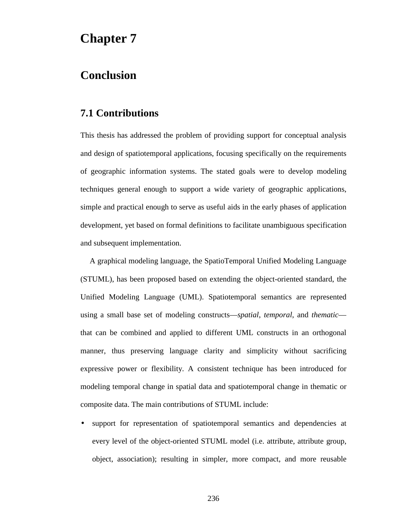# **Chapter 7**

## **Conclusion**

## **7.1 Contributions**

This thesis has addressed the problem of providing support for conceptual analysis and design of spatiotemporal applications, focusing specifically on the requirements of geographic information systems. The stated goals were to develop modeling techniques general enough to support a wide variety of geographic applications, simple and practical enough to serve as useful aids in the early phases of application development, yet based on formal definitions to facilitate unambiguous specification and subsequent implementation.

A graphical modeling language, the SpatioTemporal Unified Modeling Language (STUML), has been proposed based on extending the object-oriented standard, the Unified Modeling Language (UML). Spatiotemporal semantics are represented using a small base set of modeling constructs—*spatial*, *temporal*, and *thematic* that can be combined and applied to different UML constructs in an orthogonal manner, thus preserving language clarity and simplicity without sacrificing expressive power or flexibility. A consistent technique has been introduced for modeling temporal change in spatial data and spatiotemporal change in thematic or composite data. The main contributions of STUML include:

• support for representation of spatiotemporal semantics and dependencies at every level of the object-oriented STUML model (i.e. attribute, attribute group, object, association); resulting in simpler, more compact, and more reusable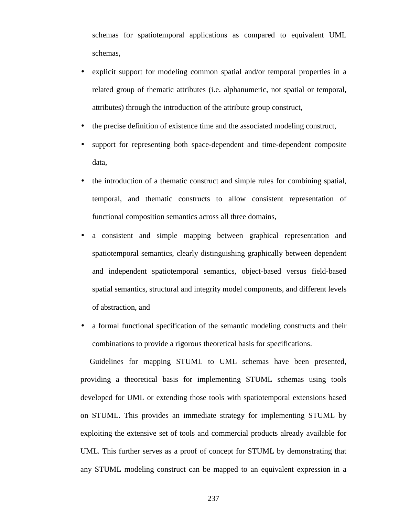schemas for spatiotemporal applications as compared to equivalent UML schemas,

- explicit support for modeling common spatial and/or temporal properties in a related group of thematic attributes (i.e. alphanumeric, not spatial or temporal, attributes) through the introduction of the attribute group construct,
- the precise definition of existence time and the associated modeling construct,
- support for representing both space-dependent and time-dependent composite data,
- the introduction of a thematic construct and simple rules for combining spatial, temporal, and thematic constructs to allow consistent representation of functional composition semantics across all three domains,
- a consistent and simple mapping between graphical representation and spatiotemporal semantics, clearly distinguishing graphically between dependent and independent spatiotemporal semantics, object-based versus field-based spatial semantics, structural and integrity model components, and different levels of abstraction, and
- a formal functional specification of the semantic modeling constructs and their combinations to provide a rigorous theoretical basis for specifications.

Guidelines for mapping STUML to UML schemas have been presented, providing a theoretical basis for implementing STUML schemas using tools developed for UML or extending those tools with spatiotemporal extensions based on STUML. This provides an immediate strategy for implementing STUML by exploiting the extensive set of tools and commercial products already available for UML. This further serves as a proof of concept for STUML by demonstrating that any STUML modeling construct can be mapped to an equivalent expression in a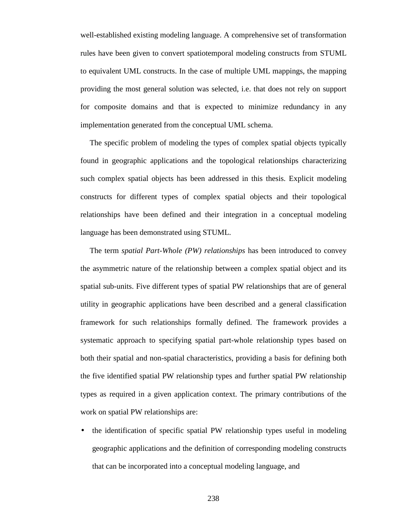well-established existing modeling language. A comprehensive set of transformation rules have been given to convert spatiotemporal modeling constructs from STUML to equivalent UML constructs. In the case of multiple UML mappings, the mapping providing the most general solution was selected, i.e. that does not rely on support for composite domains and that is expected to minimize redundancy in any implementation generated from the conceptual UML schema.

The specific problem of modeling the types of complex spatial objects typically found in geographic applications and the topological relationships characterizing such complex spatial objects has been addressed in this thesis. Explicit modeling constructs for different types of complex spatial objects and their topological relationships have been defined and their integration in a conceptual modeling language has been demonstrated using STUML.

The term *spatial Part-Whole (PW) relationships* has been introduced to convey the asymmetric nature of the relationship between a complex spatial object and its spatial sub-units. Five different types of spatial PW relationships that are of general utility in geographic applications have been described and a general classification framework for such relationships formally defined. The framework provides a systematic approach to specifying spatial part-whole relationship types based on both their spatial and non-spatial characteristics, providing a basis for defining both the five identified spatial PW relationship types and further spatial PW relationship types as required in a given application context. The primary contributions of the work on spatial PW relationships are:

• the identification of specific spatial PW relationship types useful in modeling geographic applications and the definition of corresponding modeling constructs that can be incorporated into a conceptual modeling language, and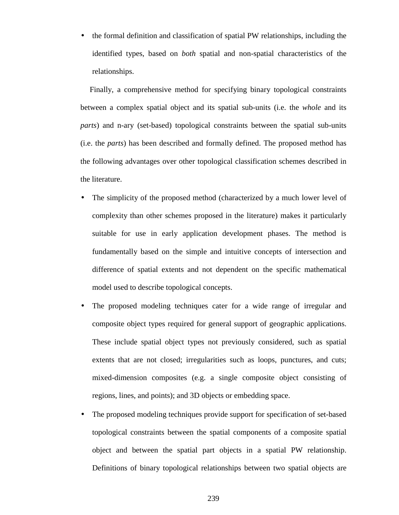• the formal definition and classification of spatial PW relationships, including the identified types, based on *both* spatial and non-spatial characteristics of the relationships.

Finally, a comprehensive method for specifying binary topological constraints between a complex spatial object and its spatial sub-units (i.e. the *whole* and its *parts*) and n-ary (set-based) topological constraints between the spatial sub-units (i.e. the *parts*) has been described and formally defined. The proposed method has the following advantages over other topological classification schemes described in the literature.

- The simplicity of the proposed method (characterized by a much lower level of complexity than other schemes proposed in the literature) makes it particularly suitable for use in early application development phases. The method is fundamentally based on the simple and intuitive concepts of intersection and difference of spatial extents and not dependent on the specific mathematical model used to describe topological concepts.
- The proposed modeling techniques cater for a wide range of irregular and composite object types required for general support of geographic applications. These include spatial object types not previously considered, such as spatial extents that are not closed; irregularities such as loops, punctures, and cuts; mixed-dimension composites (e.g. a single composite object consisting of regions, lines, and points); and 3D objects or embedding space.
- The proposed modeling techniques provide support for specification of set-based topological constraints between the spatial components of a composite spatial object and between the spatial part objects in a spatial PW relationship. Definitions of binary topological relationships between two spatial objects are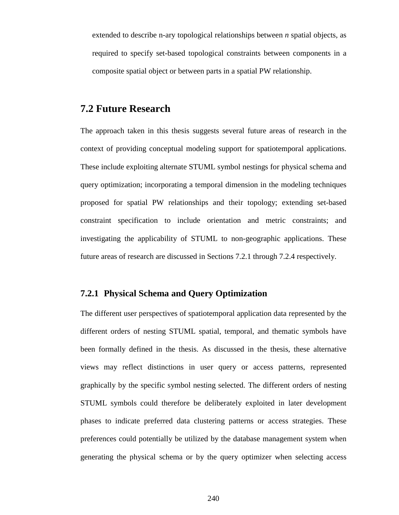extended to describe n-ary topological relationships between *n* spatial objects, as required to specify set-based topological constraints between components in a composite spatial object or between parts in a spatial PW relationship.

## **7.2 Future Research**

The approach taken in this thesis suggests several future areas of research in the context of providing conceptual modeling support for spatiotemporal applications. These include exploiting alternate STUML symbol nestings for physical schema and query optimization; incorporating a temporal dimension in the modeling techniques proposed for spatial PW relationships and their topology; extending set-based constraint specification to include orientation and metric constraints; and investigating the applicability of STUML to non-geographic applications. These future areas of research are discussed in Sections 7.2.1 through 7.2.4 respectively.

### **7.2.1 Physical Schema and Query Optimization**

The different user perspectives of spatiotemporal application data represented by the different orders of nesting STUML spatial, temporal, and thematic symbols have been formally defined in the thesis. As discussed in the thesis, these alternative views may reflect distinctions in user query or access patterns, represented graphically by the specific symbol nesting selected. The different orders of nesting STUML symbols could therefore be deliberately exploited in later development phases to indicate preferred data clustering patterns or access strategies. These preferences could potentially be utilized by the database management system when generating the physical schema or by the query optimizer when selecting access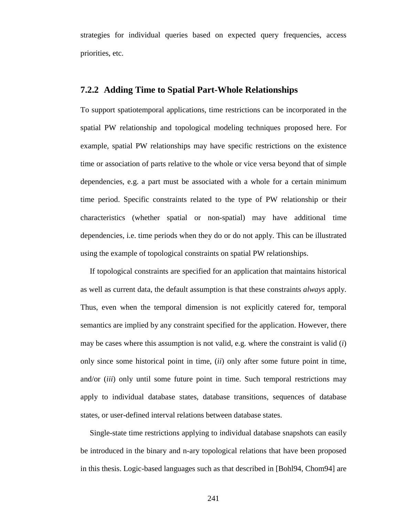strategies for individual queries based on expected query frequencies, access priorities, etc.

#### **7.2.2 Adding Time to Spatial Part-Whole Relationships**

To support spatiotemporal applications, time restrictions can be incorporated in the spatial PW relationship and topological modeling techniques proposed here. For example, spatial PW relationships may have specific restrictions on the existence time or association of parts relative to the whole or vice versa beyond that of simple dependencies, e.g. a part must be associated with a whole for a certain minimum time period. Specific constraints related to the type of PW relationship or their characteristics (whether spatial or non-spatial) may have additional time dependencies, i.e. time periods when they do or do not apply. This can be illustrated using the example of topological constraints on spatial PW relationships.

If topological constraints are specified for an application that maintains historical as well as current data, the default assumption is that these constraints *always* apply. Thus, even when the temporal dimension is not explicitly catered for, temporal semantics are implied by any constraint specified for the application. However, there may be cases where this assumption is not valid, e.g. where the constraint is valid (*i*) only since some historical point in time, (*ii*) only after some future point in time, and/or (*iii*) only until some future point in time. Such temporal restrictions may apply to individual database states, database transitions, sequences of database states, or user-defined interval relations between database states.

Single-state time restrictions applying to individual database snapshots can easily be introduced in the binary and n-ary topological relations that have been proposed in this thesis. Logic-based languages such as that described in [Bohl94, Chom94] are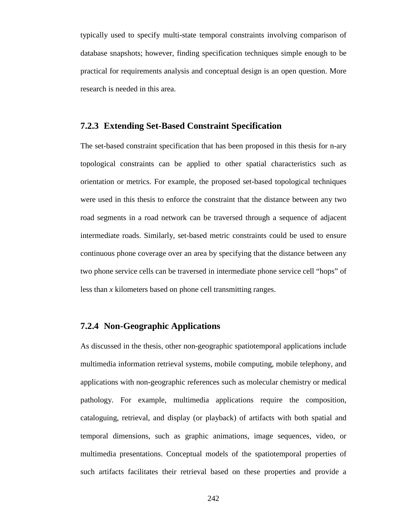typically used to specify multi-state temporal constraints involving comparison of database snapshots; however, finding specification techniques simple enough to be practical for requirements analysis and conceptual design is an open question. More research is needed in this area.

#### **7.2.3 Extending Set-Based Constraint Specification**

The set-based constraint specification that has been proposed in this thesis for n-ary topological constraints can be applied to other spatial characteristics such as orientation or metrics. For example, the proposed set-based topological techniques were used in this thesis to enforce the constraint that the distance between any two road segments in a road network can be traversed through a sequence of adjacent intermediate roads. Similarly, set-based metric constraints could be used to ensure continuous phone coverage over an area by specifying that the distance between any two phone service cells can be traversed in intermediate phone service cell "hops" of less than *x* kilometers based on phone cell transmitting ranges.

## **7.2.4 Non-Geographic Applications**

As discussed in the thesis, other non-geographic spatiotemporal applications include multimedia information retrieval systems, mobile computing, mobile telephony, and applications with non-geographic references such as molecular chemistry or medical pathology. For example, multimedia applications require the composition, cataloguing, retrieval, and display (or playback) of artifacts with both spatial and temporal dimensions, such as graphic animations, image sequences, video, or multimedia presentations. Conceptual models of the spatiotemporal properties of such artifacts facilitates their retrieval based on these properties and provide a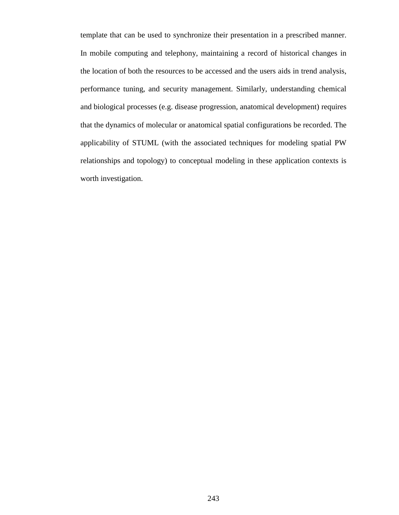template that can be used to synchronize their presentation in a prescribed manner. In mobile computing and telephony, maintaining a record of historical changes in the location of both the resources to be accessed and the users aids in trend analysis, performance tuning, and security management. Similarly, understanding chemical and biological processes (e.g. disease progression, anatomical development) requires that the dynamics of molecular or anatomical spatial configurations be recorded. The applicability of STUML (with the associated techniques for modeling spatial PW relationships and topology) to conceptual modeling in these application contexts is worth investigation.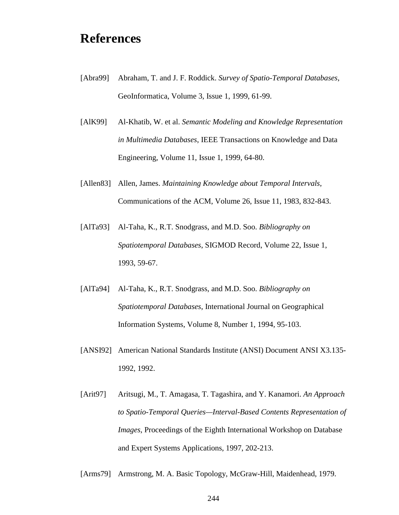# **References**

- [Abra99] Abraham, T. and J. F. Roddick. *Survey of Spatio-Temporal Databases*, GeoInformatica, Volume 3, Issue 1, 1999, 61-99.
- [AlK99] Al-Khatib, W. et al. *Semantic Modeling and Knowledge Representation in Multimedia Databases*, IEEE Transactions on Knowledge and Data Engineering, Volume 11, Issue 1, 1999, 64-80.
- [Allen83] Allen, James. *Maintaining Knowledge about Temporal Intervals*, Communications of the ACM, Volume 26, Issue 11, 1983, 832-843.
- [AlTa93] Al-Taha, K., R.T. Snodgrass, and M.D. Soo. *Bibliography on Spatiotemporal Databases*, SIGMOD Record, Volume 22, Issue 1, 1993, 59-67.
- [AlTa94] Al-Taha, K., R.T. Snodgrass, and M.D. Soo. *Bibliography on Spatiotemporal Databases*, International Journal on Geographical Information Systems, Volume 8, Number 1, 1994, 95-103.
- [ANSI92] American National Standards Institute (ANSI) Document ANSI X3.135- 1992, 1992.
- [Arit97] Aritsugi, M., T. Amagasa, T. Tagashira, and Y. Kanamori. *An Approach to Spatio-Temporal Queries—Interval-Based Contents Representation of Images*, Proceedings of the Eighth International Workshop on Database and Expert Systems Applications, 1997, 202-213.
- [Arms79] Armstrong, M. A. Basic Topology, McGraw-Hill, Maidenhead, 1979.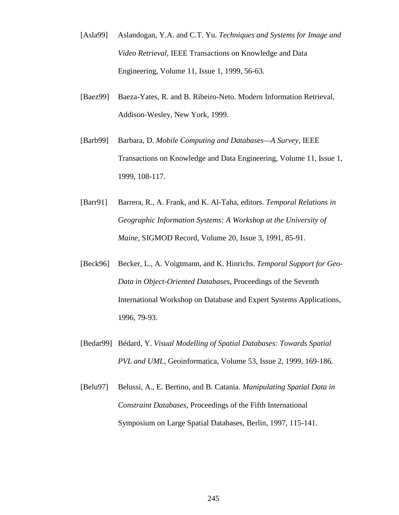- [Asla99] Aslandogan, Y.A. and C.T. Yu. *Techniques and Systems for Image and Video Retrieval*, IEEE Transactions on Knowledge and Data Engineering, Volume 11, Issue 1, 1999, 56-63.
- [Baez99] Baeza-Yates, R. and B. Ribeiro-Neto. Modern Information Retrieval, Addison-Wesley, New York, 1999.
- [Barb99] Barbara, D. *Mobile Computing and Databases—A Survey*, IEEE Transactions on Knowledge and Data Engineering, Volume 11, Issue 1, 1999, 108-117.
- [Barr91] Barrera, R., A. Frank, and K. Al-Taha, editors. *Temporal Relations in Geographic Information Systems: A Workshop at the University of Maine*, SIGMOD Record, Volume 20, Issue 3, 1991, 85-91.
- [Beck96] Becker, L., A. Voigtmann, and K. Hinrichs. *Temporal Support for Geo-Data in Object-Oriented Databases*, Proceedings of the Seventh International Workshop on Database and Expert Systems Applications, 1996, 79-93.
- [Bedar99] Bédard, Y. *Visual Modelling of Spatial Databases: Towards Spatial PVL and UML*, Geoinformatica, Volume 53, Issue 2, 1999, 169-186.
- [Belu97] Belussi, A., E. Bertino, and B. Catania. *Manipulating Spatial Data in Constraint Databases*, Proceedings of the Fifth International Symposium on Large Spatial Databases, Berlin, 1997, 115-141.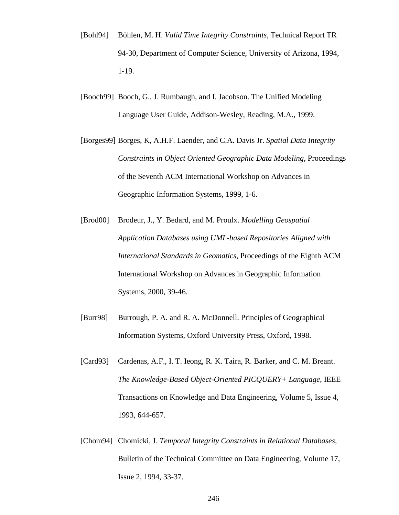- [Bohl94] Böhlen, M. H. *Valid Time Integrity Constraints*, Technical Report TR 94-30, Department of Computer Science, University of Arizona, 1994, 1-19.
- [Booch99] Booch, G., J. Rumbaugh, and I. Jacobson. The Unified Modeling Language User Guide, Addison-Wesley, Reading, M.A., 1999.
- [Borges99] Borges, K, A.H.F. Laender, and C.A. Davis Jr. *Spatial Data Integrity Constraints in Object Oriented Geographic Data Modeling*, Proceedings of the Seventh ACM International Workshop on Advances in Geographic Information Systems, 1999, 1-6.
- [Brod00] Brodeur, J., Y. Bedard, and M. Proulx. *Modelling Geospatial Application Databases using UML-based Repositories Aligned with International Standards in Geomatics*, Proceedings of the Eighth ACM International Workshop on Advances in Geographic Information Systems, 2000, 39-46.
- [Burr98] Burrough, P. A. and R. A. McDonnell. Principles of Geographical Information Systems, Oxford University Press, Oxford, 1998.
- [Card93] Cardenas, A.F., I. T. Ieong, R. K. Taira, R. Barker, and C. M. Breant. *The Knowledge-Based Object-Oriented PICQUERY+ Language*, IEEE Transactions on Knowledge and Data Engineering, Volume 5, Issue 4, 1993, 644-657.
- [Chom94] Chomicki, J. *Temporal Integrity Constraints in Relational Databases*, Bulletin of the Technical Committee on Data Engineering, Volume 17, Issue 2, 1994, 33-37.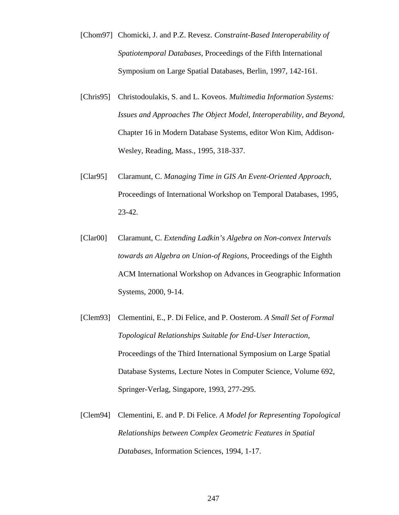- [Chom97] Chomicki, J. and P.Z. Revesz. *Constraint-Based Interoperability of Spatiotemporal Databases*, Proceedings of the Fifth International Symposium on Large Spatial Databases, Berlin, 1997, 142-161.
- [Chris95] Christodoulakis, S. and L. Koveos. *Multimedia Information Systems: Issues and Approaches The Object Model, Interoperability, and Beyond*, Chapter 16 in Modern Database Systems, editor Won Kim, Addison-Wesley, Reading, Mass., 1995, 318-337.
- [Clar95] Claramunt, C. *Managing Time in GIS An Event-Oriented Approach*, Proceedings of International Workshop on Temporal Databases, 1995, 23-42.
- [Clar00] Claramunt, C. *Extending Ladkin's Algebra on Non-convex Intervals towards an Algebra on Union-of Regions,* Proceedings of the Eighth ACM International Workshop on Advances in Geographic Information Systems, 2000, 9-14.
- [Clem93] Clementini, E., P. Di Felice, and P. Oosterom. *A Small Set of Formal Topological Relationships Suitable for End-User Interaction*, Proceedings of the Third International Symposium on Large Spatial Database Systems, Lecture Notes in Computer Science, Volume 692, Springer-Verlag, Singapore, 1993, 277-295.
- [Clem94] Clementini, E. and P. Di Felice. *A Model for Representing Topological Relationships between Complex Geometric Features in Spatial Databases*, Information Sciences, 1994, 1-17.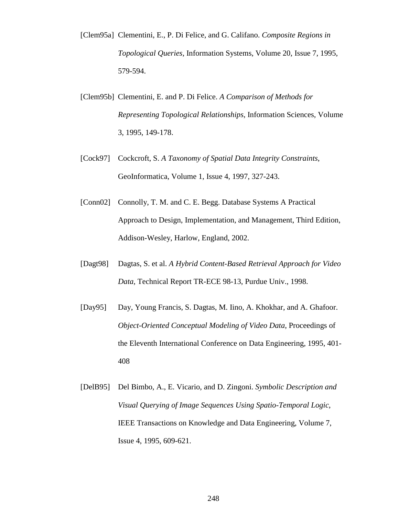- [Clem95a] Clementini, E., P. Di Felice, and G. Califano. *Composite Regions in Topological Queries*, Information Systems, Volume 20, Issue 7, 1995, 579-594.
- [Clem95b] Clementini, E. and P. Di Felice. *A Comparison of Methods for Representing Topological Relationships*, Information Sciences, Volume 3, 1995, 149-178.
- [Cock97] Cockcroft, S. *A Taxonomy of Spatial Data Integrity Constraints*, GeoInformatica, Volume 1, Issue 4, 1997, 327-243.
- [Conn02] Connolly, T. M. and C. E. Begg. Database Systems A Practical Approach to Design, Implementation, and Management, Third Edition, Addison-Wesley, Harlow, England, 2002.
- [Dagt98] Dagtas, S. et al. *A Hybrid Content-Based Retrieval Approach for Video Data*, Technical Report TR-ECE 98-13, Purdue Univ., 1998.
- [Day95] Day, Young Francis, S. Dagtas, M. Iino, A. Khokhar, and A. Ghafoor. *Object-Oriented Conceptual Modeling of Video Data*, Proceedings of the Eleventh International Conference on Data Engineering, 1995, 401- 408
- [DelB95] Del Bimbo, A., E. Vicario, and D. Zingoni. *Symbolic Description and Visual Querying of Image Sequences Using Spatio-Temporal Logic*, IEEE Transactions on Knowledge and Data Engineering, Volume 7, Issue 4, 1995, 609-621.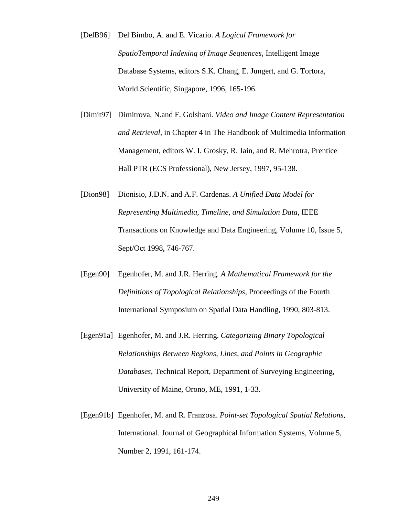- [DelB96] Del Bimbo, A. and E. Vicario. *A Logical Framework for SpatioTemporal Indexing of Image Sequences*, Intelligent Image Database Systems, editors S.K. Chang, E. Jungert, and G. Tortora, World Scientific, Singapore, 1996, 165-196.
- [Dimit97] Dimitrova, N.and F. Golshani. *Video and Image Content Representation and Retrieval*, in Chapter 4 in The Handbook of Multimedia Information Management, editors W. I. Grosky, R. Jain, and R. Mehrotra, Prentice Hall PTR (ECS Professional), New Jersey, 1997, 95-138.
- [Dion98] Dionisio, J.D.N. and A.F. Cardenas. *A Unified Data Model for Representing Multimedia, Timeline, and Simulation Data*, IEEE Transactions on Knowledge and Data Engineering, Volume 10, Issue 5, Sept/Oct 1998, 746-767.
- [Egen90] Egenhofer, M. and J.R. Herring. *A Mathematical Framework for the Definitions of Topological Relationships*, Proceedings of the Fourth International Symposium on Spatial Data Handling, 1990, 803-813.
- [Egen91a] Egenhofer, M. and J.R. Herring. *Categorizing Binary Topological Relationships Between Regions, Lines, and Points in Geographic Databases*, Technical Report, Department of Surveying Engineering, University of Maine, Orono, ME, 1991, 1-33.
- [Egen91b] Egenhofer, M. and R. Franzosa. *Point-set Topological Spatial Relations*, International. Journal of Geographical Information Systems, Volume 5, Number 2, 1991, 161-174.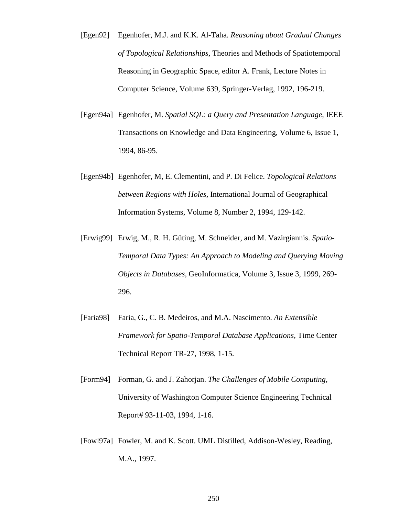- [Egen92] Egenhofer, M.J. and K.K. Al-Taha. *Reasoning about Gradual Changes of Topological Relationships*, Theories and Methods of Spatiotemporal Reasoning in Geographic Space, editor A. Frank, Lecture Notes in Computer Science, Volume 639, Springer-Verlag, 1992, 196-219.
- [Egen94a] Egenhofer, M. *Spatial SQL: a Query and Presentation Language*, IEEE Transactions on Knowledge and Data Engineering, Volume 6, Issue 1, 1994, 86-95.
- [Egen94b] Egenhofer, M, E. Clementini, and P. Di Felice. *Topological Relations between Regions with Holes*, International Journal of Geographical Information Systems, Volume 8, Number 2, 1994, 129-142.
- [Erwig99] Erwig, M., R. H. Güting, M. Schneider, and M. Vazirgiannis. *Spatio-Temporal Data Types: An Approach to Modeling and Querying Moving Objects in Databases*, GeoInformatica, Volume 3, Issue 3, 1999, 269- 296.
- [Faria98] Faria, G., C. B. Medeiros, and M.A. Nascimento. *An Extensible Framework for Spatio-Temporal Database Applications*, Time Center Technical Report TR-27, 1998, 1-15.
- [Form94] Forman, G. and J. Zahorjan. *The Challenges of Mobile Computing*, University of Washington Computer Science Engineering Technical Report# 93-11-03, 1994, 1-16.
- [Fowl97a] Fowler, M. and K. Scott. UML Distilled, Addison-Wesley, Reading, M.A., 1997.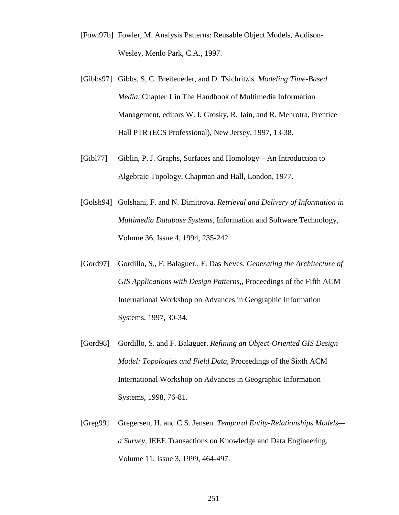- [Fowl97b] Fowler, M. Analysis Patterns: Reusable Object Models, Addison-Wesley, Menlo Park, C.A., 1997.
- [Gibbs97] Gibbs, S, C. Breiteneder, and D. Tsichritzis. *Modeling Time-Based Media*, Chapter 1 in The Handbook of Multimedia Information Management, editors W. I. Grosky, R. Jain, and R. Mehrotra, Prentice Hall PTR (ECS Professional), New Jersey, 1997, 13-38.
- [Gibl77] Giblin, P. J. Graphs, Surfaces and Homology—An Introduction to Algebraic Topology, Chapman and Hall, London, 1977.
- [Golsh94] Golshani, F. and N. Dimitrova, *Retrieval and Delivery of Information in Multimedia Database Systems*, Information and Software Technology, Volume 36, Issue 4, 1994, 235-242.
- [Gord97] Gordillo, S., F. Balaguer., F. Das Neves. *Generating the Architecture of GIS Applications with Design Patterns,*, Proceedings of the Fifth ACM International Workshop on Advances in Geographic Information Systems, 1997, 30-34.
- [Gord98] Gordillo, S. and F. Balaguer. *Refining an Object-Oriented GIS Design Model: Topologies and Field Data*, Proceedings of the Sixth ACM International Workshop on Advances in Geographic Information Systems, 1998, 76-81.
- [Greg99] Gregersen, H. and C.S. Jensen. *Temporal Entity-Relationships Models a Survey*, IEEE Transactions on Knowledge and Data Engineering, Volume 11, Issue 3, 1999, 464-497.

251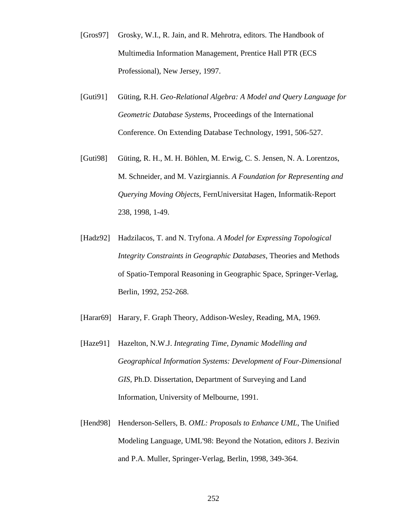- [Gros97] Grosky, W.I., R. Jain, and R. Mehrotra, editors. The Handbook of Multimedia Information Management, Prentice Hall PTR (ECS Professional), New Jersey, 1997.
- [Guti91] Güting, R.H. *Geo-Relational Algebra: A Model and Query Language for Geometric Database Systems*, Proceedings of the International Conference. On Extending Database Technology, 1991, 506-527.
- [Guti98] Güting, R. H., M. H. Böhlen, M. Erwig, C. S. Jensen, N. A. Lorentzos, M. Schneider, and M. Vazirgiannis. *A Foundation for Representing and Querying Moving Objects*, FernUniversitat Hagen, Informatik-Report 238, 1998, 1-49.
- [Hadz92] Hadzilacos, T. and N. Tryfona. *A Model for Expressing Topological Integrity Constraints in Geographic Databases*, Theories and Methods of Spatio-Temporal Reasoning in Geographic Space, Springer-Verlag, Berlin, 1992, 252-268.
- [Harar69] Harary, F. Graph Theory, Addison-Wesley, Reading, MA, 1969.
- [Haze91] Hazelton, N.W.J. *Integrating Time, Dynamic Modelling and Geographical Information Systems: Development of Four-Dimensional GIS*, Ph.D. Dissertation, Department of Surveying and Land Information, University of Melbourne, 1991.
- [Hend98] Henderson-Sellers, B. *OML: Proposals to Enhance UML*, The Unified Modeling Language, UML'98: Beyond the Notation, editors J. Bezivin and P.A. Muller, Springer-Verlag, Berlin, 1998, 349-364.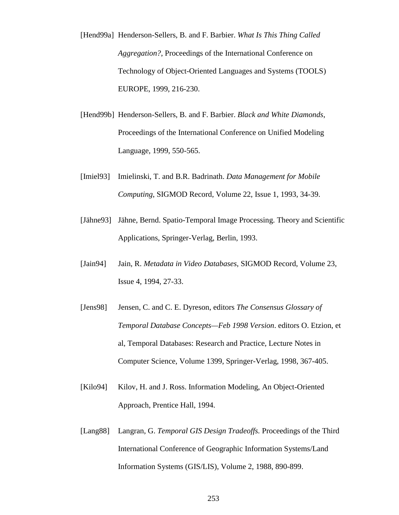- [Hend99a] Henderson-Sellers, B. and F. Barbier. *What Is This Thing Called Aggregation?*, Proceedings of the International Conference on Technology of Object-Oriented Languages and Systems (TOOLS) EUROPE, 1999, 216-230.
- [Hend99b] Henderson-Sellers, B. and F. Barbier. *Black and White Diamonds*, Proceedings of the International Conference on Unified Modeling Language, 1999, 550-565.
- [Imiel93] Imielinski, T. and B.R. Badrinath. *Data Management for Mobile Computing*, SIGMOD Record, Volume 22, Issue 1, 1993, 34-39.
- [Jähne93] Jähne, Bernd. Spatio-Temporal Image Processing. Theory and Scientific Applications, Springer-Verlag, Berlin, 1993.
- [Jain94] Jain, R. *Metadata in Video Databases*, SIGMOD Record, Volume 23, Issue 4, 1994, 27-33.
- [Jens98] Jensen, C. and C. E. Dyreson, editors *The Consensus Glossary of Temporal Database Concepts—Feb 1998 Version*. editors O. Etzion, et al, Temporal Databases: Research and Practice, Lecture Notes in Computer Science, Volume 1399, Springer-Verlag, 1998, 367-405.
- [Kilo94] Kilov, H. and J. Ross. Information Modeling, An Object-Oriented Approach, Prentice Hall, 1994.
- [Lang88] Langran, G. *Temporal GIS Design Tradeoffs.* Proceedings of the Third International Conference of Geographic Information Systems/Land Information Systems (GIS/LIS), Volume 2, 1988, 890-899.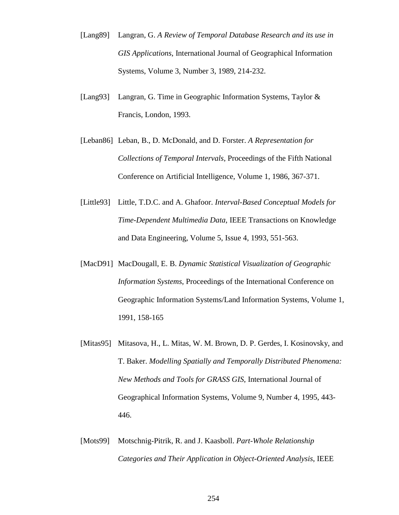- [Lang89] Langran, G. *A Review of Temporal Database Research and its use in GIS Applications*, International Journal of Geographical Information Systems, Volume 3, Number 3, 1989, 214-232.
- [Lang93] Langran, G. Time in Geographic Information Systems, Taylor & Francis, London, 1993.
- [Leban86] Leban, B., D. McDonald, and D. Forster. *A Representation for Collections of Temporal Intervals*, Proceedings of the Fifth National Conference on Artificial Intelligence, Volume 1, 1986, 367-371.
- [Little93] Little, T.D.C. and A. Ghafoor. *Interval-Based Conceptual Models for Time-Dependent Multimedia Data*, IEEE Transactions on Knowledge and Data Engineering, Volume 5, Issue 4, 1993, 551-563.
- [MacD91] MacDougall, E. B. *Dynamic Statistical Visualization of Geographic Information Systems*, Proceedings of the International Conference on Geographic Information Systems/Land Information Systems, Volume 1, 1991, 158-165
- [Mitas95] Mitasova, H., L. Mitas, W. M. Brown, D. P. Gerdes, I. Kosinovsky, and T. Baker. *Modelling Spatially and Temporally Distributed Phenomena: New Methods and Tools for GRASS GIS*, International Journal of Geographical Information Systems, Volume 9, Number 4, 1995, 443- 446.
- [Mots99] Motschnig-Pitrik, R. and J. Kaasboll. *Part-Whole Relationship Categories and Their Application in Object-Oriented Analysis*, IEEE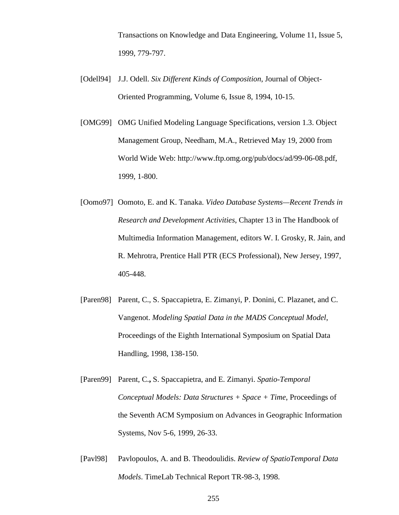Transactions on Knowledge and Data Engineering, Volume 11, Issue 5, 1999, 779-797.

- [Odell94] J.J. Odell. *Six Different Kinds of Composition*, Journal of Object-Oriented Programming, Volume 6, Issue 8, 1994, 10-15.
- [OMG99] OMG Unified Modeling Language Specifications, version 1.3. Object Management Group, Needham, M.A., Retrieved May 19, 2000 from World Wide Web: http://www.ftp.omg.org/pub/docs/ad/99-06-08.pdf, 1999, 1-800.
- [Oomo97] Oomoto, E. and K. Tanaka. *Video Database Systems—Recent Trends in Research and Development Activities*, Chapter 13 in The Handbook of Multimedia Information Management, editors W. I. Grosky, R. Jain, and R. Mehrotra, Prentice Hall PTR (ECS Professional), New Jersey, 1997, 405-448.
- [Paren98] Parent, C., S. Spaccapietra, E. Zimanyi, P. Donini, C. Plazanet, and C. Vangenot. *Modeling Spatial Data in the MADS Conceptual Model*, Proceedings of the Eighth International Symposium on Spatial Data Handling, 1998, 138-150.
- [Paren99] Parent, C.**,** S. Spaccapietra, and E. Zimanyi. *Spatio-Temporal Conceptual Models: Data Structures + Space + Time*, Proceedings of the Seventh ACM Symposium on Advances in Geographic Information Systems, Nov 5-6, 1999, 26-33.
- [Pavl98] Pavlopoulos, A. and B. Theodoulidis. *Review of SpatioTemporal Data Models*. TimeLab Technical Report TR-98-3, 1998.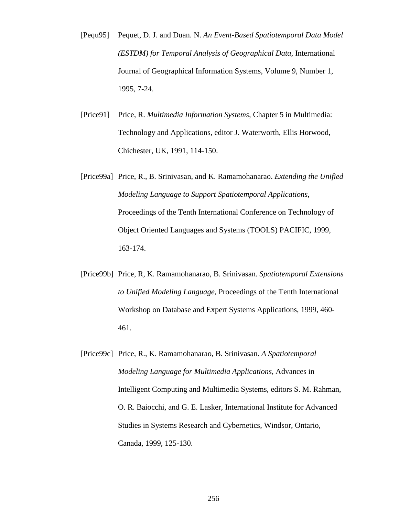- [Pequ95] Pequet, D. J. and Duan. N. *An Event-Based Spatiotemporal Data Model (ESTDM) for Temporal Analysis of Geographical Data*, International Journal of Geographical Information Systems, Volume 9, Number 1, 1995, 7-24.
- [Price91] Price, R. *Multimedia Information Systems*, Chapter 5 in Multimedia: Technology and Applications, editor J. Waterworth, Ellis Horwood, Chichester, UK, 1991, 114-150.
- [Price99a] Price, R., B. Srinivasan, and K. Ramamohanarao. *Extending the Unified Modeling Language to Support Spatiotemporal Applications*, Proceedings of the Tenth International Conference on Technology of Object Oriented Languages and Systems (TOOLS) PACIFIC, 1999, 163-174.
- [Price99b] Price, R, K. Ramamohanarao, B. Srinivasan. *Spatiotemporal Extensions to Unified Modeling Language*, Proceedings of the Tenth International Workshop on Database and Expert Systems Applications, 1999, 460- 461.
- [Price99c] Price, R., K. Ramamohanarao, B. Srinivasan. *A Spatiotemporal Modeling Language for Multimedia Applications*, Advances in Intelligent Computing and Multimedia Systems, editors S. M. Rahman, O. R. Baiocchi, and G. E. Lasker, International Institute for Advanced Studies in Systems Research and Cybernetics, Windsor, Ontario, Canada, 1999, 125-130.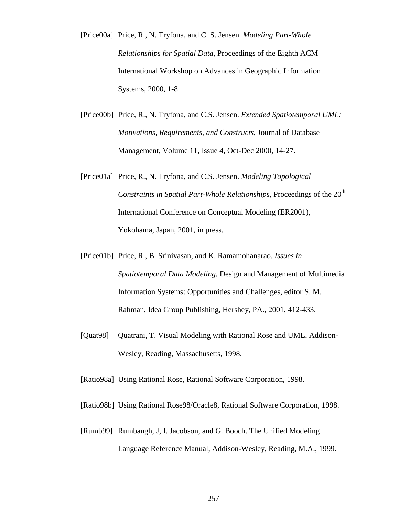- [Price00a] Price, R., N. Tryfona, and C. S. Jensen. *Modeling Part-Whole Relationships for Spatial Data,* Proceedings of the Eighth ACM International Workshop on Advances in Geographic Information Systems, 2000, 1-8.
- [Price00b] Price, R., N. Tryfona, and C.S. Jensen. *Extended Spatiotemporal UML: Motivations, Requirements, and Constructs*, Journal of Database Management, Volume 11, Issue 4, Oct-Dec 2000, 14-27.
- [Price01a] Price, R., N. Tryfona, and C.S. Jensen. *Modeling Topological Constraints in Spatial Part-Whole Relationships*, Proceedings of the 20<sup>th</sup> International Conference on Conceptual Modeling (ER2001), Yokohama, Japan, 2001, in press.
- [Price01b] Price, R., B. Srinivasan, and K. Ramamohanarao. *Issues in Spatiotemporal Data Modeling*, Design and Management of Multimedia Information Systems: Opportunities and Challenges, editor S. M. Rahman, Idea Group Publishing, Hershey, PA., 2001, 412-433.
- [Quat98] Quatrani, T. Visual Modeling with Rational Rose and UML, Addison-Wesley, Reading, Massachusetts, 1998.
- [Ratio98a] Using Rational Rose, Rational Software Corporation, 1998.
- [Ratio98b] Using Rational Rose98/Oracle8, Rational Software Corporation, 1998.
- [Rumb99] Rumbaugh, J, I. Jacobson, and G. Booch. The Unified Modeling Language Reference Manual, Addison-Wesley, Reading, M.A., 1999.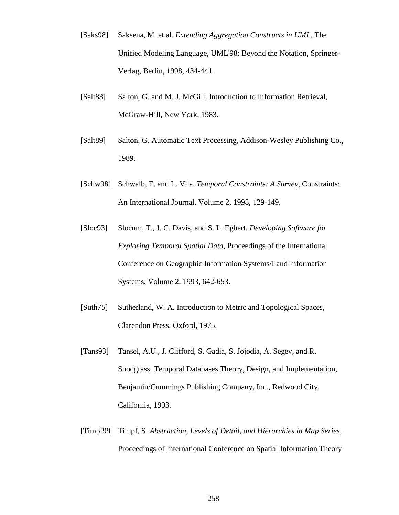- [Saks98] Saksena, M. et al. *Extending Aggregation Constructs in UML,* The Unified Modeling Language, UML'98: Beyond the Notation, Springer-Verlag, Berlin, 1998, 434-441.
- [Salt83] Salton, G. and M. J. McGill. Introduction to Information Retrieval, McGraw-Hill, New York, 1983.
- [Salt89] Salton, G. Automatic Text Processing, Addison-Wesley Publishing Co., 1989.
- [Schw98] Schwalb, E. and L. Vila. *Temporal Constraints: A Survey*, Constraints: An International Journal, Volume 2, 1998, 129-149.
- [Sloc93] Slocum, T., J. C. Davis, and S. L. Egbert. *Developing Software for Exploring Temporal Spatial Data*, Proceedings of the International Conference on Geographic Information Systems/Land Information Systems, Volume 2, 1993, 642-653.
- [Suth75] Sutherland, W. A. Introduction to Metric and Topological Spaces, Clarendon Press, Oxford, 1975.
- [Tans93] Tansel, A.U., J. Clifford, S. Gadia, S. Jojodia, A. Segev, and R. Snodgrass. Temporal Databases Theory, Design, and Implementation, Benjamin/Cummings Publishing Company, Inc., Redwood City, California, 1993.
- [Timpf99] Timpf, S. *Abstraction, Levels of Detail, and Hierarchies in Map Series*, Proceedings of International Conference on Spatial Information Theory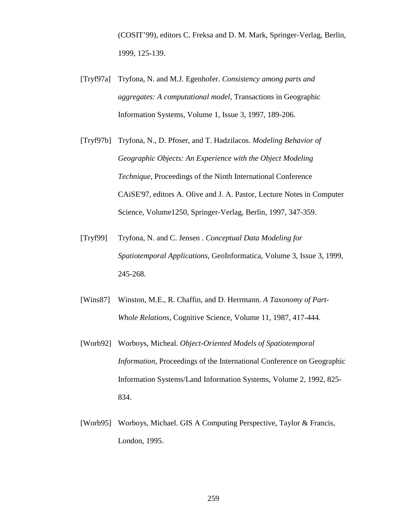(COSIT'99), editors C. Freksa and D. M. Mark, Springer-Verlag, Berlin, 1999, 125-139.

- [Tryf97a] Tryfona, N. and M.J. Egenhofer. *Consistency among parts and aggregates: A computational model*, Transactions in Geographic Information Systems, Volume 1, Issue 3, 1997, 189-206.
- [Tryf97b] Tryfona, N., D. Pfoser, and T. Hadzilacos. *Modeling Behavior of Geographic Objects: An Experience with the Object Modeling Technique*, Proceedings of the Ninth International Conference CAiSE'97, editors A. Olive and J. A. Pastor, Lecture Notes in Computer Science, Volume1250, Springer-Verlag, Berlin, 1997, 347-359.
- [Tryf99] Tryfona, N. and C. Jensen . *Conceptual Data Modeling for Spatiotemporal Applications*, GeoInformatica, Volume 3, Issue 3, 1999, 245-268.
- [Wins87] Winston, M.E., R. Chaffin, and D. Herrmann. *A Taxonomy of Part-Whole Relations*, Cognitive Science, Volume 11, 1987, 417-444.
- [Worb92] Worboys, Micheal. *Object-Oriented Models of Spatiotemporal Information*, Proceedings of the International Conference on Geographic Information Systems/Land Information Systems, Volume 2, 1992, 825- 834.
- [Worb95] Worboys, Michael. GIS A Computing Perspective, Taylor & Francis, London, 1995.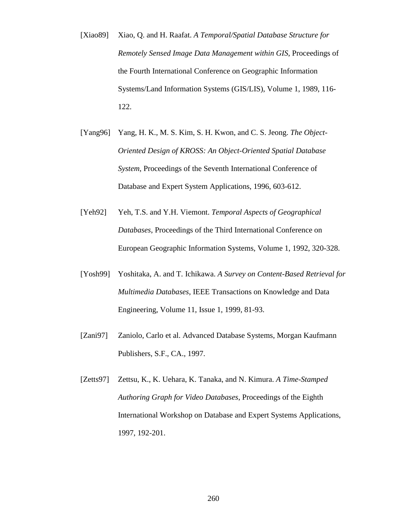- [Xiao89] Xiao, Q. and H. Raafat. *A Temporal/Spatial Database Structure for Remotely Sensed Image Data Management within GIS*, Proceedings of the Fourth International Conference on Geographic Information Systems/Land Information Systems (GIS/LIS), Volume 1, 1989, 116- 122.
- [Yang96] Yang, H. K., M. S. Kim, S. H. Kwon, and C. S. Jeong. *The Object-Oriented Design of KROSS: An Object-Oriented Spatial Database System*, Proceedings of the Seventh International Conference of Database and Expert System Applications, 1996, 603-612.
- [Yeh92] Yeh, T.S. and Y.H. Viemont. *Temporal Aspects of Geographical Databases*, Proceedings of the Third International Conference on European Geographic Information Systems, Volume 1, 1992, 320-328.
- [Yosh99] Yoshitaka, A. and T. Ichikawa. *A Survey on Content-Based Retrieval for Multimedia Databases*, IEEE Transactions on Knowledge and Data Engineering, Volume 11, Issue 1, 1999, 81-93.
- [Zani97] Zaniolo, Carlo et al. Advanced Database Systems, Morgan Kaufmann Publishers, S.F., CA., 1997.
- [Zetts97] Zettsu, K., K. Uehara, K. Tanaka, and N. Kimura. *A Time-Stamped Authoring Graph for Video Databases*, Proceedings of the Eighth International Workshop on Database and Expert Systems Applications, 1997, 192-201.